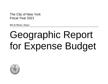The City of New York Fiscal Year 2021

Bill de Blasio, Mayor

# Geographic Report for Expense Budget

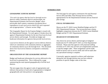## **INTRODUCTION**

## *GEOGRAPHIC EXPENSE REPORT*

*"For each city agency that has local or borough service districts within community districts and boroughs, the Departmental Estimates and Executive Budget, where practicable shall contain a statement of proposed direct expenditures in each such service district for each requested unit of appropriation." (Charter section 100g)*

The Geographic Report for the Expense Budget is issued with the Departmental Estimate. For each agency it breaks down the agency's Departmental Estimate for the next fiscal year by local service district and borough. Provided are budget and headcount information for agencies that provide local services.

Local service districts are the agency's service delivery districts which are coterminous with community districts or aggregates of community districts up to the borough level. This document shows how local service districts correspond to community districts.

## *ORGANIZATION OF THE GEOGRAPHIC REPORT*

Budget and headcount information for services delivered at the local level is presented first. This is followed by a page summarizing the total reported geographically of all the local districts.

The next pages show the agency's units of appropriation and indicate what portion of each unit of appropriation is budgeted geographically and what portion is non-geographic.

The final page for each agency summarizes the total Personal Service (PS) and Other Than Personal Service (OTPS) appropriations for the Departmental Estimate and any financial plan savings.

## *FISCAL INFORMATION*

Shown are the FY 2020 Current Modified Budget and the FY 2021 Departmental Estimate. The increase/decrease column highlights comparisons between the FY 2020 Current Modified Budget and the FY 2021 Departmental Estimate.

## *HEADCOUNT INFORMATION*

Also shown by service district and borough are budgeted headcounts for FY 2020 and FY 2021 as of the Departmental Estimate. Please note that agencies with projected staffing increases in FY 2021 may not have yet assigned these positions to specific budget codes. These assignments will be made based on factors such as service needs and will be made after any specialized training is complete.

Conversely, agencies required to achieve staff reductions during the year through attrition may not have reduced positions in specific budget codes at this time.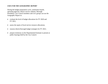## *USES FOR THE GEOGRAPHIC REPORT*

During the budget preparation cycle, community boards, operating agencies, district service cabinets, Borough Presidents, City Council members and civic groups can use the Geographic Report to:

- evaluate the level of budget allocations for FY 2020 and FY 2021;
- assess the equity of local service resource allocations;
- reassess district/borough budget strategies for FY 2021;
- prepare testimony on the Departmental Estimate to present at public hearings held by the City Council.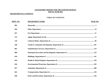## **GEOGRAPHIC REPORT FOR THE EXPENSE BUDGET** FISCAL YEAR 2021

## DEPARTMENTAL ESTIMATE

## **TABLE OF CONTENTS**

| <u>DEPT. NO.</u> | <b>DEPARTMENT NAME</b> | PAGE NO. |
|------------------|------------------------|----------|
| 002              |                        |          |
| 056              |                        |          |
| 057              |                        |          |
| 125              |                        |          |
| 126              |                        |          |
| 260              |                        |          |
| 801              |                        |          |
| 806              |                        |          |
| 810              |                        |          |
| 816              |                        |          |
| 826              |                        |          |
| 827              |                        |          |
| 841              |                        |          |
| 846              |                        |          |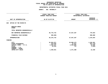| <b>AGENCY:</b><br>002 MAYORALTY                           |                                                       |                                                        |
|-----------------------------------------------------------|-------------------------------------------------------|--------------------------------------------------------|
| FISCAL YEAR 2020<br>CURRENT MODIFIED BUDGET               |                                                       |                                                        |
| AS OF 01/07/20                                            | <b>AMOUNT</b>                                         | <b>INCREASE</b><br>DECREASE (-)                        |
|                                                           |                                                       |                                                        |
|                                                           |                                                       |                                                        |
|                                                           |                                                       |                                                        |
| 36,776,743                                                | 37,547,297                                            | 770,554                                                |
| $500,000 -$                                               |                                                       | 500,000                                                |
| 36, 276, 743                                              | 37,547,297                                            | 1,270,554                                              |
|                                                           |                                                       |                                                        |
| 32,054,871<br>319,046<br>2,533,167<br>10,618<br>1,359,041 | 33,600,472<br>21,927<br>2,552,806<br>712<br>1,371,380 | 1,545,601<br>297,119-<br>19,639<br>$9,906 -$<br>12,339 |
|                                                           |                                                       | FISCAL YEAR 2021<br>DEPARTMENTAL ESTIMATES             |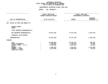## **GEOGRAPHIC**C REPORTING<br>WIDE BY PRO<br>F APPROPRIA FISCAL REPORT FOR AGENCYWIDE BY PROGRAM **REPORT FOR AGENCYWIDE BY PROGRAM FOR**

|                                                                                                                                     | <b>AGENCY:</b><br>002 MAYORALTY                                |                                                                |                                                     |  |
|-------------------------------------------------------------------------------------------------------------------------------------|----------------------------------------------------------------|----------------------------------------------------------------|-----------------------------------------------------|--|
|                                                                                                                                     |                                                                |                                                                |                                                     |  |
|                                                                                                                                     | FISCAL YEAR 2020<br>CURRENT MODIFIED BUDGET                    |                                                                | FISCAL YEAR 2021<br>DEPARTMENTAL ESTIMATES          |  |
| UNIT OF APPROPRIATION                                                                                                               | AS OF 01/07/20                                                 | <b>AMOUNT</b>                                                  | <b>INCREASE</b><br>DECREASE (-)                     |  |
| OFFICE OF MGMT AND BUDGET-PS<br>040                                                                                                 |                                                                |                                                                |                                                     |  |
| REGULAR GROSS<br><b>OTHER</b>                                                                                                       |                                                                |                                                                |                                                     |  |
| TOTAL REPORTED GEOGRAPHICALLY                                                                                                       |                                                                |                                                                |                                                     |  |
| NOT REPORTED GEOGRAPHICALLY                                                                                                         | 38,487,208                                                     | 37,317,440                                                     | 1,169,768-                                          |  |
| FINANCIAL PLAN SAVINGS                                                                                                              |                                                                |                                                                |                                                     |  |
| <b>APPROPRIATION</b>                                                                                                                | 38,487,208                                                     | 37, 317, 440                                                   | 1,169,768-                                          |  |
| FUNDING                                                                                                                             |                                                                |                                                                |                                                     |  |
| <b>CITY</b><br>OTHER CATEGORICAL<br>CAPITAL FUNDS - I.F.A.<br><b>STATE</b><br>FEDERAL - C.D.<br>FEDERAL - OTHER<br>INTRA-CITY SALES | 25,060,502<br>1,709,988<br>6,600,862<br>2,898,253<br>2,217,603 | 25,451,211<br>1,729,972<br>6,657,072<br>1,222,857<br>2,256,328 | 390,709<br>19,984<br>56,210<br>1,675,396-<br>38,725 |  |
|                                                                                                                                     |                                                                |                                                                |                                                     |  |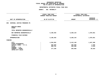|                                     | <b>AGENCY:</b><br>002 MAYORALTY                  |                                            |                                 |
|-------------------------------------|--------------------------------------------------|--------------------------------------------|---------------------------------|
|                                     | .<br>FISCAL YEAR 2020<br>CURRENT MODIFIED BUDGET | FISCAL YEAR 2021<br>DEPARTMENTAL ESTIMATES |                                 |
| UNIT OF APPROPRIATION               | AS OF 01/07/20                                   | <b>AMOUNT</b>                              | <b>INCREASE</b><br>DECREASE (-) |
| CRIMINAL JUSTICE PROGRAMS PS<br>050 |                                                  |                                            |                                 |
| REGULAR GROSS<br><b>OTHER</b>       |                                                  |                                            |                                 |
| TOTAL REPORTED GEOGRAPHICALLY       |                                                  |                                            |                                 |
| NOT REPORTED GEOGRAPHICALLY         | 5,190,493                                        | 6,269,144                                  | 1,078,651                       |
| FINANCIAL PLAN SAVINGS              |                                                  |                                            |                                 |
| <b>APPROPRIATION</b>                | 5,190,493                                        | 6,269,144                                  | 1,078,651                       |
| <b>FUNDING</b>                      |                                                  |                                            |                                 |
| <b>CITY</b><br>OTHER CATEGORICAL    | 4,364,852                                        | 5,412,140                                  | 1,047,288                       |
| CAPITAL FUNDS - I.F.A.              | 358,650                                          | 360,680                                    | 2,030                           |
| <b>STATE</b>                        | 289,751                                          | 292,266                                    | 2,515                           |
| FEDERAL - C.D.<br>FEDERAL - OTHER   | 177,240                                          | 204,058                                    | 26,818                          |
| INTRA-CITY SALES                    |                                                  |                                            |                                 |
|                                     |                                                  |                                            |                                 |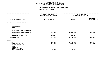|                                                                                                                 | <b>AGENCY:</b><br>002 MAYORALTY                  |                                            |                                 |
|-----------------------------------------------------------------------------------------------------------------|--------------------------------------------------|--------------------------------------------|---------------------------------|
|                                                                                                                 | .<br>FISCAL YEAR 2020<br>CURRENT MODIFIED BUDGET | FISCAL YEAR 2021<br>DEPARTMENTAL ESTIMATES |                                 |
| UNIT OF APPROPRIATION                                                                                           | AS OF 01/07/20                                   | <b>AMOUNT</b>                              | <b>INCREASE</b><br>DECREASE (-) |
| 061 OFF OF LABOR RELATIONS-PS                                                                                   |                                                  |                                            |                                 |
| REGULAR GROSS<br><b>OTHER</b>                                                                                   |                                                  |                                            |                                 |
| TOTAL REPORTED GEOGRAPHICALLY                                                                                   |                                                  |                                            |                                 |
| NOT REPORTED GEOGRAPHICALLY                                                                                     | 13,954,285                                       | 15,181,226                                 | 1,226,941                       |
| FINANCIAL PLAN SAVINGS                                                                                          | 935,144-                                         | 935,144-                                   |                                 |
| APPROPRIATION                                                                                                   | 13,019,141                                       | 14,246,082                                 | 1,226,941                       |
| <b>FUNDING</b>                                                                                                  |                                                  |                                            |                                 |
| <b>CITY</b><br>OTHER CATEGORICAL<br>CAPITAL FUNDS - I.F.A.<br><b>STATE</b><br>FEDERAL - C.D.<br>FEDERAL - OTHER | 9,794,999<br>3,148,393                           | 11,199,830<br>2,970,503                    | 1,404,831<br>177,890-           |
| INTRA-CITY SALES                                                                                                | 75,749                                           | 75,749                                     |                                 |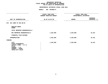|                                                                                                                                     | AGENCY: 002 MAYORALTY   |                        |                                 |
|-------------------------------------------------------------------------------------------------------------------------------------|-------------------------|------------------------|---------------------------------|
|                                                                                                                                     | .<br>FISCAL YEAR 2020   | FISCAL YEAR 2021       |                                 |
|                                                                                                                                     | CURRENT MODIFIED BUDGET | DEPARTMENTAL ESTIMATES |                                 |
| UNIT OF APPROPRIATION                                                                                                               | AS OF 01/07/20          | <b>AMOUNT</b>          | <b>INCREASE</b><br>DECREASE (-) |
| 070 NYC COMM TO THE UN-PS                                                                                                           |                         |                        |                                 |
| REGULAR GROSS<br><b>OTHER</b>                                                                                                       |                         |                        |                                 |
| TOTAL REPORTED GEOGRAPHICALLY                                                                                                       |                         |                        |                                 |
| NOT REPORTED GEOGRAPHICALLY                                                                                                         | 1,252,995               | 1,263,096              | 10,101                          |
| FINANCIAL PLAN SAVINGS                                                                                                              |                         |                        |                                 |
| <b>APPROPRIATION</b>                                                                                                                | 1,252,995               | 1,263,096              | 10,101                          |
| <b>FUNDING</b>                                                                                                                      |                         |                        |                                 |
| <b>CITY</b><br>OTHER CATEGORICAL<br>CAPITAL FUNDS - I.F.A.<br><b>STATE</b><br>FEDERAL - C.D.<br>FEDERAL - OTHER<br>INTRA-CITY SALES | 1,252,995               | 1,263,096              | 10,101                          |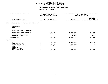|                                                                               | <b>AGENCY:</b> | 002 MAYORALTY                                                    |                                            |                                 |
|-------------------------------------------------------------------------------|----------------|------------------------------------------------------------------|--------------------------------------------|---------------------------------|
|                                                                               |                | -----------------<br>FISCAL YEAR 2020<br>CURRENT MODIFIED BUDGET | FISCAL YEAR 2021<br>DEPARTMENTAL ESTIMATES |                                 |
| UNIT OF APPROPRIATION                                                         |                | AS OF 01/07/20                                                   | <b>AMOUNT</b>                              | <b>INCREASE</b><br>DECREASE (-) |
| 090<br>MAYOR'S OFFICE OF CONTRACT SERVICES - PS                               |                |                                                                  |                                            |                                 |
| REGULAR GROSS<br><b>OTHER</b>                                                 |                |                                                                  |                                            |                                 |
| TOTAL REPORTED GEOGRAPHICALLY                                                 |                |                                                                  |                                            |                                 |
| NOT REPORTED GEOGRAPHICALLY                                                   |                | 18,677,875                                                       | 18,974,728                                 | 296,853                         |
| FINANCIAL PLAN SAVINGS                                                        |                |                                                                  | 87,874-                                    | 87,874-                         |
| <b>APPROPRIATION</b>                                                          |                | 18,677,875                                                       | 18,886,854                                 | 208,979                         |
| FUNDING                                                                       |                |                                                                  |                                            |                                 |
| <b>CITY</b>                                                                   |                | 11,579,796                                                       | 11,972,584                                 | 392,788                         |
| OTHER CATEGORICAL<br>CAPITAL FUNDS - I.F.A.<br><b>STATE</b><br>FEDERAL - C.D. |                | 2,504,123                                                        | 2,523,576                                  | 19,453                          |
| FEDERAL - OTHER<br>INTRA-CITY SALES                                           |                | 4,593,956                                                        | 4,390,694                                  | $203, 262 -$                    |
|                                                                               |                |                                                                  |                                            |                                 |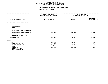|                                                                            | <b>AGENCY:</b>                        | 002 MAYORALTY               |                             |                                 |
|----------------------------------------------------------------------------|---------------------------------------|-----------------------------|-----------------------------|---------------------------------|
|                                                                            | -----------------<br>FISCAL YEAR 2020 |                             | FISCAL YEAR 2021            |                                 |
|                                                                            | CURRENT MODIFIED BUDGET               |                             | DEPARTMENTAL ESTIMATES      |                                 |
| UNIT OF APPROPRIATION                                                      | AS OF 01/07/20                        |                             | <b>AMOUNT</b>               | <b>INCREASE</b><br>DECREASE (-) |
| OFF FOR PEOPLE WITH DISAB-PS<br>260                                        |                                       |                             |                             |                                 |
| REGULAR GROSS<br><b>OTHER</b>                                              |                                       |                             |                             |                                 |
| TOTAL REPORTED GEOGRAPHICALLY                                              |                                       |                             |                             |                                 |
| NOT REPORTED GEOGRAPHICALLY                                                |                                       | 731,291                     | 738,170                     | 6,879                           |
| FINANCIAL PLAN SAVINGS                                                     |                                       |                             |                             |                                 |
| <b>APPROPRIATION</b>                                                       |                                       | 731,291                     | 738,170                     | 6,879                           |
| FUNDING                                                                    |                                       |                             |                             |                                 |
| <b>CITY</b><br>OTHER CATEGORICAL<br>CAPITAL FUNDS - I.F.A.<br><b>STATE</b> |                                       | 384,744<br>4,271<br>137,138 | 388,179<br>4,918<br>138,086 | 3,435<br>647<br>948             |
| FEDERAL - C.D.<br>FEDERAL - OTHER<br>INTRA-CITY SALES                      |                                       | 205,138                     | 206,987                     | 1,849                           |
|                                                                            |                                       |                             |                             |                                 |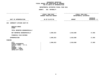## **GEOGRAPHIC**C REPORTING<br>WIDE BY PRO<br>F APPROPRIA FISCAL REPORT FOR AGENCYWIDE BY PROGRAM **REPORT FOR AGENCYWIDE BY PROGRAM FOR**

|                                                                                                                                     | AGENCY: 002 MAYORALTY                       |                                            |                          |
|-------------------------------------------------------------------------------------------------------------------------------------|---------------------------------------------|--------------------------------------------|--------------------------|
|                                                                                                                                     | -----------------                           |                                            |                          |
|                                                                                                                                     | FISCAL YEAR 2020<br>CURRENT MODIFIED BUDGET | FISCAL YEAR 2021<br>DEPARTMENTAL ESTIMATES |                          |
| UNIT OF APPROPRIATION                                                                                                               | AS OF 01/07/20                              | <b>AMOUNT</b>                              | INCREASE<br>DECREASE (-) |
| 340 COMMUNITY AFFAIRS UNIT-PS                                                                                                       |                                             |                                            |                          |
| REGULAR GROSS<br><b>OTHER</b>                                                                                                       |                                             |                                            |                          |
| TOTAL REPORTED GEOGRAPHICALLY                                                                                                       |                                             |                                            |                          |
| NOT REPORTED GEOGRAPHICALLY                                                                                                         | 2,000,923                                   | 2,018,888                                  | 17,965                   |
| FINANCIAL PLAN SAVINGS                                                                                                              |                                             |                                            |                          |
| <b>APPROPRIATION</b>                                                                                                                | 2,000,923                                   | 2,018,888                                  | 17,965                   |
| FUNDING                                                                                                                             |                                             |                                            |                          |
| <b>CITY</b><br>OTHER CATEGORICAL<br>CAPITAL FUNDS - I.F.A.<br><b>STATE</b><br>FEDERAL - C.D.<br>FEDERAL - OTHER<br>INTRA-CITY SALES | 2,000,923                                   | 2,018,888                                  | 17,965                   |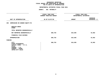|                                                                                                                                     | AGENCY: 002 MAYORALTY                                                                |                                            |                                 |
|-------------------------------------------------------------------------------------------------------------------------------------|--------------------------------------------------------------------------------------|--------------------------------------------|---------------------------------|
|                                                                                                                                     | . _ _ _ _ _ _ _ _ _ _ _ _ _ _ _ _ _ _<br>FISCAL YEAR 2020<br>CURRENT MODIFIED BUDGET | FISCAL YEAR 2021<br>DEPARTMENTAL ESTIMATES |                                 |
| UNIT OF APPROPRIATION                                                                                                               | AS OF 01/07/20                                                                       | <b>AMOUNT</b>                              | <b>INCREASE</b><br>DECREASE (-) |
| 350<br>COMMISSION ON GENDER EQUITY-PS                                                                                               |                                                                                      |                                            |                                 |
| REGULAR GROSS<br><b>OTHER</b>                                                                                                       |                                                                                      |                                            |                                 |
| TOTAL REPORTED GEOGRAPHICALLY                                                                                                       |                                                                                      |                                            |                                 |
| NOT REPORTED GEOGRAPHICALLY                                                                                                         | 580,793                                                                              | 624,695                                    | 43,902                          |
| FINANCIAL PLAN SAVINGS                                                                                                              |                                                                                      |                                            |                                 |
| <b>APPROPRIATION</b>                                                                                                                | 580,793                                                                              | 624,695                                    | 43,902                          |
| <b>FUNDING</b>                                                                                                                      |                                                                                      |                                            |                                 |
| <b>CITY</b><br>OTHER CATEGORICAL<br>CAPITAL FUNDS - I.F.A.<br><b>STATE</b><br>FEDERAL - C.D.<br>FEDERAL - OTHER<br>INTRA-CITY SALES | 580,793                                                                              | 624,695                                    | 43,902                          |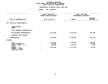|                                                                       | <b>AGENCY:</b><br>002 MAYORALTY             |                                            |                                 |
|-----------------------------------------------------------------------|---------------------------------------------|--------------------------------------------|---------------------------------|
|                                                                       | -----------------                           |                                            |                                 |
|                                                                       | FISCAL YEAR 2020<br>CURRENT MODIFIED BUDGET | FISCAL YEAR 2021<br>DEPARTMENTAL ESTIMATES |                                 |
| UNIT OF APPROPRIATION                                                 | AS OF 01/07/20                              | <b>AMOUNT</b>                              | <b>INCREASE</b><br>DECREASE (-) |
| OFFICE OF OPERATIONS-PS<br>380                                        |                                             |                                            |                                 |
| REGULAR GROSS<br><b>OTHER</b>                                         |                                             |                                            |                                 |
| TOTAL REPORTED GEOGRAPHICALLY                                         |                                             |                                            |                                 |
| NOT REPORTED GEOGRAPHICALLY                                           | 8,718,608                                   | 8,418,852                                  | 299,756-                        |
| FINANCIAL PLAN SAVINGS                                                |                                             |                                            |                                 |
| APPROPRIATION                                                         | 8,718,608                                   | 8,418,852                                  | 299,756-                        |
| <b>FUNDING</b>                                                        |                                             |                                            |                                 |
| <b>CITY</b><br>OTHER CATEGORICAL                                      | 4,641,823<br>43,441                         | 4,353,360                                  | 288,463-<br>$43,441-$           |
| CAPITAL FUNDS - I.F.A.                                                | 879,835                                     | 887,535                                    | 7,700                           |
| <b>STATE</b><br>FEDERAL - C.D.<br>FEDERAL - OTHER<br>INTRA-CITY SALES | 3,153,509                                   | 3,177,957                                  | 24,448                          |
|                                                                       |                                             |                                            |                                 |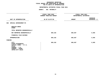|                                                                                                                                     | AGENCY: 002 MAYORALTY                                            |                                            |                          |
|-------------------------------------------------------------------------------------------------------------------------------------|------------------------------------------------------------------|--------------------------------------------|--------------------------|
|                                                                                                                                     | -----------------<br>FISCAL YEAR 2020<br>CURRENT MODIFIED BUDGET | FISCAL YEAR 2021<br>DEPARTMENTAL ESTIMATES |                          |
| UNIT OF APPROPRIATION                                                                                                               | AS OF 01/07/20                                                   | <b>AMOUNT</b>                              | INCREASE<br>DECREASE (-) |
| 560 SPECIAL ENFORCEMENT-PS                                                                                                          |                                                                  |                                            |                          |
| REGULAR GROSS<br><b>OTHER</b>                                                                                                       |                                                                  |                                            |                          |
| TOTAL REPORTED GEOGRAPHICALLY                                                                                                       |                                                                  |                                            |                          |
| NOT REPORTED GEOGRAPHICALLY                                                                                                         | 859,182                                                          | 865,687                                    | 6,505                    |
| FINANCIAL PLAN SAVINGS                                                                                                              |                                                                  |                                            |                          |
| <b>APPROPRIATION</b>                                                                                                                | 859,182                                                          | 865,687                                    | 6,505                    |
| FUNDING                                                                                                                             |                                                                  |                                            |                          |
| <b>CITY</b><br>OTHER CATEGORICAL<br>CAPITAL FUNDS - I.F.A.<br><b>STATE</b><br>FEDERAL - C.D.<br>FEDERAL - OTHER<br>INTRA-CITY SALES | 859,182                                                          | 865,687                                    | 6,505                    |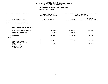|                                                                       | <b>AGENCY:</b> | 002 MAYORALTY                               |                                            |                                 |
|-----------------------------------------------------------------------|----------------|---------------------------------------------|--------------------------------------------|---------------------------------|
|                                                                       |                | FISCAL YEAR 2020<br>CURRENT MODIFIED BUDGET | FISCAL YEAR 2021<br>DEPARTMENTAL ESTIMATES |                                 |
| UNIT OF APPROPRIATION                                                 |                | AS OF 01/07/20                              | <b>AMOUNT</b>                              | <b>INCREASE</b><br>DECREASE (-) |
| 021<br>OFFICE OF THE MAYOR-OTPS                                       |                |                                             |                                            |                                 |
| TOTAL REPORTED GEOGRAPHICALLY                                         |                |                                             |                                            |                                 |
| NOT REPORTED GEOGRAPHICALLY                                           |                | 5,111,958                                   | 4,523,927                                  | 588,031-                        |
| FINANCIAL PLAN SAVINGS                                                |                | 74,371-                                     | 74,371-                                    |                                 |
| <b>APPROPRIATION</b>                                                  |                | 5,037,587                                   | 4,449,556                                  | 588,031-                        |
| FUNDING                                                               |                |                                             |                                            |                                 |
| <b>CITY</b><br>OTHER CATEGORICAL<br>CAPITAL FUNDS - I.F.A.            |                | 4,972,589                                   | 4,449,556                                  | $523,033-$                      |
| <b>STATE</b><br>FEDERAL - C.D.<br>FEDERAL - OTHER<br>INTRA-CITY SALES |                | 64,998                                      |                                            | 64,998-                         |
|                                                                       |                |                                             |                                            |                                 |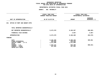## **GEOGRAPHIC**C REPORTING<br>WIDE BY GEO<br>OF APPROPR **FISCAL REPORT FOR AGENCYWIDE BY GEOGRAPHIC PROGRAM** FOR OTPS UNITS OF APPROPRIATION

| <b>AGENCY:</b> | 002 MAYORALTY                                             |                                                               |                                            |  |
|----------------|-----------------------------------------------------------|---------------------------------------------------------------|--------------------------------------------|--|
|                |                                                           |                                                               | FISCAL YEAR 2021<br>DEPARTMENTAL ESTIMATES |  |
|                |                                                           | <b>AMOUNT</b>                                                 | <b>INCREASE</b><br>DECREASE (-)            |  |
|                |                                                           |                                                               |                                            |  |
|                |                                                           |                                                               |                                            |  |
|                | 9,473,370                                                 | 9,185,367                                                     | 288,003-                                   |  |
|                |                                                           | $4,967-$                                                      | $4,967-$                                   |  |
|                | 9,473,370                                                 | 9,180,400                                                     | 292,970-                                   |  |
|                |                                                           |                                                               |                                            |  |
|                | 6,102,495<br>536,959<br>1,211,890<br>1,324,121<br>297,905 | 6,498,156<br>536,959<br>1,211,890<br>635,490<br>297,905       | 395,661<br>688,631-                        |  |
|                |                                                           | FISCAL YEAR 2020<br>CURRENT MODIFIED BUDGET<br>AS OF 01/07/20 |                                            |  |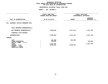|                                                                       | <b>AGENCY:</b> | 002 MAYORALTY                               |               |                                            |  |
|-----------------------------------------------------------------------|----------------|---------------------------------------------|---------------|--------------------------------------------|--|
|                                                                       |                | FISCAL YEAR 2020<br>CURRENT MODIFIED BUDGET |               | FISCAL YEAR 2021<br>DEPARTMENTAL ESTIMATES |  |
| UNIT OF APPROPRIATION                                                 |                | AS OF 01/07/20                              | <b>AMOUNT</b> | <b>INCREASE</b><br>DECREASE (-)            |  |
| CRIMINAL JUSTICE PROGRAMS OTPS<br>051                                 |                |                                             |               |                                            |  |
| TOTAL REPORTED GEOGRAPHICALLY                                         |                |                                             |               |                                            |  |
| NOT REPORTED GEOGRAPHICALLY                                           |                | 5,509,064                                   | 3,371,315     | 2,137,749-                                 |  |
| FINANCIAL PLAN SAVINGS                                                |                |                                             |               |                                            |  |
| <b>APPROPRIATION</b>                                                  |                | 5,509,064                                   | 3,371,315     | 2,137,749-                                 |  |
| FUNDING                                                               |                |                                             |               |                                            |  |
| <b>CITY</b><br>OTHER CATEGORICAL<br>CAPITAL FUNDS - I.F.A.            |                | 125,300<br>120,642                          | 125,300       | 120,642-                                   |  |
| <b>STATE</b><br>FEDERAL - C.D.<br>FEDERAL - OTHER<br>INTRA-CITY SALES |                | 2,017,107<br>3,246,015                      | 3,246,015     | 2,017,107-                                 |  |
|                                                                       |                |                                             |               |                                            |  |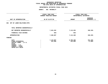## **OTPS UNITS OF APPROPRIATION DEPARTMENTAL ESTIMATES FISCAL YEAR <sup>2021</sup>**

## **AGENCY: <sup>002</sup> MAYORALTY**

|                                                                                                                                     | FISCAL YEAR 2020<br>CURRENT MODIFIED BUDGET | FISCAL YEAR 2021<br>DEPARTMENTAL ESTIMATES |                                 |  |
|-------------------------------------------------------------------------------------------------------------------------------------|---------------------------------------------|--------------------------------------------|---------------------------------|--|
| UNIT OF APPROPRIATION                                                                                                               | AS OF 01/07/20                              | <b>AMOUNT</b>                              | <b>INCREASE</b><br>DECREASE (-) |  |
| OFF OF LABOR RELATIONS-OTPS<br>062                                                                                                  |                                             |                                            |                                 |  |
| TOTAL REPORTED GEOGRAPHICALLY                                                                                                       |                                             |                                            |                                 |  |
| NOT REPORTED GEOGRAPHICALLY                                                                                                         | 7,461,632                                   | 7,113,293                                  | 348,339-                        |  |
| FINANCIAL PLAN SAVINGS                                                                                                              | $825 -$                                     | $825 -$                                    |                                 |  |
| <b>APPROPRIATION</b>                                                                                                                | 7,460,807                                   | 7,112,468                                  | 348,339-                        |  |
| FUNDING                                                                                                                             |                                             |                                            |                                 |  |
| <b>CITY</b><br>OTHER CATEGORICAL<br>CAPITAL FUNDS - I.F.A.<br><b>STATE</b><br>FEDERAL - C.D.<br>FEDERAL - OTHER<br>INTRA-CITY SALES | 7,119,807<br>341,000                        | 6,788,468<br>324,000                       | 331,339-<br>17,000-             |  |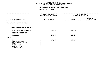|                                                                                                                                     | <b>AGENCY:</b> | 002 MAYORALTY                                      |                                            |                                 |  |
|-------------------------------------------------------------------------------------------------------------------------------------|----------------|----------------------------------------------------|--------------------------------------------|---------------------------------|--|
|                                                                                                                                     |                | <b>FISCAL YEAR 2020</b><br>CURRENT MODIFIED BUDGET | FISCAL YEAR 2021<br>DEPARTMENTAL ESTIMATES |                                 |  |
| UNIT OF APPROPRIATION                                                                                                               |                | AS OF 01/07/20                                     | <b>AMOUNT</b>                              | <b>INCREASE</b><br>DECREASE (-) |  |
| 071 NYC COMM TO THE UN-OTPS                                                                                                         |                |                                                    |                                            |                                 |  |
| TOTAL REPORTED GEOGRAPHICALLY                                                                                                       |                |                                                    |                                            |                                 |  |
| NOT REPORTED GEOGRAPHICALLY                                                                                                         |                | 238,709                                            | 238,709                                    |                                 |  |
| FINANCIAL PLAN SAVINGS                                                                                                              |                |                                                    |                                            |                                 |  |
| <b>APPROPRIATION</b>                                                                                                                |                | 238,709                                            | 238,709                                    |                                 |  |
| <b>FUNDING</b>                                                                                                                      |                |                                                    |                                            |                                 |  |
| <b>CITY</b><br>OTHER CATEGORICAL<br>CAPITAL FUNDS - I.F.A.<br><b>STATE</b><br>FEDERAL - C.D.<br>FEDERAL - OTHER<br>INTRA-CITY SALES |                | 238,709                                            | 238,709                                    |                                 |  |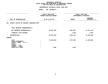|                                                                                                                                     | <b>AGENCY:</b> | 002 MAYORALTY                               |                                            |                                 |  |
|-------------------------------------------------------------------------------------------------------------------------------------|----------------|---------------------------------------------|--------------------------------------------|---------------------------------|--|
|                                                                                                                                     |                | FISCAL YEAR 2020<br>CURRENT MODIFIED BUDGET | FISCAL YEAR 2021<br>DEPARTMENTAL ESTIMATES |                                 |  |
| UNIT OF APPROPRIATION                                                                                                               |                | AS OF 01/07/20                              | <b>AMOUNT</b>                              | <b>INCREASE</b><br>DECREASE (-) |  |
| MAYOR'S OFFICE OF CONTRACT SERVICES-OTPS<br>091                                                                                     |                |                                             |                                            |                                 |  |
| TOTAL REPORTED GEOGRAPHICALLY                                                                                                       |                |                                             |                                            |                                 |  |
| NOT REPORTED GEOGRAPHICALLY                                                                                                         |                | 19,054,105                                  | 7,806,961                                  | 11,247,144-                     |  |
| FINANCIAL PLAN SAVINGS                                                                                                              |                |                                             | $1,836-$                                   | 1,836-                          |  |
| <b>APPROPRIATION</b>                                                                                                                |                | 19,054,105                                  | 7,805,125                                  | 11,248,980-                     |  |
| FUNDING                                                                                                                             |                |                                             |                                            |                                 |  |
| <b>CITY</b><br>OTHER CATEGORICAL<br>CAPITAL FUNDS - I.F.A.<br><b>STATE</b><br>FEDERAL - C.D.<br>FEDERAL - OTHER<br>INTRA-CITY SALES |                | 19,046,605<br>7,500                         | 7,797,625<br>7,500                         | 11,248,980-                     |  |
|                                                                                                                                     |                |                                             |                                            |                                 |  |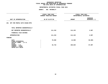## **GEOGRAPHIC**C REPORTING<br>WIDE BY GEO<br>OF APPROPR **FISCAL REPORT FOR AGENCYWIDE BY GEOGRAPHIC PROGRAM** FOR OTPS UNITS OF APPROPRIATION

|                                                                                                                 | <b>AGENCY:</b> | 002 MAYORALTY                               |                                            |                                 |
|-----------------------------------------------------------------------------------------------------------------|----------------|---------------------------------------------|--------------------------------------------|---------------------------------|
|                                                                                                                 |                | FISCAL YEAR 2020<br>CURRENT MODIFIED BUDGET | FISCAL YEAR 2021<br>DEPARTMENTAL ESTIMATES |                                 |
| UNIT OF APPROPRIATION                                                                                           |                | AS OF 01/07/20                              | <b>AMOUNT</b>                              | <b>INCREASE</b><br>DECREASE (-) |
| OFF FOR PEOPLE WITH DISAB-OTPS<br>261                                                                           |                |                                             |                                            |                                 |
| TOTAL REPORTED GEOGRAPHICALLY                                                                                   |                |                                             |                                            |                                 |
| NOT REPORTED GEOGRAPHICALLY                                                                                     |                | 111,218                                     | 114,125                                    | 2,907                           |
| FINANCIAL PLAN SAVINGS                                                                                          |                |                                             |                                            |                                 |
| <b>APPROPRIATION</b>                                                                                            |                | 111,218                                     | 114,125                                    | 2,907                           |
| <b>FUNDING</b>                                                                                                  |                |                                             |                                            |                                 |
| <b>CITY</b><br>OTHER CATEGORICAL<br>CAPITAL FUNDS - I.F.A.<br><b>STATE</b><br>FEDERAL - C.D.<br>FEDERAL - OTHER |                | 78,500<br>32,718                            | 13,500<br>100,625                          | 65,000-<br>67,907               |
| INTRA-CITY SALES                                                                                                |                |                                             |                                            |                                 |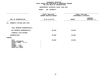|                                                                                                                                     | <b>AGENCY:</b> | 002 MAYORALTY                                                  |                                            |                                 |  |
|-------------------------------------------------------------------------------------------------------------------------------------|----------------|----------------------------------------------------------------|--------------------------------------------|---------------------------------|--|
|                                                                                                                                     |                | --------<br><b>FISCAL YEAR 2020</b><br>CURRENT MODIFIED BUDGET | FISCAL YEAR 2021<br>DEPARTMENTAL ESTIMATES |                                 |  |
| UNIT OF APPROPRIATION                                                                                                               |                | AS OF 01/07/20                                                 | <b>AMOUNT</b>                              | <b>INCREASE</b><br>DECREASE (-) |  |
| 341 COMMUNITY AFFAIRS UNIT-OTPS                                                                                                     |                |                                                                |                                            |                                 |  |
| TOTAL REPORTED GEOGRAPHICALLY                                                                                                       |                |                                                                |                                            |                                 |  |
| NOT REPORTED GEOGRAPHICALLY                                                                                                         |                | 30,000                                                         | 30,000                                     |                                 |  |
| FINANCIAL PLAN SAVINGS                                                                                                              |                |                                                                |                                            |                                 |  |
| <b>APPROPRIATION</b>                                                                                                                |                | 30,000                                                         | 30,000                                     |                                 |  |
| <b>FUNDING</b>                                                                                                                      |                |                                                                |                                            |                                 |  |
| <b>CITY</b><br>OTHER CATEGORICAL<br>CAPITAL FUNDS - I.F.A.<br><b>STATE</b><br>FEDERAL - C.D.<br>FEDERAL - OTHER<br>INTRA-CITY SALES |                | 30,000                                                         | 30,000                                     |                                 |  |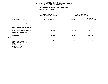## **GEOGRAPHIC**C REPORTING<br>WIDE BY GEO<br>OF APPROPR **FISCAL REPORT FOR AGENCYWIDE BY GEOGRAPHIC PROGRAM** FOR OTPS UNITS OF APPROPRIATION

|                                                                                                                                     | <b>AGENCY:</b> | 002 MAYORALTY                               |               |                                            |  |  |
|-------------------------------------------------------------------------------------------------------------------------------------|----------------|---------------------------------------------|---------------|--------------------------------------------|--|--|
|                                                                                                                                     |                | FISCAL YEAR 2020<br>CURRENT MODIFIED BUDGET |               | FISCAL YEAR 2021<br>DEPARTMENTAL ESTIMATES |  |  |
| UNIT OF APPROPRIATION                                                                                                               |                | AS OF 01/07/20                              | <b>AMOUNT</b> | <b>INCREASE</b><br>DECREASE (-)            |  |  |
| 351 COMMISSION ON GENDER EQUITY-OTPS                                                                                                |                |                                             |               |                                            |  |  |
| TOTAL REPORTED GEOGRAPHICALLY                                                                                                       |                |                                             |               |                                            |  |  |
| NOT REPORTED GEOGRAPHICALLY                                                                                                         |                | 155,000                                     | 5,000         | 150,000-                                   |  |  |
| FINANCIAL PLAN SAVINGS                                                                                                              |                |                                             |               |                                            |  |  |
| <b>APPROPRIATION</b>                                                                                                                |                | 155,000                                     | 5,000         | $150,000 -$                                |  |  |
| <b>FUNDING</b>                                                                                                                      |                |                                             |               |                                            |  |  |
| <b>CITY</b><br>OTHER CATEGORICAL<br>CAPITAL FUNDS - I.F.A.<br><b>STATE</b><br>FEDERAL - C.D.<br>FEDERAL - OTHER<br>INTRA-CITY SALES |                | 155,000                                     | 5,000         | $150,000 -$                                |  |  |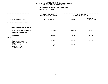|                                                                                                                                     | <b>AGENCY:</b> | 002 MAYORALTY                               |                                            |                                 |
|-------------------------------------------------------------------------------------------------------------------------------------|----------------|---------------------------------------------|--------------------------------------------|---------------------------------|
|                                                                                                                                     |                | FISCAL YEAR 2020<br>CURRENT MODIFIED BUDGET | FISCAL YEAR 2021<br>DEPARTMENTAL ESTIMATES |                                 |
| UNIT OF APPROPRIATION                                                                                                               |                | AS OF 01/07/20                              | <b>AMOUNT</b>                              | <b>INCREASE</b><br>DECREASE (-) |
| OFFICE OF OPERATIONS-OTPS<br>381                                                                                                    |                |                                             |                                            |                                 |
| TOTAL REPORTED GEOGRAPHICALLY                                                                                                       |                |                                             |                                            |                                 |
| NOT REPORTED GEOGRAPHICALLY                                                                                                         |                | 225,000                                     | 140,000                                    | $85,000 -$                      |
| FINANCIAL PLAN SAVINGS                                                                                                              |                |                                             |                                            |                                 |
| <b>APPROPRIATION</b>                                                                                                                |                | 225,000                                     | 140,000                                    | $85,000 -$                      |
| FUNDING                                                                                                                             |                |                                             |                                            |                                 |
| <b>CITY</b><br>OTHER CATEGORICAL<br>CAPITAL FUNDS - I.F.A.<br><b>STATE</b><br>FEDERAL - C.D.<br>FEDERAL - OTHER<br>INTRA-CITY SALES |                | 195,000<br>30,000                           | 110,000<br>30,000                          | $85,000 -$                      |
|                                                                                                                                     |                |                                             |                                            |                                 |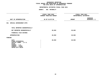## **GEOGRAPHIC**C REPORTING<br>WIDE BY GEO<br>OF APPROPR **FISCAL REPORT FOR AGENCYWIDE BY GEOGRAPHIC PROGRAM** FOR OTPS UNITS OF APPROPRIATION

|                                                                                                                                     | <b>AGENCY:</b> | 002 MAYORALTY                                      |                                            |                                 |
|-------------------------------------------------------------------------------------------------------------------------------------|----------------|----------------------------------------------------|--------------------------------------------|---------------------------------|
|                                                                                                                                     |                | <b>FISCAL YEAR 2020</b><br>CURRENT MODIFIED BUDGET | FISCAL YEAR 2021<br>DEPARTMENTAL ESTIMATES |                                 |
| UNIT OF APPROPRIATION                                                                                                               |                | AS OF 01/07/20                                     | <b>AMOUNT</b>                              | <b>INCREASE</b><br>DECREASE (-) |
| 561 SPECIAL ENFORCEMENT-OTPS                                                                                                        |                |                                                    |                                            |                                 |
| TOTAL REPORTED GEOGRAPHICALLY                                                                                                       |                |                                                    |                                            |                                 |
| NOT REPORTED GEOGRAPHICALLY                                                                                                         |                | 28,002                                             | 28,002                                     |                                 |
| FINANCIAL PLAN SAVINGS                                                                                                              |                |                                                    |                                            |                                 |
| <b>APPROPRIATION</b>                                                                                                                |                | 28,002                                             | 28,002                                     |                                 |
| <b>FUNDING</b>                                                                                                                      |                |                                                    |                                            |                                 |
| <b>CITY</b><br>OTHER CATEGORICAL<br>CAPITAL FUNDS - I.F.A.<br><b>STATE</b><br>FEDERAL - C.D.<br>FEDERAL - OTHER<br>INTRA-CITY SALES |                | 28,002                                             | 28,002                                     |                                 |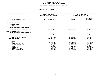## **GEOGRAPHICC REPORTING<br>ENCYWIDE SU<br>----------FISCAL**

## **REPORT AGENCYWIDE SUMMARY DEPARTMENTAL ESTIMATES FISCAL YEAR <sup>2021</sup>**

## **AGENCY: <sup>002</sup> MAYORALTY**

|                                                                                                                                                | FISCAL YEAR 2020                                                                            | FISCAL YEAR 2021<br>DEPARTMENTAL ESTIMATES                                               |                                                                                     |  |
|------------------------------------------------------------------------------------------------------------------------------------------------|---------------------------------------------------------------------------------------------|------------------------------------------------------------------------------------------|-------------------------------------------------------------------------------------|--|
|                                                                                                                                                | CURRENT MODIFIED BUDGET                                                                     |                                                                                          |                                                                                     |  |
|                                                                                                                                                |                                                                                             | <b>INCREASE</b>                                                                          |                                                                                     |  |
| UNIT OF APPROPRIATION                                                                                                                          | AS OF 01/07/20                                                                              | <b>AMOUNT</b>                                                                            | $DECREASE$ (-)                                                                      |  |
|                                                                                                                                                |                                                                                             |                                                                                          |                                                                                     |  |
| PS APPROPRIATIONS<br>REGULAR GROSS<br><b>OTHER</b>                                                                                             |                                                                                             |                                                                                          |                                                                                     |  |
| TOTAL REPORTED GEOGRAPHICALLY<br>NOT REPORTED GEOGRAPHICALLY                                                                                   | 127,230,396                                                                                 | 129,219,223                                                                              | 1,988,827                                                                           |  |
| OTPS APPROPRIATIONS<br>TOTAL REPORTED GEOGRAPHICALLY<br>NOT REPORTED GEOGRAPHICALLY                                                            | 47,398,058                                                                                  | 32,556,699                                                                               | 14,841,359-                                                                         |  |
| FINANCIAL PLAN SAVINGS<br><b>APPROPRIATIONS</b>                                                                                                | 1,510,340-<br>173, 118, 114                                                                 | 1,105,017-<br>160,670,905                                                                | 405,323<br>12,447,209-                                                              |  |
| FUNDING<br><b>CITY</b><br>OTHER CATEGORICAL<br>CAPITAL FUNDS - I.F.A.<br><b>STATE</b><br>FEDERAL - C.D.<br>FEDERAL - OTHER<br>INTRA-CITY SALES | 130,667,487<br>6,223,740<br>14,225,665<br>2,382,474<br>10,889,754<br>2,692,748<br>6,036,246 | 123,234,458<br>5,588,279<br>14,331,645<br>292,978<br>8,619,931<br>2,758,291<br>5,845,323 | 7,433,029-<br>635,461-<br>105,980<br>2,089,496-<br>2,269,823-<br>65,543<br>190,923- |  |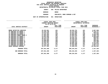| DEPARTMENTAL ESTIMATES FISCAL YEAR 2021 |                       |              |                    |  |
|-----------------------------------------|-----------------------|--------------|--------------------|--|
| AGENCY                                  | 056 POLICE DEPARTMENT |              |                    |  |
| <b>BOROUGH</b>                          |                       | <b>BRONX</b> |                    |  |
| <b>PROGRAM</b>                          |                       |              | PRECINCTS, BORO CO |  |

**PROGRAMPRECINCTS, BORO COMMAND & DET**

|                           |               | FISCAL YEAR 2020<br>CURRENT MODIFIED BUDGET<br>AS OF 01/07/20 |               | FISCAL YEAR 2021<br>DEPARTMENTAL ESTIMATES |                 |  |
|---------------------------|---------------|---------------------------------------------------------------|---------------|--------------------------------------------|-----------------|--|
|                           |               | FULL TIME                                                     |               | FULL TIME                                  | <b>INCREASE</b> |  |
| LOCAL SERVICE DISTRICT    | <b>AMOUNT</b> | POSITIONS                                                     | <b>AMOUNT</b> | POSITIONS                                  | DECREASE(-)     |  |
| BRONX DETECTIVE SERVICES  | 43,322,661    | 421                                                           | 40,634,701    | 421 — 120                                  | 2,687,960-      |  |
| 40 PRECINCT BX BOARD 1    | 22,104,790    | 327                                                           | 19,375,663    | 327                                        | 2,729,127-      |  |
| 41 PRECINCT BX BOARD 2    | 14,512,025    | 231                                                           | 15,021,558    | 231                                        | 509,533         |  |
| 42 PRECINCT BX BOARD 3    | 17,241,463    | 238                                                           | 15,822,897    | 238 and 238                                | 1,418,566-      |  |
| 44 PRECINCT BRONX BOARD 4 | 27,901,283    | 401                                                           | 23,904,549    | 401                                        | 3,996,734-      |  |
| 46 PRECINCT BX BOARD 5    | 23,601,066    | 379                                                           | 21,511,211    | 379                                        | $2,089,855-$    |  |
| 48 PRECINCT BX BOARD 6    | 19,214,448    | 268                                                           | 18,525,761    | 268                                        | 688,687-        |  |
| 52 PRECINCT BX BOARD 7    | 20,937,632    | 342                                                           | 20,648,925    | 342                                        | 288,707-        |  |
| 50 PRECINCT BX BOARD 8    | 12,968,865    | 194                                                           | 13,378,527    | 194                                        | 409,662         |  |
| 45 PRECINCT BX BOARD 10   | 15,065,003    | 208                                                           | 14,538,613    |                                            | $526,390 -$     |  |
| 49 PRECINCT BX BOARD 11   | 15,454,351    | 223                                                           | 16,696,183    | 223                                        | 1,241,832       |  |
| 43 PRECINCT BX BOARD 9    | 24,319,173    | 341                                                           | 20,893,498    | 341                                        | 3,425,675-      |  |
| 47 PRECINCT BX BOARD 12   | 21,541,366    | 277                                                           | 17,453,992    | 277                                        | 4,087,374-      |  |
| BRONX BOROUGH COMMAND     | 19,377,362    | 327                                                           | 37,828,215    | 327                                        | 18,450,853      |  |
| PROGRAM TOTAL:            | 297,561,488   | 4,177                                                         | 296,234,293   | 4,177                                      | 1,327,195-      |  |
| SUB BOROUGH TOTAL:        | 297,561,488   | 4,177                                                         | 296,234,293   | 4,177                                      | 1,327,195-      |  |
| BOROUGH TOTAL:            | 297,561,488   | 4,177                                                         | 296,234,293   | 4,177                                      | 1,327,195-      |  |
|                           |               |                                                               |               |                                            |                 |  |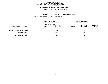| DEPARTMENTAL ESTIMATES FISCAL YEAR 2021 |                       |                 |                     |  |
|-----------------------------------------|-----------------------|-----------------|---------------------|--|
| <b>AGENCY</b>                           | 056 POLICE DEPARTMENT |                 |                     |  |
| <b>BOROUGH</b>                          |                       | <b>BROOKLYN</b> |                     |  |
| <b>PROGRAM</b>                          |                       |                 | PRECINCTS, BORO COM |  |

**PROGRAMPRECINCTS, BORO COMMAND & DET**

|                             | FISCAL YEAR 2020<br>CURRENT MODIFIED BUDGET<br>AS OF 01/07/20 |                        | FISCAL YEAR 2021<br>DEPARTMENTAL ESTIMATES |                        |                         |
|-----------------------------|---------------------------------------------------------------|------------------------|--------------------------------------------|------------------------|-------------------------|
| LOCAL SERVICE DISTRICT      | <b>AMOUNT</b>                                                 | FULL TIME<br>POSITIONS | <b>AMOUNT</b>                              | FULL TIME<br>POSITIONS | INCREASE<br>DECREASE(-) |
| BROOKLYN DETECTIVE SERVICES |                                                               | 725                    |                                            | 725                    |                         |
| PROGRAM TOTAL:              |                                                               | 725                    |                                            | 725                    |                         |
| SUB BOROUGH TOTAL:          |                                                               | 725                    |                                            | 725                    |                         |
|                             |                                                               |                        |                                            |                        |                         |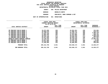| DEPARTMENTAL ESTIMATES FISCAL YEAR 2021 |     |                   |  |
|-----------------------------------------|-----|-------------------|--|
| AGENCY                                  | 056 | POLICE DEPARTMENT |  |

 **<sup>056</sup> POLICE DEPARTMENT BOROUGH BROOKLYN NORTH PROGRAMPRECINCTS, BORO COMMAND & DET**

| PROPRIAIION | UUL |
|-------------|-----|
|             |     |

|                                | FISCAL YEAR 2020<br>CURRENT MODIFIED BUDGET<br>AS OF 01/07/20 |                        | FISCAL YEAR 2021<br>DEPARTMENTAL ESTIMATES |                        |                                |  |
|--------------------------------|---------------------------------------------------------------|------------------------|--------------------------------------------|------------------------|--------------------------------|--|
| LOCAL SERVICE DISTRICT         | <b>AMOUNT</b>                                                 | FULL TIME<br>POSITIONS | <b>AMOUNT</b>                              | FULL TIME<br>POSITIONS | <b>INCREASE</b><br>DECREASE(-) |  |
|                                |                                                               |                        |                                            |                        |                                |  |
| 90 PRECINCT BKLYN BOARD 1      | 15,874,292                                                    | 236                    | 15,561,611                                 | 236                    | 312,681-                       |  |
| 84 PRECINCT BKLYN BOARD 2      | 18,800,078                                                    | 268                    | 17,880,757                                 | 268                    | 919,321-                       |  |
| 79 PRECINCT BKLYN BOARD 3      | 21,180,514                                                    | 308                    | 18,193,770                                 | 308                    | 2,986,744-                     |  |
| 83 PRECINCT BKLYN BOARD 4      | 17,661,100                                                    | 280                    | 17,924,881                                 | 280                    | 263,781                        |  |
| 75 PRECINCT BKLYN BOARD 5      | 33,004,721                                                    | 471                    | 28,414,303                                 | 471                    | 4,590,418-                     |  |
| 77 PRECINCT BKLYN BOARD 8      | 20,444,335                                                    | 273                    | 19,558,310                                 | 273                    | 886,025-                       |  |
| 73 PRECINCT BKLYN BOARD 16     | 22,911,625                                                    | 336                    | 20,294,278                                 | 336                    | 2,617,347-                     |  |
| BROOKLYN NORTH BOROUGH COMMAND | 12, 135, 575                                                  | 277                    | 39,140,939                                 | 277                    | 27,005,364                     |  |
| 94 PRECINCT BKLYN BOARD 1      | 13,017,526                                                    | 159                    | 13,026,755                                 | 159                    | 9,229                          |  |
| 88 PRECINCT BKLYN BOARD 2      | 12,634,064                                                    | 200                    | 13,142,665                                 | 200                    | 508,601                        |  |
| 81 PRECINCT BKLYN BOARD 3      | 17,648,965                                                    | 233                    | 16,809,903                                 | 233                    | 839,062-                       |  |
| PROGRAM TOTAL:                 | 205, 312, 795                                                 | 3,041                  | 219,948,172                                | 3,041                  | 14,635,377                     |  |
| SUB BOROUGH TOTAL:             | 205, 312, 795                                                 | 3,041                  | 219,948,172                                | 3,041                  | 14,635,377                     |  |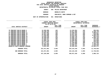|                | <b>IMENTAL ESTIMATES FISCAL YEAR 2021</b> |                       |  |  |
|----------------|-------------------------------------------|-----------------------|--|--|
| AGENCY         |                                           | 056 POLICE DEPARTMENT |  |  |
| <b>3OROUGH</b> |                                           | <b>BROOKLYN SOUTH</b> |  |  |

 **BROOKLYN SOUTH PROGRAMPRECINCTS, BORO COMMAND & DET**

|                                |               | <b>FISCAL YEAR 2020</b><br>CURRENT MODIFIED BUDGET<br>AS OF 01/07/20 |               | FISCAL YEAR 2021<br>DEPARTMENTAL ESTIMATES                                                                                                                                                                                      |                 |  |
|--------------------------------|---------------|----------------------------------------------------------------------|---------------|---------------------------------------------------------------------------------------------------------------------------------------------------------------------------------------------------------------------------------|-----------------|--|
|                                |               | FULL TIME                                                            |               | FULL TIME                                                                                                                                                                                                                       | <b>INCREASE</b> |  |
| LOCAL SERVICE DISTRICT         | <b>AMOUNT</b> | POSITIONS                                                            | <b>AMOUNT</b> | POSITIONS                                                                                                                                                                                                                       | DECREASE(-)     |  |
| 76 PRECINCT BKLYN BOARD 6      | 12,569,808    | 152                                                                  | 11,618,854    |                                                                                                                                                                                                                                 | 152 950,954-    |  |
| 71 PRECINCT BKLYN BOARD 9      | 19,156,418    | 276                                                                  | 15,817,685    | 276 — 17                                                                                                                                                                                                                        | 3,338,733-      |  |
| 62 PRECINCT BKLYN BOARD 11     | 13,687,862    | 194                                                                  | 12,598,845    | 194                                                                                                                                                                                                                             | 1,089,017-      |  |
| 61 PRECINCT BKLYN BOARD 15     | 14,307,108    | 209                                                                  | 13,367,542    | 209 — 10                                                                                                                                                                                                                        | 939,566-        |  |
| 67 PRECINCT BKLYN BOARD 17     | 27,205,686    | 332                                                                  | 18,619,452    | 332                                                                                                                                                                                                                             | 8,586,234-      |  |
| 63 PRECINCT BKLYN BOARD 18     | 13,520,156    | 181                                                                  | 12,656,746    | 181 — 181 — 181 — 182 — 182 — 182 — 182 — 182 — 182 — 182 — 182 — 182 — 182 — 182 — 182 — 182 — 182 — 182 — 182 — 182 — 182 — 182 — 182 — 182 — 182 — 182 — 182 — 182 — 182 — 182 — 182 — 182 — 182 — 182 — 182 — 182 — 182 — 1 | 863,410-        |  |
| 60 PRECINCT BKLYN BOARD 13     | 18,498,849    | 229                                                                  | 14,998,704    | 229                                                                                                                                                                                                                             | $3,500,145-$    |  |
| 66 PRECINCT BKLYN BOARD 12     | 13,365,437    | 195                                                                  | 13,690,645    | 195                                                                                                                                                                                                                             | 325,208         |  |
| 68 PRECINCT BKLYN BOARD 10     | 11,905,743    | 172                                                                  | 11,590,894    | 172                                                                                                                                                                                                                             | 314,849-        |  |
| 69 PRECINCT BKLYN BOARD 18     | 13,673,822    | 186                                                                  | 13,037,229    | 186                                                                                                                                                                                                                             | 636,593-        |  |
| 70 PRECINCT BKLYN BOARD 14     | 23,714,747    | 386                                                                  | 21,299,889    | 386                                                                                                                                                                                                                             | 2,414,858-      |  |
| 72 PRECINCT BKLYN BOARD 7      | 15,527,203    | 217                                                                  | 14,422,058    | 217                                                                                                                                                                                                                             | 1,105,145-      |  |
| 78 PRECINCT BKLYN BOARD 6      | 14,908,040    | 187                                                                  | 13,569,411    | 187                                                                                                                                                                                                                             | 1,338,629-      |  |
| BROOKLYN SOUTH BOROUGH COMMAND | 9,831,022     | 177                                                                  | 22,835,294    | 177 — 177                                                                                                                                                                                                                       | 13,004,272      |  |
| PROGRAM TOTAL:                 | 221,871,901   | 3,093                                                                | 210,123,248   | 3,093                                                                                                                                                                                                                           | 11,748,653-     |  |
| SUB BOROUGH TOTAL:             | 221,871,901   | 3,093                                                                | 210,123,248   | 3,093                                                                                                                                                                                                                           | 11,748,653-     |  |
| BOROUGH TOTAL:                 | 427,184,696   | 6,859                                                                | 430,071,420   | 6,859                                                                                                                                                                                                                           | 2,886,724       |  |
|                                |               |                                                                      |               |                                                                                                                                                                                                                                 |                 |  |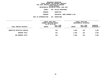|                | DEPARTMENTAL ESTIMATES FISCAL YEAR 2021 |
|----------------|-----------------------------------------|
| <b>AGENCY</b>  | 056 POLICE DEPARTMENT                   |
| <b>BOROUGH</b> | <b>MANHATTAN</b>                        |
| <b>PROGRAM</b> | PRECINCTS, BORO COMMAN                  |

**PROGRAMPRECINCTS, BORO COMMAND & DET**

|                                               | FISCAL YEAR 2020        |            | FISCAL YEAR 2021 |                        |                |
|-----------------------------------------------|-------------------------|------------|------------------|------------------------|----------------|
|                                               | CURRENT MODIFIED BUDGET |            |                  | DEPARTMENTAL ESTIMATES |                |
|                                               | AS OF 01/07/20          |            |                  |                        |                |
|                                               |                         | FULL TIME  |                  | FULL TIME              | INCREASE       |
| LOCAL SERVICE DISTRICT                        | <b>AMOUNT</b>           | POSITIONS  | <b>AMOUNT</b>    | POSITIONS              | DECREASE(-)    |
| MANHATTAN DETECTIVE SERVICE<br>PROGRAM TOTAL: |                         | 622<br>622 | 2,895<br>2,895   | 622<br>622             | 2,895<br>2,895 |
|                                               |                         |            |                  |                        |                |
| SUB BOROUGH TOTAL:                            |                         | 622        | 2,895            | 622                    | 2,895          |
|                                               |                         |            |                  |                        |                |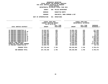|                | <b>MENTAL ESTIMATES FISCAL YEAR 2021</b> |                       |  |  |
|----------------|------------------------------------------|-----------------------|--|--|
| AGENCY         |                                          | 056 POLICE DEPARTMENT |  |  |
| <b>BOROUGH</b> |                                          | MANHATTAN NORTH       |  |  |

**H** MANHATTAN NORTH<br>M PRECINCTS, BORO **PROGRAMPRECINCTS, BORO COMMAND & DET**

|  |  |  | PPROPRIAIIUN |  |  |  |
|--|--|--|--------------|--|--|--|
|  |  |  |              |  |  |  |

|                              | FISCAL YEAR 2020 |                         | FISCAL YEAR 2021<br>DEPARTMENTAL ESTIMATES |                                                                                                                                                                                                                                 |                 |  |
|------------------------------|------------------|-------------------------|--------------------------------------------|---------------------------------------------------------------------------------------------------------------------------------------------------------------------------------------------------------------------------------|-----------------|--|
|                              |                  | CURRENT MODIFIED BUDGET |                                            |                                                                                                                                                                                                                                 |                 |  |
|                              | AS OF 01/07/20   |                         |                                            |                                                                                                                                                                                                                                 |                 |  |
|                              |                  | FULL TIME               |                                            | FULL TIME                                                                                                                                                                                                                       | <b>INCREASE</b> |  |
| LOCAL SERVICE DISTRICT       | <b>AMOUNT</b>    | POSITIONS               | <b>AMOUNT</b>                              | POSITIONS                                                                                                                                                                                                                       | DECREASE(-)     |  |
|                              |                  |                         |                                            |                                                                                                                                                                                                                                 |                 |  |
| 33 PRECINCT MANHATTAN 12     | 15,918,367       | 225                     | 15,801,183                                 | 225 — 100                                                                                                                                                                                                                       | 117,184-        |  |
| 28 PRECINCT MANHATTAN BD 10  | 14,282,512       | 209                     | 14,679,150                                 | 209                                                                                                                                                                                                                             | 396,638         |  |
| 20 PRECINCT MANHATTAN BD 7   | 12,799,171       | 191                     | 12,772,138                                 | 191                                                                                                                                                                                                                             | 27,033-         |  |
| 19 PRECINCT MANHATTAN BD 8   | 17,192,285       | 272                     | 17,175,062                                 | 272                                                                                                                                                                                                                             | 17,223-         |  |
| 26 PRECINCT MANHATTAN BD 9   | 12,062,000       | 174                     | 12,155,130                                 | 174                                                                                                                                                                                                                             | 93,130          |  |
| 32 PRECINCT MANHATTAN BD 10  | 18,137,988       | 270                     | 16,899,916                                 | 270 — 270 — 270 — 270 — 270 — 270 — 270 — 270 — 270 — 270 — 270 — 270 — 270 — 270 — 270 — 270 — 270 — 270 — 270 — 270 — 270 — 270 — 270 — 270 — 270 — 270 — 270 — 270 — 270 — 270 — 270 — 270 — 270 — 270 — 270 — 270 — 270 — 2 | 1,238,072-      |  |
| 25 PRECINCT MANHATTAN BD 11  | 16,688,561       | 224                     | 14,547,926                                 | 224                                                                                                                                                                                                                             | 2,140,635-      |  |
| 34 PRECINCT MANHATTAN BD 12  | 16,550,497       | 251                     | 16,259,593                                 | 251                                                                                                                                                                                                                             | 290,904-        |  |
| 23 PRECINCT MANHATTAN BD 11  | 14,931,912       | 242                     | 14,633,697                                 | 242                                                                                                                                                                                                                             | 298,215-        |  |
| 30 PRECINCT MANHATTAN BD 9   | 13,100,324       | 220                     | 14,578,800                                 | 220                                                                                                                                                                                                                             | 1,478,476       |  |
| CENTRAL PARK PRECINCT        | 10,848,553       | 145                     | 9,650,672                                  | 145                                                                                                                                                                                                                             | 1,197,881-      |  |
| MANHATTAN NORTH BORO COMMAND | 12,222,528       | 169                     | 24,476,626                                 | 169 — 169 — 169 — 169 — 169 — 169 — 169 — 169 — 169 — 169 — 169 — 169 — 169 — 169 — 169 — 169 — 169 — 169 — 169 — 169 — 169 — 169 — 169 — 169 — 169 — 169 — 169 — 169 — 169 — 169 — 169 — 169 — 169 — 169 — 169 — 169 — 169 — 1 | 12,254,098      |  |
| 24 PRECINCT MANHATTAN BD 7   | 12,994,732       | 204                     | 12,899,013                                 | 204                                                                                                                                                                                                                             | 95,719-         |  |
| PROGRAM TOTAL:               | 187,729,430      | 2,796                   | 196,528,906                                | 2,796                                                                                                                                                                                                                           | 8,799,476       |  |
| SUB BOROUGH TOTAL:           | 187,729,430      | 2,796                   | 196,528,906                                | 2,796                                                                                                                                                                                                                           | 8,799,476       |  |
|                              |                  |                         |                                            |                                                                                                                                                                                                                                 |                 |  |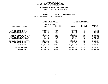| DEPARTMENTAL ESTIMATES FISCAL YEAR 2021 |     |                   |  |
|-----------------------------------------|-----|-------------------|--|
| AGENCY                                  | 056 | POLICE DEPARTMENT |  |

 **<sup>056</sup> POLICE DEPARTMENT BOROUGH MANHATTAN SOUTH PROGRAMPRECINCTS, BORO COMMAND & DET**

|                                  | FISCAL YEAR 2020<br>CURRENT MODIFIED BUDGET<br>AS OF 01/07/20 |                        | FISCAL YEAR 2021<br>DEPARTMENTAL ESTIMATES |                                                                                                                                                                                                                                 |                                |  |
|----------------------------------|---------------------------------------------------------------|------------------------|--------------------------------------------|---------------------------------------------------------------------------------------------------------------------------------------------------------------------------------------------------------------------------------|--------------------------------|--|
| LOCAL SERVICE DISTRICT           | <b>AMOUNT</b>                                                 | FULL TIME<br>POSITIONS | <b>AMOUNT</b>                              | FULL TIME<br>POSITIONS                                                                                                                                                                                                          | <b>INCREASE</b><br>DECREASE(-) |  |
| 6 PRECINCT MANHATTAN BD 2        | 14,328,151                                                    | 218                    | 14,335,060                                 | 218                                                                                                                                                                                                                             | 6,909                          |  |
| 7 PRECINCT MANHATTAN BD 3        | 13,658,370                                                    | 174                    | 12,897,450                                 | 174                                                                                                                                                                                                                             | 760,920-                       |  |
| 10 PRECINCT MANHATTAN BD 4       | 14,052,328                                                    | 195                    | 13,396,461                                 | 195 197                                                                                                                                                                                                                         | 655,867-                       |  |
| 17 PRECINCT MANHATTAN BD 6       | 11,936,155                                                    | 207                    | 13,441,727                                 | 207 — 207                                                                                                                                                                                                                       | 1,505,572                      |  |
| 1 PRECINCT MANHATTAN BDS 1, 2    | 15,983,572                                                    | 218                    | 17,342,856                                 | 218                                                                                                                                                                                                                             | 1,359,284                      |  |
| MIDTOWN SO MANH BDS 4, 5, 6      | 25,307,315                                                    | 418                    | 23,808,400                                 | 418                                                                                                                                                                                                                             | 1,498,915-                     |  |
| 5 PRECINCT MANHATTAN BDS 1, 2, 3 | 12,653,786                                                    | 190                    | 12,149,493                                 | 190 —                                                                                                                                                                                                                           | $504, 293 -$                   |  |
| 13 PRECINCT MANHATTAN BDS 5,6    | 16,858,926                                                    | 239                    | 15,442,894                                 | 239 — 239 — 239 — 239 — 239 — 239 — 239 — 239 — 239 — 239 — 239 — 239 — 239 — 239 — 239 — 239 — 239 — 239 — 239 — 239 — 239 — 239 — 239 — 239 — 239 — 239 — 239 — 239 — 239 — 239 — 239 — 239 — 239 — 239 — 239 — 239 — 239 — 2 | 1,416,032-                     |  |
| MANHATTAN SOUTH BORO COMMAND     | 19,390,164                                                    | 296                    | 25,594,689                                 | 296 — 10                                                                                                                                                                                                                        | 6,204,525                      |  |
| MIDTOWN NO MANHATTAN BDS 4, 5    | 24,577,190                                                    | 357                    | 23,123,723                                 | 357                                                                                                                                                                                                                             | $1,453,467-$                   |  |
| 9 PRECINCT MANHATTAN BDS 2, 3    | 14,960,336                                                    | 208                    | 14,033,532                                 | 208                                                                                                                                                                                                                             | 926,804-                       |  |
| PROGRAM TOTAL:                   | 183,706,293                                                   | 2,720                  | 185,566,285                                | 2,720                                                                                                                                                                                                                           | 1,859,992                      |  |
| SUB BOROUGH TOTAL:               | 183,706,293                                                   | 2,720                  | 185,566,285                                | 2,720                                                                                                                                                                                                                           | 1,859,992                      |  |
| BOROUGH TOTAL:                   | 371,435,723                                                   | 6,138                  | 382,098,086                                | 6,138                                                                                                                                                                                                                           | 10,662,363                     |  |
|                                  |                                                               |                        |                                            |                                                                                                                                                                                                                                 |                                |  |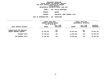|                | DEPARTMENTAL ESTIMATES FISCAL YEAR 2021 |
|----------------|-----------------------------------------|
| AGENCY         | 056 POLICE DEPARTMENT                   |
| <b>BOROUGH</b> | <b>OUEENS</b>                           |
| PROGRAM        | PRECINCTS, BORO COMMAN                  |

**PROGRAMPRECINCTS, BORO COMMAND & DET**

|                                                                   | FISCAL YEAR 2020<br>CURRENT MODIFIED BUDGET<br>AS OF 01/07/20 |                        | FISCAL YEAR 2021<br>DEPARTMENTAL ESTIMATES |                        |                           |
|-------------------------------------------------------------------|---------------------------------------------------------------|------------------------|--------------------------------------------|------------------------|---------------------------|
| LOCAL SERVICE DISTRICT                                            | <b>AMOUNT</b>                                                 | FULL TIME<br>POSITIONS | <b>AMOUNT</b>                              | FULL TIME<br>POSITIONS | INCREASE<br>$DECREASE(-)$ |
| <b>OUEENS DETECTIVE SERVICES</b><br><b>QUEENS BOROUGH COMMAND</b> | 22,785,022                                                    | 457<br>303             | 41,045,816                                 | 457<br>303             | 18,260,794                |
| PROGRAM TOTAL:                                                    | 22,785,022                                                    | 760                    | 41,045,816                                 | 760                    | 18,260,794                |
| SUB BOROUGH TOTAL:                                                | 22,785,022                                                    | 760                    | 41,045,816                                 | 760                    | 18,260,794                |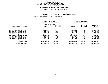|                     | DEPARTMENTAL ESTIMATES FISCAL YEAR 2021 |
|---------------------|-----------------------------------------|
| AGENCY              | 056 POLICE DEPARTMENT                   |
| <b>BOROUGH</b>      | OUEENS NORTH                            |
| <b>PROGRAM</b>      | PRECINCTS, BORO COMMAND & DET           |
| <b>PPROPRIATION</b> | <b>001 OPERATIONS</b>                   |

|                                 | FISCAL YEAR 2020                          |                        | FISCAL YEAR 2021       |                               |                         |  |
|---------------------------------|-------------------------------------------|------------------------|------------------------|-------------------------------|-------------------------|--|
|                                 | CURRENT MODIFIED BUDGET<br>AS OF 01/07/20 |                        | DEPARTMENTAL ESTIMATES |                               |                         |  |
| LOCAL SERVICE DISTRICT          | <b>AMOUNT</b>                             | FULL TIME<br>POSITIONS | <b>AMOUNT</b>          | FULL TIME<br><b>POSITIONS</b> | INCREASE<br>DECREASE(-) |  |
|                                 |                                           |                        |                        |                               |                         |  |
| 108 PRECINCT QUEENS BD 2        | 12,938,351                                | 202                    | 11,612,652             | 202                           | 1,325,699-              |  |
| 104 PRECINCT QUEENS BD 5        | 15,975,944                                | 216                    | 14,058,526             | 216                           | 1,917,418-              |  |
| 112 PRECINCT QUEENS BD 6        | 12,940,761                                | 173                    | 12,347,482             | 173                           | 593,279-                |  |
| 109 PRECINCT QUEENS BD 7        | 23,610,329                                | 252                    | 20,708,110             | 252                           | 2,902,219-              |  |
| 111 PRECINCT QUEENS BD 11       | 13,822,306                                | 164                    | 13,718,389             | 164                           | 103,917-                |  |
| 115 PRECINCT QUEENS BD 3        | 17,972,579                                | 289                    | 15,822,081             | 289                           | 2,150,498-              |  |
| 110 PRECINCT QUEENS BD 4        | 16,200,838                                | 220                    | 15,276,506             | 220                           | 924,332-                |  |
| <b>114 PRECINCT OUEENS BD 1</b> | 20,251,282                                | 252                    | 18,461,717             | 252                           | 1,789,565-              |  |
| PROGRAM TOTAL:                  | 133,712,390                               | 1,768                  | 122,005,463            | 1,768                         | 11,706,927-             |  |
| SUB BOROUGH TOTAL:              | 133,712,390                               | 1,768                  | 122,005,463            | 1,768                         | 11,706,927-             |  |
|                                 |                                           |                        |                        |                               |                         |  |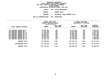|  |                       | DEPARTMENTAL ESTIMATES FISCAL YEAR 2021 |
|--|-----------------------|-----------------------------------------|
|  | AGENCY                | 056 POLICE DEPARTMENT                   |
|  | <b>BOROUGH</b>        | <b>QUEENS SOUTH</b>                     |
|  | <b>PROGRAM</b>        | PRECINCTS, BORO COMMAND & DET           |
|  | UNIT OF APPROPRIATION | 001 OPERATIONS                          |
|  |                       |                                         |

|                                                        |                          | FISCAL YEAR 2020<br>CURRENT MODIFIED BUDGET<br>AS OF 01/07/20 |                          | FISCAL YEAR 2021<br>DEPARTMENTAL ESTIMATES |                                |  |  |
|--------------------------------------------------------|--------------------------|---------------------------------------------------------------|--------------------------|--------------------------------------------|--------------------------------|--|--|
| LOCAL SERVICE DISTRICT                                 | <b>AMOUNT</b>            | FULL TIME<br>POSITIONS                                        | <b>AMOUNT</b>            | FULL TIME<br><b>POSITIONS</b>              | <b>INCREASE</b><br>DECREASE(-) |  |  |
| 107 PRECINCT QUEENS BD 8                               | 16,098,203               | 198                                                           | 14,176,015               | 198                                        | 1,922,188-                     |  |  |
| 102 PRECINCT QUEENS BD 9<br>106 PRECINCT QUEENS BD 10  | 17,311,520<br>17,084,814 | 223<br>210                                                    | 15,544,589<br>14,843,348 | 223<br>210                                 | 1,766,931-<br>2,241,466-       |  |  |
| 103 PRECINCT QUEENS BD 12<br>105 PRECINCT QUEENS BD 13 | 20,584,097<br>25,305,817 | 301<br>278                                                    | 15,580,782<br>22,433,832 | 301<br>278                                 | $5,003,315-$<br>2,871,985-     |  |  |
| 100 PRECINCT QUEENS BD 14<br>113 PRECINCT QUEENS BD 12 | 12,532,246<br>20,227,127 | 149<br>219                                                    | 11,820,595<br>16,140,323 | 149<br>219                                 | 711,651-<br>4,086,804-         |  |  |
| 101 PRECINCT QUEENS BD 14                              | 18, 136, 778             | 224                                                           | 15,978,692               | 224                                        | 2,158,086-                     |  |  |
| PROGRAM TOTAL:                                         | 147,280,602              | 1,802                                                         | 126,518,176              | 1,802                                      | 20,762,426-                    |  |  |
| SUB BOROUGH TOTAL:                                     | 147,280,602              | 1,802                                                         | 126,518,176              | 1,802                                      | 20,762,426-                    |  |  |
| <b>BOROUGH TOTAL:</b>                                  | 303,778,014              | 4,330                                                         | 289,569,455              | 4,330                                      | 14,208,559-                    |  |  |
|                                                        |                          |                                                               |                          |                                            |                                |  |  |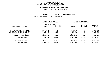|  |                       | DEPARTMENTAL ESTIMATES FISCAL YEAR 2021 |
|--|-----------------------|-----------------------------------------|
|  | <b>AGENCY</b>         | 056 POLICE DEPARTMENT                   |
|  | BOROUGH               | STATEN ISLAND                           |
|  | <b>PROGRAM</b>        | PRECINCTS, BORO COMMAND & DET           |
|  | UNIT OF APPROPRIATION | 001 OPERATIONS                          |
|  |                       |                                         |

|                                                                                                                                                                  | FISCAL YEAR 2020<br>CURRENT MODIFIED BUDGET<br>AS OF 01/07/20      |                                 | FISCAL YEAR 2021<br>DEPARTMENTAL ESTIMATES                         |                                 |                                                                 |
|------------------------------------------------------------------------------------------------------------------------------------------------------------------|--------------------------------------------------------------------|---------------------------------|--------------------------------------------------------------------|---------------------------------|-----------------------------------------------------------------|
| LOCAL SERVICE DISTRICT                                                                                                                                           | <b>AMOUNT</b>                                                      | FULL TIME<br><b>POSITIONS</b>   | AMOUNT                                                             | FULL TIME<br><b>POSITIONS</b>   | INCREASE<br>$DECREASE(-)$                                       |
| STATEN ISLAND DETECTIVE SERVIC<br>120 PRECINCT STATEN ISLAND BD1<br>123 PRECINCT STATEN ISLAND BD3<br>122 PCT ST ISLAND BDS 2,3<br>STATEN ISLAND BOROUGH COMMAND | 13,751,767<br>26,776,288<br>13,281,550<br>18,356,669<br>12,533,320 | 103<br>399<br>148<br>249<br>151 | 10,295,753<br>28,790,672<br>12,842,576<br>19,369,546<br>17,038,508 | 103<br>399<br>148<br>249<br>151 | $3,456,014-$<br>2,014,384<br>438,974-<br>1,012,877<br>4,505,188 |
| PROGRAM TOTAL:<br>SUB BOROUGH TOTAL:<br><b>BOROUGH TOTAL:</b>                                                                                                    | 84,699,594<br>84,699,594<br>84,699,594                             | 1,050<br>1,050<br>1,050         | 88,337,055<br>88,337,055<br>88,337,055                             | 1,050<br>1,050<br>1,050         | 3,637,461<br>3,637,461<br>3,637,461                             |
|                                                                                                                                                                  |                                                                    |                                 |                                                                    |                                 |                                                                 |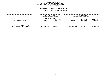# **GEOGRAPHICC REPORTING<br>PERSONAL S<br>ICTS BY PRO FISCAL REPORT FOR PERSONAL SERVICES FOR LOCAL SERVICE DISTRICTS BY PROGRAM WITHIN**

# WITHIN BOROUGH<br>D<mark>EPARTMENTAL ESTIMATES FISC</mark> **ESTIMATES FISCAL YEAR <sup>2021</sup> AGENCY <sup>056</sup> POLICE DEPARTMENT**

|                                                   | <b>FISCAL YEAR 2020</b><br>CURRENT MODIFIED BUDGET<br>AS OF 01/07/20 |                        | FISCAL YEAR 2021<br>DEPARTMENTAL ESTIMATES |                               |                                |
|---------------------------------------------------|----------------------------------------------------------------------|------------------------|--------------------------------------------|-------------------------------|--------------------------------|
| LOCAL SERVICE DISTRICT                            | <b>AMOUNT</b>                                                        | FULL TIME<br>POSITIONS | <b>AMOUNT</b>                              | FULL TIME<br><b>POSITIONS</b> | <b>INCREASE</b><br>DECREASE(-) |
| <b>AGENCY TOTAL:</b><br>ALL PROGRAMS ALL BOROUGHS | 1,484,659,515                                                        | 22,554                 | 1,486,310,309                              | 22,554                        | 1,650,794                      |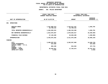|                                                                                                                                     | FISCAL YEAR 2020<br>CURRENT MODIFIED BUDGET<br>AS OF 01/07/20 |                                                            |                                        | FISCAL YEAR 2021<br>DEPARTMENTAL ESTIMATES                     |  |  |
|-------------------------------------------------------------------------------------------------------------------------------------|---------------------------------------------------------------|------------------------------------------------------------|----------------------------------------|----------------------------------------------------------------|--|--|
| UNIT OF APPROPRIATION                                                                                                               |                                                               |                                                            | <b>AMOUNT</b>                          | <b>INCREASE</b><br>DECREASE (-)                                |  |  |
| <b>OPERATIONS</b><br>001                                                                                                            |                                                               |                                                            |                                        |                                                                |  |  |
| REGULAR GROSS<br><b>OTHER</b>                                                                                                       |                                                               | 1,441,860,373<br>42,799,142                                | 1,443,511,167<br>42,799,142            | 1,650,794                                                      |  |  |
| TOTAL REPORTED GEOGRAPHICALLY                                                                                                       |                                                               | 1,484,659,515                                              | 1,486,310,309                          | 1,650,794                                                      |  |  |
| NOT REPORTED GEOGRAPHICALLY                                                                                                         |                                                               | 1,914,076,567                                              | 1,879,825,617                          | 34,250,950-                                                    |  |  |
| FINANCIAL PLAN SAVINGS                                                                                                              |                                                               | 47,140,280                                                 | 45,840,280                             | $1,300,000 -$                                                  |  |  |
| <b>APPROPRIATION</b>                                                                                                                |                                                               | 3,445,876,362                                              | 3,411,976,206                          | 33,900,156-                                                    |  |  |
| <b>FUNDING</b>                                                                                                                      |                                                               |                                                            |                                        |                                                                |  |  |
| <b>CITY</b><br>OTHER CATEGORICAL<br>CAPITAL FUNDS - I.F.A.<br><b>STATE</b><br>FEDERAL - C.D.<br>FEDERAL - OTHER<br>INTRA-CITY SALES |                                                               | 3,408,207,813<br>337,928<br>802,180<br>36,525,911<br>2,530 | 3,393,567,068<br>644,464<br>17,764,674 | 14,640,745-<br>337,928-<br>157,716-<br>18,761,237-<br>$2,530-$ |  |  |
|                                                                                                                                     |                                                               |                                                            |                                        |                                                                |  |  |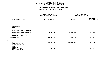| DEPARTMENTAL ESTIMATES FISCAL YEAR 2021                             |                                             |               |                                                                                         |  |  |  |
|---------------------------------------------------------------------|---------------------------------------------|---------------|-----------------------------------------------------------------------------------------|--|--|--|
|                                                                     | AGENCY: 056 POLICE DEPARTMENT               |               |                                                                                         |  |  |  |
|                                                                     | FISCAL YEAR 2020<br>CURRENT MODIFIED BUDGET |               | ----------------------------------<br>FISCAL YEAR 2021<br><b>DEPARTMENTAL ESTIMATES</b> |  |  |  |
| UNIT OF APPROPRIATION                                               | AS OF 01/07/20                              | <b>AMOUNT</b> | <b>INCREASE</b><br>DECREASE $(-)$                                                       |  |  |  |
| <b>EXECUTIVE MANAGEMENT</b><br>002                                  |                                             |               |                                                                                         |  |  |  |
| REGULAR GROSS<br>OTHER                                              |                                             |               |                                                                                         |  |  |  |
| TOTAL REPORTED GEOGRAPHICALLY                                       |                                             |               |                                                                                         |  |  |  |
| NOT REPORTED GEOGRAPHICALLY                                         | 496,120,962                                 | 490,525,735   | $5,595,227-$                                                                            |  |  |  |
| FINANCIAL PLAN SAVINGS                                              |                                             |               |                                                                                         |  |  |  |
| <b>APPROPRIATION</b>                                                | 496,120,962                                 | 490,525,735   | $5,595,227-$                                                                            |  |  |  |
| FUNDING                                                             |                                             |               |                                                                                         |  |  |  |
| CITY<br>OTHER CATEGORICAL<br>CAPITAL FUNDS - I.F.A.<br><b>STATE</b> | 489,988,329                                 | 490,525,735   | 537,406                                                                                 |  |  |  |
| FEDERAL - C.D.<br>FEDERAL - OTHER<br>INTRA-CITY SALES               | 6,132,633                                   |               | $6,132,633-$                                                                            |  |  |  |
|                                                                     |                                             |               |                                                                                         |  |  |  |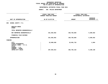| DEPARTMENTAL ESTIMATES FISCAL YEAR 2021                                                      |                                             |               |                                                   |  |  |  |
|----------------------------------------------------------------------------------------------|---------------------------------------------|---------------|---------------------------------------------------|--|--|--|
|                                                                                              | AGENCY: 056 POLICE DEPARTMENT               |               |                                                   |  |  |  |
|                                                                                              | FISCAL YEAR 2020<br>CURRENT MODIFIED BUDGET |               | FISCAL YEAR 2021<br><b>DEPARTMENTAL ESTIMATES</b> |  |  |  |
| UNIT OF APPROPRIATION                                                                        | AS OF 01/07/20                              | <b>AMOUNT</b> | <b>INCREASE</b><br>DECREASE $(-)$                 |  |  |  |
| SCHOOL SAFETY- P.S.<br>003                                                                   |                                             |               |                                                   |  |  |  |
| REGULAR GROSS<br>OTHER                                                                       |                                             |               |                                                   |  |  |  |
| TOTAL REPORTED GEOGRAPHICALLY                                                                |                                             |               |                                                   |  |  |  |
| NOT REPORTED GEOGRAPHICALLY                                                                  | 321,583,052                                 | 326,783,884   | 5,200,832                                         |  |  |  |
| FINANCIAL PLAN SAVINGS                                                                       |                                             |               |                                                   |  |  |  |
| <b>APPROPRIATION</b>                                                                         | 321,583,052                                 | 326,783,884   | 5,200,832                                         |  |  |  |
| <b>FUNDING</b>                                                                               |                                             |               |                                                   |  |  |  |
| <b>CITY</b><br>OTHER CATEGORICAL<br>CAPITAL FUNDS - I.F.A.<br><b>STATE</b><br>FEDERAL - C.D. | 23,989,038<br>$\ddot{\cdot}$                | 23,991,732    | 2,694                                             |  |  |  |
| FEDERAL - OTHER<br>INTRA-CITY SALES                                                          | 297,594,014<br>$\ddot{\phantom{a}}$         | 302,792,152   | 5,198,138                                         |  |  |  |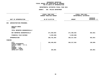| DEPARTMENTAL ESTIMATES FISCAL YEAR 2021                                                      |                                                    |               |                                                                            |  |  |  |  |
|----------------------------------------------------------------------------------------------|----------------------------------------------------|---------------|----------------------------------------------------------------------------|--|--|--|--|
|                                                                                              | AGENCY: 056 POLICE DEPARTMENT                      |               |                                                                            |  |  |  |  |
|                                                                                              | FISCAL YEAR 2020<br><b>CURRENT MODIFIED BUDGET</b> |               | ----------------------------<br>FISCAL YEAR 2021<br>DEPARTMENTAL ESTIMATES |  |  |  |  |
| UNIT OF APPROPRIATION                                                                        | AS OF 01/07/20                                     | <b>AMOUNT</b> | <b>INCREASE</b><br>DECREASE $(-)$                                          |  |  |  |  |
| <b>ADMINISTRATION-PERSONNEL</b><br>004                                                       |                                                    |               |                                                                            |  |  |  |  |
| REGULAR GROSS<br>OTHER                                                                       |                                                    |               |                                                                            |  |  |  |  |
| TOTAL REPORTED GEOGRAPHICALLY                                                                |                                                    |               |                                                                            |  |  |  |  |
| NOT REPORTED GEOGRAPHICALLY                                                                  | 271,830,064                                        | 271,366,563   | $463,501-$                                                                 |  |  |  |  |
| FINANCIAL PLAN SAVINGS                                                                       | $5,049,000 -$                                      | $5,049,000 -$ |                                                                            |  |  |  |  |
| <b>APPROPRIATION</b>                                                                         | 266,781,064                                        | 266, 317, 563 | $463,501 -$                                                                |  |  |  |  |
| <b>FUNDING</b>                                                                               |                                                    |               |                                                                            |  |  |  |  |
| <b>CITY</b><br>OTHER CATEGORICAL<br>CAPITAL FUNDS - I.F.A.<br><b>STATE</b><br>FEDERAL - C.D. | 266,456,063<br>$\ddot{\phantom{a}}$                | 266,317,563   | 138,500-                                                                   |  |  |  |  |
| FEDERAL - OTHER<br>INTRA-CITY SALES                                                          | 325,001                                            |               | $325,001 -$                                                                |  |  |  |  |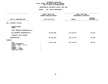| DEPARTMENTAL ESTIMATES FISCAL YEAR 2021                                                                                      |                                             |               |                                                                                             |  |  |  |
|------------------------------------------------------------------------------------------------------------------------------|---------------------------------------------|---------------|---------------------------------------------------------------------------------------------|--|--|--|
|                                                                                                                              | AGENCY: 056 POLICE DEPARTMENT               |               |                                                                                             |  |  |  |
|                                                                                                                              | FISCAL YEAR 2020<br>CURRENT MODIFIED BUDGET |               | --------------------------------------<br>FISCAL YEAR 2021<br><b>DEPARTMENTAL ESTIMATES</b> |  |  |  |
| UNIT OF APPROPRIATION                                                                                                        | AS OF 01/07/20                              | <b>AMOUNT</b> | <b>INCREASE</b><br>DECREASE $(-)$                                                           |  |  |  |
| CRIMINAL JUSTICE<br>006                                                                                                      |                                             |               |                                                                                             |  |  |  |
| REGULAR GROSS<br>OTHER                                                                                                       |                                             |               |                                                                                             |  |  |  |
| TOTAL REPORTED GEOGRAPHICALLY                                                                                                |                                             |               |                                                                                             |  |  |  |
| NOT REPORTED GEOGRAPHICALLY                                                                                                  | 62,631,263                                  | 62,714,673    | 83,410                                                                                      |  |  |  |
| FINANCIAL PLAN SAVINGS                                                                                                       |                                             |               |                                                                                             |  |  |  |
| <b>APPROPRIATION</b>                                                                                                         | 62,631,263                                  | 62,714,673    | 83,410                                                                                      |  |  |  |
| FUNDING                                                                                                                      |                                             |               |                                                                                             |  |  |  |
| CITY<br>OTHER CATEGORICAL<br>CAPITAL FUNDS - I.F.A.<br><b>STATE</b><br>FEDERAL - C.D.<br>FEDERAL - OTHER<br>INTRA-CITY SALES | 62,631,263                                  | 62,714,673    | 83,410                                                                                      |  |  |  |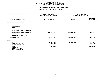# **GEOGRAPHIC**C REPORTING<br>WIDE BY PRO<br>F APPROPRIA FISCAL REPORT FOR AGENCYWIDE BY PROGRAM **REPORT FOR AGENCYWIDE BY PROGRAM FOR**

| DEPARTMENTAL ESTIMATES FISCAL YEAR 2021                                                                                             |                                                                            |                                       |               |                                            |  |  |  |
|-------------------------------------------------------------------------------------------------------------------------------------|----------------------------------------------------------------------------|---------------------------------------|---------------|--------------------------------------------|--|--|--|
|                                                                                                                                     |                                                                            | AGENCY: 056 POLICE DEPARTMENT         |               |                                            |  |  |  |
|                                                                                                                                     | --------------------<br>FISCAL YEAR 2020<br><b>CURRENT MODIFIED BUDGET</b> |                                       |               | FISCAL YEAR 2021<br>DEPARTMENTAL ESTIMATES |  |  |  |
| UNIT OF APPROPRIATION                                                                                                               |                                                                            | AS OF 01/07/20                        | <b>AMOUNT</b> | <b>INCREASE</b><br>DECREASE $(-)$          |  |  |  |
| TRAFFIC ENFORCEMENT<br>007                                                                                                          |                                                                            |                                       |               |                                            |  |  |  |
| REGULAR GROSS<br>OTHER                                                                                                              |                                                                            |                                       |               |                                            |  |  |  |
| TOTAL REPORTED GEOGRAPHICALLY                                                                                                       |                                                                            |                                       |               |                                            |  |  |  |
| NOT REPORTED GEOGRAPHICALLY                                                                                                         |                                                                            | 171,210,594                           | 172,682,158   | 1,471,564                                  |  |  |  |
| FINANCIAL PLAN SAVINGS                                                                                                              |                                                                            |                                       |               |                                            |  |  |  |
| <b>APPROPRIATION</b>                                                                                                                |                                                                            | 171,210,594                           | 172,682,158   | 1,471,564                                  |  |  |  |
| <b>FUNDING</b>                                                                                                                      |                                                                            |                                       |               |                                            |  |  |  |
| <b>CITY</b><br>OTHER CATEGORICAL<br>CAPITAL FUNDS - I.F.A.<br><b>STATE</b><br>FEDERAL - C.D.<br>FEDERAL - OTHER<br>INTRA-CITY SALES | $\ddot{\cdot}$                                                             | 159,944,595<br>9,120,488<br>2,145,511 | 172,682,158   | 12,737,563<br>$9,120,488-$<br>2,145,511-   |  |  |  |
|                                                                                                                                     |                                                                            |                                       |               |                                            |  |  |  |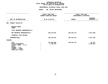# **GEOGRAPHIC**C REPORTING<br>WIDE BY PRO<br>F APPROPRIA FISCAL REPORT FOR AGENCYWIDE BY PROGRAM **REPORT FOR AGENCYWIDE BY PROGRAM FOR**

|                                                                                                                                     | FISCAL YEAR 2020<br>CURRENT MODIFIED BUDGET | FISCAL YEAR 2021<br>DEPARTMENTAL ESTIMATES |                                   |  |
|-------------------------------------------------------------------------------------------------------------------------------------|---------------------------------------------|--------------------------------------------|-----------------------------------|--|
| UNIT OF APPROPRIATION                                                                                                               | AS OF 01/07/20                              | <b>AMOUNT</b>                              | <b>INCREASE</b><br>DECREASE $(-)$ |  |
| TRANSIT POLICE-PS<br>008                                                                                                            |                                             |                                            |                                   |  |
| REGULAR GROSS<br><b>OTHER</b>                                                                                                       |                                             |                                            |                                   |  |
| TOTAL REPORTED GEOGRAPHICALLY                                                                                                       |                                             |                                            |                                   |  |
| NOT REPORTED GEOGRAPHICALLY                                                                                                         | 246,470,941                                 | 245,423,473                                | 1,047,468-                        |  |
| FINANCIAL PLAN SAVINGS                                                                                                              |                                             |                                            |                                   |  |
| <b>APPROPRIATION</b>                                                                                                                | 246,470,941                                 | 245,423,473                                | 1,047,468-                        |  |
| FUNDING                                                                                                                             |                                             |                                            |                                   |  |
| <b>CITY</b><br>OTHER CATEGORICAL<br>CAPITAL FUNDS - I.F.A.<br><b>STATE</b><br>FEDERAL - C.D.<br>FEDERAL - OTHER<br>INTRA-CITY SALES | 245,369,998<br>1,100,943                    | 245, 423, 473                              | 53,475<br>1,100,943-              |  |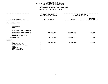| DEPARTMENTAL ESTIMATES FISCAL YEAR 2021                                                                                             |                                             |                                                                                             |                                   |  |  |  |
|-------------------------------------------------------------------------------------------------------------------------------------|---------------------------------------------|---------------------------------------------------------------------------------------------|-----------------------------------|--|--|--|
|                                                                                                                                     | AGENCY: 056 POLICE DEPARTMENT               |                                                                                             |                                   |  |  |  |
|                                                                                                                                     | FISCAL YEAR 2020<br>CURRENT MODIFIED BUDGET | --------------------------------------<br>FISCAL YEAR 2021<br><b>DEPARTMENTAL ESTIMATES</b> |                                   |  |  |  |
| UNIT OF APPROPRIATION                                                                                                               | AS OF 01/07/20                              | <b>AMOUNT</b>                                                                               | <b>INCREASE</b><br>DECREASE $(-)$ |  |  |  |
| 009 HOUSING POLICE-PS                                                                                                               |                                             |                                                                                             |                                   |  |  |  |
| REGULAR GROSS<br>OTHER                                                                                                              |                                             |                                                                                             |                                   |  |  |  |
| TOTAL REPORTED GEOGRAPHICALLY                                                                                                       |                                             |                                                                                             |                                   |  |  |  |
| NOT REPORTED GEOGRAPHICALLY                                                                                                         | 201,990,929                                 | 202,044,267                                                                                 | 53,338                            |  |  |  |
| FINANCIAL PLAN SAVINGS                                                                                                              |                                             |                                                                                             |                                   |  |  |  |
| <b>APPROPRIATION</b>                                                                                                                | 201,990,929                                 | 202,044,267                                                                                 | 53,338                            |  |  |  |
| <b>FUNDING</b>                                                                                                                      |                                             |                                                                                             |                                   |  |  |  |
| <b>CITY</b><br>OTHER CATEGORICAL<br>CAPITAL FUNDS - I.F.A.<br><b>STATE</b><br>FEDERAL - C.D.<br>FEDERAL - OTHER<br>INTRA-CITY SALES | 201,990,929<br>$\ddot{\phantom{a}}$         | 202,044,267                                                                                 | 53,338                            |  |  |  |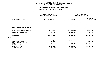|                                                          | FISCAL YEAR 2020<br>CURRENT MODIFIED BUDGET | FISCAL YEAR 2021<br>DEPARTMENTAL ESTIMATES |                                 |  |  |
|----------------------------------------------------------|---------------------------------------------|--------------------------------------------|---------------------------------|--|--|
| UNIT OF APPROPRIATION                                    | AS OF 01/07/20                              | <b>AMOUNT</b>                              | <b>INCREASE</b><br>DECREASE (-) |  |  |
| OPERATIONS-OTPS<br>100                                   |                                             |                                            |                                 |  |  |
| TOTAL REPORTED GEOGRAPHICALLY                            |                                             |                                            |                                 |  |  |
| NOT REPORTED GEOGRAPHICALLY                              | 137,859,837                                 | 96,541,470                                 | 41,318,367-                     |  |  |
| FINANCIAL PLAN SAVINGS                                   | 4,083,344-                                  | 4, 113, 344-                               | $30,000 -$                      |  |  |
| <b>APPROPRIATION</b>                                     | 133,776,493                                 | 92,428,126                                 | 41,348,367-                     |  |  |
| FUNDING                                                  |                                             |                                            |                                 |  |  |
| CITY<br>OTHER CATEGORICAL                                | 85, 422, 278<br>263,107                     | 83, 197, 147                               | 2,225,131-<br>$263,107-$        |  |  |
| CAPITAL FUNDS - I.F.A.<br><b>STATE</b><br>FEDERAL - C.D. | 13,417,514                                  | 87,544                                     | 13,329,970-                     |  |  |
| FEDERAL - OTHER<br>INTRA-CITY SALES                      | 28,694,444<br>5,979,150                     | 3,164,285<br>5,979,150                     | 25,530,159-                     |  |  |
|                                                          |                                             |                                            |                                 |  |  |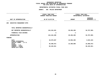| DEPARTMENTAL ESTIMATES FISCAL YEAR 2021                  |                                             |               |                                            |  |  |  |  |  |
|----------------------------------------------------------|---------------------------------------------|---------------|--------------------------------------------|--|--|--|--|--|
|                                                          | AGENCY: 056 POLICE DEPARTMENT               |               |                                            |  |  |  |  |  |
|                                                          | FISCAL YEAR 2020<br>CURRENT MODIFIED BUDGET |               | FISCAL YEAR 2021<br>DEPARTMENTAL ESTIMATES |  |  |  |  |  |
| UNIT OF APPROPRIATION                                    | AS OF 01/07/20                              | <b>AMOUNT</b> | <b>INCREASE</b><br>DECREASE (-)            |  |  |  |  |  |
| <b>EXECUTIVE MANAGEMENT-OTPS</b><br>200                  |                                             |               |                                            |  |  |  |  |  |
| TOTAL REPORTED GEOGRAPHICALLY                            |                                             |               |                                            |  |  |  |  |  |
| NOT REPORTED GEOGRAPHICALLY                              | 124,164,401                                 | 29,456,406    | 94,707,995-                                |  |  |  |  |  |
| FINANCIAL PLAN SAVINGS                                   | $1 -$                                       | $1 -$         |                                            |  |  |  |  |  |
| APPROPRIATION                                            | 124,164,400                                 | 29,456,405    | 94,707,995-                                |  |  |  |  |  |
| FUNDING                                                  |                                             |               |                                            |  |  |  |  |  |
| CITY<br>OTHER CATEGORICAL                                | 18,579,507                                  | 15,056,405    | $3,523,102-$                               |  |  |  |  |  |
| CAPITAL FUNDS - I.F.A.<br><b>STATE</b><br>FEDERAL - C.D. | 36,480,972                                  | 14,400,000    | 22,080,972-                                |  |  |  |  |  |
| FEDERAL - OTHER<br>INTRA-CITY SALES                      | 69,103,921                                  |               | 69,103,921-                                |  |  |  |  |  |
|                                                          |                                             |               |                                            |  |  |  |  |  |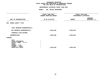|                                                                                                                                     | FISCAL YEAR 2020<br>CURRENT MODIFIED BUDGET | FISCAL YEAR 2021<br>DEPARTMENTAL ESTIMATES |                                 |  |
|-------------------------------------------------------------------------------------------------------------------------------------|---------------------------------------------|--------------------------------------------|---------------------------------|--|
| UNIT OF APPROPRIATION                                                                                                               | AS OF 01/07/20                              | <b>AMOUNT</b>                              | <b>INCREASE</b><br>DECREASE (-) |  |
| 300 SCHOOL SAFETY- OTPS                                                                                                             |                                             |                                            |                                 |  |
| TOTAL REPORTED GEOGRAPHICALLY                                                                                                       |                                             |                                            |                                 |  |
| NOT REPORTED GEOGRAPHICALLY                                                                                                         | 4,903,848                                   | 4,903,848                                  |                                 |  |
| FINANCIAL PLAN SAVINGS                                                                                                              |                                             |                                            |                                 |  |
| <b>APPROPRIATION</b>                                                                                                                | 4,903,848                                   | 4,903,848                                  |                                 |  |
| FUNDING                                                                                                                             |                                             |                                            |                                 |  |
| <b>CITY</b><br>OTHER CATEGORICAL<br>CAPITAL FUNDS - I.F.A.<br><b>STATE</b><br>FEDERAL - C.D.<br>FEDERAL - OTHER<br>INTRA-CITY SALES | 4,903,848                                   | 4,903,848                                  |                                 |  |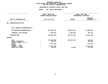|                                                                                                                              | FISCAL YEAR 2020<br>CURRENT MODIFIED BUDGET                  | FISCAL YEAR 2021<br>DEPARTMENTAL ESTIMATES |                                                              |  |  |
|------------------------------------------------------------------------------------------------------------------------------|--------------------------------------------------------------|--------------------------------------------|--------------------------------------------------------------|--|--|
| UNIT OF APPROPRIATION                                                                                                        | AS OF 01/07/20                                               | <b>AMOUNT</b>                              | <b>INCREASE</b><br>DECREASE (-)                              |  |  |
| ADMINISTRATION-OTPS<br>400                                                                                                   |                                                              |                                            |                                                              |  |  |
| TOTAL REPORTED GEOGRAPHICALLY                                                                                                |                                                              |                                            |                                                              |  |  |
| NOT REPORTED GEOGRAPHICALLY                                                                                                  | 357,834,449                                                  | 328,024,813                                | 29,809,636-                                                  |  |  |
| FINANCIAL PLAN SAVINGS                                                                                                       | 4,983,087-                                                   | 5,366,849-                                 | 383,762-                                                     |  |  |
| <b>APPROPRIATION</b>                                                                                                         | 352,851,362                                                  | 322,657,964                                | $30, 193, 398 -$                                             |  |  |
| FUNDING                                                                                                                      |                                                              |                                            |                                                              |  |  |
| CITY<br>OTHER CATEGORICAL<br>CAPITAL FUNDS - I.F.A.<br><b>STATE</b><br>FEDERAL - C.D.<br>FEDERAL - OTHER<br>INTRA-CITY SALES | 322,423,903<br>810,571<br>7,814,975<br>21,611,656<br>190,257 | 322,645,964<br>12,000                      | 222,061<br>810,571-<br>7,814,975-<br>21,611,656-<br>178,257- |  |  |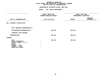|                                                                                                                              | FISCAL YEAR 2020<br>CURRENT MODIFIED BUDGET | FISCAL YEAR 2021<br>DEPARTMENTAL ESTIMATES |                          |  |
|------------------------------------------------------------------------------------------------------------------------------|---------------------------------------------|--------------------------------------------|--------------------------|--|
| UNIT OF APPROPRIATION                                                                                                        | AS OF 01/07/20                              | <b>AMOUNT</b>                              | INCREASE<br>DECREASE (-) |  |
| 600 CRIMINAL JUSTICE-OTPS                                                                                                    |                                             |                                            |                          |  |
| TOTAL REPORTED GEOGRAPHICALLY                                                                                                |                                             |                                            |                          |  |
| NOT REPORTED GEOGRAPHICALLY                                                                                                  | 590,351                                     | 590,351                                    |                          |  |
| FINANCIAL PLAN SAVINGS                                                                                                       |                                             |                                            |                          |  |
| <b>APPROPRIATION</b>                                                                                                         | 590,351                                     | 590,351                                    |                          |  |
| FUNDING                                                                                                                      |                                             |                                            |                          |  |
| CITY<br>OTHER CATEGORICAL<br>CAPITAL FUNDS - I.F.A.<br><b>STATE</b><br>FEDERAL - C.D.<br>FEDERAL - OTHER<br>INTRA-CITY SALES | 590,351                                     | 590,351                                    |                          |  |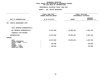|                                                            | FISCAL YEAR 2020<br>CURRENT MODIFIED BUDGET | FISCAL YEAR 2021<br>DEPARTMENTAL ESTIMATES |                                 |
|------------------------------------------------------------|---------------------------------------------|--------------------------------------------|---------------------------------|
| UNIT OF APPROPRIATION                                      | AS OF 01/07/20                              | <b>AMOUNT</b>                              | <b>INCREASE</b><br>DECREASE (-) |
| 700<br>TRAFFIC ENFORCEMENT-OTPS                            |                                             |                                            |                                 |
| TOTAL REPORTED GEOGRAPHICALLY                              |                                             |                                            |                                 |
| NOT REPORTED GEOGRAPHICALLY                                | 13,541,989                                  | 10,960,283                                 | 2,581,706-                      |
| FINANCIAL PLAN SAVINGS                                     |                                             |                                            |                                 |
| <b>APPROPRIATION</b>                                       | 13,541,989                                  | 10,960,283                                 | 2,581,706-                      |
| FUNDING                                                    |                                             |                                            |                                 |
| <b>CITY</b><br>OTHER CATEGORICAL<br>CAPITAL FUNDS - I.F.A. | 13,251,989                                  | 10,960,283                                 | 2,291,706-                      |
| <b>STATE</b><br>FEDERAL - C.D.                             | 150,000                                     |                                            | 150,000-                        |
| FEDERAL - OTHER<br>INTRA-CITY SALES                        | 140,000                                     |                                            | $140,000 -$                     |
|                                                            |                                             |                                            |                                 |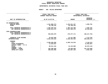# **GEOGRAPHICC REPORTING<br>ENCYWIDE SU<br>----------FISCAL**

# **REPORT AGENCYWIDE SUMMARY DEPARTMENTAL ESTIMATES FISCAL YEAR <sup>2021</sup>**

# **AGENCY: <sup>056</sup> POLICE DEPARTMENT**

|                                                                                                                                                       | FISCAL YEAR 2020<br>CURRENT MODIFIED BUDGET                             |                                                          | FISCAL YEAR 2021<br>DEPARTMENTAL ESTIMATES                              |  |  |
|-------------------------------------------------------------------------------------------------------------------------------------------------------|-------------------------------------------------------------------------|----------------------------------------------------------|-------------------------------------------------------------------------|--|--|
| UNIT OF APPROPRIATION                                                                                                                                 | AS OF 01/07/20                                                          | <b>AMOUNT</b>                                            | <b>INCREASE</b><br>DECREASE (-)                                         |  |  |
| PS APPROPRIATIONS<br>REGULAR GROSS<br><b>OTHER</b>                                                                                                    | 1,441,860,373<br>42,799,142                                             | 1,443,511,167<br>42,799,142                              | 1,650,794                                                               |  |  |
| TOTAL REPORTED GEOGRAPHICALLY<br>NOT REPORTED GEOGRAPHICALLY                                                                                          | 1,484,659,515<br>3,685,914,372                                          | 1,486,310,309<br>3,651,366,370                           | 1,650,794<br>34,548,002-                                                |  |  |
| OTPS APPROPRIATIONS<br>TOTAL REPORTED GEOGRAPHICALLY<br>NOT REPORTED GEOGRAPHICALLY                                                                   | 638,894,875                                                             | 470,477,171                                              | 168, 417, 704-                                                          |  |  |
| FINANCIAL PLAN SAVINGS<br><b>APPROPRIATIONS</b>                                                                                                       | 33,024,848<br>5,842,493,610                                             | 31, 311, 086<br>5,639,464,936                            | 1,713,762-<br>203,028,674-                                              |  |  |
| <b>FUNDING</b><br><b>CITY</b><br>OTHER CATEGORICAL<br>CAPITAL FUNDS - I.F.A.<br><b>STATE</b><br>FEDERAL - C.D.<br>FEDERAL - OTHER<br>INTRA-CITY SALES | 5,298,846,056<br>11,633,037<br>60,811,152<br>162,208,565<br>308,994,800 | 5,289,716,819<br>15,132,008<br>20,928,959<br>313,687,150 | $9,129,237-$<br>11,633,037-<br>45,679,144-<br>141,279,606-<br>4,692,350 |  |  |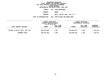**ESTIMATES FISCAL YEAR <sup>2021</sup> AGENCY <sup>057</sup> FIRE DEPARTMENT BOROUGH**BRONX<br>**ENG & LAD CO, BATT, DIV, B C PROGRAMENG & LAD CO, BATT, DIV, <sup>B</sup> <sup>C</sup> UNIT OF APPROPRIATION <sup>002</sup> FIRE EXTING AND EMERG RESP**

|                                | FISCAL YEAR 2020<br>CURRENT MODIFIED BUDGET |                        |               | FISCAL YEAR 2021<br>DEPARTMENTAL ESTIMATES |                                |
|--------------------------------|---------------------------------------------|------------------------|---------------|--------------------------------------------|--------------------------------|
| LOCAL SERVICE DISTRICT         | AS OF 01/07/20<br><b>AMOUNT</b>             | FULL TIME<br>POSITIONS | <b>AMOUNT</b> | FULL TIME<br>POSITIONS                     | <b>INCREASE</b><br>DECREASE(-) |
| BX ENG & LAD CO, BATT, DIV, BC | 208,163,058                                 | 1,700                  | 208,299,433   | 1,700                                      | 136,375                        |
| PROGRAM TOTAL:                 | 208,163,058                                 | 1,700                  | 208,299,433   | 1,700                                      | 136,375                        |
|                                |                                             |                        |               |                                            |                                |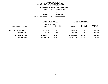**ESTIMATES FISCAL YEAR <sup>2021</sup> AGENCY <sup>057</sup> FIRE DEPARTMENT BOROUGH BRONX PROGRAMFIRE PREVENTION UNIT OF APPROPRIATION <sup>004</sup> FIRE PREVENTION**

|                        | FISCAL YEAR 2020<br>CURRENT MODIFIED BUDGET<br>AS OF 01/07/20 |                        | FISCAL YEAR 2021<br>DEPARTMENTAL ESTIMATES |                        |                         |
|------------------------|---------------------------------------------------------------|------------------------|--------------------------------------------|------------------------|-------------------------|
| LOCAL SERVICE DISTRICT | <b>AMOUNT</b>                                                 | FULL TIME<br>POSITIONS | <b>AMOUNT</b>                              | FULL TIME<br>POSITIONS | INCREASE<br>DECREASE(-) |
| BRONX FIRE PREVENTION  | 1,107,626                                                     | 17                     | 1,602,735                                  | 16                     | 495,109                 |
| PROGRAM TOTAL:         | 1,107,626                                                     | 17                     | 1,602,735                                  | 16                     | 495,109                 |
| SUB BOROUGH TOTAL:     | 209,270,684                                                   | 1,717                  | 209,902,168                                | 1,716                  | 631,484                 |
| BOROUGH TOTAL:         | 209,270,684                                                   | 1,717                  | 209,902,168                                | 1,716                  | 631,484                 |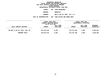**ESTIMATES FISCAL YEAR <sup>2021</sup> AGENCY <sup>057</sup> FIRE DEPARTMENT BOROUGH**BROOKLYN<br>**ENG & LAD CO, BATT, DIV, B C PROGRAMENG & LAD CO, BATT, DIV, <sup>B</sup> <sup>C</sup> UNIT OF APPROPRIATION <sup>002</sup> FIRE EXTING AND EMERG RESP**

|                                | FISCAL YEAR 2020<br>CURRENT MODIFIED BUDGET<br>AS OF 01/07/20 |                        |               | FISCAL YEAR 2021<br>DEPARTMENTAL ESTIMATES |                                |  |
|--------------------------------|---------------------------------------------------------------|------------------------|---------------|--------------------------------------------|--------------------------------|--|
| LOCAL SERVICE DISTRICT         | <b>AMOUNT</b>                                                 | FULL TIME<br>POSITIONS | <b>AMOUNT</b> | FULL TIME<br>POSITIONS                     | <b>INCREASE</b><br>DECREASE(-) |  |
| BK ENG & LAD CO, BATT, DIV, BC | 370,615,794                                                   | 2,938                  | 372,272,188   | 2,938                                      | 1,656,394                      |  |
| PROGRAM TOTAL:                 | 370,615,794                                                   | 2,938                  | 372,272,188   | 2,938                                      | 1,656,394                      |  |
|                                |                                                               |                        |               |                                            |                                |  |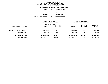**ESTIMATES FISCAL YEAR <sup>2021</sup> AGENCY <sup>057</sup> FIRE DEPARTMENT BOROUGH**BROOKLYN<br>FIRE PREVENTION **PROGRAMFIRE PREVENTION UNIT OF APPROPRIATION <sup>004</sup> FIRE PREVENTION**

|                          | <b>FISCAL YEAR 2020</b><br>CURRENT MODIFIED BUDGET<br>AS OF 01/07/20 |                        | FISCAL YEAR 2021<br>DEPARTMENTAL ESTIMATES |                               |                         |
|--------------------------|----------------------------------------------------------------------|------------------------|--------------------------------------------|-------------------------------|-------------------------|
| LOCAL SERVICE DISTRICT   | <b>AMOUNT</b>                                                        | FULL TIME<br>POSITIONS | <b>AMOUNT</b>                              | FULL TIME<br><b>POSITIONS</b> | INCREASE<br>DECREASE(-) |
| BROOKLYN FIRE PREVENTION | 2,947,363                                                            | 42                     | 2,803,593                                  | 41                            | 143,770-                |
| PROGRAM TOTAL:           | 2,947,363                                                            | 42                     | 2,803,593                                  | 41                            | 143,770-                |
| SUB BOROUGH TOTAL:       | 373,563,157                                                          | 2,980                  | 375,075,781                                | 2,979                         | 1,512,624               |
| BOROUGH TOTAL:           | 373,563,157                                                          | 2,980                  | 375,075,781                                | 2,979                         | 1,512,624               |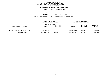**ESTIMATES FISCAL YEAR <sup>2021</sup> AGENCY <sup>057</sup> FIRE DEPARTMENT BOROUGH MANHATTAN PROGRAMENG & LAD CO, BATT, DIV, <sup>B</sup> <sup>C</sup> UNIT OF APPROPRIATION <sup>002</sup> FIRE EXTING AND EMERG RESP**

|                                | FISCAL YEAR 2020<br>CURRENT MODIFIED BUDGET<br>AS OF 01/07/20 |                        | FISCAL YEAR 2021<br>DEPARTMENTAL ESTIMATES |                        |                                |  |
|--------------------------------|---------------------------------------------------------------|------------------------|--------------------------------------------|------------------------|--------------------------------|--|
| LOCAL SERVICE DISTRICT         | <b>AMOUNT</b>                                                 | FULL TIME<br>POSITIONS | <b>AMOUNT</b>                              | FULL TIME<br>POSITIONS | <b>INCREASE</b><br>DECREASE(-) |  |
| MN ENG & LAD CO, BATT, DIV, BC | 267, 283, 723                                                 | 2,182                  | 266,607,304                                | 2,182                  | 676,419-                       |  |
| PROGRAM TOTAL:                 | 267, 283, 723                                                 | 2,182                  | 266,607,304                                | 2,182                  | 676,419-                       |  |
|                                |                                                               |                        |                                            |                        |                                |  |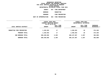**ESTIMATES FISCAL YEAR <sup>2021</sup> AGENCY <sup>057</sup> FIRE DEPARTMENT BOROUGH MANHATTAN PROGRAMFIRE PREVENTION UNIT OF APPROPRIATION <sup>004</sup> FIRE PREVENTION**

|                           | FISCAL YEAR 2020<br>CURRENT MODIFIED BUDGET<br>AS OF 01/07/20 |                        | FISCAL YEAR 2021<br>DEPARTMENTAL ESTIMATES |                        |                         |
|---------------------------|---------------------------------------------------------------|------------------------|--------------------------------------------|------------------------|-------------------------|
| LOCAL SERVICE DISTRICT    | <b>AMOUNT</b>                                                 | FULL TIME<br>POSITIONS | <b>AMOUNT</b>                              | FULL TIME<br>POSITIONS | INCREASE<br>DECREASE(-) |
| MANHATTAN FIRE PREVENTION | 1,155,933                                                     | 17                     | 1,530,263                                  | 25                     | 374,330                 |
| PROGRAM TOTAL:            | 1,155,933                                                     | 17                     | 1,530,263                                  | 25                     | 374,330                 |
| SUB BOROUGH TOTAL:        | 268,439,656                                                   | 2,199                  | 268,137,567                                | 2,207                  | $302,089-$              |
| BOROUGH TOTAL:            | 268,439,656                                                   | 2,199                  | 268,137,567                                | 2,207                  | $302,089-$              |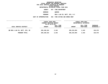**ESTIMATES FISCAL YEAR <sup>2021</sup> AGENCY <sup>057</sup> FIRE DEPARTMENT BOROUGH**QUEENS<br>ENG & LAD CO, BATT, DIV, B C **PROGRAMENG & LAD CO, BATT, DIV, <sup>B</sup> <sup>C</sup> UNIT OF APPROPRIATION <sup>002</sup> FIRE EXTING AND EMERG RESP**

|                                | FISCAL YEAR 2020<br>CURRENT MODIFIED BUDGET<br>AS OF 01/07/20 |                        | FISCAL YEAR 2021<br>DEPARTMENTAL ESTIMATES |                        |                                |
|--------------------------------|---------------------------------------------------------------|------------------------|--------------------------------------------|------------------------|--------------------------------|
| LOCAL SERVICE DISTRICT         | <b>AMOUNT</b>                                                 | FULL TIME<br>POSITIONS | <b>AMOUNT</b>                              | FULL TIME<br>POSITIONS | <b>INCREASE</b><br>DECREASE(-) |
| QN ENG & LAD CO, BATT, DIV, BC | 285,106,524                                                   | 2,343                  | 285, 233, 094                              | 2,343                  | 126,570                        |
| PROGRAM TOTAL:                 | 285,106,524                                                   | 2,343                  | 285, 233, 094                              | 2,343                  | 126,570                        |
|                                |                                                               |                        |                                            |                        |                                |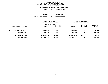**ESTIMATES FISCAL YEAR <sup>2021</sup> AGENCY <sup>057</sup> FIRE DEPARTMENT BOROUGH**QUEENS<br>FIRE PREVENTION **PROGRAMFIRE PREVENTION UNIT OF APPROPRIATION <sup>004</sup> FIRE PREVENTION**

|                               | <b>FISCAL YEAR 2020</b><br>CURRENT MODIFIED BUDGET<br>AS OF 01/07/20 |                        | FISCAL YEAR 2021<br>DEPARTMENTAL ESTIMATES |                        |                         |
|-------------------------------|----------------------------------------------------------------------|------------------------|--------------------------------------------|------------------------|-------------------------|
| LOCAL SERVICE DISTRICT        | <b>AMOUNT</b>                                                        | FULL TIME<br>POSITIONS | <b>AMOUNT</b>                              | FULL TIME<br>POSITIONS | INCREASE<br>DECREASE(-) |
| <b>QUEENS FIRE PREVENTION</b> | 1,958,946                                                            | 29                     | 2,073,619                                  | 31                     | 114,673                 |
| PROGRAM TOTAL:                | 1,958,946                                                            | 29                     | 2,073,619                                  | 31                     | 114,673                 |
| SUB BOROUGH TOTAL:            | 287,065,470                                                          | 2,372                  | 287,306,713                                | 2,374                  | 241,243                 |
| BOROUGH TOTAL:                | 287,065,470                                                          | 2,372                  | 287,306,713                                | 2,374                  | 241,243                 |
|                               |                                                                      |                        |                                            |                        |                         |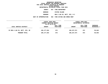|                | DEPARTMENTAL ESTIMATES FISCAL YEAR 2021                    |
|----------------|------------------------------------------------------------|
| AGENCY         | 057 FIRE DEPARTMENT                                        |
| BOROUGH        | STATEN ISLAND                                              |
| <b>PROGRAM</b> | ENG & LAD CO, BATT, DIV, B C                               |
|                | UNIT OF APPROPRIATION     002   FIRE EXTING AND EMERG RESP |
|                |                                                            |

|                                | FISCAL YEAR 2020<br>CURRENT MODIFIED BUDGET<br>AS OF 01/07/20 |                        | <b>FISCAL YEAR 2021</b><br>DEPARTMENTAL ESTIMATES |                        |                                |
|--------------------------------|---------------------------------------------------------------|------------------------|---------------------------------------------------|------------------------|--------------------------------|
| LOCAL SERVICE DISTRICT         | <b>AMOUNT</b>                                                 | FULL TIME<br>POSITIONS | <b>AMOUNT</b>                                     | FULL TIME<br>POSITIONS | <b>INCREASE</b><br>DECREASE(-) |
| SI ENG & LAD CO, BATT, DIV, BC | 106,177,834                                                   | 872                    | 106,237,674                                       | 872                    | 59,840                         |
| PROGRAM TOTAL:                 | 106,177,834                                                   | 872                    | 106,237,674                                       | 872                    | 59,840                         |
|                                |                                                               |                        |                                                   |                        |                                |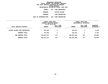**ESTIMATES FISCAL YEAR <sup>2021</sup> AGENCY <sup>057</sup> FIRE DEPARTMENT BOROUGH STATEN ISLAND PROGRAMFIRE PREVENTION UNIT OF APPROPRIATION <sup>004</sup> FIRE PREVENTION**

|                               | FISCAL YEAR 2020<br>CURRENT MODIFIED BUDGET<br>AS OF 01/07/20 |                        | FISCAL YEAR 2021<br>DEPARTMENTAL ESTIMATES |                        |                         |
|-------------------------------|---------------------------------------------------------------|------------------------|--------------------------------------------|------------------------|-------------------------|
| LOCAL SERVICE DISTRICT        | <b>AMOUNT</b>                                                 | FULL TIME<br>POSITIONS | <b>AMOUNT</b>                              | FULL TIME<br>POSITIONS | INCREASE<br>DECREASE(-) |
| STATEN ISLAND FIRE PREVENTION | 337,683                                                       | 5                      | 343,811                                    | 5                      | 6,128                   |
| PROGRAM TOTAL:                | 337,683                                                       | 5                      | 343,811                                    | 5                      | 6,128                   |
| SUB BOROUGH TOTAL:            | 106,515,517                                                   | 877                    | 106,581,485                                | 877                    | 65,968                  |
| BOROUGH TOTAL:                | 106,515,517                                                   | 877                    | 106,581,485                                | 877                    | 65,968                  |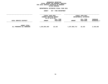# **GEOGRAPHICC REPORTING<br>PERSONAL S<br>ICTS BY PRO FISCAL REPORT FOR PERSONAL SERVICES FOR LOCAL SERVICE DISTRICTS BY PROGRAM WITHIN**

# WITHIN BOROUGH<br>D<mark>EPARTMENTAL ESTIMATES FISC</mark> **ESTIMATES FISCAL YEAR <sup>2021</sup> AGENCY <sup>057</sup> FIRE DEPARTMENT**

|                                                   | FISCAL YEAR 2020<br>CURRENT MODIFIED BUDGET<br>AS OF 01/07/20 |                        | FISCAL YEAR 2021<br>DEPARTMENTAL ESTIMATES |                        |                         |
|---------------------------------------------------|---------------------------------------------------------------|------------------------|--------------------------------------------|------------------------|-------------------------|
| LOCAL SERVICE DISTRICT                            | <b>AMOUNT</b>                                                 | FULL TIME<br>POSITIONS | <b>AMOUNT</b>                              | FULL TIME<br>POSITIONS | INCREASE<br>DECREASE(-) |
| <b>AGENCY TOTAL:</b><br>ALL PROGRAMS ALL BOROUGHS | 1,244,854,484                                                 | 10,145                 | 1,247,003,714                              | 10,153                 | 2,149,230               |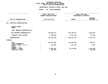# **PS UNITS OF APPROPRIATION DEPARTMENTAL ESTIMATES FISCAL YEAR <sup>2021</sup>**

|                                                       | <b>AGENCY:</b> | 057 FIRE DEPARTMENT                         |                                            |                                 |
|-------------------------------------------------------|----------------|---------------------------------------------|--------------------------------------------|---------------------------------|
|                                                       |                | FISCAL YEAR 2020<br>CURRENT MODIFIED BUDGET | FISCAL YEAR 2021<br>DEPARTMENTAL ESTIMATES |                                 |
| UNIT OF APPROPRIATION                                 |                | AS OF 01/07/20                              | <b>AMOUNT</b>                              | <b>INCREASE</b><br>DECREASE (-) |
| 001<br><b>EXECUTIVE ADMINISTRATIVE</b>                |                |                                             |                                            |                                 |
| REGULAR GROSS<br><b>OTHER</b>                         |                |                                             |                                            |                                 |
| TOTAL REPORTED GEOGRAPHICALLY                         |                |                                             |                                            |                                 |
| NOT REPORTED GEOGRAPHICALLY                           |                | 132,855,714                                 | 131,763,017                                | 1,092,697-                      |
| FINANCIAL PLAN SAVINGS                                |                | 1,302,964-                                  | 1,221,704-                                 | 81,260                          |
| APPROPRIATION                                         |                | 131,552,750                                 | 130,541,313                                | 1,011,437-                      |
| FUNDING                                               |                |                                             |                                            |                                 |
| <b>CITY</b><br>OTHER CATEGORICAL                      |                | 115,571,988                                 | 116,230,235                                | 658,247                         |
| CAPITAL FUNDS - I.F.A.<br><b>STATE</b>                |                | 563,262                                     | 567,120                                    | 3,858                           |
| FEDERAL - C.D.<br>FEDERAL - OTHER<br>INTRA-CITY SALES |                | 15,289,361<br>128,139                       | 13,743,958                                 | 1,545,403-<br>128,139-          |
|                                                       |                |                                             |                                            |                                 |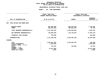# **PS UNITS OF APPROPRIATION DEPARTMENTAL ESTIMATES FISCAL YEAR <sup>2021</sup>**

# **AGENCY: <sup>057</sup> FIRE DEPARTMENT**

|                                                                                                                                     |  | FISCAL YEAR 2020<br>CURRENT MODIFIED BUDGET                  | FISCAL YEAR 2021<br>DEPARTMENTAL ESTIMATES |                                                                |  |
|-------------------------------------------------------------------------------------------------------------------------------------|--|--------------------------------------------------------------|--------------------------------------------|----------------------------------------------------------------|--|
| UNIT OF APPROPRIATION                                                                                                               |  | AS OF 01/07/20                                               | <b>AMOUNT</b>                              | <b>INCREASE</b><br>DECREASE $(-)$                              |  |
| FIRE EXTING AND EMERG RESP<br>002                                                                                                   |  |                                                              |                                            |                                                                |  |
| REGULAR GROSS<br><b>OTHER</b>                                                                                                       |  | 882,405,890<br>354,941,043                                   | 883,635,910<br>355,013,783                 | 1,230,020<br>72,740                                            |  |
| TOTAL REPORTED GEOGRAPHICALLY                                                                                                       |  | 1,237,346,933                                                | 1,238,649,693                              | 1,302,760                                                      |  |
| NOT REPORTED GEOGRAPHICALLY                                                                                                         |  | 133,000,390                                                  | 115,745,015                                | 17,255,375-                                                    |  |
| FINANCIAL PLAN SAVINGS                                                                                                              |  | 918,080                                                      |                                            | $918,080 -$                                                    |  |
| <b>APPROPRIATION</b>                                                                                                                |  | 1,371,265,403                                                | 1,354,394,708                              | 16,870,695-                                                    |  |
| FUNDING                                                                                                                             |  |                                                              |                                            |                                                                |  |
| <b>CITY</b><br>OTHER CATEGORICAL<br>CAPITAL FUNDS - I.F.A.<br><b>STATE</b><br>FEDERAL - C.D.<br>FEDERAL - OTHER<br>INTRA-CITY SALES |  | 1,354,007,636<br>1,529,935<br>751,041<br>14,971,889<br>4,902 | 1,353,666,708<br>728,000                   | 340,928-<br>1,529,935-<br>$23,041-$<br>14,971,889-<br>$4,902-$ |  |
|                                                                                                                                     |  |                                                              |                                            |                                                                |  |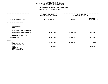# **GEOGRAPHIC**C REPORTING<br>WIDE BY PRO<br>F APPROPRIA FISCAL REPORT FOR AGENCYWIDE BY PROGRAM **REPORT FOR AGENCYWIDE BY PROGRAM FOR**

# **PS UNITS OF APPROPRIATION DEPARTMENTAL ESTIMATES FISCAL YEAR <sup>2021</sup>**

|                                                                       |                               | <b>AGENCY:</b> | 057 FIRE DEPARTMENT<br>. _ _ _ _ _ _ _ _ _ _ _ _ _ _ _ _ _ _ |                                            |                                 |
|-----------------------------------------------------------------------|-------------------------------|----------------|--------------------------------------------------------------|--------------------------------------------|---------------------------------|
|                                                                       |                               |                | FISCAL YEAR 2020<br>CURRENT MODIFIED BUDGET                  | FISCAL YEAR 2021<br>DEPARTMENTAL ESTIMATES |                                 |
|                                                                       | UNIT OF APPROPRIATION         |                | AS OF 01/07/20                                               | <b>AMOUNT</b>                              | <b>INCREASE</b><br>DECREASE (-) |
| FIRE INVESTIGATION<br>003                                             |                               |                |                                                              |                                            |                                 |
| REGULAR GROSS<br><b>OTHER</b>                                         |                               |                |                                                              |                                            |                                 |
|                                                                       | TOTAL REPORTED GEOGRAPHICALLY |                |                                                              |                                            |                                 |
|                                                                       | NOT REPORTED GEOGRAPHICALLY   |                | 22, 111, 888                                                 | 21,884,370                                 | 227,518-                        |
|                                                                       | FINANCIAL PLAN SAVINGS        |                |                                                              |                                            |                                 |
| <b>APPROPRIATION</b>                                                  |                               |                | 22, 111, 888                                                 | 21,884,370                                 | 227,518-                        |
| FUNDING                                                               |                               |                |                                                              |                                            |                                 |
| <b>CITY</b>                                                           | OTHER CATEGORICAL             |                | 21,947,959                                                   | 21,884,370                                 | 63,589-                         |
| <b>STATE</b><br>FEDERAL - C.D.<br>FEDERAL - OTHER<br>INTRA-CITY SALES | CAPITAL FUNDS - I.F.A.        |                | 163,929                                                      |                                            | 163,929-                        |
|                                                                       |                               |                |                                                              |                                            |                                 |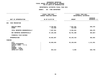# **PS UNITS OF APPROPRIATION DEPARTMENTAL ESTIMATES FISCAL YEAR <sup>2021</sup>**

# **AGENCY: <sup>057</sup> FIRE DEPARTMENT**

|                                                                                                          | FISCAL YEAR 2020<br>CURRENT MODIFIED BUDGET | FISCAL YEAR 2021<br>DEPARTMENTAL ESTIMATES |                                 |
|----------------------------------------------------------------------------------------------------------|---------------------------------------------|--------------------------------------------|---------------------------------|
| UNIT OF APPROPRIATION                                                                                    | AS OF 01/07/20                              | <b>AMOUNT</b>                              | <b>INCREASE</b><br>DECREASE (-) |
| FIRE PREVENTION<br>004                                                                                   |                                             |                                            |                                 |
| REGULAR GROSS<br><b>OTHER</b>                                                                            | 6,784,891<br>722,660                        | 7,631,361<br>722,660                       | 846,470                         |
| TOTAL REPORTED GEOGRAPHICALLY                                                                            | 7,507,551                                   | 8,354,021                                  | 846,470                         |
| NOT REPORTED GEOGRAPHICALLY                                                                              | 37, 155, 256                                | 36,791,389                                 | $363,867-$                      |
| FINANCIAL PLAN SAVINGS                                                                                   |                                             |                                            |                                 |
| <b>APPROPRIATION</b>                                                                                     | 44,662,807                                  | 45,145,410                                 | 482,603                         |
| <b>FUNDING</b>                                                                                           |                                             |                                            |                                 |
| CITY<br>OTHER CATEGORICAL<br>CAPITAL FUNDS - I.F.A.<br><b>STATE</b><br>FEDERAL - C.D.<br>FEDERAL - OTHER | 44,028,494                                  | 45, 139, 845                               | 1,111,351                       |
| INTRA-CITY SALES                                                                                         | 634,313                                     | 5,565                                      | 628,748-                        |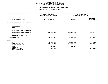# **PS UNITS OF APPROPRIATION DEPARTMENTAL ESTIMATES FISCAL YEAR <sup>2021</sup>**

| <b>AGENCY:</b><br>057 FIRE DEPARTMENT                       |                                            |                                    |  |
|-------------------------------------------------------------|--------------------------------------------|------------------------------------|--|
| . <u>.</u> .<br>FISCAL YEAR 2020<br>CURRENT MODIFIED BUDGET | FISCAL YEAR 2021<br>DEPARTMENTAL ESTIMATES |                                    |  |
| AS OF 01/07/20                                              | <b>AMOUNT</b>                              | <b>INCREASE</b><br>DECREASE (-)    |  |
|                                                             |                                            |                                    |  |
|                                                             |                                            |                                    |  |
|                                                             |                                            |                                    |  |
| 305,075,873                                                 | 307,659,827                                | 2,583,954                          |  |
|                                                             |                                            |                                    |  |
| 305,075,873                                                 | 307,659,827                                | 2,583,954                          |  |
|                                                             |                                            |                                    |  |
| 80,855,225<br>223,024,429<br>544,200<br>652,019             | 80,802,865<br>226,312,762<br>544,200       | $52,360-$<br>3,288,333<br>652,019- |  |
|                                                             |                                            |                                    |  |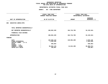# **OTPS UNITS OF APPROPRIATION DEPARTMENTAL ESTIMATES FISCAL YEAR <sup>2021</sup>**

# **AGENCY: <sup>057</sup> FIRE DEPARTMENT**

| FISCAL YEAR 2020<br>CURRENT MODIFIED BUDGET<br>AS OF 01/07/20 |                                                              | FISCAL YEAR 2021<br>DEPARTMENTAL ESTIMATES |                                                                    |
|---------------------------------------------------------------|--------------------------------------------------------------|--------------------------------------------|--------------------------------------------------------------------|
|                                                               |                                                              | <b>AMOUNT</b>                              | <b>INCREASE</b><br>DECREASE $(-)$                                  |
|                                                               |                                                              |                                            |                                                                    |
|                                                               |                                                              |                                            |                                                                    |
|                                                               | 198,852,329                                                  | 164,716,785                                | 34, 135, 544-                                                      |
|                                                               |                                                              |                                            |                                                                    |
|                                                               | 198,852,329                                                  | 164,716,785                                | 34, 135, 544-                                                      |
|                                                               |                                                              |                                            |                                                                    |
|                                                               | 146,028,143<br>1,303,546<br>539,663<br>50,822,170<br>158,807 | 149,904,289<br>14,812,496                  | 3,876,146<br>$1,303,546-$<br>539,663-<br>$36,009,674-$<br>158,807- |
|                                                               |                                                              |                                            |                                                                    |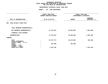# **GEOGRAPHIC**C REPORTING<br>WIDE BY GEO<br>OF APPROPR **FISCAL REPORT FOR AGENCYWIDE BY GEOGRAPHIC PROGRAM** FOR OTPS UNITS OF APPROPRIATION

# **OTPS UNITS OF APPROPRIATION DEPARTMENTAL ESTIMATES FISCAL YEAR <sup>2021</sup>**

# **AGENCY: <sup>057</sup> FIRE DEPARTMENT**

|                                                     | FISCAL YEAR 2020<br>CURRENT MODIFIED BUDGET | FISCAL YEAR 2021<br>DEPARTMENTAL ESTIMATES |                                 |
|-----------------------------------------------------|---------------------------------------------|--------------------------------------------|---------------------------------|
| UNIT OF APPROPRIATION                               | AS OF 01/07/20                              | <b>AMOUNT</b>                              | <b>INCREASE</b><br>DECREASE (-) |
| FIRE EXTING & RESP-OTPS<br>006                      |                                             |                                            |                                 |
| TOTAL REPORTED GEOGRAPHICALLY                       |                                             |                                            |                                 |
| NOT REPORTED GEOGRAPHICALLY                         | 27,373,523                                  | 25,385,665                                 | 1,987,858-                      |
| FINANCIAL PLAN SAVINGS                              |                                             |                                            |                                 |
| <b>APPROPRIATION</b>                                | 27, 373, 523                                | 25,385,665                                 | 1,987,858-                      |
| FUNDING                                             |                                             |                                            |                                 |
| CITY<br>OTHER CATEGORICAL<br>CAPITAL FUNDS - I.F.A. | 25,787,773                                  | 25,124,665                                 | 663,108-                        |
| <b>STATE</b><br>FEDERAL - C.D.                      | 261,000                                     | 261,000                                    |                                 |
| FEDERAL - OTHER<br>INTRA-CITY SALES                 | 1,324,750                                   |                                            | 1,324,750-                      |
|                                                     |                                             |                                            |                                 |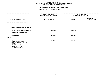#### **GEOGRAPHIC**C REPORTING<br>WIDE BY GEO<br>OF APPROPR **FISCAL REPORT FOR AGENCYWIDE BY GEOGRAPHIC PROGRAM** FOR OTPS UNITS OF APPROPRIATION

# **OTPS UNITS OF APPROPRIATION DEPARTMENTAL ESTIMATES FISCAL YEAR <sup>2021</sup>**

|                                                                                                                              | -------------                               |                                            |                                 |  |
|------------------------------------------------------------------------------------------------------------------------------|---------------------------------------------|--------------------------------------------|---------------------------------|--|
|                                                                                                                              | FISCAL YEAR 2020<br>CURRENT MODIFIED BUDGET | FISCAL YEAR 2021<br>DEPARTMENTAL ESTIMATES |                                 |  |
| UNIT OF APPROPRIATION                                                                                                        | AS OF 01/07/20                              | <b>AMOUNT</b>                              | <b>INCREASE</b><br>DECREASE (-) |  |
| 007 FIRE INVESTIGATION-OTPS                                                                                                  |                                             |                                            |                                 |  |
| TOTAL REPORTED GEOGRAPHICALLY                                                                                                |                                             |                                            |                                 |  |
| NOT REPORTED GEOGRAPHICALLY                                                                                                  | 150,060                                     | 150,060                                    |                                 |  |
| FINANCIAL PLAN SAVINGS                                                                                                       |                                             |                                            |                                 |  |
| <b>APPROPRIATION</b>                                                                                                         | 150,060                                     | 150,060                                    |                                 |  |
| FUNDING                                                                                                                      |                                             |                                            |                                 |  |
| CITY<br>OTHER CATEGORICAL<br>CAPITAL FUNDS - I.F.A.<br><b>STATE</b><br>FEDERAL - C.D.<br>FEDERAL - OTHER<br>INTRA-CITY SALES | 150,060                                     | 150,060                                    |                                 |  |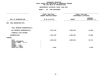#### **GEOGRAPHIC**C REPORTING<br>WIDE BY GEO<br>OF APPROPR **FISCAL REPORT FOR AGENCYWIDE BY GEOGRAPHIC PROGRAM** FOR OTPS UNITS OF APPROPRIATION

# **OTPS UNITS OF APPROPRIATION DEPARTMENTAL ESTIMATES FISCAL YEAR <sup>2021</sup>**

|                                                                                                          | FISCAL YEAR 2020<br>CURRENT MODIFIED BUDGET | FISCAL YEAR 2021<br>DEPARTMENTAL ESTIMATES |                                 |  |  |
|----------------------------------------------------------------------------------------------------------|---------------------------------------------|--------------------------------------------|---------------------------------|--|--|
| UNIT OF APPROPRIATION                                                                                    | AS OF 01/07/20                              | <b>AMOUNT</b>                              | <b>INCREASE</b><br>DECREASE (-) |  |  |
| FIRE PREVENTION-OTPS<br>008                                                                              |                                             |                                            |                                 |  |  |
| TOTAL REPORTED GEOGRAPHICALLY                                                                            |                                             |                                            |                                 |  |  |
| NOT REPORTED GEOGRAPHICALLY                                                                              | 1,970,136                                   | 1,983,944                                  | 13,808                          |  |  |
| FINANCIAL PLAN SAVINGS                                                                                   |                                             |                                            |                                 |  |  |
| <b>APPROPRIATION</b>                                                                                     | 1,970,136                                   | 1,983,944                                  | 13,808                          |  |  |
| FUNDING                                                                                                  |                                             |                                            |                                 |  |  |
| CITY<br>OTHER CATEGORICAL<br>CAPITAL FUNDS - I.F.A.<br><b>STATE</b><br>FEDERAL - C.D.<br>FEDERAL - OTHER | 1,965,232                                   | 1,983,944                                  | 18,712                          |  |  |
| INTRA-CITY SALES                                                                                         | 4,904                                       |                                            | $4,904-$                        |  |  |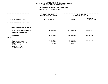#### **GEOGRAPHIC**C REPORTING<br>WIDE BY GEO<br>OF APPROPR **FISCAL REPORT FOR AGENCYWIDE BY GEOGRAPHIC PROGRAM** FOR OTPS UNITS OF APPROPRIATION

# **OTPS UNITS OF APPROPRIATION DEPARTMENTAL ESTIMATES FISCAL YEAR <sup>2021</sup>**

|                                                                                                                              | FISCAL YEAR 2020<br>CURRENT MODIFIED BUDGET | FISCAL YEAR 2021<br>DEPARTMENTAL ESTIMATES |                                 |
|------------------------------------------------------------------------------------------------------------------------------|---------------------------------------------|--------------------------------------------|---------------------------------|
| UNIT OF APPROPRIATION                                                                                                        | AS OF 01/07/20<br><b>AMOUNT</b>             |                                            | <b>INCREASE</b><br>DECREASE (-) |
| 010<br>EMERGENCY MEDICAL SERV-OTPS                                                                                           |                                             |                                            |                                 |
| TOTAL REPORTED GEOGRAPHICALLY                                                                                                |                                             |                                            |                                 |
| NOT REPORTED GEOGRAPHICALLY                                                                                                  | 40,740,888                                  | 38,670,898                                 | $2,069,990 -$                   |
| FINANCIAL PLAN SAVINGS                                                                                                       |                                             |                                            |                                 |
| <b>APPROPRIATION</b>                                                                                                         | 40,740,888                                  | 38,670,898                                 | $2,069,990 -$                   |
| FUNDING                                                                                                                      |                                             |                                            |                                 |
| CITY<br>OTHER CATEGORICAL<br>CAPITAL FUNDS - I.F.A.<br><b>STATE</b><br>FEDERAL - C.D.<br>FEDERAL - OTHER<br>INTRA-CITY SALES | 35,648,286<br>4,790,801<br>301,801          | 33,578,296<br>4,790,801<br>301,801         | $2,069,990 -$                   |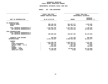### **GEOGRAPHICC REPORTING<br>ENCYWIDE SU<br>----------FISCAL**

# **REPORT AGENCYWIDE SUMMARY DEPARTMENTAL ESTIMATES FISCAL YEAR <sup>2021</sup>**

|                                                                                                                                                | FISCAL YEAR 2020<br>CURRENT MODIFIED BUDGET |                                                                                 | FISCAL YEAR 2021<br>DEPARTMENTAL ESTIMATES                                  |                                                                             |  |  |
|------------------------------------------------------------------------------------------------------------------------------------------------|---------------------------------------------|---------------------------------------------------------------------------------|-----------------------------------------------------------------------------|-----------------------------------------------------------------------------|--|--|
| UNIT OF APPROPRIATION                                                                                                                          | AS OF 01/07/20                              |                                                                                 | <b>AMOUNT</b>                                                               | <b>INCREASE</b><br>DECREASE (-)                                             |  |  |
| PS APPROPRIATIONS<br>REGULAR GROSS<br><b>OTHER</b>                                                                                             |                                             | 889,190,781<br>355,663,703                                                      | 891,267,271<br>355,736,443                                                  | 2,076,490<br>72,740                                                         |  |  |
| TOTAL REPORTED GEOGRAPHICALLY<br>NOT REPORTED GEOGRAPHICALLY                                                                                   |                                             | 1,244,854,484<br>630,199,121                                                    | 1,247,003,714<br>613,843,618                                                | 2,149,230<br>$16,355,503-$                                                  |  |  |
| OTPS APPROPRIATIONS<br>TOTAL REPORTED GEOGRAPHICALLY<br>NOT REPORTED GEOGRAPHICALLY                                                            |                                             | 269,086,936                                                                     | 230,907,352                                                                 | $38,179,584-$                                                               |  |  |
| FINANCIAL PLAN SAVINGS<br><b>APPROPRIATIONS</b>                                                                                                |                                             | 384,884-<br>2, 143, 755, 657                                                    | 1,221,704-<br>2,090,532,980                                                 | 836,820-<br>53,222,677-                                                     |  |  |
| FUNDING<br><b>CITY</b><br>OTHER CATEGORICAL<br>CAPITAL FUNDS - I.F.A.<br><b>STATE</b><br>FEDERAL - C.D.<br>FEDERAL - OTHER<br>INTRA-CITY SALES |                                             | 1,825,990,796<br>230,648,711<br>563,262<br>2,561,634<br>81,735,439<br>2,255,815 | 1,828,465,277<br>231,103,563<br>567,120<br>1,835,001<br>28,556,454<br>5,565 | 2,474,481<br>454,852<br>3,858<br>$726,633-$<br>53,178,985-<br>$2,250,250 -$ |  |  |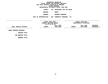**ESTIMATES FISCAL YEAR <sup>2021</sup> AGENCY <sup>125</sup> DEPARTMENT FOR THE AGING**

**BOROUGH BRONX PROGRAM**

**BOROUGH PROGRAMS UNIT OF APPROPRIATION <sup>002</sup> COMMUNITY PROGRAMS - PS**

**------------------------------------ ------------------------------ ------------------------------------------------- FISCALCURRENTFISCAL YEAR 2020**<br> **RENT MODIFIED BUDGET**<br>
AS OF 01/07/20<br> **FULL TIME**<br> **FULL TIME**<br> **FULL TIME MODIFIED BUDGET DEPARTMENTAL ESTIMATES AS OF 01/07/20 FULL TIME FULL TIME INCREASE LOCAL SERVICE DISTRICT AMOUNT POSITIONS AMOUNT POSITIONS DECREASE(-) ------------------------------------------------------------------ ------------------------------------------------- BRONX**

BRONX BOROUGH PROGRAMS

**PROGRAM**

PROGRAM TOTAL:<br>:<br>SUB BOROUGH TOTAL **BOROUGH TOTAL: BOROUGH TOTAL:**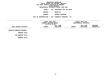**ESTIMATES FISCAL YEAR <sup>2021</sup> AGENCY <sup>125</sup> DEPARTMENT FOR THE AGING**

**BOROUGH**

 **BROOKLYN PROGRAM**

**BOROUGH PROGRAMS UNIT OF APPROPRIATION <sup>002</sup> COMMUNITY PROGRAMS - PS**

**------------------------------------ ------------------------------ ------------------------------------------------- FISCALCURRENTFISCAL YEAR 2020**<br> **RENT MODIFIED BUDGET**<br>
AS OF 01/07/20<br> **FULL TIME**<br> **FULL TIME**<br> **FULL TIME MODIFIED BUDGET DEPARTMENTAL ESTIMATES AS OF 01/07/20 FULL TIME FULL TIME INCREASE** LOCAL SERVICE DISTRICT **SERVICE DISTRICT AMOUNT POSITIONS AMOUNT POSITIONS DECREASE(-) ------------------------------------------------------------------ ------------------------------------------------- BROOKLYN**

BROOKLYN BOROUGH PROGRAMS

**PROGRAM**

PROGRAM TOTAL:<br>:<br>SUB BOROUGH TOTAL

**BOROUGH TOTAL: BOROUGH TOTAL:**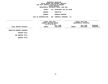**ESTIMATES FISCAL YEAR <sup>2021</sup> AGENCY <sup>125</sup> DEPARTMENT FOR THE AGING**

**BOROUGH**

MANHATTAN<br>BOROUGH PROGRAMS

**PROGRAM**

**BOROUGH PROGRAMS UNIT OF APPROPRIATION <sup>002</sup> COMMUNITY PROGRAMS - PS**

**------------------------------------ ------------------------------ ------------------------------------------------- FISCALCURRENTFISCAL YEAR 2020**<br> **RENT MODIFIED BUDGET**<br>
AS OF 01/07/20<br> **FULL TIME**<br> **FULL TIME**<br> **FULL TIME MODIFIED BUDGET DEPARTMENTAL ESTIMATES AS OF 01/07/20 FULL TIME FULL TIME INCREASE** LOCAL SERVICE DISTRICT **SERVICE DISTRICT AMOUNT POSITIONS AMOUNT POSITIONS DECREASE(-) ------------------------------------------------------------------ ------------------------------------------------- MANHATTAN**

**BOROUGH PROGRAMS PROGRAM**

PROGRAM TOTAL:<br>:<br>SUB BOROUGH TOTAL **BOROUGH TOTAL: BOROUGH TOTAL:**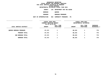**ESTIMATES FISCAL YEAR <sup>2021</sup> AGENCY <sup>125</sup> DEPARTMENT FOR THE AGING BOROUGH**QUEENS<br>BOROUGH PROGRAMS **PROGRAM**

**BOROUGH PROGRAMS UNIT OF APPROPRIATION <sup>002</sup> COMMUNITY PROGRAMS - PS**

|                                | FISCAL YEAR 2020<br>CURRENT MODIFIED BUDGET<br>AS OF 01/07/20 |                        | FISCAL YEAR 2021<br>DEPARTMENTAL ESTIMATES |                        |                         |  |
|--------------------------------|---------------------------------------------------------------|------------------------|--------------------------------------------|------------------------|-------------------------|--|
| LOCAL SERVICE DISTRICT         | <b>AMOUNT</b>                                                 | FULL TIME<br>POSITIONS | <b>AMOUNT</b>                              | FULL TIME<br>POSITIONS | INCREASE<br>DECREASE(-) |  |
| <b>QUEENS BOROUGH PROGRAMS</b> | 87,473                                                        |                        | 88,243                                     |                        | 770                     |  |
| PROGRAM TOTAL:                 | 87,473                                                        | $\mathbf 1$            | 88,243                                     | 1                      | 770                     |  |
| SUB BOROUGH TOTAL:             | 87,473                                                        |                        | 88,243                                     | 1                      | 770                     |  |
| BOROUGH TOTAL:                 | 87,473                                                        |                        | 88,243                                     |                        | 770                     |  |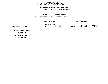**ESTIMATES FISCAL YEAR <sup>2021</sup> AGENCY <sup>125</sup> DEPARTMENT FOR THE AGING**

**BOROUGH**

 **STATEN ISLAND PROGRAM**

**BOROUGH PROGRAMS UNIT OF APPROPRIATION <sup>002</sup> COMMUNITY PROGRAMS - PS**

**------------------------------------ ------------------------------ ------------------------------------------------- FISCALCURRENTFISCAL YEAR 2020**<br> **RENT MODIFIED BUDGET**<br>
AS OF 01/07/20<br> **FULL TIME**<br> **FULL TIME**<br> **FULL TIME MODIFIED BUDGET DEPARTMENTAL ESTIMATES AS OF 01/07/20 FULL TIME FULL TIME INCREASE** LOCAL SERVICE DISTRICT **SERVICE DISTRICT AMOUNT POSITIONS AMOUNT POSITIONS DECREASE(-) ------------------------------------------------------------------ ------------------------------------------------- STATEN**

**ISLAND BOROUGH PROGRAMS**

**PROGRAM**

PROGRAM TOTAL:<br>:<br>SUB BOROUGH TOTAL **BOROUGH TOTAL: BOROUGH TOTAL:**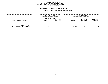#### **GEOGRAPHICC REPORTING<br>PERSONAL S<br>ICTS BY PRO FISCAL REPORT FOR PERSONAL SERVICES FOR LOCAL SERVICE DISTRICTS BY PROGRAM WITHIN**

### WITHIN BOROUGH<br>D<mark>EPARTMENTAL ESTIMATES FISC</mark>

# **ESTIMATES FISCAL YEAR <sup>2021</sup> AGENCY <sup>125</sup> DEPARTMENT FOR THE AGING**

|                                                   | FISCAL YEAR 2020<br>CURRENT MODIFIED BUDGET<br>AS OF 01/07/20 |                        |               | <b>FISCAL YEAR 2021</b><br>DEPARTMENTAL ESTIMATES |                                |
|---------------------------------------------------|---------------------------------------------------------------|------------------------|---------------|---------------------------------------------------|--------------------------------|
| LOCAL SERVICE DISTRICT                            | <b>AMOUNT</b>                                                 | FULL TIME<br>POSITIONS | <b>AMOUNT</b> | FULL TIME<br>POSITIONS                            | <b>INCREASE</b><br>DECREASE(-) |
| <b>AGENCY TOTAL:</b><br>ALL PROGRAMS ALL BOROUGHS | 87,473                                                        |                        | 88,243        |                                                   | 770                            |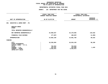#### **GEOGRAPHIC**C REPORTING<br>WIDE BY PRO<br>F APPROPRIA FISCAL REPORT FOR AGENCYWIDE BY PROGRAM **REPORT FOR AGENCYWIDE BY PROGRAM FOR**

### **PS UNITS OF APPROPRIATION DEPARTMENTAL**

|                                                                       | DEPARTMENTAL ESTIMATES FISCAL YEAR 2021     |                                            |                                   |
|-----------------------------------------------------------------------|---------------------------------------------|--------------------------------------------|-----------------------------------|
|                                                                       | <b>AGENCY:</b>                              | 125 DEPARTMENT FOR THE AGING               |                                   |
|                                                                       | FISCAL YEAR 2020<br>CURRENT MODIFIED BUDGET | FISCAL YEAR 2021<br>DEPARTMENTAL ESTIMATES |                                   |
| UNIT OF APPROPRIATION                                                 | AS OF 01/07/20                              | <b>AMOUNT</b>                              | <b>INCREASE</b><br>DECREASE $(-)$ |
| EXECUTIVE & ADMIN MGMT - PS<br>001                                    |                                             |                                            |                                   |
| REGULAR GROSS<br><b>OTHER</b>                                         |                                             |                                            |                                   |
| TOTAL REPORTED GEOGRAPHICALLY                                         |                                             |                                            |                                   |
| NOT REPORTED GEOGRAPHICALLY                                           | 15,060,047                                  | 15,170,665                                 | 110,618                           |
| FINANCIAL PLAN SAVINGS                                                | 177,897-                                    | 188,897-                                   | $11,000 -$                        |
| <b>APPROPRIATION</b>                                                  | 14,882,150                                  | 14,981,768                                 | 99,618                            |
| <b>FUNDING</b>                                                        |                                             |                                            |                                   |
| <b>CITY</b><br>OTHER CATEGORICAL<br>CAPITAL FUNDS - I.F.A.            | 10,536,004<br>$\ddot{\cdot}$                | 10,634,193                                 | 98,189                            |
| <b>STATE</b><br>FEDERAL - C.D.<br>FEDERAL - OTHER<br>INTRA-CITY SALES | 749,853<br>153,421<br>3,442,872             | 749,853<br>154,850<br>3,442,872            | 1,429                             |
|                                                                       |                                             |                                            |                                   |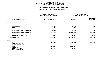### **PS UNITS OF APPROPRIATION DEPARTMENTAL**

# **ESTIMATES FISCAL YEAR <sup>2021</sup> AGENCY: <sup>125</sup> DEPARTMENT FOR THE AGING**

|                                                                            | FISCAL YEAR 2020<br>CURRENT MODIFIED BUDGET |                        | FISCAL YEAR 2021<br>DEPARTMENTAL ESTIMATES |  |  |
|----------------------------------------------------------------------------|---------------------------------------------|------------------------|--------------------------------------------|--|--|
| UNIT OF APPROPRIATION                                                      | AS OF 01/07/20                              | <b>AMOUNT</b>          | <b>INCREASE</b><br>DECREASE $(-)$          |  |  |
| 002<br>COMMUNITY PROGRAMS - PS                                             |                                             |                        |                                            |  |  |
| REGULAR GROSS<br><b>OTHER</b>                                              | 86,953<br>520                               | 87,723<br>520          | 770                                        |  |  |
| TOTAL REPORTED GEOGRAPHICALLY                                              | 87,473                                      | 88,243                 | 770                                        |  |  |
| NOT REPORTED GEOGRAPHICALLY                                                | 17,053,126                                  | 17,172,771             | 119,645                                    |  |  |
| FINANCIAL PLAN SAVINGS                                                     | 76,346-                                     | $86,346 -$             | $10,000 -$                                 |  |  |
| <b>APPROPRIATION</b>                                                       | 17,064,253                                  | 17,174,668             | 110,415                                    |  |  |
| <b>FUNDING</b>                                                             |                                             |                        |                                            |  |  |
| <b>CITY</b><br>OTHER CATEGORICAL<br>CAPITAL FUNDS - I.F.A.<br><b>STATE</b> | 7,270,475<br>1,049,605                      | 7,380,890<br>1,049,605 | 110,415                                    |  |  |
| FEDERAL - C.D.<br>FEDERAL - OTHER<br>INTRA-CITY SALES                      | 8,744,173                                   | 8,744,173              |                                            |  |  |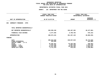### **OTPS UNITS OF APPROPRIATION DEPARTMENTAL**

# **ESTIMATES FISCAL YEAR <sup>2021</sup> AGENCY: <sup>125</sup> DEPARTMENT FOR THE AGING**

|                                                                                                                                     |                | FISCAL YEAR 2020<br>CURRENT MODIFIED BUDGET                                  | FISCAL YEAR 2021<br>DEPARTMENTAL ESTIMATES                      |                                                                                    |  |
|-------------------------------------------------------------------------------------------------------------------------------------|----------------|------------------------------------------------------------------------------|-----------------------------------------------------------------|------------------------------------------------------------------------------------|--|
| UNIT OF APPROPRIATION                                                                                                               | AS OF 01/07/20 |                                                                              | <b>AMOUNT</b>                                                   | <b>INCREASE</b><br>DECREASE (-)                                                    |  |
| COMMUNITY PROGRAMS - OTPS<br>003                                                                                                    |                |                                                                              |                                                                 |                                                                                    |  |
| TOTAL REPORTED GEOGRAPHICALLY                                                                                                       |                |                                                                              |                                                                 |                                                                                    |  |
| NOT REPORTED GEOGRAPHICALLY                                                                                                         |                | 393,595,246                                                                  | 345,467,362                                                     | 48,127,884-                                                                        |  |
| FINANCIAL PLAN SAVINGS                                                                                                              |                | 6,477,935                                                                    | 5,799,783                                                       | 678,152-                                                                           |  |
| <b>APPROPRIATION</b>                                                                                                                |                | 400,073,181                                                                  | 351, 267, 145                                                   | 48,806,036-                                                                        |  |
| FUNDING                                                                                                                             |                |                                                                              |                                                                 |                                                                                    |  |
| <b>CITY</b><br>OTHER CATEGORICAL<br>CAPITAL FUNDS - I.F.A.<br><b>STATE</b><br>FEDERAL - C.D.<br>FEDERAL - OTHER<br>INTRA-CITY SALES |                | 286,810,849<br>253,905<br>42,481,947<br>6,567,486<br>61,247,680<br>2,711,314 | 248,037,819<br>42,253,384<br>2,097,238<br>58,363,453<br>515,251 | 38,773,030-<br>$253,905 -$<br>228,563-<br>4,470,248-<br>$2,884,227-$<br>2,196,063- |  |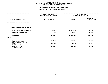### **OTPS UNITS OF APPROPRIATION DEPARTMENTAL**

# **ESTIMATES FISCAL YEAR <sup>2021</sup> AGENCY: <sup>125</sup> DEPARTMENT FOR THE AGING**

|                                                            |                | FISCAL YEAR 2020<br>CURRENT MODIFIED BUDGET | FISCAL YEAR 2021<br>DEPARTMENTAL ESTIMATES |                                 |  |
|------------------------------------------------------------|----------------|---------------------------------------------|--------------------------------------------|---------------------------------|--|
| UNIT OF APPROPRIATION                                      | AS OF 01/07/20 |                                             | <b>AMOUNT</b>                              | <b>INCREASE</b><br>DECREASE (-) |  |
| EXECUTIVE & ADMIN MGMT-OTPS<br>004                         |                |                                             |                                            |                                 |  |
| TOTAL REPORTED GEOGRAPHICALLY                              |                |                                             |                                            |                                 |  |
| NOT REPORTED GEOGRAPHICALLY                                |                | 1,969,861                                   | 1,762,990                                  | $206,871-$                      |  |
| FINANCIAL PLAN SAVINGS                                     |                | $1,527-$                                    | $3,054-$                                   | $1,527-$                        |  |
| APPROPRIATION                                              |                | 1,968,334                                   | 1,759,936                                  | $208,398-$                      |  |
| FUNDING                                                    |                |                                             |                                            |                                 |  |
| <b>CITY</b><br>OTHER CATEGORICAL<br>CAPITAL FUNDS - I.F.A. |                | 973,712                                     | 972,185                                    | $1,527-$                        |  |
| <b>STATE</b><br>FEDERAL - C.D.                             |                | 134,282                                     | 4,663                                      | 129,619-                        |  |
| FEDERAL - OTHER<br>INTRA-CITY SALES                        |                | 860,340                                     | 783,088                                    | $77,252-$                       |  |
|                                                            |                |                                             |                                            |                                 |  |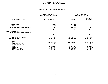### **GEOGRAPHICC REPORTING<br>ENCYWIDE SU<br>----------FISCAL**

# **REPORT AGENCYWIDE SUMMARY DEPARTMENTAL ESTIMATES FISCAL YEAR <sup>2021</sup>**

## **AGENCY: <sup>125</sup> DEPARTMENT FOR THE AGING**

|                                                                                                                                                | FISCAL YEAR 2020<br><b>CURRENT MODIFIED BUDGET</b> |                                                                              | FISCAL YEAR 2021<br>DEPARTMENTAL ESTIMATES                      |                                                                                  |
|------------------------------------------------------------------------------------------------------------------------------------------------|----------------------------------------------------|------------------------------------------------------------------------------|-----------------------------------------------------------------|----------------------------------------------------------------------------------|
| UNIT OF APPROPRIATION                                                                                                                          |                                                    | AS OF 01/07/20                                                               | <b>AMOUNT</b>                                                   | <b>INCREASE</b><br>DECREASE (-)                                                  |
| PS APPROPRIATIONS<br>REGULAR GROSS<br><b>OTHER</b>                                                                                             |                                                    | 86,953<br>520                                                                | 87,723<br>520                                                   | 770                                                                              |
| TOTAL REPORTED GEOGRAPHICALLY<br>NOT REPORTED GEOGRAPHICALLY                                                                                   |                                                    | 87,473<br>32, 113, 173                                                       | 88,243<br>32, 343, 436                                          | 770<br>230,263                                                                   |
| OTPS APPROPRIATIONS<br>TOTAL REPORTED GEOGRAPHICALLY<br>NOT REPORTED GEOGRAPHICALLY                                                            |                                                    | 395,565,107                                                                  | 347,230,352                                                     | 48, 334, 755-                                                                    |
| FINANCIAL PLAN SAVINGS<br><b>APPROPRIATIONS</b>                                                                                                |                                                    | 6,222,165<br>433,987,918                                                     | 5,521,486<br>385, 183, 517                                      | $700,679-$<br>48,804,401-                                                        |
| FUNDING<br><b>CITY</b><br>OTHER CATEGORICAL<br>CAPITAL FUNDS - I.F.A.<br><b>STATE</b><br>FEDERAL - C.D.<br>FEDERAL - OTHER<br>INTRA-CITY SALES |                                                    | 305,591,040<br>253,905<br>44,415,687<br>6,720,907<br>74,295,065<br>2,711,314 | 267,025,087<br>44,057,505<br>2,252,088<br>71,333,586<br>515,251 | 38,565,953-<br>$253,905 -$<br>358,182-<br>4,468,819-<br>2,961,479-<br>2,196,063- |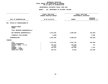### **PS UNITS OF APPROPRIATION DEPARTMENTAL**

|                                  | DEPARTMENTAL ESTIMATES FISCAL YEAR 2021              |                                            |                                   |  |  |
|----------------------------------|------------------------------------------------------|--------------------------------------------|-----------------------------------|--|--|
|                                  | 126 DEPARTMENT OF CULTURAL AFFAIRS<br><b>AGENCY:</b> |                                            |                                   |  |  |
|                                  | FISCAL YEAR 2020<br>CURRENT MODIFIED BUDGET          | FISCAL YEAR 2021<br>DEPARTMENTAL ESTIMATES |                                   |  |  |
| UNIT OF APPROPRIATION            | AS OF 01/07/20                                       | <b>AMOUNT</b>                              | <b>INCREASE</b><br>DECREASE $(-)$ |  |  |
| OFFICE OF COMMISSIONER-PS<br>001 |                                                      |                                            |                                   |  |  |
| REGULAR GROSS<br><b>OTHER</b>    |                                                      |                                            |                                   |  |  |
| TOTAL REPORTED GEOGRAPHICALLY    |                                                      |                                            |                                   |  |  |
| NOT REPORTED GEOGRAPHICALLY      | 5,313,284                                            | 5,080,625                                  | 232,659-                          |  |  |
| FINANCIAL PLAN SAVINGS           | $6,000 -$                                            |                                            | 6,000                             |  |  |
| APPROPRIATION                    | 5,307,284                                            | 5,080,625                                  | $226,659-$                        |  |  |
| FUNDING                          |                                                      |                                            |                                   |  |  |
| <b>CITY</b><br>OTHER CATEGORICAL | 4,767,042<br>$\ddot{\cdot}$                          | 4,661,746                                  | 105,296-                          |  |  |
| CAPITAL FUNDS - I.F.A.           | 248,152                                              | 248,896                                    | 744                               |  |  |
| <b>STATE</b>                     | 3,371                                                | 3,371                                      |                                   |  |  |
| FEDERAL - C.D.                   | 152,444                                              | 153,596                                    | 1,152                             |  |  |
| FEDERAL - OTHER                  |                                                      |                                            |                                   |  |  |
| INTRA-CITY SALES                 | 136,275                                              | 13,016                                     | 123,259-                          |  |  |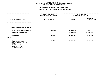### **OTPS UNITS OF APPROPRIATION DEPARTMENTAL**

|                                                                                                                                     | FISCAL YEAR 2020<br>CURRENT MODIFIED BUDGET | FISCAL YEAR 2021<br>DEPARTMENTAL ESTIMATES |                                 |
|-------------------------------------------------------------------------------------------------------------------------------------|---------------------------------------------|--------------------------------------------|---------------------------------|
| UNIT OF APPROPRIATION                                                                                                               | AS OF 01/07/20                              | <b>AMOUNT</b>                              | <b>INCREASE</b><br>DECREASE (-) |
| OFFICE OF COMMISSIONER - OTPS<br>002                                                                                                |                                             |                                            |                                 |
| TOTAL REPORTED GEOGRAPHICALLY                                                                                                       |                                             |                                            |                                 |
| NOT REPORTED GEOGRAPHICALLY                                                                                                         | 2,139,064                                   | 1,629,494                                  | $509,570-$                      |
| FINANCIAL PLAN SAVINGS                                                                                                              |                                             | 5,000,000                                  | 5,000,000                       |
| <b>APPROPRIATION</b>                                                                                                                | 2,139,064                                   | 6,629,494                                  | 4,490,430                       |
| FUNDING                                                                                                                             |                                             |                                            |                                 |
| <b>CITY</b><br>OTHER CATEGORICAL<br>CAPITAL FUNDS - I.F.A.<br><b>STATE</b><br>FEDERAL - C.D.<br>FEDERAL - OTHER<br>INTRA-CITY SALES | 2,139,064                                   | 6,629,494                                  | 4,490,430                       |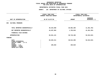### **OTPS UNITS OF APPROPRIATION DEPARTMENTAL**

|                                                                            | FISCAL YEAR 2020<br>CURRENT MODIFIED BUDGET | FISCAL YEAR 2021<br>DEPARTMENTAL ESTIMATES |                                 |
|----------------------------------------------------------------------------|---------------------------------------------|--------------------------------------------|---------------------------------|
| UNIT OF APPROPRIATION                                                      | AS OF 01/07/20                              | <b>AMOUNT</b>                              | <b>INCREASE</b><br>DECREASE (-) |
| CULTURAL PROGRAMS<br>003                                                   |                                             |                                            |                                 |
| TOTAL REPORTED GEOGRAPHICALLY                                              | 40,424,058                                  | 28,962,296                                 | 11,461,762-                     |
| NOT REPORTED GEOGRAPHICALLY                                                | 43,207,063                                  | 1,755,810                                  | 41,451,253-                     |
| FINANCIAL PLAN SAVINGS                                                     |                                             |                                            |                                 |
| APPROPRIATION                                                              | 83,631,121                                  | 30,718,106                                 | 52,913,015-                     |
| FUNDING                                                                    |                                             |                                            |                                 |
| <b>CITY</b><br>OTHER CATEGORICAL<br>CAPITAL FUNDS - I.F.A.<br><b>STATE</b> | 83,525,311                                  | 30,612,296                                 | 52,913,015-                     |
| FEDERAL - C.D.<br>FEDERAL - OTHER<br>INTRA-CITY SALES                      | 105,810                                     | 105,810                                    |                                 |
|                                                                            |                                             |                                            |                                 |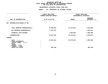### **OTPS UNITS OF APPROPRIATION DEPARTMENTAL**

|                                                                                       | FISCAL YEAR 2020<br>CURRENT MODIFIED BUDGET | FISCAL YEAR 2021<br>DEPARTMENTAL ESTIMATES |                                 |
|---------------------------------------------------------------------------------------|---------------------------------------------|--------------------------------------------|---------------------------------|
| UNIT OF APPROPRIATION                                                                 | AS OF 01/07/20                              | <b>AMOUNT</b>                              | <b>INCREASE</b><br>DECREASE (-) |
| METROPOLITAN MUSEUM OF ART<br>004                                                     |                                             |                                            |                                 |
| TOTAL REPORTED GEOGRAPHICALLY                                                         | 23,908,034                                  | 21,378,042                                 | 2,529,992-                      |
| NOT REPORTED GEOGRAPHICALLY                                                           | 1,019,027                                   |                                            | 1,019,027-                      |
| FINANCIAL PLAN SAVINGS                                                                |                                             | 1,000,000                                  | 1,000,000                       |
| <b>APPROPRIATION</b>                                                                  | 24,927,061                                  | 22,378,042                                 | 2,549,019-                      |
| FUNDING                                                                               |                                             |                                            |                                 |
| CITY<br>OTHER CATEGORICAL<br>CAPITAL FUNDS - I.F.A.<br><b>STATE</b><br>FEDERAL - C.D. | 24,043,911                                  | 22,378,042                                 | 1,665,869-                      |
| FEDERAL - OTHER<br>INTRA-CITY SALES                                                   | 883,150                                     |                                            | 883,150-                        |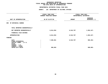### **OTPS UNITS OF APPROPRIATION DEPARTMENTAL**

|                                                                                       | FISCAL YEAR 2020<br>CURRENT MODIFIED BUDGET | FISCAL YEAR 2021<br>DEPARTMENTAL ESTIMATES |                                 |
|---------------------------------------------------------------------------------------|---------------------------------------------|--------------------------------------------|---------------------------------|
| UNIT OF APPROPRIATION                                                                 | AS OF 01/07/20                              | <b>AMOUNT</b>                              | <b>INCREASE</b><br>DECREASE (-) |
| NY BOTANICAL GARDEN<br>005                                                            |                                             |                                            |                                 |
| TOTAL REPORTED GEOGRAPHICALLY                                                         |                                             |                                            |                                 |
| NOT REPORTED GEOGRAPHICALLY                                                           | 8,014,954                                   | 6,510,707                                  | 1,504,247-                      |
| FINANCIAL PLAN SAVINGS                                                                |                                             |                                            |                                 |
| <b>APPROPRIATION</b>                                                                  | 8,014,954                                   | 6,510,707                                  | $1,504,247-$                    |
| FUNDING                                                                               |                                             |                                            |                                 |
| CITY<br>OTHER CATEGORICAL<br>CAPITAL FUNDS - I.F.A.<br><b>STATE</b><br>FEDERAL - C.D. | 7,506,061                                   | 6,510,707                                  | 995,354-                        |
| FEDERAL - OTHER<br>INTRA-CITY SALES                                                   | 508,893                                     |                                            | $508,893-$                      |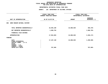### **OTPS UNITS OF APPROPRIATION DEPARTMENTAL**

|                                                                                                                              | FISCAL YEAR 2020<br>CURRENT MODIFIED BUDGET | FISCAL YEAR 2021<br>DEPARTMENTAL ESTIMATES |                                 |
|------------------------------------------------------------------------------------------------------------------------------|---------------------------------------------|--------------------------------------------|---------------------------------|
| UNIT OF APPROPRIATION                                                                                                        | AS OF 01/07/20                              | <b>AMOUNT</b>                              | <b>INCREASE</b><br>DECREASE (-) |
| AMER MUSEUM NATURAL HISTORY<br>006                                                                                           |                                             |                                            |                                 |
| TOTAL REPORTED GEOGRAPHICALLY                                                                                                | 16,045,100                                  | 15,688,630                                 | $356,470-$                      |
| NOT REPORTED GEOGRAPHICALLY                                                                                                  | 1,909,703                                   |                                            | 1,909,703-                      |
| FINANCIAL PLAN SAVINGS                                                                                                       |                                             |                                            |                                 |
| <b>APPROPRIATION</b>                                                                                                         | 17,954,803                                  | 15,688,630                                 | 2,266,173-                      |
| FUNDING                                                                                                                      |                                             |                                            |                                 |
| CITY<br>OTHER CATEGORICAL<br>CAPITAL FUNDS - I.F.A.<br><b>STATE</b><br>FEDERAL - C.D.<br>FEDERAL - OTHER<br>INTRA-CITY SALES | 17,187,138<br>767,665                       | 15,688,630                                 | 1,498,508-<br>767,665-          |
|                                                                                                                              |                                             |                                            |                                 |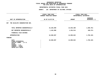### **OTPS UNITS OF APPROPRIATION DEPARTMENTAL**

|                                                                                                                              | FISCAL YEAR 2020<br><b>CURRENT MODIFIED BUDGET</b> | FISCAL YEAR 2021<br>DEPARTMENTAL ESTIMATES |                          |
|------------------------------------------------------------------------------------------------------------------------------|----------------------------------------------------|--------------------------------------------|--------------------------|
| UNIT OF APPROPRIATION                                                                                                        | AS OF 01/07/20                                     | <b>AMOUNT</b>                              | INCREASE<br>DECREASE (-) |
| THE WILDLIFE CONSERVATION SOC.<br>007                                                                                        |                                                    |                                            |                          |
| TOTAL REPORTED GEOGRAPHICALLY                                                                                                | 15,226,099                                         | 13,645,308                                 | 1,580,791-               |
| NOT REPORTED GEOGRAPHICALLY                                                                                                  | 1,442,888                                          | 1,254,514                                  | 188,374-                 |
| FINANCIAL PLAN SAVINGS                                                                                                       |                                                    |                                            |                          |
| <b>APPROPRIATION</b>                                                                                                         | 16,668,987                                         | 14,899,822                                 | 1,769,165-               |
| FUNDING                                                                                                                      |                                                    |                                            |                          |
| CITY<br>OTHER CATEGORICAL<br>CAPITAL FUNDS - I.F.A.<br><b>STATE</b><br>FEDERAL - C.D.<br>FEDERAL - OTHER<br>INTRA-CITY SALES | 16,668,987                                         | 14,899,822                                 | 1,769,165-               |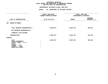### **OTPS UNITS OF APPROPRIATION DEPARTMENTAL**

|                                                                                                                                     | FISCAL YEAR 2020<br>CURRENT MODIFIED BUDGET | FISCAL YEAR 2021<br>DEPARTMENTAL ESTIMATES |                          |
|-------------------------------------------------------------------------------------------------------------------------------------|---------------------------------------------|--------------------------------------------|--------------------------|
| UNIT OF APPROPRIATION                                                                                                               | AS OF 01/07/20                              | <b>AMOUNT</b>                              | INCREASE<br>DECREASE (-) |
| 008<br><b>BROOKLYN MUSEUM</b>                                                                                                       |                                             |                                            |                          |
| TOTAL REPORTED GEOGRAPHICALLY                                                                                                       | 8,989,073                                   | 8,025,792                                  | 963,281-                 |
| NOT REPORTED GEOGRAPHICALLY                                                                                                         |                                             |                                            |                          |
| FINANCIAL PLAN SAVINGS                                                                                                              |                                             |                                            |                          |
| <b>APPROPRIATION</b>                                                                                                                | 8,989,073                                   | 8,025,792                                  | 963,281-                 |
| FUNDING                                                                                                                             |                                             |                                            |                          |
| <b>CITY</b><br>OTHER CATEGORICAL<br>CAPITAL FUNDS - I.F.A.<br><b>STATE</b><br>FEDERAL - C.D.<br>FEDERAL - OTHER<br>INTRA-CITY SALES | 8,989,073                                   | 8,025,792                                  | 963,281-                 |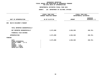### **OTPS UNITS OF APPROPRIATION DEPARTMENTAL**

|                                                                                                                              | FISCAL YEAR 2020<br>CURRENT MODIFIED BUDGET | FISCAL YEAR 2021<br>DEPARTMENTAL ESTIMATES |                                 |
|------------------------------------------------------------------------------------------------------------------------------|---------------------------------------------|--------------------------------------------|---------------------------------|
| UNIT OF APPROPRIATION                                                                                                        | AS OF 01/07/20                              | <b>AMOUNT</b>                              | <b>INCREASE</b><br>DECREASE (-) |
| BKLYN CHILDREN'S MUSEUM<br>009                                                                                               |                                             |                                            |                                 |
| TOTAL REPORTED GEOGRAPHICALLY                                                                                                |                                             |                                            |                                 |
| NOT REPORTED GEOGRAPHICALLY                                                                                                  | 2,271,089                                   | 1,834,328                                  | 436,761-                        |
| FINANCIAL PLAN SAVINGS                                                                                                       |                                             |                                            |                                 |
| <b>APPROPRIATION</b>                                                                                                         | 2,271,089                                   | 1,834,328                                  | 436,761-                        |
| FUNDING                                                                                                                      |                                             |                                            |                                 |
| CITY<br>OTHER CATEGORICAL<br>CAPITAL FUNDS - I.F.A.<br><b>STATE</b><br>FEDERAL - C.D.<br>FEDERAL - OTHER<br>INTRA-CITY SALES | 2,271,089                                   | 1,834,328                                  | 436,761-                        |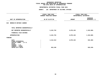### **OTPS UNITS OF APPROPRIATION DEPARTMENTAL**

|                                                                                              | FISCAL YEAR 2020<br>CURRENT MODIFIED BUDGET |               | FISCAL YEAR 2021<br>DEPARTMENTAL ESTIMATES |
|----------------------------------------------------------------------------------------------|---------------------------------------------|---------------|--------------------------------------------|
| UNIT OF APPROPRIATION                                                                        | AS OF 01/07/20                              | <b>AMOUNT</b> | <b>INCREASE</b><br>DECREASE (-)            |
| BROOKLYN BOTANIC GARDEN<br>010                                                               |                                             |               |                                            |
| TOTAL REPORTED GEOGRAPHICALLY                                                                |                                             |               |                                            |
| NOT REPORTED GEOGRAPHICALLY                                                                  | 5,222,753                                   | 3,879,153     | 1,343,600-                                 |
| FINANCIAL PLAN SAVINGS                                                                       |                                             |               |                                            |
| APPROPRIATION                                                                                | 5,222,753                                   | 3,879,153     | $1,343,600 -$                              |
| FUNDING                                                                                      |                                             |               |                                            |
| <b>CITY</b><br>OTHER CATEGORICAL<br>CAPITAL FUNDS - I.F.A.<br><b>STATE</b><br>FEDERAL - C.D. | 4,412,513                                   | 3,879,153     | $533,360 -$                                |
| FEDERAL - OTHER<br>INTRA-CITY SALES                                                          | 810,240                                     |               | 810,240-                                   |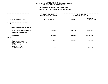### **OTPS UNITS OF APPROPRIATION DEPARTMENTAL**

|                                                                                                                              | FISCAL YEAR 2020<br>CURRENT MODIFIED BUDGET | FISCAL YEAR 2021<br>DEPARTMENTAL ESTIMATES |                                 |
|------------------------------------------------------------------------------------------------------------------------------|---------------------------------------------|--------------------------------------------|---------------------------------|
| UNIT OF APPROPRIATION                                                                                                        | AS OF 01/07/20                              | <b>AMOUNT</b>                              | <b>INCREASE</b><br>DECREASE (-) |
| <b>QUEENS BOTANICAL GARDEN</b><br>011                                                                                        |                                             |                                            |                                 |
| TOTAL REPORTED GEOGRAPHICALLY                                                                                                |                                             |                                            |                                 |
| NOT REPORTED GEOGRAPHICALLY                                                                                                  | 2,959,342                                   | 994,153                                    | 1,965,189-                      |
| FINANCIAL PLAN SAVINGS                                                                                                       |                                             |                                            |                                 |
| APPROPRIATION                                                                                                                | 2,959,342                                   | 994,153                                    | 1,965,189-                      |
| FUNDING                                                                                                                      |                                             |                                            |                                 |
| CITY<br>OTHER CATEGORICAL<br>CAPITAL FUNDS - I.F.A.<br><b>STATE</b><br>FEDERAL - C.D.<br>FEDERAL - OTHER<br>INTRA-CITY SALES | 1,443,563<br>1,515,779                      | 994,153                                    | 449,410-<br>1,515,779-          |
|                                                                                                                              |                                             |                                            |                                 |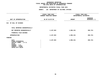### **OTPS UNITS OF APPROPRIATION DEPARTMENTAL**

|                                                                                                                                     | FISCAL YEAR 2020<br>CURRENT MODIFIED BUDGET | FISCAL YEAR 2021<br>DEPARTMENTAL ESTIMATES |                                 |
|-------------------------------------------------------------------------------------------------------------------------------------|---------------------------------------------|--------------------------------------------|---------------------------------|
| UNIT OF APPROPRIATION                                                                                                               | AS OF 01/07/20                              | <b>AMOUNT</b>                              | <b>INCREASE</b><br>DECREASE (-) |
| 012 NY HALL OF SCIENCE                                                                                                              |                                             |                                            |                                 |
| TOTAL REPORTED GEOGRAPHICALLY                                                                                                       |                                             |                                            |                                 |
| NOT REPORTED GEOGRAPHICALLY                                                                                                         | 2,107,063                                   | 1,906,341                                  | 200,722-                        |
| FINANCIAL PLAN SAVINGS                                                                                                              |                                             |                                            |                                 |
| <b>APPROPRIATION</b>                                                                                                                | 2,107,063                                   | 1,906,341                                  | 200,722-                        |
| FUNDING                                                                                                                             |                                             |                                            |                                 |
| <b>CITY</b><br>OTHER CATEGORICAL<br>CAPITAL FUNDS - I.F.A.<br><b>STATE</b><br>FEDERAL - C.D.<br>FEDERAL - OTHER<br>INTRA-CITY SALES | 2,107,063                                   | 1,906,341                                  | $200,722 -$                     |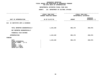### **OTPS UNITS OF APPROPRIATION DEPARTMENTAL**

|                                                                                                                              | FISCAL YEAR 2020<br>CURRENT MODIFIED BUDGET | FISCAL YEAR 2021<br>DEPARTMENTAL ESTIMATES |                                 |
|------------------------------------------------------------------------------------------------------------------------------|---------------------------------------------|--------------------------------------------|---------------------------------|
| UNIT OF APPROPRIATION                                                                                                        | AS OF 01/07/20                              | <b>AMOUNT</b>                              | <b>INCREASE</b><br>DECREASE (-) |
| SI INSTITUTE ARTS & SCIENCES<br>013                                                                                          |                                             |                                            |                                 |
| TOTAL REPORTED GEOGRAPHICALLY                                                                                                | 1,143,150                                   | 892,175                                    | 250,975-                        |
| NOT REPORTED GEOGRAPHICALLY                                                                                                  |                                             |                                            |                                 |
| FINANCIAL PLAN SAVINGS                                                                                                       |                                             |                                            |                                 |
| <b>APPROPRIATION</b>                                                                                                         | 1,143,150                                   | 892,175                                    | 250,975-                        |
| FUNDING                                                                                                                      |                                             |                                            |                                 |
| CITY<br>OTHER CATEGORICAL<br>CAPITAL FUNDS - I.F.A.<br><b>STATE</b><br>FEDERAL - C.D.<br>FEDERAL - OTHER<br>INTRA-CITY SALES | 1,143,150                                   | 892,175                                    | 250,975-                        |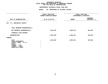### **OTPS UNITS OF APPROPRIATION DEPARTMENTAL**

|                                                                                                                              | FISCAL YEAR 2020<br>CURRENT MODIFIED BUDGET | FISCAL YEAR 2021<br>DEPARTMENTAL ESTIMATES |                                 |
|------------------------------------------------------------------------------------------------------------------------------|---------------------------------------------|--------------------------------------------|---------------------------------|
| UNIT OF APPROPRIATION                                                                                                        | AS OF 01/07/20                              | <b>AMOUNT</b>                              | <b>INCREASE</b><br>DECREASE (-) |
| 014 S.I. ZOOLOGICAL SOCIETY                                                                                                  |                                             |                                            |                                 |
| TOTAL REPORTED GEOGRAPHICALLY                                                                                                |                                             |                                            |                                 |
| NOT REPORTED GEOGRAPHICALLY                                                                                                  | 1,834,292                                   | 1,380,231                                  | 454,061-                        |
| FINANCIAL PLAN SAVINGS                                                                                                       |                                             |                                            |                                 |
| <b>APPROPRIATION</b>                                                                                                         | 1,834,292                                   | 1,380,231                                  | $454,061-$                      |
| FUNDING                                                                                                                      |                                             |                                            |                                 |
| CITY<br>OTHER CATEGORICAL<br>CAPITAL FUNDS - I.F.A.<br><b>STATE</b><br>FEDERAL - C.D.<br>FEDERAL - OTHER<br>INTRA-CITY SALES | 1,834,292                                   | 1,380,231                                  | 454,061-                        |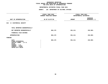### **OTPS UNITS OF APPROPRIATION DEPARTMENTAL**

|                                                                                                                              | FISCAL YEAR 2020<br><b>CURRENT MODIFIED BUDGET</b> | FISCAL YEAR 2021<br>DEPARTMENTAL ESTIMATES |                                 |
|------------------------------------------------------------------------------------------------------------------------------|----------------------------------------------------|--------------------------------------------|---------------------------------|
| UNIT OF APPROPRIATION                                                                                                        | AS OF 01/07/20                                     | <b>AMOUNT</b>                              | <b>INCREASE</b><br>DECREASE (-) |
| 015 S I HISTORICAL SOCIETY                                                                                                   |                                                    |                                            |                                 |
| TOTAL REPORTED GEOGRAPHICALLY                                                                                                |                                                    |                                            |                                 |
| NOT REPORTED GEOGRAPHICALLY                                                                                                  | 884,176                                            | 651,211                                    | 232,965-                        |
| FINANCIAL PLAN SAVINGS                                                                                                       |                                                    |                                            |                                 |
| <b>APPROPRIATION</b>                                                                                                         | 884,176                                            | 651,211                                    | $232,965 -$                     |
| FUNDING                                                                                                                      |                                                    |                                            |                                 |
| CITY<br>OTHER CATEGORICAL<br>CAPITAL FUNDS - I.F.A.<br><b>STATE</b><br>FEDERAL - C.D.<br>FEDERAL - OTHER<br>INTRA-CITY SALES | 884,176                                            | 651,211                                    | 232,965-                        |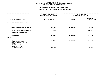### **OTPS UNITS OF APPROPRIATION DEPARTMENTAL**

|                                                                                                                              | FISCAL YEAR 2020<br>CURRENT MODIFIED BUDGET | FISCAL YEAR 2021<br>DEPARTMENTAL ESTIMATES |                                 |
|------------------------------------------------------------------------------------------------------------------------------|---------------------------------------------|--------------------------------------------|---------------------------------|
| UNIT OF APPROPRIATION                                                                                                        | AS OF 01/07/20                              | <b>AMOUNT</b>                              | <b>INCREASE</b><br>DECREASE (-) |
| 016<br>MUSEUM OF THE CITY OF NY                                                                                              |                                             |                                            |                                 |
| TOTAL REPORTED GEOGRAPHICALLY                                                                                                | 1,632,280                                   | 1,620,294                                  | 11,986-                         |
| NOT REPORTED GEOGRAPHICALLY                                                                                                  | 312,160                                     |                                            | $312,160 -$                     |
| FINANCIAL PLAN SAVINGS                                                                                                       |                                             |                                            |                                 |
| <b>APPROPRIATION</b>                                                                                                         | 1,944,440                                   | 1,620,294                                  | $324, 146 -$                    |
| FUNDING                                                                                                                      |                                             |                                            |                                 |
| CITY<br>OTHER CATEGORICAL<br>CAPITAL FUNDS - I.F.A.<br><b>STATE</b><br>FEDERAL - C.D.<br>FEDERAL - OTHER<br>INTRA-CITY SALES | 1,794,440<br>150,000                        | 1,620,294                                  | 174,146-<br>$150,000 -$         |
|                                                                                                                              |                                             |                                            |                                 |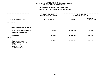### **OTPS UNITS OF APPROPRIATION DEPARTMENTAL**

|                                                                                                                                     | FISCAL YEAR 2020<br>CURRENT MODIFIED BUDGET | FISCAL YEAR 2021<br>DEPARTMENTAL ESTIMATES |                                 |
|-------------------------------------------------------------------------------------------------------------------------------------|---------------------------------------------|--------------------------------------------|---------------------------------|
| UNIT OF APPROPRIATION                                                                                                               | AS OF 01/07/20                              | <b>AMOUNT</b>                              | <b>INCREASE</b><br>DECREASE (-) |
| 017<br><b>WAVE HILL</b>                                                                                                             |                                             |                                            |                                 |
| TOTAL REPORTED GEOGRAPHICALLY                                                                                                       |                                             |                                            |                                 |
| NOT REPORTED GEOGRAPHICALLY                                                                                                         | 1,548,313                                   | 1,254,726                                  | 293,587-                        |
| FINANCIAL PLAN SAVINGS                                                                                                              |                                             |                                            |                                 |
| <b>APPROPRIATION</b>                                                                                                                | 1,548,313                                   | 1,254,726                                  | 293,587-                        |
| FUNDING                                                                                                                             |                                             |                                            |                                 |
| <b>CITY</b><br>OTHER CATEGORICAL<br>CAPITAL FUNDS - I.F.A.<br><b>STATE</b><br>FEDERAL - C.D.<br>FEDERAL - OTHER<br>INTRA-CITY SALES | 1,548,313                                   | 1,254,726                                  | 293,587-                        |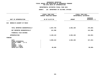### **OTPS UNITS OF APPROPRIATION DEPARTMENTAL**

|                                                                                                          | FISCAL YEAR 2020<br>CURRENT MODIFIED BUDGET | FISCAL YEAR 2021<br>DEPARTMENTAL ESTIMATES |                                 |
|----------------------------------------------------------------------------------------------------------|---------------------------------------------|--------------------------------------------|---------------------------------|
| UNIT OF APPROPRIATION                                                                                    | AS OF 01/07/20                              | <b>AMOUNT</b>                              | <b>INCREASE</b><br>DECREASE (-) |
| 019<br>BROOKLYN ACADEMY OF MUSIC                                                                         |                                             |                                            |                                 |
| TOTAL REPORTED GEOGRAPHICALLY                                                                            | 2,967,755                                   | 2,692,190                                  | $275,565-$                      |
| NOT REPORTED GEOGRAPHICALLY                                                                              | 141,388                                     |                                            | 141,388-                        |
| FINANCIAL PLAN SAVINGS                                                                                   |                                             |                                            |                                 |
| <b>APPROPRIATION</b>                                                                                     | 3,109,143                                   | 2,692,190                                  | $416,953-$                      |
| FUNDING                                                                                                  |                                             |                                            |                                 |
| CITY<br>OTHER CATEGORICAL<br>CAPITAL FUNDS - I.F.A.<br><b>STATE</b><br>FEDERAL - C.D.<br>FEDERAL - OTHER | 3,009,444                                   | 2,692,190                                  | $317,254-$                      |
| INTRA-CITY SALES                                                                                         | 99,699                                      |                                            | $99,699 -$                      |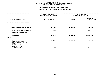### **OTPS UNITS OF APPROPRIATION DEPARTMENTAL**

|                                                                                                                              | FISCAL YEAR 2020<br>CURRENT MODIFIED BUDGET | FISCAL YEAR 2021<br>DEPARTMENTAL ESTIMATES |                                 |
|------------------------------------------------------------------------------------------------------------------------------|---------------------------------------------|--------------------------------------------|---------------------------------|
| UNIT OF APPROPRIATION                                                                                                        | AS OF 01/07/20                              | <b>AMOUNT</b>                              | <b>INCREASE</b><br>DECREASE (-) |
| SNUG HARBOR CULTURAL CENTER<br>020                                                                                           |                                             |                                            |                                 |
| TOTAL REPORTED GEOGRAPHICALLY                                                                                                | 2,144,669                                   | 1,721,934                                  | 422,735-                        |
| NOT REPORTED GEOGRAPHICALLY                                                                                                  | 825,116                                     |                                            | $825,116-$                      |
| FINANCIAL PLAN SAVINGS                                                                                                       |                                             |                                            |                                 |
| <b>APPROPRIATION</b>                                                                                                         | 2,969,785                                   | 1,721,934                                  | 1,247,851-                      |
| FUNDING                                                                                                                      |                                             |                                            |                                 |
| CITY<br>OTHER CATEGORICAL<br>CAPITAL FUNDS - I.F.A.<br><b>STATE</b><br>FEDERAL - C.D.<br>FEDERAL - OTHER<br>INTRA-CITY SALES | 2,144,669<br>825,116                        | 1,721,934                                  | 422,735-<br>$825,116-$          |
|                                                                                                                              |                                             |                                            |                                 |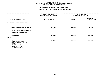### **OTPS UNITS OF APPROPRIATION DEPARTMENTAL**

|                                                                                                                              | FISCAL YEAR 2020<br>CURRENT MODIFIED BUDGET | FISCAL YEAR 2021<br>DEPARTMENTAL ESTIMATES |                                 |
|------------------------------------------------------------------------------------------------------------------------------|---------------------------------------------|--------------------------------------------|---------------------------------|
| UNIT OF APPROPRIATION                                                                                                        | AS OF 01/07/20                              | <b>AMOUNT</b>                              | <b>INCREASE</b><br>DECREASE (-) |
| STUDIO MUSEUM IN HARLEM<br>021                                                                                               |                                             |                                            |                                 |
| TOTAL REPORTED GEOGRAPHICALLY<br>NOT REPORTED GEOGRAPHICALLY                                                                 | 696,463                                     | 530,343                                    | $166, 120 -$                    |
| FINANCIAL PLAN SAVINGS                                                                                                       |                                             |                                            |                                 |
| APPROPRIATION                                                                                                                | 696,463                                     | 530,343                                    | $166, 120 -$                    |
| FUNDING                                                                                                                      |                                             |                                            |                                 |
| CITY<br>OTHER CATEGORICAL<br>CAPITAL FUNDS - I.F.A.<br><b>STATE</b><br>FEDERAL - C.D.<br>FEDERAL - OTHER<br>INTRA-CITY SALES | 696,463                                     | 530,343                                    | $166, 120 -$                    |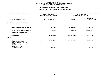### **OTPS UNITS OF APPROPRIATION DEPARTMENTAL**

|                                                                                       | FISCAL YEAR 2020<br>CURRENT MODIFIED BUDGET | FISCAL YEAR 2021<br>DEPARTMENTAL ESTIMATES |                                 |
|---------------------------------------------------------------------------------------|---------------------------------------------|--------------------------------------------|---------------------------------|
| UNIT OF APPROPRIATION                                                                 | AS OF 01/07/20                              | <b>AMOUNT</b>                              | <b>INCREASE</b><br>DECREASE (-) |
| 022<br>OTHER CULTURAL INSTITUTIONS                                                    |                                             |                                            |                                 |
| TOTAL REPORTED GEOGRAPHICALLY                                                         | 10,443,433                                  | 8,487,789                                  | 1,955,644-                      |
| NOT REPORTED GEOGRAPHICALLY                                                           | 11,638,139                                  | 9,279,334                                  | 2,358,805-                      |
| FINANCIAL PLAN SAVINGS                                                                |                                             |                                            |                                 |
| <b>APPROPRIATION</b>                                                                  | 22,081,572                                  | 17,767,123                                 | 4,314,449-                      |
| FUNDING                                                                               |                                             |                                            |                                 |
| CITY<br>OTHER CATEGORICAL<br>CAPITAL FUNDS - I.F.A.<br><b>STATE</b><br>FEDERAL - C.D. | 21,950,693                                  | 17,767,123                                 | $4,183,570-$                    |
| FEDERAL - OTHER<br>INTRA-CITY SALES                                                   | 130,879                                     |                                            | 130,879-                        |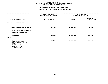## **OTPS UNITS OF APPROPRIATION DEPARTMENTAL**

# **ESTIMATES FISCAL YEAR <sup>2021</sup> AGENCY: <sup>126</sup> DEPARTMENT OF CULTURAL AFFAIRS**

|                                                                                                                                     | FISCAL YEAR 2020<br><b>CURRENT MODIFIED BUDGET</b> | FISCAL YEAR 2021<br>DEPARTMENTAL ESTIMATES |                                 |  |
|-------------------------------------------------------------------------------------------------------------------------------------|----------------------------------------------------|--------------------------------------------|---------------------------------|--|
| UNIT OF APPROPRIATION                                                                                                               | AS OF 01/07/20                                     | <b>AMOUNT</b>                              | <b>INCREASE</b><br>DECREASE (-) |  |
| 024 N.Y. SHAKESPEARE FESTIVAL                                                                                                       |                                                    |                                            |                                 |  |
| TOTAL REPORTED GEOGRAPHICALLY<br>NOT REPORTED GEOGRAPHICALLY                                                                        | 1,226,573                                          | 1,069,622                                  | $156,951 -$                     |  |
| FINANCIAL PLAN SAVINGS                                                                                                              |                                                    |                                            |                                 |  |
| <b>APPROPRIATION</b>                                                                                                                | 1,226,573                                          | 1,069,622                                  | 156,951-                        |  |
| FUNDING                                                                                                                             |                                                    |                                            |                                 |  |
| <b>CITY</b><br>OTHER CATEGORICAL<br>CAPITAL FUNDS - I.F.A.<br><b>STATE</b><br>FEDERAL - C.D.<br>FEDERAL - OTHER<br>INTRA-CITY SALES | 1,226,573                                          | 1,069,622                                  | 156,951-                        |  |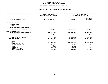### **GEOGRAPHICC REPORTING<br>ENCYWIDE SU<br>----------FISCAL**

# **REPORT AGENCYWIDE SUMMARY DEPARTMENTAL ESTIMATES FISCAL YEAR <sup>2021</sup>**

# **AGENCY: <sup>126</sup> DEPARTMENT OF CULTURAL AFFAIRS**

|                                                              | FISCAL YEAR 2020        |               | FISCAL YEAR 2021       |  |  |
|--------------------------------------------------------------|-------------------------|---------------|------------------------|--|--|
|                                                              | CURRENT MODIFIED BUDGET |               | DEPARTMENTAL ESTIMATES |  |  |
|                                                              |                         |               | <b>INCREASE</b>        |  |  |
| UNIT OF APPROPRIATION                                        | AS OF 01/07/20          | <b>AMOUNT</b> | DECREASE $(-)$         |  |  |
|                                                              |                         |               |                        |  |  |
| PS APPROPRIATIONS<br>REGULAR GROSS<br><b>OTHER</b>           |                         |               |                        |  |  |
| TOTAL REPORTED GEOGRAPHICALLY<br>NOT REPORTED GEOGRAPHICALLY | 5,313,284               | 5,080,625     | $232,659-$             |  |  |
| OTPS APPROPRIATIONS                                          |                         |               |                        |  |  |
| TOTAL REPORTED GEOGRAPHICALLY                                | 124,846,687             | 104,714,415   | 20,132,272-            |  |  |
| NOT REPORTED GEOGRAPHICALLY                                  | 87,476,530              | 32,330,002    | 55, 146, 528-          |  |  |
| FINANCIAL PLAN SAVINGS                                       | $6,000-$                | 6,000,000     | 6,006,000              |  |  |
| <b>APPROPRIATIONS</b>                                        | 217,630,501             | 148, 125, 042 | 69,505,459-            |  |  |
| FUNDING                                                      |                         |               |                        |  |  |
| <b>CITY</b>                                                  | 211,293,028             | 147,600,353   | 63,692,675-            |  |  |
| OTHER CATEGORICAL                                            |                         |               |                        |  |  |
| CAPITAL FUNDS - I.F.A.                                       | 248,152                 | 248,896       | 744                    |  |  |
| <b>STATE</b>                                                 | 3,371                   | 3,371         |                        |  |  |
| FEDERAL - C.D.                                               | 258,254                 | 259,406       | 1,152                  |  |  |
| FEDERAL - OTHER                                              |                         |               |                        |  |  |
| INTRA-CITY SALES                                             | 5,827,696               | 13,016        | $5,814,680 -$          |  |  |
|                                                              |                         |               |                        |  |  |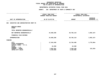## **PS UNITS OF APPROPRIATION DEPARTMENTAL**

**ESTIMATES FISCAL YEAR <sup>2021</sup> AGENCY: <sup>260</sup> DEPARTMENT OF YOUTH & COMMUNITY DEV**

|                                             | FISCAL YEAR 2020        | FISCAL YEAR 2021       |              |  |
|---------------------------------------------|-------------------------|------------------------|--------------|--|
|                                             | CURRENT MODIFIED BUDGET | DEPARTMENTAL ESTIMATES |              |  |
|                                             |                         | <b>INCREASE</b>        |              |  |
| UNIT OF APPROPRIATION                       | AS OF 01/07/20          | <b>AMOUNT</b>          | DECREASE (-) |  |
|                                             |                         |                        |              |  |
| EXECUTIVE AND ADMINISTRATIVE MGMT PS<br>002 |                         |                        |              |  |
| REGULAR GROSS<br><b>OTHER</b>               |                         |                        |              |  |
| TOTAL REPORTED GEOGRAPHICALLY               |                         |                        |              |  |
| NOT REPORTED GEOGRAPHICALLY                 | 24,668,286              | 20,766,119             | $3,902,167-$ |  |
| FINANCIAL PLAN SAVINGS                      |                         |                        |              |  |
| <b>APPROPRIATION</b>                        | 24,668,286              | 20,766,119             | $3,902,167-$ |  |
| FUNDING                                     |                         |                        |              |  |
| <b>CITY</b>                                 | 17,543,450              | 13,764,486             | 3,778,964-   |  |
| OTHER CATEGORICAL                           |                         |                        |              |  |
| CAPITAL FUNDS - I.F.A.                      |                         |                        |              |  |
| <b>STATE</b><br>FEDERAL - C.D.              | 22,390                  | 22,390                 |              |  |
| FEDERAL - OTHER                             | 3,663,361               | 3,540,158              | $123, 203 -$ |  |
| INTRA-CITY SALES                            | 3,439,085               | 3,439,085              |              |  |
|                                             |                         |                        |              |  |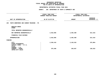## **PS UNITS OF APPROPRIATION DEPARTMENTAL**

**ESTIMATES FISCAL YEAR <sup>2021</sup> AGENCY: <sup>260</sup> DEPARTMENT OF YOUTH & COMMUNITY DEV**

|                                                                                                                                     | FISCAL YEAR 2020<br><b>CURRENT MODIFIED BUDGET</b> | FISCAL YEAR 2021<br>DEPARTMENTAL ESTIMATES |                                 |
|-------------------------------------------------------------------------------------------------------------------------------------|----------------------------------------------------|--------------------------------------------|---------------------------------|
| UNIT OF APPROPRIATION                                                                                                               | AS OF 01/07/20                                     | <b>AMOUNT</b>                              | <b>INCREASE</b><br>DECREASE (-) |
| YOUTH WORKFORCE AND CAREER TRAINING - PS<br>105                                                                                     |                                                    |                                            |                                 |
| REGULAR GROSS<br><b>OTHER</b>                                                                                                       |                                                    |                                            |                                 |
| TOTAL REPORTED GEOGRAPHICALLY                                                                                                       |                                                    |                                            |                                 |
| NOT REPORTED GEOGRAPHICALLY                                                                                                         | 2,918,905                                          | 2,404,489                                  | $514,416-$                      |
| FINANCIAL PLAN SAVINGS                                                                                                              |                                                    |                                            |                                 |
| <b>APPROPRIATION</b>                                                                                                                | 2,918,905                                          | 2,404,489                                  | $514,416-$                      |
| FUNDING                                                                                                                             |                                                    |                                            |                                 |
| <b>CITY</b><br>OTHER CATEGORICAL<br>CAPITAL FUNDS - I.F.A.<br><b>STATE</b><br>FEDERAL - C.D.<br>FEDERAL - OTHER<br>INTRA-CITY SALES | 2,539,416<br>379,489                               | 2,163,532<br>240,957                       | 375,884-<br>138,532-            |
|                                                                                                                                     |                                                    |                                            |                                 |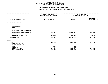|                                                            |                                                                           | DEPARTMENTAL ESTIMATES FISCAL YEAR 2021 |                                            |  |  |
|------------------------------------------------------------|---------------------------------------------------------------------------|-----------------------------------------|--------------------------------------------|--|--|
|                                                            | <b>AGENCY:</b><br>260 DEPARTMENT OF YOUTH & COMMUNITY DEV                 |                                         |                                            |  |  |
|                                                            | -------------------<br>FISCAL YEAR 2020<br><b>CURRENT MODIFIED BUDGET</b> |                                         | FISCAL YEAR 2021<br>DEPARTMENTAL ESTIMATES |  |  |
| UNIT OF APPROPRIATION                                      | AS OF 01/07/20                                                            | <b>AMOUNT</b>                           | <b>INCREASE</b><br>DECREASE $(-)$          |  |  |
| PROGRAM SERVICES - PS<br>311                               |                                                                           |                                         |                                            |  |  |
| REGULAR GROSS<br><b>OTHER</b>                              |                                                                           |                                         |                                            |  |  |
| TOTAL REPORTED GEOGRAPHICALLY                              |                                                                           |                                         |                                            |  |  |
| NOT REPORTED GEOGRAPHICALLY                                | 19,390,714                                                                | 20,089,417                              | 698,703                                    |  |  |
| FINANCIAL PLAN SAVINGS                                     | $354,901 -$                                                               | 351,156-                                | 3,745                                      |  |  |
| <b>APPROPRIATION</b>                                       | 19,035,813                                                                | 19,738,261                              | 702,448                                    |  |  |
| <b>FUNDING</b>                                             |                                                                           |                                         |                                            |  |  |
| <b>CITY</b><br>OTHER CATEGORICAL<br>CAPITAL FUNDS - I.F.A. | 9,766,788                                                                 | 9,914,067                               | 147,279                                    |  |  |
| <b>STATE</b><br>FEDERAL - C.D.                             | 477,610<br>77,197                                                         | 477,610<br>77,197                       |                                            |  |  |
| FEDERAL - OTHER<br>INTRA-CITY SALES                        | 4,876,342<br>3,837,876                                                    | 5,469,011<br>3,800,376                  | 592,669<br>$37,500-$                       |  |  |
|                                                            |                                                                           |                                         |                                            |  |  |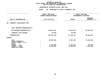## **OTPS UNITS OF APPROPRIATION DEPARTMENTAL**

**ESTIMATES FISCAL YEAR <sup>2021</sup> AGENCY: <sup>260</sup> DEPARTMENT OF YOUTH & COMMUNITY DEV**

|                                                       | FISCAL YEAR 2020<br>CURRENT MODIFIED BUDGET | FISCAL YEAR 2021<br>DEPARTMENTAL ESTIMATES |                                 |  |
|-------------------------------------------------------|---------------------------------------------|--------------------------------------------|---------------------------------|--|
| UNIT OF APPROPRIATION                                 | AS OF 01/07/20                              | <b>AMOUNT</b>                              | <b>INCREASE</b><br>DECREASE (-) |  |
| COMMUNITY DEVELOPMENT OTPS                            |                                             |                                            |                                 |  |
| TOTAL REPORTED GEOGRAPHICALLY                         |                                             |                                            |                                 |  |
| NOT REPORTED GEOGRAPHICALLY                           | 130,492,195                                 | 31,223,180                                 | 99,269,015-                     |  |
| FINANCIAL PLAN SAVINGS                                | 59,859-                                     | 59,859-                                    |                                 |  |
| <b>APPROPRIATION</b>                                  | 130,432,336                                 | 31, 163, 321                               | 99,269,015-                     |  |
| FUNDING                                               |                                             |                                            |                                 |  |
| CITY<br>OTHER CATEGORICAL<br>CAPITAL FUNDS - I.F.A.   | 98,393,382                                  | 4,851,346                                  | 93,542,036-                     |  |
| FEDERAL - C.D.<br>FEDERAL - OTHER<br>INTRA-CITY SALES | 1,936,000<br>30,102,954                     | 1,561,000<br>24,750,975                    | $375,000 -$<br>5,351,979-       |  |
|                                                       | <b>STATE</b>                                |                                            |                                 |  |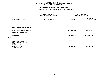| AGENCY: 260 DEPARTMENT OF YOUTH & COMMUNITY DEV    |               |                                                          |  |  |  |  |  |
|----------------------------------------------------|---------------|----------------------------------------------------------|--|--|--|--|--|
| <b>FISCAL YEAR 2020</b><br>CURRENT MODIFIED BUDGET |               | FISCAL YEAR 2021<br>DEPARTMENTAL ESTIMATES               |  |  |  |  |  |
| AS OF 01/07/20                                     | <b>AMOUNT</b> | <b>INCREASE</b><br>DECREASE (-)                          |  |  |  |  |  |
| 106 YOUTH WORKFORCE AND CAREER TRAINING OTPS       |               |                                                          |  |  |  |  |  |
|                                                    |               |                                                          |  |  |  |  |  |
|                                                    | 130, 179, 243 | 130, 179, 243                                            |  |  |  |  |  |
|                                                    |               |                                                          |  |  |  |  |  |
|                                                    |               | 130, 179, 243                                            |  |  |  |  |  |
|                                                    |               |                                                          |  |  |  |  |  |
|                                                    | 129,080,224   | 129,080,224                                              |  |  |  |  |  |
|                                                    | 1,099,019     | 1,099,019                                                |  |  |  |  |  |
|                                                    |               | DEPARTMENTAL ESTIMATES FISCAL YEAR 2021<br>130, 179, 243 |  |  |  |  |  |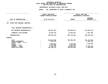## **OTPS UNITS OF APPROPRIATION DEPARTMENTAL**

**ESTIMATES FISCAL YEAR <sup>2021</sup> AGENCY: <sup>260</sup> DEPARTMENT OF YOUTH & COMMUNITY DEV**

|                                                                                                                                     |  | FISCAL YEAR 2020<br>CURRENT MODIFIED BUDGET                                     | FISCAL YEAR 2021<br>DEPARTMENTAL ESTIMATES                         |                                                                       |
|-------------------------------------------------------------------------------------------------------------------------------------|--|---------------------------------------------------------------------------------|--------------------------------------------------------------------|-----------------------------------------------------------------------|
| UNIT OF APPROPRIATION                                                                                                               |  | AS OF 01/07/20                                                                  | <b>AMOUNT</b>                                                      | <b>INCREASE</b><br>DECREASE (-)                                       |
| OTHER THAN PERSONAL SERVICES<br>312                                                                                                 |  |                                                                                 |                                                                    |                                                                       |
| TOTAL REPORTED GEOGRAPHICALLY                                                                                                       |  |                                                                                 |                                                                    |                                                                       |
| NOT REPORTED GEOGRAPHICALLY                                                                                                         |  | 780,027,754                                                                     | 518,460,241                                                        | 261,567,513-                                                          |
| FINANCIAL PLAN SAVINGS                                                                                                              |  | 36,635,164                                                                      | 44,280,353                                                         | 7,645,189                                                             |
| <b>APPROPRIATION</b>                                                                                                                |  | 816,662,918                                                                     | 562,740,594                                                        | 253,922,324-                                                          |
| FUNDING                                                                                                                             |  |                                                                                 |                                                                    |                                                                       |
| <b>CITY</b><br>OTHER CATEGORICAL<br>CAPITAL FUNDS - I.F.A.<br><b>STATE</b><br>FEDERAL - C.D.<br>FEDERAL - OTHER<br>INTRA-CITY SALES |  | 604,223,605<br>1,861,375<br>6,514,617<br>5,507,000<br>47,187,207<br>151,369,114 | 382,504,961<br>4,775,124<br>5,507,000<br>19,882,879<br>150,070,630 | 221,718,644-<br>1,861,375-<br>1,739,493-<br>27,304,328-<br>1,298,484- |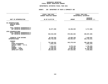### **GEOGRAPHICC REPORTING<br>ENCYWIDE SU<br>----------FISCAL**

# **REPORT AGENCYWIDE SUMMARY DEPARTMENTAL ESTIMATES FISCAL YEAR <sup>2021</sup>**

# **AGENCY: <sup>260</sup> DEPARTMENT OF YOUTH & COMMUNITY DEV**

|                                                                                                                                                       | FISCAL YEAR 2020<br><b>CURRENT MODIFIED BUDGET</b> |                                                                                 | FISCAL YEAR 2021<br>DEPARTMENTAL ESTIMATES                         |                                                                                   |  |
|-------------------------------------------------------------------------------------------------------------------------------------------------------|----------------------------------------------------|---------------------------------------------------------------------------------|--------------------------------------------------------------------|-----------------------------------------------------------------------------------|--|
| UNIT OF APPROPRIATION                                                                                                                                 |                                                    | AS OF 01/07/20                                                                  | <b>AMOUNT</b>                                                      | <b>INCREASE</b><br>DECREASE (-)                                                   |  |
| PS APPROPRIATIONS<br>REGULAR GROSS<br><b>OTHER</b>                                                                                                    |                                                    |                                                                                 |                                                                    |                                                                                   |  |
| TOTAL REPORTED GEOGRAPHICALLY<br>NOT REPORTED GEOGRAPHICALLY                                                                                          |                                                    | 46,977,905                                                                      | 43,260,025                                                         | 3,717,880-                                                                        |  |
| OTPS APPROPRIATIONS<br>TOTAL REPORTED GEOGRAPHICALLY<br>NOT REPORTED GEOGRAPHICALLY                                                                   |                                                    | 910,519,949                                                                     | 679,862,664                                                        | 230,657,285-                                                                      |  |
| FINANCIAL PLAN SAVINGS<br><b>APPROPRIATIONS</b>                                                                                                       |                                                    | 36,220,404<br>993,718,258                                                       | 43,869,338<br>766,992,027                                          | 7,648,934<br>226,726,231-                                                         |  |
| <b>FUNDING</b><br><b>CITY</b><br>OTHER CATEGORICAL<br>CAPITAL FUNDS - I.F.A.<br><b>STATE</b><br>FEDERAL - C.D.<br>FEDERAL - OTHER<br>INTRA-CITY SALES |                                                    | 732,466,641<br>1,861,375<br>7,014,617<br>7,520,197<br>86,209,353<br>158,646,075 | 542,278,616<br>5,275,124<br>7,145,197<br>54,982,999<br>157,310,091 | 190,188,025-<br>1,861,375-<br>1,739,493-<br>375,000-<br>31,226,354-<br>1,335,984- |  |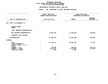## **PS UNITS OF APPROPRIATION DEPARTMENTAL**

|                                             |                | FISCAL YEAR 2020               | FISCAL YEAR 2021       |                 |  |
|---------------------------------------------|----------------|--------------------------------|------------------------|-----------------|--|
|                                             |                | <b>CURRENT MODIFIED BUDGET</b> | DEPARTMENTAL ESTIMATES |                 |  |
|                                             |                |                                |                        | <b>INCREASE</b> |  |
| UNIT OF APPROPRIATION                       |                | AS OF 01/07/20                 | <b>AMOUNT</b>          | DECREASE (-)    |  |
| DEPT. OF BUSINESS P.S.<br>001               |                |                                |                        |                 |  |
| REGULAR GROSS<br><b>OTHER</b>               |                |                                |                        |                 |  |
| TOTAL REPORTED GEOGRAPHICALLY               |                |                                |                        |                 |  |
| NOT REPORTED GEOGRAPHICALLY                 |                | 17,884,145                     | 17,636,060             | 248,085-        |  |
| FINANCIAL PLAN SAVINGS                      |                |                                |                        |                 |  |
| <b>APPROPRIATION</b>                        |                | 17,884,145                     | 17,636,060             | 248,085-        |  |
| FUNDING                                     |                |                                |                        |                 |  |
| <b>CITY</b>                                 | $\ddot{\cdot}$ | 12,786,411                     | 12,804,004             | 17,593          |  |
| OTHER CATEGORICAL<br>CAPITAL FUNDS - I.F.A. |                |                                |                        |                 |  |
| <b>STATE</b>                                |                |                                |                        |                 |  |
| FEDERAL - C.D.                              |                | 779,909                        | 646,181                | 133,728-        |  |
| FEDERAL - OTHER                             |                | 4,307,970                      | 4,176,020              | 131,950-        |  |
| INTRA-CITY SALES                            | $\ddot{\cdot}$ | 9,855                          | 9,855                  |                 |  |
|                                             |                |                                |                        |                 |  |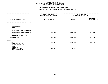## **PS UNITS OF APPROPRIATION DEPARTMENTAL**

| AS OF 01/07/20 |                      | <b>AMOUNT</b>                               | <b>INCREASE</b><br>DECREASE $(-)$          |  |
|----------------|----------------------|---------------------------------------------|--------------------------------------------|--|
|                |                      |                                             |                                            |  |
|                |                      |                                             |                                            |  |
|                |                      |                                             |                                            |  |
|                | 3,788,858            | 3,933,633                                   | 144,775                                    |  |
|                |                      |                                             |                                            |  |
|                | 3,788,858            | 3,933,633                                   | 144,775                                    |  |
|                |                      |                                             |                                            |  |
|                | 3,589,911<br>198,947 | 3,734,686<br>198,947                        | 144,775                                    |  |
|                |                      | FISCAL YEAR 2020<br>CURRENT MODIFIED BUDGET | FISCAL YEAR 2021<br>DEPARTMENTAL ESTIMATES |  |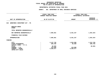## **PS UNITS OF APPROPRIATION DEPARTMENTAL**

|                                                                            |                | FISCAL YEAR 2020<br>CURRENT MODIFIED BUDGET | FISCAL YEAR 2021<br>DEPARTMENTAL ESTIMATES         |                                      |  |
|----------------------------------------------------------------------------|----------------|---------------------------------------------|----------------------------------------------------|--------------------------------------|--|
| UNIT OF APPROPRIATION                                                      | AS OF 01/07/20 |                                             | <b>INCREASE</b><br>DECREASE $(-)$<br><b>AMOUNT</b> |                                      |  |
| WORKFORCE INVESTMENT ACT - PS<br>010                                       |                |                                             |                                                    |                                      |  |
| REGULAR GROSS<br><b>OTHER</b>                                              |                |                                             |                                                    |                                      |  |
| TOTAL REPORTED GEOGRAPHICALLY                                              |                |                                             |                                                    |                                      |  |
| NOT REPORTED GEOGRAPHICALLY                                                |                | 7,905,661                                   | 6,351,237                                          | 1,554,424-                           |  |
| FINANCIAL PLAN SAVINGS                                                     |                |                                             |                                                    |                                      |  |
| <b>APPROPRIATION</b>                                                       |                | 7,905,661                                   | 6,351,237                                          | 1,554,424-                           |  |
| FUNDING                                                                    |                |                                             |                                                    |                                      |  |
| <b>CITY</b><br>OTHER CATEGORICAL<br>CAPITAL FUNDS - I.F.A.<br><b>STATE</b> |                | 3,147,728<br>286,436<br>40,920              | 1,834,980<br>85,680                                | 1,312,748-<br>$200,756 -$<br>40,920- |  |
| FEDERAL - C.D.<br>FEDERAL - OTHER<br>INTRA-CITY SALES                      |                | 110,000<br>4,320,577                        | 110,000<br>4,320,577                               |                                      |  |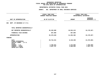## **OTPS UNITS OF APPROPRIATION DEPARTMENTAL**

|                                   | FISCAL YEAR 2020        |               | FISCAL YEAR 2021       |
|-----------------------------------|-------------------------|---------------|------------------------|
|                                   | CURRENT MODIFIED BUDGET |               | DEPARTMENTAL ESTIMATES |
|                                   |                         |               | <b>INCREASE</b>        |
| UNIT OF APPROPRIATION             | AS OF 01/07/20          | <b>AMOUNT</b> | DECREASE (-)           |
|                                   |                         |               |                        |
| DEPT. OF BUSINESS O.T.P.S.<br>002 |                         |               |                        |
|                                   |                         |               |                        |
|                                   |                         |               |                        |
| TOTAL REPORTED GEOGRAPHICALLY     |                         |               |                        |
| NOT REPORTED GEOGRAPHICALLY       | 35,102,680              | 10,924,413    | 24,178,267-            |
|                                   |                         |               |                        |
| FINANCIAL PLAN SAVINGS            | 367,969                 | 367,969       |                        |
| <b>APPROPRIATION</b>              | 35,470,649              | 11,292,382    | 24, 178, 267-          |
|                                   |                         |               |                        |
| FUNDING                           |                         |               |                        |
| CITY                              | 29,716,341              | 8,139,458     | 21,576,883-            |
| OTHER CATEGORICAL                 |                         |               |                        |
| CAPITAL FUNDS - I.F.A.            |                         |               |                        |
| <b>STATE</b>                      |                         |               |                        |
| FEDERAL - C.D.                    | 2,766,521               | 1,472,862     | 1,293,659-             |
| FEDERAL - OTHER                   | 2,987,787               | 1,680,062     | 1,307,725-             |
| INTRA-CITY SALES                  |                         |               |                        |
|                                   |                         |               |                        |
|                                   |                         |               |                        |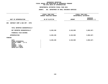## **OTPS UNITS OF APPROPRIATION DEPARTMENTAL**

|                                                                                                                              | FISCAL YEAR 2020<br>CURRENT MODIFIED BUDGET | FISCAL YEAR 2021<br>DEPARTMENTAL ESTIMATES |                            |  |
|------------------------------------------------------------------------------------------------------------------------------|---------------------------------------------|--------------------------------------------|----------------------------|--|
| UNIT OF APPROPRIATION                                                                                                        | AS OF 01/07/20                              | <b>AMOUNT</b>                              | INCREASE<br>DECREASE $(-)$ |  |
| CONTRACT COMP & BUS OPP - OTPS<br>005                                                                                        |                                             |                                            |                            |  |
| TOTAL REPORTED GEOGRAPHICALLY                                                                                                |                                             |                                            |                            |  |
| NOT REPORTED GEOGRAPHICALLY                                                                                                  | 6,228,196                                   | 3,145,569                                  | $3,082,627-$               |  |
| FINANCIAL PLAN SAVINGS                                                                                                       |                                             |                                            |                            |  |
| <b>APPROPRIATION</b>                                                                                                         | 6,228,196                                   | 3,145,569                                  | $3,082,627-$               |  |
| FUNDING                                                                                                                      |                                             |                                            |                            |  |
| CITY<br>OTHER CATEGORICAL<br>CAPITAL FUNDS - I.F.A.<br><b>STATE</b><br>FEDERAL - C.D.<br>FEDERAL - OTHER<br>INTRA-CITY SALES | 6,228,196                                   | 3,145,569                                  | $3,082,627-$               |  |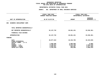## **OTPS UNITS OF APPROPRIATION DEPARTMENTAL**

|                                                                                                                              | FISCAL YEAR 2020<br>CURRENT MODIFIED BUDGET                    | FISCAL YEAR 2021<br>DEPARTMENTAL ESTIMATES                 |                                                                      |
|------------------------------------------------------------------------------------------------------------------------------|----------------------------------------------------------------|------------------------------------------------------------|----------------------------------------------------------------------|
| UNIT OF APPROPRIATION                                                                                                        | AS OF 01/07/20                                                 | <b>AMOUNT</b>                                              | <b>INCREASE</b><br>DECREASE (-)                                      |
| ECONOMIC DEVELOPMENT CORP.<br>006                                                                                            |                                                                |                                                            |                                                                      |
| TOTAL REPORTED GEOGRAPHICALLY                                                                                                |                                                                |                                                            |                                                                      |
| NOT REPORTED GEOGRAPHICALLY                                                                                                  | 52,137,732                                                     | 28,601,431                                                 | 23,536,301-                                                          |
| FINANCIAL PLAN SAVINGS                                                                                                       |                                                                |                                                            |                                                                      |
| <b>APPROPRIATION</b>                                                                                                         | 52, 137, 732                                                   | 28,601,431                                                 | 23,536,301-                                                          |
| FUNDING                                                                                                                      |                                                                |                                                            |                                                                      |
| CITY<br>OTHER CATEGORICAL<br>CAPITAL FUNDS - I.F.A.<br><b>STATE</b><br>FEDERAL - C.D.<br>FEDERAL - OTHER<br>INTRA-CITY SALES | 28,877,624<br>2,009,006<br>9,190,817<br>6,820,367<br>5,239,918 | 18,433,785<br>2,000,000<br>6,674,739<br>942,907<br>550,000 | 10,443,839-<br>$9,006 -$<br>2,516,078-<br>$5,877,460-$<br>4,689,918- |
|                                                                                                                              |                                                                |                                                            |                                                                      |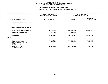## **OTPS UNITS OF APPROPRIATION DEPARTMENTAL**

|                                                                                                                              | FISCAL YEAR 2020<br>CURRENT MODIFIED BUDGET |                                     | FISCAL YEAR 2021<br>DEPARTMENTAL ESTIMATES |  |  |
|------------------------------------------------------------------------------------------------------------------------------|---------------------------------------------|-------------------------------------|--------------------------------------------|--|--|
| UNIT OF APPROPRIATION                                                                                                        | AS OF 01/07/20                              | <b>AMOUNT</b>                       | <b>INCREASE</b><br>DECREASE (-)            |  |  |
| WORKFORCE INVESTMENT ACT - OTPS<br>011                                                                                       |                                             |                                     |                                            |  |  |
| TOTAL REPORTED GEOGRAPHICALLY                                                                                                |                                             |                                     |                                            |  |  |
| NOT REPORTED GEOGRAPHICALLY                                                                                                  | 90,306,196                                  | 54,995,728                          | 35, 310, 468-                              |  |  |
| FINANCIAL PLAN SAVINGS                                                                                                       | 254,239                                     | 254,239                             |                                            |  |  |
| <b>APPROPRIATION</b>                                                                                                         | 90,560,435                                  | 55,249,967                          | 35, 310, 468-                              |  |  |
| FUNDING                                                                                                                      |                                             |                                     |                                            |  |  |
| CITY<br>OTHER CATEGORICAL<br>CAPITAL FUNDS - I.F.A.<br><b>STATE</b><br>FEDERAL - C.D.<br>FEDERAL - OTHER<br>INTRA-CITY SALES | 62,422,403<br>139,000<br>27,999,032         | 27,423,575<br>278,000<br>27,548,392 | 34,998,828-<br>139,000<br>450,640-         |  |  |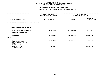## **OTPS UNITS OF APPROPRIATION DEPARTMENTAL**

|                                                                                                                              | FISCAL YEAR 2020<br>CURRENT MODIFIED BUDGET | FISCAL YEAR 2021<br>DEPARTMENTAL ESTIMATES |                                 |
|------------------------------------------------------------------------------------------------------------------------------|---------------------------------------------|--------------------------------------------|---------------------------------|
| UNIT OF APPROPRIATION                                                                                                        | AS OF 01/07/20                              | <b>AMOUNT</b>                              | <b>INCREASE</b><br>DECREASE (-) |
| 012<br>TRUST FOR GOVERNOR'S ISLAND AND NYC & CO                                                                              |                                             |                                            |                                 |
| TOTAL REPORTED GEOGRAPHICALLY                                                                                                |                                             |                                            |                                 |
| NOT REPORTED GEOGRAPHICALLY                                                                                                  | 37,422,188                                  | 36,270,948                                 | 1,151,240-                      |
| FINANCIAL PLAN SAVINGS                                                                                                       |                                             |                                            |                                 |
| <b>APPROPRIATION</b>                                                                                                         | 37,422,188                                  | 36,270,948                                 | 1,151,240-                      |
| FUNDING                                                                                                                      |                                             |                                            |                                 |
| CITY<br>OTHER CATEGORICAL<br>CAPITAL FUNDS - I.F.A.<br><b>STATE</b><br>FEDERAL - C.D.<br>FEDERAL - OTHER<br>INTRA-CITY SALES | 36,044,311<br>1,377,877                     | 36,270,948                                 | 226,637<br>1,377,877-           |
|                                                                                                                              |                                             |                                            |                                 |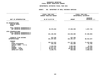### **GEOGRAPHICC REPORTING<br>ENCYWIDE SU<br>----------FISCAL**

# **REPORT AGENCYWIDE SUMMARY DEPARTMENTAL ESTIMATES FISCAL YEAR <sup>2021</sup>**

# **AGENCY: <sup>801</sup> DEPARTMENT OF SMALL BUSINESS SERVICES**

|                                                                                                         | FISCAL YEAR 2020                                  | FISCAL YEAR 2021                                 |                                                 |  |
|---------------------------------------------------------------------------------------------------------|---------------------------------------------------|--------------------------------------------------|-------------------------------------------------|--|
|                                                                                                         | CURRENT MODIFIED BUDGET                           | DEPARTMENTAL ESTIMATES                           |                                                 |  |
|                                                                                                         |                                                   |                                                  | <b>INCREASE</b>                                 |  |
| UNIT OF APPROPRIATION                                                                                   | AS OF 01/07/20                                    | <b>AMOUNT</b>                                    | DECREASE $(-)$                                  |  |
|                                                                                                         |                                                   |                                                  |                                                 |  |
| PS APPROPRIATIONS<br>REGULAR GROSS<br><b>OTHER</b>                                                      |                                                   |                                                  |                                                 |  |
| TOTAL REPORTED GEOGRAPHICALLY<br>NOT REPORTED GEOGRAPHICALLY                                            | 29,578,664                                        | 27,920,930                                       | 1,657,734-                                      |  |
| OTPS APPROPRIATIONS<br>TOTAL REPORTED GEOGRAPHICALLY<br>NOT REPORTED GEOGRAPHICALLY                     | 221, 196, 992                                     | 133,938,089                                      | $87,258,903-$                                   |  |
| FINANCIAL PLAN SAVINGS<br><b>APPROPRIATIONS</b>                                                         | 622,208<br>251,397,864                            | 622,208<br>162,481,227                           | 88,916,637-                                     |  |
| FUNDING<br><b>CITY</b><br>OTHER CATEGORICAL<br>CAPITAL FUNDS - I.F.A.<br><b>STATE</b><br>FEDERAL - C.D. | 182,812,925<br>425,436<br>2,049,926<br>12,847,247 | 111,787,005<br>363,680<br>2,000,000<br>8,903,782 | 71,025,920-<br>61,756-<br>49,926-<br>3,943,465- |  |
| FEDERAL - OTHER<br>INTRA-CITY SALES                                                                     | 48,012,557<br>5,249,773                           | 38,866,905<br>559,855                            | 9,145,652-<br>4,689,918-                        |  |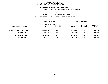**ESTIMATES FISCAL YEAR <sup>2021</sup> AGENCY <sup>806</sup> HOUSING PRESERVATION AND DEVELOPMENT**

**BOROUGH**

BRONX<br>CODE ENFORCEMENT OFFICES **PROGRAM**

|               |                        | FISCAL YEAR 2021<br>DEPARTMENTAL ESTIMATES                    |                        |                         |
|---------------|------------------------|---------------------------------------------------------------|------------------------|-------------------------|
| <b>AMOUNT</b> | FULL TIME<br>POSITIONS | <b>AMOUNT</b>                                                 | FULL TIME<br>POSITIONS | INCREASE<br>DECREASE(-) |
| 4,062,267     | 70                     | 3,777,509                                                     | 65                     | 284,758-                |
| 4,062,267     | 70                     | 3,777,509                                                     | 65                     | 284,758-                |
| 4,062,267     | 70                     | 3,777,509                                                     | 65                     | 284,758-                |
| 4,062,267     | 70                     | 3,777,509                                                     | 65                     | 284,758-                |
|               |                        | FISCAL YEAR 2020<br>CURRENT MODIFIED BUDGET<br>AS OF 01/07/20 |                        |                         |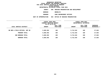### **DEPARTMENTAL**

**ESTIMATES FISCAL YEAR <sup>2021</sup> AGENCY <sup>806</sup> HOUSING PRESERVATION AND DEVELOPMENT**

**BOROUGH**

BROOKLYN<br>CODE ENFORCEMENT OFFICES **PROGRAM**

|                                | FISCAL YEAR 2020<br>CURRENT MODIFIED BUDGET<br>AS OF 01/07/20 |                        |               | FISCAL YEAR 2021<br>DEPARTMENTAL ESTIMATES |                           |
|--------------------------------|---------------------------------------------------------------|------------------------|---------------|--------------------------------------------|---------------------------|
| LOCAL SERVICE DISTRICT         | AMOUNT                                                        | FULL TIME<br>POSITIONS | <b>AMOUNT</b> | FULL TIME<br>POSITIONS                     | INCREASE<br>$DECREASE(-)$ |
| BK BOR & FIELD OFFICES, SUP UN | 5,685,592                                                     | 100                    | 5,712,618     | 100                                        | 27,026                    |
| PROGRAM TOTAL:                 | 5,685,592                                                     | 100                    | 5,712,618     | 100                                        | 27,026                    |
| SUB BOROUGH TOTAL:             | 5,685,592                                                     | 100                    | 5,712,618     | 100                                        | 27,026                    |
| <b>BOROUGH TOTAL:</b>          | 5,685,592                                                     | 100                    | 5,712,618     | 100                                        | 27,026                    |
|                                |                                                               |                        |               |                                            |                           |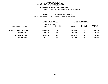### **DEPARTMENTAL**

**ESTIMATES FISCAL YEAR <sup>2021</sup> AGENCY <sup>806</sup> HOUSING PRESERVATION AND DEVELOPMENT**

**BOROUGH**

 **MANHATTAN PROGRAM**

|                                | FISCAL YEAR 2020<br>CURRENT MODIFIED BUDGET<br>AS OF 01/07/20 |                        | FISCAL YEAR 2021<br>DEPARTMENTAL ESTIMATES |                               |                         |
|--------------------------------|---------------------------------------------------------------|------------------------|--------------------------------------------|-------------------------------|-------------------------|
| LOCAL SERVICE DISTRICT         | <b>AMOUNT</b>                                                 | FULL TIME<br>POSITIONS | <b>AMOUNT</b>                              | FULL TIME<br><b>POSITIONS</b> | INCREASE<br>DECREASE(-) |
| MN BOR & FIELD OFFICES, SUP UN | 4,013,862                                                     | 68                     | 4,057,946                                  | 68                            | 44,084                  |
| PROGRAM TOTAL:                 | 4,013,862                                                     | 68                     | 4,057,946                                  | 68                            | 44,084                  |
| SUB BOROUGH TOTAL:             | 4,013,862                                                     | 68                     | 4,057,946                                  | 68                            | 44,084                  |
| BOROUGH TOTAL:                 | 4,013,862                                                     | 68                     | 4,057,946                                  | 68                            | 44,084                  |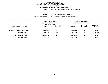### **DEPARTMENTAL**

**ESTIMATES FISCAL YEAR <sup>2021</sup> AGENCY <sup>806</sup> HOUSING PRESERVATION AND DEVELOPMENT**

**BOROUGH**

QUEENS<br>CODE ENFORCEMENT OFFICES **PROGRAM**

|                                | FISCAL YEAR 2020<br>FISCAL YEAR 2021<br>CURRENT MODIFIED BUDGET<br>DEPARTMENTAL ESTIMATES<br>AS OF 01/07/20 |                        |               |                               |                         |
|--------------------------------|-------------------------------------------------------------------------------------------------------------|------------------------|---------------|-------------------------------|-------------------------|
| LOCAL SERVICE DISTRICT         | <b>AMOUNT</b>                                                                                               | FULL TIME<br>POSITIONS | <b>AMOUNT</b> | FULL TIME<br><b>POSITIONS</b> | INCREASE<br>DECREASE(-) |
| ON BOR & FIELD OFFICES, SUP UN | 1,663,459                                                                                                   | 27                     | 1,664,536     | 27                            | 1,077                   |
| PROGRAM TOTAL:                 | 1,663,459                                                                                                   | 27                     | 1,664,536     | 27                            | 1,077                   |
| SUB BOROUGH TOTAL:             | 1,663,459                                                                                                   | 27                     | 1,664,536     | 27                            | 1,077                   |
| BOROUGH TOTAL:                 | 1,663,459                                                                                                   | 27                     | 1,664,536     | 27                            | 1,077                   |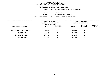#### **DEPARTMENTAL**

**ESTIMATES FISCAL YEAR <sup>2021</sup> AGENCY <sup>806</sup> HOUSING PRESERVATION AND DEVELOPMENT**

**BOROUGH**

 **STATEN ISLAND PROGRAM**

|                                | FISCAL YEAR 2020<br>CURRENT MODIFIED BUDGET<br>AS OF 01/07/20 |                         | FISCAL YEAR 2021<br>DEPARTMENTAL ESTIMATES |                        |                         |
|--------------------------------|---------------------------------------------------------------|-------------------------|--------------------------------------------|------------------------|-------------------------|
| LOCAL SERVICE DISTRICT         | <b>AMOUNT</b>                                                 | FULL TIME<br>POSITIONS  | <b>AMOUNT</b>                              | FULL TIME<br>POSITIONS | INCREASE<br>DECREASE(-) |
| SI BOR & FIELD OFFICES, SUP UN | 114,340                                                       | $\overline{\mathbf{2}}$ | 114,340                                    | $\mathbf{2}$           |                         |
| PROGRAM TOTAL:                 | 114,340                                                       | $\overline{2}$          | 114,340                                    | $\mathbf{2}$           |                         |
| SUB BOROUGH TOTAL:             | 114,340                                                       | 2                       | 114,340                                    | $\mathbf{2}$           |                         |
| <b>BOROUGH TOTAL:</b>          | 114,340                                                       | $\overline{\mathbf{2}}$ | 114,340                                    | $\mathbf{2}$           |                         |
|                                |                                                               |                         |                                            |                        |                         |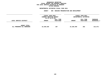### **GEOGRAPHICC REPORTING<br>PERSONAL S<br>ICTS BY PRO FISCAL REPORT FOR PERSONAL SERVICES FOR LOCAL SERVICE DISTRICTS BY PROGRAM WITHIN**

## WITHIN BOROUGH<br>D<mark>EPARTMENTAL ESTIMATES FISC</mark>

# **ESTIMATES FISCAL YEAR <sup>2021</sup> AGENCY <sup>806</sup> HOUSING PRESERVATION AND DEVELOPMENT**

|                                                   | FISCAL YEAR 2020<br>FISCAL YEAR 2021<br><b>CURRENT MODIFIED BUDGET</b><br>DEPARTMENTAL ESTIMATES<br>AS OF 01/07/20 |                        |               |                               |                                  |
|---------------------------------------------------|--------------------------------------------------------------------------------------------------------------------|------------------------|---------------|-------------------------------|----------------------------------|
| LOCAL SERVICE DISTRICT                            | <b>AMOUNT</b>                                                                                                      | FULL TIME<br>POSITIONS | <b>AMOUNT</b> | FULL TIME<br><b>POSITIONS</b> | <b>INCREASE</b><br>$DECREASE(-)$ |
| <b>AGENCY TOTAL:</b><br>ALL PROGRAMS ALL BOROUGHS | 15,539,520                                                                                                         | 267                    | 15,326,949    | 262                           | 212,571-                         |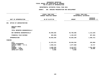|                                        |                                             | DEPARTMENTAL ESTIMATES FISCAL YEAR 2021 |                                          |                                            |  |
|----------------------------------------|---------------------------------------------|-----------------------------------------|------------------------------------------|--------------------------------------------|--|
|                                        | <b>AGENCY:</b>                              |                                         | 806 HOUSING PRESERVATION AND DEVELOPMENT |                                            |  |
|                                        | FISCAL YEAR 2020<br>CURRENT MODIFIED BUDGET |                                         |                                          | FISCAL YEAR 2021<br>DEPARTMENTAL ESTIMATES |  |
| UNIT OF APPROPRIATION                  | AS OF 01/07/20                              |                                         | <b>AMOUNT</b>                            | <b>INCREASE</b><br>DECREASE $(-)$          |  |
| OFFICE OF ADMINISTRATION<br>001        |                                             |                                         |                                          |                                            |  |
| REGULAR GROSS<br>OTHER                 |                                             |                                         |                                          |                                            |  |
| TOTAL REPORTED GEOGRAPHICALLY          |                                             |                                         |                                          |                                            |  |
| NOT REPORTED GEOGRAPHICALLY            |                                             | 46,909,835                              | 45,796,606                               | 1, 113, 229-                               |  |
| FINANCIAL PLAN SAVINGS                 |                                             | 825,905-                                | 1,193,397-                               | $367,492-$                                 |  |
| APPROPRIATION                          |                                             | 46,083,930                              | 44,603,209                               | 1,480,721-                                 |  |
| FUNDING                                |                                             |                                         |                                          |                                            |  |
| <b>CITY</b><br>OTHER CATEGORICAL       |                                             | 31,075,574                              | 30,846,594                               | 228,980-                                   |  |
| CAPITAL FUNDS - I.F.A.<br><b>STATE</b> |                                             | 2,858,151                               | 2,877,868                                | 19,717                                     |  |
| FEDERAL - C.D.                         |                                             | 9,405,535                               | 8,114,077                                | 1,291,458-                                 |  |
| FEDERAL - OTHER<br>INTRA-CITY SALES    |                                             | 2,739,012<br>5,658                      | 2,759,012<br>5,658                       | 20,000                                     |  |
|                                        |                                             |                                         |                                          |                                            |  |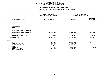|                                                                       | DEPARTMENTAL ESTIMATES FISCAL YEAR 2021     |                                          |                                            |  |
|-----------------------------------------------------------------------|---------------------------------------------|------------------------------------------|--------------------------------------------|--|
|                                                                       | <b>AGENCY:</b>                              | 806 HOUSING PRESERVATION AND DEVELOPMENT |                                            |  |
|                                                                       | FISCAL YEAR 2020<br>CURRENT MODIFIED BUDGET |                                          | FISCAL YEAR 2021<br>DEPARTMENTAL ESTIMATES |  |
| UNIT OF APPROPRIATION                                                 | AS OF 01/07/20                              | <b>AMOUNT</b>                            | <b>INCREASE</b><br>DECREASE $(-)$          |  |
| OFFICE OF DEVELOPMENT<br>002                                          |                                             |                                          |                                            |  |
| REGULAR GROSS<br><b>OTHER</b>                                         |                                             |                                          |                                            |  |
| TOTAL REPORTED GEOGRAPHICALLY                                         |                                             |                                          |                                            |  |
| NOT REPORTED GEOGRAPHICALLY                                           | 36,685,071                                  | 35,040,181                               | 1,644,890-                                 |  |
| FINANCIAL PLAN SAVINGS                                                | 39,031                                      | 65,000                                   | 25,969                                     |  |
| <b>APPROPRIATION</b>                                                  | 36,724,102                                  | 35, 105, 181                             | 1,618,921-                                 |  |
| FUNDING                                                               |                                             |                                          |                                            |  |
| <b>CITY</b><br>OTHER CATEGORICAL                                      | 15,922,429<br>409,606                       | 16,024,192<br>409,606                    | 101,763                                    |  |
| CAPITAL FUNDS - I.F.A.                                                | 10,182,506                                  | 10,235,195                               | 52,689                                     |  |
| <b>STATE</b><br>FEDERAL - C.D.<br>FEDERAL - OTHER<br>INTRA-CITY SALES | 4,827,522<br>5,382,039                      | 3,054,149<br>5,382,039                   | 1,773,373-                                 |  |
|                                                                       |                                             |                                          |                                            |  |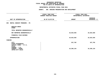|                                                                       | DEPARTMENTAL ESTIMATES FISCAL YEAR 2021                            |               |                                            |  |
|-----------------------------------------------------------------------|--------------------------------------------------------------------|---------------|--------------------------------------------|--|
|                                                                       | AGENCY: 806 HOUSING PRESERVATION AND DEVELOPMENT                   |               |                                            |  |
|                                                                       | -------------------<br>FISCAL YEAR 2020<br>CURRENT MODIFIED BUDGET |               | FISCAL YEAR 2021<br>DEPARTMENTAL ESTIMATES |  |
| UNIT OF APPROPRIATION                                                 | AS OF 01/07/20                                                     | <b>AMOUNT</b> | <b>INCREASE</b><br>DECREASE $(-)$          |  |
| RENTAL SUBSIDY PROGRAMS - PS<br>003                                   |                                                                    |               |                                            |  |
| REGULAR GROSS<br>OTHER                                                |                                                                    |               |                                            |  |
| TOTAL REPORTED GEOGRAPHICALLY                                         |                                                                    |               |                                            |  |
| NOT REPORTED GEOGRAPHICALLY                                           |                                                                    | 16,623,926    | 16,623,926                                 |  |
| FINANCIAL PLAN SAVINGS                                                |                                                                    |               |                                            |  |
| <b>APPROPRIATION</b>                                                  |                                                                    | 16,623,926    | 16,623,926                                 |  |
| <b>FUNDING</b>                                                        |                                                                    |               |                                            |  |
| <b>CITY</b><br>OTHER CATEGORICAL<br>CAPITAL FUNDS - I.F.A.            |                                                                    | 327,792       | 327,792                                    |  |
| <b>STATE</b><br>FEDERAL - C.D.<br>FEDERAL - OTHER<br>INTRA-CITY SALES |                                                                    | 16,296,134    | 16,296,134                                 |  |
|                                                                       |                                                                    |               |                                            |  |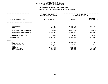## **PS UNITS OF APPROPRIATION DEPARTMENTAL**

# **ESTIMATES FISCAL YEAR <sup>2021</sup> AGENCY: <sup>806</sup> HOUSING PRESERVATION AND DEVELOPMENT**

|                                        |  | FISCAL YEAR 2020<br><b>CURRENT MODIFIED BUDGET</b> | FISCAL YEAR 2021<br>DEPARTMENTAL ESTIMATES |                                 |  |
|----------------------------------------|--|----------------------------------------------------|--------------------------------------------|---------------------------------|--|
| UNIT OF APPROPRIATION                  |  | AS OF 01/07/20                                     | <b>AMOUNT</b>                              | <b>INCREASE</b><br>DECREASE (-) |  |
| OFFICE OF HOUSING PRESERVATION<br>004  |  |                                                    |                                            |                                 |  |
| REGULAR GROSS<br><b>OTHER</b>          |  | 14,349,497<br>1,190,023                            | 14, 136, 926<br>1,190,023                  | $212,571-$                      |  |
| TOTAL REPORTED GEOGRAPHICALLY          |  | 15,539,520                                         | 15,326,949                                 | $212,571-$                      |  |
| NOT REPORTED GEOGRAPHICALLY            |  | 52,224,444                                         | 51,864,745                                 | $359,699 -$                     |  |
| FINANCIAL PLAN SAVINGS                 |  | 409,029                                            | 426,989                                    | 17,960                          |  |
| <b>APPROPRIATION</b>                   |  | 68,172,993                                         | 67,618,683                                 | $554,310-$                      |  |
| <b>FUNDING</b>                         |  |                                                    |                                            |                                 |  |
| <b>CITY</b><br>OTHER CATEGORICAL       |  | 14,523,933                                         | 14,591,681                                 | 67,748                          |  |
| CAPITAL FUNDS - I.F.A.<br><b>STATE</b> |  | 166,011                                            | 166,765                                    | 754                             |  |
| FEDERAL - C.D.                         |  | 51,018,196                                         | 50,945,965                                 | $72,231-$                       |  |
| FEDERAL - OTHER                        |  | 1,730,765                                          | 1,660,500                                  | 70,265-                         |  |
| INTRA-CITY SALES                       |  | 734,088                                            | 253,772                                    | $480, 316 -$                    |  |
|                                        |  |                                                    |                                            |                                 |  |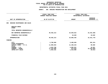|                                        |                                             | DEPARTMENTAL ESTIMATES FISCAL YEAR 2021  |               |                                            |  |
|----------------------------------------|---------------------------------------------|------------------------------------------|---------------|--------------------------------------------|--|
|                                        | <b>AGENCY:</b>                              | 806 HOUSING PRESERVATION AND DEVELOPMENT |               |                                            |  |
|                                        | FISCAL YEAR 2020<br>CURRENT MODIFIED BUDGET |                                          |               | FISCAL YEAR 2021<br>DEPARTMENTAL ESTIMATES |  |
| UNIT OF APPROPRIATION                  |                                             | AS OF 01/07/20                           | <b>AMOUNT</b> | <b>INCREASE</b><br>DECREASE $(-)$          |  |
| HOUSING MAINTENANCE AND SALES<br>006   |                                             |                                          |               |                                            |  |
| REGULAR GROSS<br>OTHER                 |                                             |                                          |               |                                            |  |
| TOTAL REPORTED GEOGRAPHICALLY          |                                             |                                          |               |                                            |  |
| NOT REPORTED GEOGRAPHICALLY            |                                             | 40,492,213                               | 24,049,815    | 16,442,398-                                |  |
| FINANCIAL PLAN SAVINGS                 |                                             |                                          | 10,620        | 10,620                                     |  |
| <b>APPROPRIATION</b>                   |                                             | 40,492,213                               | 24,060,435    | 16,431,778-                                |  |
| FUNDING                                |                                             |                                          |               |                                            |  |
| <b>CITY</b><br>OTHER CATEGORICAL       |                                             | 5,700,860                                | 5,408,669     | 292,191-                                   |  |
| CAPITAL FUNDS - I.F.A.<br><b>STATE</b> |                                             | 11,089,563                               | 11,180,223    | 90,660                                     |  |
| FEDERAL - C.D.                         |                                             | 4,922,700                                | 4,955,521     | 32,821                                     |  |
| FEDERAL - OTHER                        |                                             | 17,215,989                               | 972,933       | 16,243,056-                                |  |
| INTRA-CITY SALES                       |                                             | 1,563,101                                | 1,543,089     | $20,012-$                                  |  |
|                                        |                                             |                                          |               |                                            |  |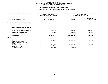| DEPARTMENTAL ESTIMATES FISCAL YEAR 2021                                    |                                             |                                            |                                 |  |  |
|----------------------------------------------------------------------------|---------------------------------------------|--------------------------------------------|---------------------------------|--|--|
| AGENCY: 806 HOUSING PRESERVATION AND DEVELOPMENT                           |                                             |                                            |                                 |  |  |
|                                                                            | FISCAL YEAR 2020<br>CURRENT MODIFIED BUDGET | FISCAL YEAR 2021<br>DEPARTMENTAL ESTIMATES |                                 |  |  |
| UNIT OF APPROPRIATION                                                      | AS OF 01/07/20                              | <b>AMOUNT</b>                              | <b>INCREASE</b><br>DECREASE (-) |  |  |
| 008 OFFICE OF ADMINISTRATION OTPS                                          |                                             |                                            |                                 |  |  |
| TOTAL REPORTED GEOGRAPHICALLY                                              |                                             |                                            |                                 |  |  |
| NOT REPORTED GEOGRAPHICALLY                                                | 10,958,200                                  | 10,595,912                                 | 362,288-                        |  |  |
| FINANCIAL PLAN SAVINGS                                                     | 92,493-                                     | 73,155–                                    | 19,338                          |  |  |
| <b>APPROPRIATION</b>                                                       | 10,865,707                                  | 10,522,757                                 | $342,950 -$                     |  |  |
| FUNDING                                                                    |                                             |                                            |                                 |  |  |
| <b>CITY</b><br>OTHER CATEGORICAL<br>CAPITAL FUNDS - I.F.A.<br><b>STATE</b> | 9,397,528                                   | 8,896,025                                  | $501,503-$                      |  |  |
| FEDERAL - C.D.<br>FEDERAL - OTHER                                          | 1,232,745                                   | 1,391,298                                  | 158,553                         |  |  |
| INTRA-CITY SALES                                                           | 235,434                                     | 235,434                                    |                                 |  |  |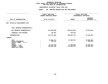| DEPARTMENTAL ESTIMATES FISCAL YEAR 2021                                                      |                                             |                                            |                                        |  |  |
|----------------------------------------------------------------------------------------------|---------------------------------------------|--------------------------------------------|----------------------------------------|--|--|
| <b>AGENCY:</b><br>806 HOUSING PRESERVATION AND DEVELOPMENT                                   |                                             |                                            |                                        |  |  |
|                                                                                              | FISCAL YEAR 2020<br>CURRENT MODIFIED BUDGET | FISCAL YEAR 2021<br>DEPARTMENTAL ESTIMATES |                                        |  |  |
| UNIT OF APPROPRIATION                                                                        | AS OF 01/07/20                              | <b>AMOUNT</b>                              | <b>INCREASE</b><br>DECREASE (-)        |  |  |
| OFFICE OF DEVELOPMENT OTPS<br>009                                                            |                                             |                                            |                                        |  |  |
| TOTAL REPORTED GEOGRAPHICALLY                                                                |                                             |                                            |                                        |  |  |
| NOT REPORTED GEOGRAPHICALLY                                                                  | 576,569,396                                 | 496,819,005                                | 79,750,391-                            |  |  |
| FINANCIAL PLAN SAVINGS                                                                       | 138,407                                     | 138,407                                    |                                        |  |  |
| <b>APPROPRIATION</b>                                                                         | 576,707,803                                 | 496,957,412                                | 79,750,391-                            |  |  |
| FUNDING                                                                                      |                                             |                                            |                                        |  |  |
| <b>CITY</b><br>OTHER CATEGORICAL<br>CAPITAL FUNDS - I.F.A.<br><b>STATE</b><br>FEDERAL - C.D. | 25,963,171<br>876,613<br>55,487,729         | 15,462,675<br>5,598,800                    | 10,500,496-<br>876,613-<br>49,888,929- |  |  |
| FEDERAL - OTHER<br>INTRA-CITY SALES                                                          | 494,380,290                                 | 475,895,937                                | 18,484,353-                            |  |  |
|                                                                                              |                                             |                                            |                                        |  |  |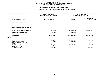| DEPARTMENTAL ESTIMATES FISCAL YEAR 2021                                    |                                             |                     |                                            |  |  |
|----------------------------------------------------------------------------|---------------------------------------------|---------------------|--------------------------------------------|--|--|
| <b>AGENCY:</b><br>806 HOUSING PRESERVATION AND DEVELOPMENT                 |                                             |                     |                                            |  |  |
|                                                                            | FISCAL YEAR 2020<br>CURRENT MODIFIED BUDGET |                     | FISCAL YEAR 2021<br>DEPARTMENTAL ESTIMATES |  |  |
| UNIT OF APPROPRIATION                                                      | AS OF 01/07/20                              | <b>AMOUNT</b>       | <b>INCREASE</b><br>DECREASE (-)            |  |  |
| HOUSING MANAGEMENT AND SALES<br>010                                        |                                             |                     |                                            |  |  |
| TOTAL REPORTED GEOGRAPHICALLY                                              |                                             |                     |                                            |  |  |
| NOT REPORTED GEOGRAPHICALLY                                                | 16,724,174                                  | 14,036,886          | 2,687,288-                                 |  |  |
| FINANCIAL PLAN SAVINGS                                                     | 74,000                                      | 74,000              |                                            |  |  |
| <b>APPROPRIATION</b>                                                       | 16,798,174                                  | 14,110,886          | 2,687,288-                                 |  |  |
| FUNDING                                                                    |                                             |                     |                                            |  |  |
| <b>CITY</b><br>OTHER CATEGORICAL<br>CAPITAL FUNDS - I.F.A.<br><b>STATE</b> | 3,125,575<br>70,474                         | 2,694,486<br>70,474 | 431,089-                                   |  |  |
| FEDERAL - C.D.<br>FEDERAL - OTHER                                          | 12,204,642                                  | 11,345,926          | 858,716-                                   |  |  |
| INTRA-CITY SALES                                                           | 1,397,483                                   |                     | 1,397,483-                                 |  |  |
|                                                                            |                                             |                     |                                            |  |  |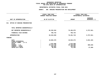|                                                                                                                 | DEPARTMENTAL ESTIMATES FISCAL YEAR 2021                    |                                                  |                                 |
|-----------------------------------------------------------------------------------------------------------------|------------------------------------------------------------|--------------------------------------------------|---------------------------------|
|                                                                                                                 | <b>AGENCY:</b><br>806 HOUSING PRESERVATION AND DEVELOPMENT |                                                  |                                 |
|                                                                                                                 | FISCAL YEAR 2020<br>CURRENT MODIFIED BUDGET                | FISCAL YEAR 2021<br>DEPARTMENTAL ESTIMATES       |                                 |
| UNIT OF APPROPRIATION                                                                                           | AS OF 01/07/20                                             | <b>AMOUNT</b>                                    | <b>INCREASE</b><br>DECREASE (-) |
| OFFICE OF HOUSING PRESERVATION<br>011                                                                           |                                                            |                                                  |                                 |
| TOTAL REPORTED GEOGRAPHICALLY                                                                                   |                                                            |                                                  |                                 |
| NOT REPORTED GEOGRAPHICALLY                                                                                     | 82,252,916                                                 | 75,494,975                                       | $6,757,941-$                    |
| FINANCIAL PLAN SAVINGS                                                                                          | 766,743                                                    | 766,743                                          |                                 |
| <b>APPROPRIATION</b>                                                                                            | 83,019,659                                                 | 76,261,718                                       | $6,757,941-$                    |
| FUNDING                                                                                                         |                                                            |                                                  |                                 |
| <b>CITY</b><br>OTHER CATEGORICAL<br>CAPITAL FUNDS - I.F.A.<br><b>STATE</b><br>FEDERAL - C.D.<br>FEDERAL - OTHER | 16,884,376<br>1,075,000<br>64,475,738<br>495,862           | 10,843,274<br>1,075,000<br>63,786,099<br>495,862 | $6,041,102-$<br>689,639-        |
| INTRA-CITY SALES                                                                                                | 88,683                                                     | 61,483                                           | $27,200-$                       |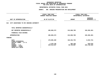|                                                                       | DEPARTMENTAL ESTIMATES FISCAL YEAR 2021          |                       |                                            |
|-----------------------------------------------------------------------|--------------------------------------------------|-----------------------|--------------------------------------------|
|                                                                       | AGENCY: 806 HOUSING PRESERVATION AND DEVELOPMENT |                       |                                            |
|                                                                       | FISCAL YEAR 2020<br>CURRENT MODIFIED BUDGET      |                       | FISCAL YEAR 2021<br>DEPARTMENTAL ESTIMATES |
| UNIT OF APPROPRIATION                                                 | AS OF 01/07/20                                   | <b>AMOUNT</b>         | <b>INCREASE</b><br>DECREASE (-)            |
| 012 CITY ASSISTANCE TO NYC HOUSING AUTHORITY                          |                                                  |                       |                                            |
| TOTAL REPORTED GEOGRAPHICALLY                                         |                                                  |                       |                                            |
| NOT REPORTED GEOGRAPHICALLY                                           | 405,869,272                                      | 213,608,780           | 192,260,492-                               |
| FINANCIAL PLAN SAVINGS                                                |                                                  |                       |                                            |
| <b>APPROPRIATION</b>                                                  | 405,869,272                                      | 213,608,780           | 192,260,492-                               |
| FUNDING                                                               |                                                  |                       |                                            |
| <b>CITY</b><br>OTHER CATEGORICAL<br>CAPITAL FUNDS - I.F.A.            | 170,085,489                                      | 163,452,755           | $6,632,734-$                               |
| <b>STATE</b><br>FEDERAL - C.D.<br>FEDERAL - OTHER<br>INTRA-CITY SALES | 1,270,736<br>234,513,047                         | 392,158<br>49,763,867 | 878,578-<br>184,749,180-                   |
|                                                                       |                                                  |                       |                                            |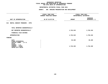| DEPARTMENTAL ESTIMATES FISCAL YEAR 2021                                    |                                                    |               |                                            |  |  |  |
|----------------------------------------------------------------------------|----------------------------------------------------|---------------|--------------------------------------------|--|--|--|
| AGENCY: 806 HOUSING PRESERVATION AND DEVELOPMENT                           |                                                    |               |                                            |  |  |  |
|                                                                            | <b>FISCAL YEAR 2020</b><br>CURRENT MODIFIED BUDGET |               | FISCAL YEAR 2021<br>DEPARTMENTAL ESTIMATES |  |  |  |
| UNIT OF APPROPRIATION                                                      | AS OF 01/07/20                                     | <b>AMOUNT</b> | <b>INCREASE</b><br>DECREASE (-)            |  |  |  |
| 013 RENTAL SUBSIDY PROGRAMS - OTPS                                         |                                                    |               |                                            |  |  |  |
| TOTAL REPORTED GEOGRAPHICALLY                                              |                                                    |               |                                            |  |  |  |
| NOT REPORTED GEOGRAPHICALLY                                                |                                                    | 1,745,310     | 1,745,310                                  |  |  |  |
| FINANCIAL PLAN SAVINGS                                                     |                                                    |               |                                            |  |  |  |
| <b>APPROPRIATION</b>                                                       |                                                    | 1,745,310     | 1,745,310                                  |  |  |  |
| <b>FUNDING</b>                                                             |                                                    |               |                                            |  |  |  |
| <b>CITY</b><br>OTHER CATEGORICAL<br>CAPITAL FUNDS - I.F.A.<br><b>STATE</b> |                                                    | 35,160        | 35,160                                     |  |  |  |
| FEDERAL - C.D.<br>FEDERAL - OTHER<br>INTRA-CITY SALES                      |                                                    | 1,710,150     | 1,710,150                                  |  |  |  |
|                                                                            |                                                    |               |                                            |  |  |  |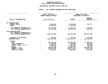### **GEOGRAPHICC REPORTING<br>ENCYWIDE SU<br>----------FISCAL**

# **REPORT AGENCYWIDE SUMMARY DEPARTMENTAL ESTIMATES FISCAL YEAR <sup>2021</sup>**

# **AGENCY: <sup>806</sup> HOUSING PRESERVATION AND DEVELOPMENT**

|                                                              | FISCAL YEAR 2020<br><b>CURRENT MODIFIED BUDGET</b> | FISCAL YEAR 2021<br>DEPARTMENTAL ESTIMATES |                                   |
|--------------------------------------------------------------|----------------------------------------------------|--------------------------------------------|-----------------------------------|
| UNIT OF APPROPRIATION                                        | AS OF 01/07/20                                     | <b>AMOUNT</b>                              | <b>INCREASE</b><br>DECREASE $(-)$ |
| PS APPROPRIATIONS                                            |                                                    |                                            |                                   |
| REGULAR GROSS<br><b>OTHER</b>                                | 14,349,497<br>1,190,023                            | 14, 136, 926<br>1,190,023                  | $212,571-$                        |
| TOTAL REPORTED GEOGRAPHICALLY<br>NOT REPORTED GEOGRAPHICALLY | 15,539,520<br>176, 311, 563                        | 15,326,949<br>173,375,273                  | $212,571-$<br>$2,936,290 -$       |
| OTPS APPROPRIATIONS<br>TOTAL REPORTED GEOGRAPHICALLY         |                                                    |                                            |                                   |
| NOT REPORTED GEOGRAPHICALLY                                  | 1,092,373,958                                      | 812,300,868                                | 280,073,090-                      |
| FINANCIAL PLAN SAVINGS                                       | 508,812                                            | 215,207                                    | $293,605 -$                       |
| <b>APPROPRIATIONS</b>                                        | 1,284,733,853                                      | 1,001,218,297                              | 283,515,556-                      |
| <b>FUNDING</b>                                               |                                                    |                                            |                                   |
| CITY                                                         | 292,678,935                                        | 268,583,303                                | 24,095,632-                       |
| OTHER CATEGORICAL                                            | 1,356,693                                          | 480,080                                    | 876,613-                          |
| CAPITAL FUNDS - I.F.A.                                       | 24,296,231                                         | 24,460,051                                 | 163,820                           |
| <b>STATE</b>                                                 | 2,345,736                                          | 1,467,158                                  | 878,578-                          |
| FEDERAL - C.D.                                               | 438,087,854                                        | 198,955,702                                | 239, 132, 152-                    |
| FEDERAL - OTHER                                              | 521,943,957                                        | 505,172,567                                | 16,771,390-                       |
| INTRA-CITY SALES                                             | 4,024,447                                          | 2,099,436                                  | 1,925,011-                        |
|                                                              |                                                    |                                            |                                   |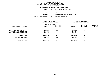**ESTIMATES FISCAL YEAR <sup>2021</sup> AGENCY <sup>810</sup> DEPARTMENT OF BUILDINGS**

**BOROUGH**

BRONX<br>PLAN EXAMINATION & INSPECTIONS

**PROGRAMPLAN EXAMINATION & INSPECTIONS UNIT OF APPROPRIATION <sup>001</sup> PERSONAL SERVICES**

|                                                                                   | FISCAL YEAR 2020<br>CURRENT MODIFIED BUDGET<br>AS OF 01/07/20 |                        | FISCAL YEAR 2021<br>DEPARTMENTAL ESTIMATES |                        |                         |
|-----------------------------------------------------------------------------------|---------------------------------------------------------------|------------------------|--------------------------------------------|------------------------|-------------------------|
| LOCAL SERVICE DISTRICT                                                            | <b>AMOUNT</b>                                                 | FULL TIME<br>POSITIONS | <b>AMOUNT</b>                              | FULL TIME<br>POSITIONS | INCREASE<br>DECREASE(-) |
| BRONX PLAN EXAMINATION<br>BX CONSTRUCTION INSPECTION<br>BRONX PLUMBING INSPECTION | 589,405<br>442,082<br>247,814                                 | 19                     | 589,405<br>442,082<br>247,814              | 21                     |                         |
| PROGRAM TOTAL:                                                                    | 1,279,301                                                     | 19                     | 1,279,301                                  | 21                     |                         |
| SUB BOROUGH TOTAL:                                                                | 1,279,301                                                     | 19                     | 1,279,301                                  | 21                     |                         |
| <b>BOROUGH TOTAL:</b>                                                             | 1,279,301                                                     | 19                     | 1,279,301                                  | 21                     |                         |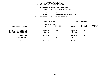**ESTIMATES FISCAL YEAR <sup>2021</sup> AGENCY <sup>810</sup> DEPARTMENT OF BUILDINGS**

**BOROUGH**

BROOKLYN<br>PLAN EXAMINATION & INSPECTIONS **PROGRAM**

**PLAN EXAMINATION & INSPECTIONS UNIT OF APPROPRIATION <sup>001</sup> PERSONAL SERVICES**

|                                                                                      | FISCAL YEAR 2020<br>CURRENT MODIFIED BUDGET<br>AS OF 01/07/20 |                        | FISCAL YEAR 2021<br>DEPARTMENTAL ESTIMATES |                        |                           |
|--------------------------------------------------------------------------------------|---------------------------------------------------------------|------------------------|--------------------------------------------|------------------------|---------------------------|
| LOCAL SERVICE DISTRICT                                                               | <b>AMOUNT</b>                                                 | FULL TIME<br>POSITIONS | <b>AMOUNT</b>                              | FULL TIME<br>POSITIONS | INCREASE<br>$DECREASE(-)$ |
| BROOKLYN PLAN EXAMINATION<br>BK CONSTRUCTION INSPECTION<br>BROOK PLUMBING INSPECTION | 1,903,782<br>1,257,451<br>303,270                             | 46                     | 1,903,782<br>1,257,451<br>303,270          | 52                     |                           |
| PROGRAM TOTAL:                                                                       | 3,464,503                                                     | 46                     | 3,464,503                                  | 52                     |                           |
| SUB BOROUGH TOTAL:                                                                   | 3,464,503                                                     | 46                     | 3,464,503                                  | 52                     |                           |
| <b>BOROUGH TOTAL:</b>                                                                | 3,464,503                                                     | 46                     | 3,464,503                                  | 52                     |                           |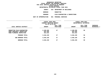**ESTIMATES FISCAL YEAR <sup>2021</sup> AGENCY <sup>810</sup> DEPARTMENT OF BUILDINGS**

**BOROUGH**

**MANHATTAN<br>PLAN EXAMINATION & INSPECTIONS PROGRAM**

**PLAN EXAMINATION & INSPECTIONS UNIT OF APPROPRIATION <sup>001</sup> PERSONAL SERVICES**

|                                                                                     | FISCAL YEAR 2020<br>CURRENT MODIFIED BUDGET<br>AS OF 01/07/20 |                        | FISCAL YEAR 2021<br>DEPARTMENTAL ESTIMATES |                               |                           |
|-------------------------------------------------------------------------------------|---------------------------------------------------------------|------------------------|--------------------------------------------|-------------------------------|---------------------------|
| LOCAL SERVICE DISTRICT                                                              | <b>AMOUNT</b>                                                 | FULL TIME<br>POSITIONS | <b>AMOUNT</b>                              | FULL TIME<br><b>POSITIONS</b> | INCREASE<br>$DECREASE(-)$ |
| MANHATTAN PLAN EXAMINATION<br>MANH CONSTRUCT INSPECTION<br>MANH PLUMBING INSPECTION | 2,189,038<br>925,586<br>431,615                               | 47                     | 2,189,038<br>925,586<br>431,615            | 50                            |                           |
| PROGRAM TOTAL:                                                                      | 3,546,239                                                     | 47                     | 3,546,239                                  | 50                            |                           |
| SUB BOROUGH TOTAL:                                                                  | 3,546,239                                                     | 47                     | 3,546,239                                  | 50                            |                           |
| <b>BOROUGH TOTAL:</b>                                                               | 3,546,239                                                     | 47                     | 3,546,239                                  | 50                            |                           |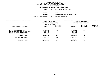**ESTIMATES FISCAL YEAR <sup>2021</sup> AGENCY <sup>810</sup> DEPARTMENT OF BUILDINGS**

**BOROUGH**

QUEENS<br>PLAN EXAMINATION & INSPECTIONS **PROGRAM**

**PLAN EXAMINATION & INSPECTIONS UNIT OF APPROPRIATION <sup>001</sup> PERSONAL SERVICES**

|                                                                                                | FISCAL YEAR 2020<br>CURRENT MODIFIED BUDGET<br>AS OF 01/07/20 |                               | FISCAL YEAR 2021<br>DEPARTMENTAL ESTIMATES |                        |                                |
|------------------------------------------------------------------------------------------------|---------------------------------------------------------------|-------------------------------|--------------------------------------------|------------------------|--------------------------------|
| LOCAL SERVICE DISTRICT                                                                         | <b>AMOUNT</b>                                                 | FULL TIME<br><b>POSITIONS</b> | <b>AMOUNT</b>                              | FULL TIME<br>POSITIONS | <b>INCREASE</b><br>DECREASE(-) |
| OUEENS PLAN EXAMINATION<br>QUEENS CONSTRUCTION INSPECTION<br><b>OUEENS PLUMBING INSPECTION</b> | 1,794,392<br>1,464,875<br>282,370                             | 39                            | 1,794,392<br>1,464,875<br>282,370          | 41                     |                                |
| PROGRAM TOTAL:                                                                                 | 3,541,637                                                     | 39                            | 3,541,637                                  | 41                     |                                |
| SUB BOROUGH TOTAL:                                                                             | 3,541,637                                                     | 39                            | 3,541,637                                  | 41                     |                                |
| <b>BOROUGH TOTAL:</b>                                                                          | 3,541,637                                                     | 39                            | 3,541,637                                  | 41                     |                                |
|                                                                                                |                                                               |                               |                                            |                        |                                |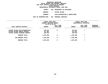|                     |     | DEPARTMENTAL ESTIMATES FISCAL YEAR 2021 |
|---------------------|-----|-----------------------------------------|
| <b>AGENCY</b>       | 810 | DEPARTMENT OF BUILDINGS                 |
| <b>BOROUGH</b>      |     | STATEN ISLAND                           |
| PROGRAM             |     | PLAN EXAMINATION & INSPECTIONS          |
| <b>PPROPRIATION</b> |     | 001 PERSONAL SERVICES                   |

**UNIT OF APPROPRIATION <sup>001</sup> PERSONAL SERVICES**

| FISCAL YEAR 2020<br>CURRENT MODIFIED BUDGET<br>AS OF 01/07/20                                    |                               |                        | FISCAL YEAR 2021<br>DEPARTMENTAL ESTIMATES |                               |                         |
|--------------------------------------------------------------------------------------------------|-------------------------------|------------------------|--------------------------------------------|-------------------------------|-------------------------|
| LOCAL SERVICE DISTRICT                                                                           | <b>AMOUNT</b>                 | FULL TIME<br>POSITIONS | <b>AMOUNT</b>                              | FULL TIME<br><b>POSITIONS</b> | INCREASE<br>DECREASE(-) |
| STATEN ISLAND PLAN EXAMINATION<br>STATEN ISLAND CONSTR INSPECT<br>STATEN ISLAND PLUMBING INSPECT | 378,815<br>417,307<br>249,358 | 8                      | 378,815<br>417,307<br>249,358              | 7                             |                         |
| PROGRAM TOTAL:                                                                                   | 1,045,480                     | 8                      | 1,045,480                                  | 7                             |                         |
| SUB BOROUGH TOTAL:                                                                               | 1,045,480                     | 8                      | 1,045,480                                  | 7                             |                         |
| BOROUGH TOTAL:                                                                                   | 1,045,480                     | 8                      | 1,045,480                                  | 7                             |                         |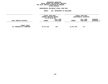### **GEOGRAPHICC REPORTING<br>PERSONAL S<br>ICTS BY PRO FISCAL REPORT FOR PERSONAL SERVICES FOR LOCAL SERVICE DISTRICTS BY PROGRAM WITHIN**

# WITHIN BOROUGH<br>D<mark>EPARTMENTAL ESTIMATES FISC</mark>

# **ESTIMATES FISCAL YEAR <sup>2021</sup> AGENCY <sup>810</sup> DEPARTMENT OF BUILDINGS**

|                                            | FISCAL YEAR 2020<br>CURRENT MODIFIED BUDGET<br>AS OF 01/07/20 |                        | FISCAL YEAR 2021<br>DEPARTMENTAL ESTIMATES |                        |                                  |
|--------------------------------------------|---------------------------------------------------------------|------------------------|--------------------------------------------|------------------------|----------------------------------|
| LOCAL SERVICE DISTRICT                     | AMOUNT<br>-------------------                                 | FULL TIME<br>POSITIONS | <b>AMOUNT</b>                              | FULL TIME<br>POSITIONS | <b>INCREASE</b><br>$DECREASE(-)$ |
| AGENCY TOTAL:<br>ALL PROGRAMS ALL BOROUGHS | 12,877,160                                                    | 159                    | 12,877,160                                 | 171                    |                                  |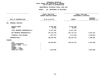# **PS UNITS OF APPROPRIATION DEPARTMENTAL**

# **ESTIMATES FISCAL YEAR <sup>2021</sup> AGENCY: <sup>810</sup> DEPARTMENT OF BUILDINGS**

|                                                                                                                                     | FISCAL YEAR 2020<br>CURRENT MODIFIED BUDGET | FISCAL YEAR 2021<br>DEPARTMENTAL ESTIMATES |                                   |
|-------------------------------------------------------------------------------------------------------------------------------------|---------------------------------------------|--------------------------------------------|-----------------------------------|
| UNIT OF APPROPRIATION                                                                                                               | AS OF 01/07/20                              | <b>AMOUNT</b>                              | <b>INCREASE</b><br>DECREASE $(-)$ |
| PERSONAL SERVICES<br>001                                                                                                            |                                             |                                            |                                   |
| REGULAR GROSS<br><b>OTHER</b>                                                                                                       | 12,862,250<br>14,910                        | 12,862,250<br>14,910                       |                                   |
| TOTAL REPORTED GEOGRAPHICALLY                                                                                                       | 12,877,160                                  | 12,877,160                                 |                                   |
| NOT REPORTED GEOGRAPHICALLY                                                                                                         | 145,124,700                                 | 151,737,213                                | 6,612,513                         |
| FINANCIAL PLAN SAVINGS                                                                                                              | 1,967,767-                                  | 4,171,620-                                 | $2,203,853-$                      |
| <b>APPROPRIATION</b>                                                                                                                | 156,034,093                                 | 160, 442, 753                              | 4,408,660                         |
| <b>FUNDING</b>                                                                                                                      |                                             |                                            |                                   |
| <b>CITY</b><br>OTHER CATEGORICAL<br>CAPITAL FUNDS - I.F.A.<br><b>STATE</b><br>FEDERAL - C.D.<br>FEDERAL - OTHER<br>INTRA-CITY SALES | 155,030,093<br>1,004,000                    | 160,442,753                                | 5,412,660<br>$1,004,000 -$        |
|                                                                                                                                     |                                             |                                            |                                   |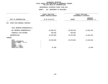### **GEOGRAPHIC**C REPORTING<br>WIDE BY GEO<br>OF APPROPR **FISCAL REPORT FOR AGENCYWIDE BY GEOGRAPHIC PROGRAM** FOR OTPS UNITS OF APPROPRIATION

# **OTPS UNITS OF APPROPRIATION DEPARTMENTAL**

# **ESTIMATES FISCAL YEAR <sup>2021</sup> AGENCY: <sup>810</sup> DEPARTMENT OF BUILDINGS**

|                                                                                                                                     | FISCAL YEAR 2020<br>CURRENT MODIFIED BUDGET | FISCAL YEAR 2021<br>DEPARTMENTAL ESTIMATES |                                 |
|-------------------------------------------------------------------------------------------------------------------------------------|---------------------------------------------|--------------------------------------------|---------------------------------|
| UNIT OF APPROPRIATION                                                                                                               | AS OF 01/07/20                              | <b>AMOUNT</b>                              | <b>INCREASE</b><br>DECREASE (-) |
| OTHER THAN PERSONAL SERVICES<br>002                                                                                                 |                                             |                                            |                                 |
| TOTAL REPORTED GEOGRAPHICALLY                                                                                                       |                                             |                                            |                                 |
| NOT REPORTED GEOGRAPHICALLY                                                                                                         | 53,058,511                                  | 38,506,030                                 | 14,552,481-                     |
| FINANCIAL PLAN SAVINGS                                                                                                              | 569,869                                     | 569,869                                    |                                 |
| <b>APPROPRIATION</b>                                                                                                                | 53,628,380                                  | 39,075,899                                 | 14,552,481-                     |
| FUNDING                                                                                                                             |                                             |                                            |                                 |
| <b>CITY</b><br>OTHER CATEGORICAL<br>CAPITAL FUNDS - I.F.A.<br><b>STATE</b><br>FEDERAL - C.D.<br>FEDERAL - OTHER<br>INTRA-CITY SALES | 53,596,880<br>31,500                        | 39,075,899                                 | 14,520,981-<br>$31,500-$        |
|                                                                                                                                     |                                             |                                            |                                 |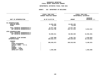### **GEOGRAPHICC REPORTING<br>ENCYWIDE SU<br>----------FISCAL**

# **REPORT AGENCYWIDE SUMMARY DEPARTMENTAL ESTIMATES FISCAL YEAR <sup>2021</sup>**

# **AGENCY: <sup>810</sup> DEPARTMENT OF BUILDINGS**

|                                                                                                                                   | FISCAL YEAR 2020<br><b>CURRENT MODIFIED BUDGET</b> | FISCAL YEAR 2021<br>DEPARTMENTAL ESTIMATES |                                 |  |  |
|-----------------------------------------------------------------------------------------------------------------------------------|----------------------------------------------------|--------------------------------------------|---------------------------------|--|--|
| UNIT OF APPROPRIATION                                                                                                             | AS OF 01/07/20                                     | <b>AMOUNT</b>                              | <b>INCREASE</b><br>DECREASE (-) |  |  |
| PS APPROPRIATIONS<br>REGULAR GROSS<br><b>OTHER</b>                                                                                | 12,862,250<br>14,910                               | 12,862,250<br>14,910                       |                                 |  |  |
| TOTAL REPORTED GEOGRAPHICALLY<br>NOT REPORTED GEOGRAPHICALLY                                                                      | 12,877,160<br>145,124,700                          | 12,877,160<br>151,737,213                  | 6,612,513                       |  |  |
| OTPS APPROPRIATIONS<br>TOTAL REPORTED GEOGRAPHICALLY<br>NOT REPORTED GEOGRAPHICALLY                                               | 53,058,511                                         | 38,506,030                                 | 14,552,481-                     |  |  |
| FINANCIAL PLAN SAVINGS<br><b>APPROPRIATIONS</b>                                                                                   | 1,397,898-<br>209,662,473                          | $3,601,751 -$<br>199,518,652               | 2,203,853-<br>10, 143, 821-     |  |  |
| <b>FUNDING</b><br><b>CITY</b><br>OTHER CATEGORICAL<br>CAPITAL FUNDS - I.F.A.<br><b>STATE</b><br>FEDERAL - C.D.<br>FEDERAL - OTHER | 208,626,973                                        | 199,518,652                                | $9,108,321 -$                   |  |  |
| INTRA-CITY SALES                                                                                                                  | 1,035,500                                          |                                            | 1,035,500-                      |  |  |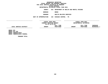**ESTIMATES FISCAL YEAR <sup>2021</sup> AGENCY <sup>816</sup> DEPARTMENT OF HEALTH AND MENTAL HYGIENE**

**BOROUGH**

BRONX<br>HEALTH RELATED SERVICES **PROGRAM**

**HEALTH RELATED SERVICES UNIT OF APPROPRIATION <sup>102</sup> DISEASE CONTROL - PS**

**------------------------------------ ------------------------------ ------------------------------------------------- FISCAL YEAR <sup>2020</sup> FISCAL YEAR <sup>2021</sup> CURRENT MODIFIED BUDGET DEPARTMENTAL ESTIMATES AS OF 01/07/20 FULL TIME FULL TIME INCREASE** LOCAL SERVICE DISTRICT **SERVICE DISTRICT AMOUNT POSITIONS AMOUNT POSITIONS DECREASE(-) ------------------------------------------------------------------ ------------------------------------------------- BRONX**

 **STD BRONX STD FED BRONX**X TUBERCULOSIS<br>X TUBERCULOSIS<br>-----**BRONX TUBERCULOSIS FEDERAL**

**PROGRAM TOTAL:**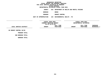**ESTIMATES FISCAL YEAR <sup>2021</sup> AGENCY <sup>816</sup> DEPARTMENT OF HEALTH AND MENTAL HYGIENE**

**BOROUGH**

BRONX<br>RODENT CONTROL **PROGRAM**

**RODENT CONTROL UNIT OF APPROPRIATION <sup>104</sup> ENVIRONMENTAL HEALTH - PS**

**------------------------------------ ------------------------------ ------------------------------------------------- FISCALCURRENTFISCAL YEAR 2020**<br> **RENT MODIFIED BUDGET**<br>
AS OF 01/07/20<br> **FULL TIME**<br> **FULL TIME**<br> **FULL TIME MODIFIED BUDGET DEPARTMENTAL ESTIMATES AS OF 01/07/20 FULL TIME FULL TIME INCREASE LOCAL SERVICE DISTRICT AMOUNT POSITIONS AMOUNT POSITIONS DECREASE(-) ------------------------------------------------------------------ ------------------------------------------------- BX**

**RODENT CONTROL 50/50**

**PROGRAM**

PROGRAM TOTAL:<br>:<br>SUB BOROUGH TOTAL **BOROUGH TOTAL: BOROUGH TOTAL:**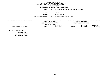**DEPARTMENTAL**

**ESTIMATES FISCAL YEAR <sup>2021</sup> AGENCY <sup>816</sup> DEPARTMENT OF HEALTH AND MENTAL HYGIENE**

**BOROUGH**

 **BROOKLYN PROGRAM**

**RODENT CONTROL UNIT OF APPROPRIATION <sup>104</sup> ENVIRONMENTAL HEALTH - PS**

**------------------------------------ ------------------------------ ------------------------------------------------- FISCAL YEAR <sup>2020</sup> FISCAL YEAR <sup>2021</sup> CURRENT MODIFIED BUDGET DEPARTMENTAL ESTIMATES AS OF 01/07/20 FULL TIME FULL TIME INCREASE LOCAL SERVICE DISTRICT AMOUNT POSITIONS AMOUNT POSITIONS DECREASE(-) ------------------------------------------------------------------ ------------------------------------------------- BK**

**RODENT CONTROL 50/50**

**PROGRAM**

**TOTAL: SUB BOROUGH TOTAL:**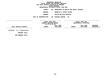### **GEOGRAPHICC REPORTING<br>PERSONAL S<br>ICTS BY PRO FISCAL REPORT FOR PERSONAL SERVICES FOR LOCAL SERVICE DISTRICTS BY PROGRAM WITHINN BOROUGH<br>ATES FISC<br>-------DEPARTMENTAL ESTIMATES FISCAL YEAR <sup>2021</sup> AGENCY <sup>816</sup> DEPARTMENT OF HEALTH AND MENTAL HYGIENE BOROUGH BROOKLYN & STATEN ISLAND PROGRAM HEALTH RELATED SERVICES UNIT OF APPROPRIATION <sup>102</sup> DISEASE CONTROL - PS ------------------------------------ ------------------------------ ------------------------------------------------- FISCALFISCAL YEAR 2020**<br> **RENT MODIFIED BUDGET**<br>
AS OF 01/07/20<br> **FULL TIME**<br> **FULL TIME**<br> **FULL TIME CURRENT MODIFIED BUDGET DEPARTMENTAL ESTIMATES AS OF 01/07/20 FULL TIME FULL TIME INCREASE LOCAL SERVICE DISTRICT AMOUNT POSITIONS AMOUNT POSITIONS DECREASE(-) ------------------------------------ ------------------------------ ------------------------------------------------- Brooklyn - S.I. Tuberculosis PROGRAM**

**TOTAL: SUB BOROUGH TOTAL:**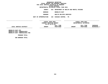**DEPARTMENTAL**

**ESTIMATES FISCAL YEAR <sup>2021</sup> AGENCY <sup>816</sup> DEPARTMENT OF HEALTH AND MENTAL HYGIENE**

**BOROUGH**

 **BROOKLYN EAST PROGRAM**

**HEALTH RELATED SERVICES UNIT OF APPROPRIATION <sup>102</sup> DISEASE CONTROL - PS**

**------------------------------------ ------------------------------ ------------------------------------------------- FISCAL YEAR <sup>2020</sup> FISCAL YEAR <sup>2021</sup> CURRENT MODIFIED BUDGET DEPARTMENTAL ESTIMATES AS OF 01/07/20 FULL TIME FULL TIME INCREASE LOCAL SERVICE DISTRICT AMOUNT POSITIONS AMOUNT POSITIONS DECREASE(-) ------------------------------------------------------------------ ------------------------------------------------- BROOKLYN**

 **EAST STD** BROOKLYN EAST TUBERCULOSIS **EAST TUBERCULOSIS BROOKLYN EAST TUBERCULOSIS FED**

**PROGRAM**

**TOTAL: SUB BOROUGH TOTAL:**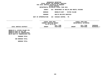**DEPARTMENTALESTIMATES FISCAL YEAR <sup>2021</sup>**

**AGENCY<sup>816</sup> DEPARTMENT OF HEALTH AND MENTAL HYGIENE**

**BOROUGHBROOKLYN WEST - STATEN ISLAND**

**PROGRAM**

**HEALTH RELATED SERVICES UNIT OF APPROPRIATION <sup>102</sup> DISEASE CONTROL - PS**

**------------------------------------**

|                               | FISCAL YEAR 2020<br>CURRENT MODIFIED BUDGET |           | FISCAL YEAR 2021       |           |                 |
|-------------------------------|---------------------------------------------|-----------|------------------------|-----------|-----------------|
|                               |                                             |           | DEPARTMENTAL ESTIMATES |           |                 |
|                               | AS OF 01/07/20                              |           |                        |           |                 |
|                               |                                             | FULL TIME |                        | FULL TIME | <b>INCREASE</b> |
| LOCAL SERVICE DISTRICT        | <b>AMOUNT</b>                               | POSITIONS | <b>AMOUNT</b>          | POSITIONS | $DECREASE(-)$   |
|                               |                                             |           |                        |           |                 |
| BROOKLYN W.-STATEN ISLAND STD |                                             |           |                        |           |                 |

**N W.-STATEN ISLAND STD<br>N WEST-SI STD FED<br>N WEST-SI TUBERCULOSIS BROOKLYN WEST-SI STD FED BROOKLYN WEST-SI TUBERCULOSIS BKLYN WEST-ST TUBERCULOSIS FED**

**PROGRAM**

PROGRAM TOTAL:<br>:<br>SUB BOROUGH TOTAL **BOROUGH TOTAL: BOROUGH TOTAL:**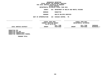**DEPARTMENTAL**

**ESTIMATES FISCAL YEAR <sup>2021</sup> AGENCY <sup>816</sup> DEPARTMENT OF HEALTH AND MENTAL HYGIENE**

**BOROUGH**

MANHATTAN<br>HEALTH RELATED SERVICES **PROGRAM**

**HEALTH RELATED SERVICES UNIT OF APPROPRIATION <sup>102</sup> DISEASE CONTROL - PS**

**------------------------------------ ------------------------------ ------------------------------------------------- FISCALCURRENTFISCAL YEAR 2020**<br> **RENT MODIFIED BUDGET**<br>
AS OF 01/07/20<br> **FULL TIME**<br> **FULL TIME**<br> **FULL TIME MODIFIED BUDGET DEPARTMENTAL ESTIMATES AS OF 01/07/20 FULL TIME FULL TIME INCREASE LOCAL SERVICE DISTRICT AMOUNT POSITIONS AMOUNT POSITIONS DECREASE(-) ------------------------------------------------------------------ ------------------------------------------------- MANHATTAN**

 **STD MANHATTAN**N STD FED<br>N TUBERCU<br>N TUBERCU **MANHATTANN TUBERCULOSIS<br>N TUBERCULOSIS<br>CORRECT MANHATTAN TUBERCULOSIS FEDERAL**

**PROGRAM TOTAL:**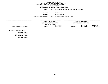**DEPARTMENTAL**

**ESTIMATES FISCAL YEAR <sup>2021</sup> AGENCY <sup>816</sup> DEPARTMENT OF HEALTH AND MENTAL HYGIENE**

**BOROUGH**

 **MANHATTAN PROGRAM**

**RODENT CONTROL UNIT OF APPROPRIATION <sup>104</sup> ENVIRONMENTAL HEALTH - PS**

**------------------------------------ ------------------------------ ------------------------------------------------- FISCALCURRENT YEAR <sup>2020</sup> FISCAL YEAR <sup>2021</sup> MODIFIED BUDGET DEPARTMENTAL ESTIMATES AS OF 01/07/20 FULL TIME FULL TIME INCREASE LOCAL SERVICE DISTRICT AMOUNT POSITIONS AMOUNT POSITIONS DECREASE(-) ------------------------------------------------------------------ ------------------------------------------------- MN**

**RODENT CONTROL 50/50**

**PROGRAM**

PROGRAM TOTAL:<br>:<br>SUB BOROUGH TOTAL

**BOROUGH TOTAL: BOROUGH TOTAL:**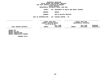**DEPARTMENTAL**

**ESTIMATES FISCAL YEAR <sup>2021</sup> AGENCY <sup>816</sup> DEPARTMENT OF HEALTH AND MENTAL HYGIENE**

**BOROUGH**

QUEENS<br>HEALTH RELATED SERVICES **PROGRAM**

**HEALTH RELATED SERVICES UNIT OF APPROPRIATION <sup>102</sup> DISEASE CONTROL - PS**

**------------------------------------ ------------------------------ ------------------------------------------------- FISCALCURRENTFISCAL YEAR 2020**<br> **RENT MODIFIED BUDGET**<br>
AS OF 01/07/20<br> **FULL TIME**<br> **FULL TIME**<br> **FULL TIME MODIFIED BUDGET DEPARTMENTAL ESTIMATES AS OF 01/07/20 FULL TIME FULL TIME INCREASE LOCAL SERVICE DISTRICT AMOUNT POSITIONS AMOUNT POSITIONS DECREASE(-) ------------------------------------------------------------------ ------------------------------------------------- QUEENS**

S STD<br>S STD<br>S TUB<br>S TUB **QUEENS**S STD FED<br>S TUBERCU<br>S TUBERCU **QUEENSS TUBERCULOSIS<br>S TUBERCULOSIS<br>CREAME QUEENS TUBERCULOSIS FEDERAL**

**PROGRAM TOTAL:**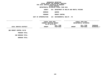### **DEPARTMENTAL**

**ESTIMATES FISCAL YEAR <sup>2021</sup> AGENCY <sup>816</sup> DEPARTMENT OF HEALTH AND MENTAL HYGIENE**

**BOROUGH**

QUEENS<br>RODENT CONTROL **PROGRAM**

**RODENT CONTROL UNIT OF APPROPRIATION <sup>104</sup> ENVIRONMENTAL HEALTH - PS**

**------------------------------------ ------------------------------ ------------------------------------------------- FISCALCURRENTFISCAL YEAR 2020**<br> **RENT MODIFIED BUDGET**<br>
AS OF 01/07/20<br> **FULL TIME**<br> **FULL TIME**<br> **FULL TIME MODIFIED BUDGET DEPARTMENTAL ESTIMATES AS OF 01/07/20 FULL TIME FULL TIME INCREASE** LOCAL SERVICE DISTRICT **SERVICE DISTRICT AMOUNT POSITIONS AMOUNT POSITIONS DECREASE(-) ------------------------------------ ------------------------------ ------------------------------------------------- QNSRODENT CONTROL 50/50**

**PROGRAM**

PROGRAM TOTAL:<br>:<br>SUB BOROUGH TOTAL

**BOROUGH TOTAL: BOROUGH TOTAL:**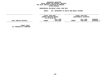### **GEOGRAPHICC REPORTING<br>PERSONAL S<br>ICTS BY PRO FISCAL REPORT FOR PERSONAL SERVICES FOR LOCAL SERVICE DISTRICTS BY PROGRAM WITHIN**

# WITHIN BOROUGH<br>D<mark>EPARTMENTAL ESTIMATES FISC</mark>

**ESTIMATES FISCAL YEAR <sup>2021</sup> AGENCY <sup>816</sup> DEPARTMENT OF HEALTH AND MENTAL HYGIENE**

|                        | FISCAL YEAR 2020<br>CURRENT MODIFIED BUDGET |           | FISCAL YEAR 2021       |           |                 |  |
|------------------------|---------------------------------------------|-----------|------------------------|-----------|-----------------|--|
|                        |                                             |           | DEPARTMENTAL ESTIMATES |           |                 |  |
|                        | AS OF 01/07/20                              |           |                        |           |                 |  |
|                        |                                             | FULL TIME |                        | FULL TIME | <b>INCREASE</b> |  |
| LOCAL SERVICE DISTRICT | <b>AMOUNT</b>                               | POSITIONS | <b>AMOUNT</b>          | POSITIONS | DECREASE(-)     |  |
|                        |                                             |           |                        |           |                 |  |
|                        |                                             |           |                        |           |                 |  |
|                        |                                             |           |                        |           |                 |  |
| <b>AGENCY TOTAL:</b>   |                                             |           |                        |           |                 |  |

 **TOTAL: ALL PROGRAMS ALL BOROUGHS**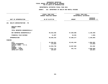| DEPARTMENTAL ESTIMATES FISCAL YEAR 2021                    |                                                                    |               |                                            |  |
|------------------------------------------------------------|--------------------------------------------------------------------|---------------|--------------------------------------------|--|
|                                                            | <b>AGENCY:</b><br>816 DEPARTMENT OF HEALTH AND MENTAL HYGIENE      |               |                                            |  |
|                                                            | -------------------<br>FISCAL YEAR 2020<br>CURRENT MODIFIED BUDGET |               | FISCAL YEAR 2021<br>DEPARTMENTAL ESTIMATES |  |
| UNIT OF APPROPRIATION                                      | AS OF 01/07/20                                                     | <b>AMOUNT</b> | <b>INCREASE</b><br>DECREASE $(-)$          |  |
| HEALTH ADMINISTRATION - PS<br>101                          |                                                                    |               |                                            |  |
| REGULAR GROSS<br><b>OTHER</b>                              |                                                                    |               |                                            |  |
| TOTAL REPORTED GEOGRAPHICALLY                              |                                                                    |               |                                            |  |
| NOT REPORTED GEOGRAPHICALLY                                | 59,818,485                                                         | 57,669,986    | 2,148,499-                                 |  |
| FINANCIAL PLAN SAVINGS                                     | 11,857                                                             | 10,291        | 1,566-                                     |  |
| <b>APPROPRIATION</b>                                       | 59,830,342                                                         | 57,680,277    | 2,150,065-                                 |  |
| <b>FUNDING</b>                                             |                                                                    |               |                                            |  |
| <b>CITY</b><br>OTHER CATEGORICAL<br>CAPITAL FUNDS - I.F.A. | 41,556,561<br>173,663                                              | 43,461,464    | 1,904,903<br>173,663-                      |  |
| <b>STATE</b>                                               | 13,553,730                                                         | 13,867,092    | 313,362                                    |  |
| FEDERAL - C.D.<br>FEDERAL - OTHER<br>INTRA-CITY SALES      | 4,351,721<br>194,667                                               | 351,721       | $4,000,000 -$<br>194,667-                  |  |
|                                                            |                                                                    |               |                                            |  |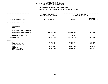|                                                                                                                                     |                                                                    | DEPARTMENTAL ESTIMATES FISCAL YEAR 2021             |                                               |  |
|-------------------------------------------------------------------------------------------------------------------------------------|--------------------------------------------------------------------|-----------------------------------------------------|-----------------------------------------------|--|
|                                                                                                                                     | <b>AGENCY:</b>                                                     | 816 DEPARTMENT OF HEALTH AND MENTAL HYGIENE         |                                               |  |
|                                                                                                                                     | -------------------<br>FISCAL YEAR 2020<br>CURRENT MODIFIED BUDGET |                                                     | FISCAL YEAR 2021<br>DEPARTMENTAL ESTIMATES    |  |
| UNIT OF APPROPRIATION                                                                                                               | AS OF 01/07/20                                                     | <b>AMOUNT</b>                                       | <b>INCREASE</b><br>DECREASE $(-)$             |  |
| DISEASE CONTROL - PS<br>102                                                                                                         |                                                                    |                                                     |                                               |  |
| REGULAR GROSS<br><b>OTHER</b>                                                                                                       |                                                                    |                                                     |                                               |  |
| TOTAL REPORTED GEOGRAPHICALLY                                                                                                       |                                                                    |                                                     |                                               |  |
| NOT REPORTED GEOGRAPHICALLY                                                                                                         | 104,356,358                                                        | 107,191,158                                         | 2,834,800                                     |  |
| FINANCIAL PLAN SAVINGS                                                                                                              | 84,777                                                             | 84,777                                              |                                               |  |
| APPROPRIATION                                                                                                                       | 104,441,135                                                        | 107,275,935                                         | 2,834,800                                     |  |
| FUNDING                                                                                                                             |                                                                    |                                                     |                                               |  |
| <b>CITY</b><br>OTHER CATEGORICAL<br>CAPITAL FUNDS - I.F.A.<br><b>STATE</b><br>FEDERAL - C.D.<br>FEDERAL - OTHER<br>INTRA-CITY SALES | 32,082,353<br>925,977<br>11,797,176<br>59,635,629                  | 33,816,871<br>664,750<br>12, 273, 133<br>60,521,181 | 1,734,518<br>$261,227-$<br>475,957<br>885,552 |  |
|                                                                                                                                     |                                                                    |                                                     |                                               |  |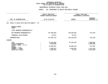| DEPARTMENTAL ESTIMATES FISCAL YEAR 2021                    |                                                                    |                         |                                             |                                            |  |
|------------------------------------------------------------|--------------------------------------------------------------------|-------------------------|---------------------------------------------|--------------------------------------------|--|
|                                                            | <b>AGENCY:</b>                                                     |                         | 816 DEPARTMENT OF HEALTH AND MENTAL HYGIENE |                                            |  |
|                                                            | -------------------<br>FISCAL YEAR 2020<br>CURRENT MODIFIED BUDGET |                         |                                             | FISCAL YEAR 2021<br>DEPARTMENTAL ESTIMATES |  |
| UNIT OF APPROPRIATION                                      |                                                                    | AS OF 01/07/20          | <b>AMOUNT</b>                               | <b>INCREASE</b><br>DECREASE $(-)$          |  |
| FAMILY & CHILD HLTH AND HLTH EQUITY - PS<br>103            |                                                                    |                         |                                             |                                            |  |
| REGULAR GROSS<br><b>OTHER</b>                              |                                                                    |                         |                                             |                                            |  |
| TOTAL REPORTED GEOGRAPHICALLY                              |                                                                    |                         |                                             |                                            |  |
| NOT REPORTED GEOGRAPHICALLY                                |                                                                    | 127,038,953             | 126,365,828                                 | 673,125-                                   |  |
| FINANCIAL PLAN SAVINGS                                     |                                                                    | 53,757                  | 53,757                                      |                                            |  |
| <b>APPROPRIATION</b>                                       |                                                                    | 127,092,710             | 126,419,585                                 | 673,125-                                   |  |
| <b>FUNDING</b>                                             |                                                                    |                         |                                             |                                            |  |
| <b>CITY</b><br>OTHER CATEGORICAL<br>CAPITAL FUNDS - I.F.A. |                                                                    | 79,749,483<br>5,000,000 | 87,445,518                                  | 7,696,035<br>$5,000,000 -$                 |  |
| <b>STATE</b>                                               |                                                                    | 34,838,947              | 35,056,333                                  | 217,386                                    |  |
| FEDERAL - C.D.<br>FEDERAL - OTHER<br>INTRA-CITY SALES      |                                                                    | 5,058,207<br>2,446,073  | 3,846,013<br>71,721                         | 1,212,194-<br>2,374,352-                   |  |
|                                                            |                                                                    |                         |                                             |                                            |  |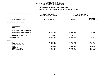|                                                                            | <b>AGENCY:</b><br>816 DEPARTMENT OF HEALTH AND MENTAL HYGIENE |                                   |                                            |  |
|----------------------------------------------------------------------------|---------------------------------------------------------------|-----------------------------------|--------------------------------------------|--|
|                                                                            | FISCAL YEAR 2020<br><b>CURRENT MODIFIED BUDGET</b>            |                                   | FISCAL YEAR 2021<br>DEPARTMENTAL ESTIMATES |  |
| UNIT OF APPROPRIATION                                                      | AS OF 01/07/20                                                | <b>AMOUNT</b>                     | <b>INCREASE</b><br>DECREASE $(-)$          |  |
| ENVIRONMENTAL HEALTH - PS<br>104                                           |                                                               |                                   |                                            |  |
| REGULAR GROSS<br><b>OTHER</b>                                              |                                                               |                                   |                                            |  |
| TOTAL REPORTED GEOGRAPHICALLY                                              |                                                               |                                   |                                            |  |
| NOT REPORTED GEOGRAPHICALLY                                                | 71,654,825                                                    | 71,670,177                        | 15,352                                     |  |
| FINANCIAL PLAN SAVINGS                                                     | 66,494-                                                       | 66,494-                           |                                            |  |
| <b>APPROPRIATION</b>                                                       | 71,588,331                                                    | 71,603,683                        | 15,352                                     |  |
| <b>FUNDING</b>                                                             |                                                               |                                   |                                            |  |
| <b>CITY</b><br>OTHER CATEGORICAL<br>CAPITAL FUNDS - I.F.A.<br><b>STATE</b> | 51,963,412<br>135,459<br>5,939,352                            | 52,875,055<br>96,026<br>6,132,931 | 911,643<br>$39,433-$<br>193,579            |  |
| FEDERAL - C.D.<br>FEDERAL - OTHER<br>INTRA-CITY SALES                      | 12,623,884<br>926,224                                         | 12,049,147<br>450,524             | $574,737-$<br>475,700-                     |  |
|                                                                            |                                                               |                                   |                                            |  |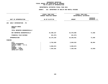|                                                       |                                                                     | DEPARTMENTAL ESTIMATES FISCAL YEAR 2021 |                                            |  |
|-------------------------------------------------------|---------------------------------------------------------------------|-----------------------------------------|--------------------------------------------|--|
|                                                       | <b>AGENCY:</b><br>816 DEPARTMENT OF HEALTH AND MENTAL HYGIENE       |                                         |                                            |  |
|                                                       | --------------------<br>FISCAL YEAR 2020<br>CURRENT MODIFIED BUDGET |                                         | FISCAL YEAR 2021<br>DEPARTMENTAL ESTIMATES |  |
| UNIT OF APPROPRIATION                                 | AS OF 01/07/20                                                      | <b>AMOUNT</b>                           | <b>INCREASE</b><br>DECREASE (-)            |  |
| EARLY INTERVENTION - PS<br>105                        |                                                                     |                                         |                                            |  |
| REGULAR GROSS<br>OTHER                                |                                                                     |                                         |                                            |  |
| TOTAL REPORTED GEOGRAPHICALLY                         |                                                                     |                                         |                                            |  |
| NOT REPORTED GEOGRAPHICALLY                           | 16,398,157                                                          | 16,470,005                              | 71,848                                     |  |
| FINANCIAL PLAN SAVINGS                                | 221,974-                                                            | 221,974-                                |                                            |  |
| <b>APPROPRIATION</b>                                  | 16,176,183                                                          | 16,248,031                              | 71,848                                     |  |
| <b>FUNDING</b>                                        |                                                                     |                                         |                                            |  |
| <b>CITY</b><br>OTHER CATEGORICAL                      | 3,762,828<br>$\ddot{\cdot}$                                         | 3,849,522                               | 86,694                                     |  |
| CAPITAL FUNDS - I.F.A.<br><b>STATE</b>                | 5,059,074                                                           | 5,059,074                               |                                            |  |
| FEDERAL - C.D.<br>FEDERAL - OTHER<br>INTRA-CITY SALES | 7,354,281                                                           | 7,339,435                               | 14,846-                                    |  |
|                                                       |                                                                     |                                         |                                            |  |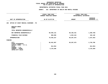| DEPARTMENTAL ESTIMATES FISCAL YEAR 2021               |                                                                    |                                            |                                   |
|-------------------------------------------------------|--------------------------------------------------------------------|--------------------------------------------|-----------------------------------|
|                                                       | <b>AGENCY:</b><br>816 DEPARTMENT OF HEALTH AND MENTAL HYGIENE      |                                            |                                   |
|                                                       | -------------------<br>FISCAL YEAR 2020<br>CURRENT MODIFIED BUDGET | FISCAL YEAR 2021<br>DEPARTMENTAL ESTIMATES |                                   |
| UNIT OF APPROPRIATION                                 | AS OF 01/07/20                                                     | <b>AMOUNT</b>                              | <b>INCREASE</b><br>DECREASE $(-)$ |
| OFFICE OF CHIEF MEDICAL EXAMINER - PS<br>106          |                                                                    |                                            |                                   |
| REGULAR GROSS<br>OTHER                                |                                                                    |                                            |                                   |
| TOTAL REPORTED GEOGRAPHICALLY                         |                                                                    |                                            |                                   |
| NOT REPORTED GEOGRAPHICALLY                           | 69,595,131                                                         | 68,185,431                                 | 1,409,700-                        |
| FINANCIAL PLAN SAVINGS                                | 860,096                                                            | 1,022,244                                  | 162,148                           |
| <b>APPROPRIATION</b>                                  | 70,455,227                                                         | 69,207,675                                 | 1,247,552-                        |
| <b>FUNDING</b>                                        |                                                                    |                                            |                                   |
| <b>CITY</b><br>OTHER CATEGORICAL                      | 66,461,967                                                         | 69,207,675                                 | 2,745,708                         |
| CAPITAL FUNDS - I.F.A.<br><b>STATE</b>                | 814,954                                                            |                                            | 814,954-                          |
| FEDERAL - C.D.<br>FEDERAL - OTHER<br>INTRA-CITY SALES | 3,178,306                                                          |                                            | $3,178,306 -$                     |
|                                                       |                                                                    |                                            |                                   |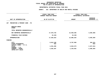| DEPARTMENTAL ESTIMATES FISCAL YEAR 2021                    |                                                                    |                                             |                                            |  |
|------------------------------------------------------------|--------------------------------------------------------------------|---------------------------------------------|--------------------------------------------|--|
|                                                            | <b>AGENCY:</b>                                                     | 816 DEPARTMENT OF HEALTH AND MENTAL HYGIENE |                                            |  |
|                                                            | -------------------<br>FISCAL YEAR 2020<br>CURRENT MODIFIED BUDGET |                                             | FISCAL YEAR 2021<br>DEPARTMENTAL ESTIMATES |  |
| UNIT OF APPROPRIATION                                      | AS OF 01/07/20                                                     | <b>AMOUNT</b>                               | <b>INCREASE</b><br>DECREASE $(-)$          |  |
| PREVENTION & PRIMARY CARE - PS<br>107                      |                                                                    |                                             |                                            |  |
| REGULAR GROSS<br>OTHER                                     |                                                                    |                                             |                                            |  |
| TOTAL REPORTED GEOGRAPHICALLY                              |                                                                    |                                             |                                            |  |
| NOT REPORTED GEOGRAPHICALLY                                | 17,570,725                                                         | 12,930,365                                  | $4,640,360 -$                              |  |
| FINANCIAL PLAN SAVINGS                                     | 44,102-                                                            | 44,102-                                     |                                            |  |
| <b>APPROPRIATION</b>                                       | 17,526,623                                                         | 12,886,263                                  | 4,640,360-                                 |  |
| <b>FUNDING</b>                                             |                                                                    |                                             |                                            |  |
| <b>CITY</b><br>OTHER CATEGORICAL<br>CAPITAL FUNDS - I.F.A. | 9,812,109<br>832                                                   | 9,707,958                                   | 104,151-<br>832-                           |  |
| <b>STATE</b>                                               | 4,351,285                                                          | 2,024,273                                   | 2,327,012-                                 |  |
| FEDERAL - C.D.<br>FEDERAL - OTHER<br>INTRA-CITY SALES      | 3,362,397                                                          | 1,154,032                                   | $2,208,365-$                               |  |
|                                                            |                                                                    |                                             |                                            |  |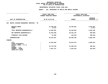# **PS UNITS OF APPROPRIATION DEPARTMENTAL**

|                                                            | FISCAL YEAR 2020<br><b>CURRENT MODIFIED BUDGET</b> | FISCAL YEAR 2021<br>DEPARTMENTAL ESTIMATES |                                 |
|------------------------------------------------------------|----------------------------------------------------|--------------------------------------------|---------------------------------|
| UNIT OF APPROPRIATION                                      | AS OF 01/07/20                                     | <b>AMOUNT</b>                              | <b>INCREASE</b><br>DECREASE (-) |
| MENTAL HYGIENE MANAGEMENT SERVICES - PS<br>108             |                                                    |                                            |                                 |
| REGULAR GROSS<br><b>OTHER</b>                              | 12,458,184<br>8,717                                | 16,493,091                                 | 4,034,907<br>8,717-             |
| TOTAL REPORTED GEOGRAPHICALLY                              | 12,466,901                                         | 16,493,091                                 | 4,026,190                       |
| NOT REPORTED GEOGRAPHICALLY                                | 41,052,056                                         | 40,491,197                                 | $560,859-$                      |
| FINANCIAL PLAN SAVINGS                                     | 51,600                                             | 344,942-                                   | 396,542-                        |
| <b>APPROPRIATION</b>                                       | 53,570,557                                         | 56,639,346                                 | 3,068,789                       |
| FUNDING                                                    |                                                    |                                            |                                 |
| <b>CITY</b><br>OTHER CATEGORICAL<br>CAPITAL FUNDS - I.F.A. | 31,834,040                                         | 35,814,673                                 | 3,980,633                       |
| <b>STATE</b><br>FEDERAL - C.D.                             | 15,778,760                                         | 15,290,419                                 | 488,341-                        |
| FEDERAL - OTHER<br>INTRA-CITY SALES                        | 5,957,757                                          | 5,534,254                                  | 423,503-                        |
|                                                            |                                                    |                                            |                                 |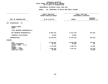|                                                                                                                                     | DEPARTMENTAL ESTIMATES FISCAL YEAR 2021                                   |                                                |                                                    |  |
|-------------------------------------------------------------------------------------------------------------------------------------|---------------------------------------------------------------------------|------------------------------------------------|----------------------------------------------------|--|
|                                                                                                                                     | <b>AGENCY:</b>                                                            | 816 DEPARTMENT OF HEALTH AND MENTAL HYGIENE    |                                                    |  |
|                                                                                                                                     | -------------------<br>FISCAL YEAR 2020<br><b>CURRENT MODIFIED BUDGET</b> |                                                | FISCAL YEAR 2021<br>DEPARTMENTAL ESTIMATES         |  |
| UNIT OF APPROPRIATION                                                                                                               | AS OF 01/07/20                                                            | <b>AMOUNT</b>                                  | <b>INCREASE</b><br>DECREASE $(-)$                  |  |
| EPIDEMIOLOGY - PS<br>109                                                                                                            |                                                                           |                                                |                                                    |  |
| REGULAR GROSS<br><b>OTHER</b>                                                                                                       |                                                                           |                                                |                                                    |  |
| TOTAL REPORTED GEOGRAPHICALLY                                                                                                       |                                                                           |                                                |                                                    |  |
| NOT REPORTED GEOGRAPHICALLY                                                                                                         | 18,004,162                                                                | 17,611,700                                     | $392,462-$                                         |  |
| FINANCIAL PLAN SAVINGS                                                                                                              | 10,882                                                                    | 10,882                                         |                                                    |  |
| <b>APPROPRIATION</b>                                                                                                                | 18,015,044                                                                | 17,622,582                                     | 392,462-                                           |  |
| <b>FUNDING</b>                                                                                                                      |                                                                           |                                                |                                                    |  |
| <b>CITY</b><br>OTHER CATEGORICAL<br>CAPITAL FUNDS - I.F.A.<br><b>STATE</b><br>FEDERAL - C.D.<br>FEDERAL - OTHER<br>INTRA-CITY SALES | 11,934,252<br>50,537<br>1,279,689<br>4,695,566<br>55,000                  | 12,052,898<br>50,666<br>1,295,781<br>4,223,237 | 118,646<br>129<br>16,092<br>472,329-<br>$55,000 -$ |  |
|                                                                                                                                     |                                                                           |                                                |                                                    |  |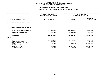| DEPARTMENTAL ESTIMATES FISCAL YEAR 2021                                    |                                                    |                         |                                            |  |
|----------------------------------------------------------------------------|----------------------------------------------------|-------------------------|--------------------------------------------|--|
| <b>AGENCY:</b><br>816 DEPARTMENT OF HEALTH AND MENTAL HYGIENE              |                                                    |                         |                                            |  |
|                                                                            | FISCAL YEAR 2020<br><b>CURRENT MODIFIED BUDGET</b> |                         | FISCAL YEAR 2021<br>DEPARTMENTAL ESTIMATES |  |
| UNIT OF APPROPRIATION                                                      | AS OF 01/07/20                                     | <b>AMOUNT</b>           | <b>INCREASE</b><br>DECREASE (-)            |  |
| HEALTH ADMINISTRATION - OTPS<br>111                                        |                                                    |                         |                                            |  |
| TOTAL REPORTED GEOGRAPHICALLY                                              |                                                    |                         |                                            |  |
| NOT REPORTED GEOGRAPHICALLY                                                | 116,450,872                                        | 104,623,821             | 11,827,051-                                |  |
| FINANCIAL PLAN SAVINGS                                                     | 2,824,433                                          | 3,788,646               | 964,213                                    |  |
| <b>APPROPRIATION</b>                                                       | 119,275,305                                        | 108,412,467             | 10,862,838-                                |  |
| FUNDING                                                                    |                                                    |                         |                                            |  |
| <b>CITY</b><br>OTHER CATEGORICAL<br>CAPITAL FUNDS - I.F.A.<br><b>STATE</b> | 103, 119, 682<br>726,490<br>10,004,755             | 96,842,183<br>8,782,500 | $6,277,499-$<br>$726,490-$<br>1,222,255-   |  |
| FEDERAL - C.D.<br>FEDERAL - OTHER<br>INTRA-CITY SALES                      | 3,739,482<br>1,684,896                             | 2,677,784<br>110,000    | 1,061,698-<br>1,574,896-                   |  |
|                                                                            |                                                    |                         |                                            |  |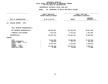# **OTPS UNITS OF APPROPRIATION DEPARTMENTAL**

|                                                                                                                              | FISCAL YEAR 2020<br><b>CURRENT MODIFIED BUDGET</b>           | FISCAL YEAR 2021<br>DEPARTMENTAL ESTIMATES                  |                                                                        |
|------------------------------------------------------------------------------------------------------------------------------|--------------------------------------------------------------|-------------------------------------------------------------|------------------------------------------------------------------------|
| UNIT OF APPROPRIATION                                                                                                        | AS OF 01/07/20                                               | <b>AMOUNT</b>                                               | <b>INCREASE</b><br>DECREASE (-)                                        |
| DISEASE CONTROL - OTPS<br>112                                                                                                |                                                              |                                                             |                                                                        |
| TOTAL REPORTED GEOGRAPHICALLY                                                                                                |                                                              |                                                             |                                                                        |
| NOT REPORTED GEOGRAPHICALLY                                                                                                  | 189,885,597                                                  | 169,228,289                                                 | 20,657,308-                                                            |
| FINANCIAL PLAN SAVINGS                                                                                                       | 2,072,224                                                    | 3,723,224                                                   | 1,651,000                                                              |
| <b>APPROPRIATION</b>                                                                                                         | 191,957,821                                                  | 172,951,513                                                 | 19,006,308-                                                            |
| FUNDING                                                                                                                      |                                                              |                                                             |                                                                        |
| CITY<br>OTHER CATEGORICAL<br>CAPITAL FUNDS - I.F.A.<br><b>STATE</b><br>FEDERAL - C.D.<br>FEDERAL - OTHER<br>INTRA-CITY SALES | 43,235,894<br>835,666<br>10,242,876<br>137,546,385<br>97,000 | 32,506,106<br>672,177<br>6,142,856<br>133,610,374<br>20,000 | 10,729,788-<br>163,489-<br>$4,100,020 -$<br>$3,936,011-$<br>$77,000 -$ |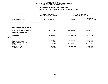# **OTPS UNITS OF APPROPRIATION DEPARTMENTAL**

|                                                                                                                              | FISCAL YEAR 2020<br>CURRENT MODIFIED BUDGET              | FISCAL YEAR 2021<br>DEPARTMENTAL ESTIMATES |                                                                |
|------------------------------------------------------------------------------------------------------------------------------|----------------------------------------------------------|--------------------------------------------|----------------------------------------------------------------|
| UNIT OF APPROPRIATION                                                                                                        | AS OF 01/07/20                                           | <b>AMOUNT</b>                              | <b>INCREASE</b><br>DECREASE (-)                                |
| FAMILY & CHILD HLTH AND HLTH EQUITY-OTPS<br>113                                                                              |                                                          |                                            |                                                                |
| TOTAL REPORTED GEOGRAPHICALLY                                                                                                |                                                          |                                            |                                                                |
| NOT REPORTED GEOGRAPHICALLY                                                                                                  | 63,617,939                                               | 54, 563, 341                               | $9,054,598-$                                                   |
| FINANCIAL PLAN SAVINGS                                                                                                       |                                                          |                                            |                                                                |
| <b>APPROPRIATION</b>                                                                                                         | 63,617,939                                               | 54, 563, 341                               | $9,054,598-$                                                   |
| FUNDING                                                                                                                      |                                                          |                                            |                                                                |
| CITY<br>OTHER CATEGORICAL<br>CAPITAL FUNDS - I.F.A.<br><b>STATE</b><br>FEDERAL - C.D.<br>FEDERAL - OTHER<br>INTRA-CITY SALES | 45,511,379<br>3,880<br>15,533,781<br>2,508,899<br>60,000 | 38,381,604<br>13,946,665<br>2,235,072      | 7,129,775-<br>$3,880-$<br>1,587,116-<br>273,827-<br>$60,000 -$ |
|                                                                                                                              |                                                          |                                            |                                                                |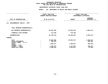# **OTPS UNITS OF APPROPRIATION DEPARTMENTAL**

|                                                                                                                              | FISCAL YEAR 2020<br><b>CURRENT MODIFIED BUDGET</b> |                                                              | FISCAL YEAR 2021<br>DEPARTMENTAL ESTIMATES        |                                                                 |
|------------------------------------------------------------------------------------------------------------------------------|----------------------------------------------------|--------------------------------------------------------------|---------------------------------------------------|-----------------------------------------------------------------|
| UNIT OF APPROPRIATION                                                                                                        |                                                    | AS OF 01/07/20                                               | <b>AMOUNT</b>                                     | <b>INCREASE</b><br>DECREASE (-)                                 |
| ENVIRONMENTAL HEALTH - OTPS<br>114                                                                                           |                                                    |                                                              |                                                   |                                                                 |
| TOTAL REPORTED GEOGRAPHICALLY                                                                                                |                                                    |                                                              |                                                   |                                                                 |
| NOT REPORTED GEOGRAPHICALLY                                                                                                  |                                                    | 36,622,953                                                   | 29,930,442                                        | $6,692,511-$                                                    |
| FINANCIAL PLAN SAVINGS                                                                                                       |                                                    | 176,180                                                      | 176,180                                           |                                                                 |
| <b>APPROPRIATION</b>                                                                                                         |                                                    | 36,799,133                                                   | 30,106,622                                        | $6,692,511-$                                                    |
| FUNDING                                                                                                                      |                                                    |                                                              |                                                   |                                                                 |
| CITY<br>OTHER CATEGORICAL<br>CAPITAL FUNDS - I.F.A.<br><b>STATE</b><br>FEDERAL - C.D.<br>FEDERAL - OTHER<br>INTRA-CITY SALES |                                                    | 30,984,099<br>586,545<br>1,565,877<br>1,596,579<br>2,066,033 | 25,603,472<br>1,285,541<br>1,197,912<br>2,019,697 | $5,380,627-$<br>586,545-<br>$280, 336 -$<br>398,667-<br>46,336- |
|                                                                                                                              |                                                    |                                                              |                                                   |                                                                 |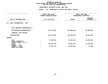# **OTPS UNITS OF APPROPRIATION DEPARTMENTAL**

|                                                     | FISCAL YEAR 2020<br>CURRENT MODIFIED BUDGET | FISCAL YEAR 2021<br>DEPARTMENTAL ESTIMATES |                                 |
|-----------------------------------------------------|---------------------------------------------|--------------------------------------------|---------------------------------|
| UNIT OF APPROPRIATION                               | AS OF 01/07/20                              | <b>AMOUNT</b>                              | <b>INCREASE</b><br>DECREASE (-) |
| EARLY INTERVENTION - OTPS<br>115                    |                                             |                                            |                                 |
| TOTAL REPORTED GEOGRAPHICALLY                       |                                             |                                            |                                 |
| NOT REPORTED GEOGRAPHICALLY                         | 261,727,202                                 | 201,668,398                                | 60,058,804-                     |
| FINANCIAL PLAN SAVINGS                              |                                             |                                            |                                 |
| <b>APPROPRIATION</b>                                | 261,727,202                                 | 201,668,398                                | 60,058,804-                     |
| FUNDING                                             |                                             |                                            |                                 |
| CITY<br>OTHER CATEGORICAL<br>CAPITAL FUNDS - I.F.A. | 77,584,632                                  | 92,594,624                                 | 15,009,992                      |
| <b>STATE</b><br>FEDERAL - C.D.                      | 174,015,419                                 | 98,992,931                                 | 75,022,488-                     |
| FEDERAL - OTHER<br>INTRA-CITY SALES                 | 10,127,151                                  | 10,080,843                                 | $46,308-$                       |
|                                                     |                                             |                                            |                                 |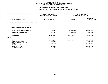# **OTPS UNITS OF APPROPRIATION DEPARTMENTAL**

|                                                                                                                                     | FISCAL YEAR 2020<br><b>CURRENT MODIFIED BUDGET</b>       | FISCAL YEAR 2021<br>DEPARTMENTAL ESTIMATES |                                                                    |
|-------------------------------------------------------------------------------------------------------------------------------------|----------------------------------------------------------|--------------------------------------------|--------------------------------------------------------------------|
| UNIT OF APPROPRIATION                                                                                                               | AS OF 01/07/20                                           | <b>AMOUNT</b>                              | <b>INCREASE</b><br>DECREASE (-)                                    |
| OFFICE OF CHIEF MEDICAL EXAMINER - OTPS<br>116                                                                                      |                                                          |                                            |                                                                    |
| TOTAL REPORTED GEOGRAPHICALLY                                                                                                       |                                                          |                                            |                                                                    |
| NOT REPORTED GEOGRAPHICALLY                                                                                                         | 25,966,401                                               | 17,885,979                                 | $8,080,422-$                                                       |
| FINANCIAL PLAN SAVINGS                                                                                                              | 359,894-                                                 | 136,030-                                   | 223,864                                                            |
| APPROPRIATION                                                                                                                       | 25,606,507                                               | 17,749,949                                 | 7,856,558-                                                         |
| FUNDING                                                                                                                             |                                                          |                                            |                                                                    |
| <b>CITY</b><br>OTHER CATEGORICAL<br>CAPITAL FUNDS - I.F.A.<br><b>STATE</b><br>FEDERAL - C.D.<br>FEDERAL - OTHER<br>INTRA-CITY SALES | 19,722,637<br>465,956<br>2,539,516<br>2,870,443<br>7,955 | 17,749,949                                 | 1,972,688-<br>465,956-<br>$2,539,516-$<br>$2,870,443-$<br>$7,955-$ |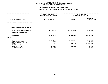# **OTPS UNITS OF APPROPRIATION DEPARTMENTAL**

|                                                                                                                                     | FISCAL YEAR 2020<br>CURRENT MODIFIED BUDGET                          |                                    | FISCAL YEAR 2021<br>DEPARTMENTAL ESTIMATES                      |
|-------------------------------------------------------------------------------------------------------------------------------------|----------------------------------------------------------------------|------------------------------------|-----------------------------------------------------------------|
| UNIT OF APPROPRIATION                                                                                                               | AS OF 01/07/20                                                       | <b>AMOUNT</b>                      | <b>INCREASE</b><br>DECREASE (-)                                 |
| PREVENTION & PRIMARY CARE - OTPS<br>117                                                                                             |                                                                      |                                    |                                                                 |
| TOTAL REPORTED GEOGRAPHICALLY                                                                                                       |                                                                      |                                    |                                                                 |
| NOT REPORTED GEOGRAPHICALLY                                                                                                         | 61,343,779                                                           | 49,632,828                         | 11,710,951-                                                     |
| FINANCIAL PLAN SAVINGS                                                                                                              |                                                                      |                                    |                                                                 |
| <b>APPROPRIATION</b>                                                                                                                | 61,343,779                                                           | 49,632,828                         | 11,710,951-                                                     |
| FUNDING                                                                                                                             |                                                                      |                                    |                                                                 |
| <b>CITY</b><br>OTHER CATEGORICAL<br>CAPITAL FUNDS - I.F.A.<br><b>STATE</b><br>FEDERAL - C.D.<br>FEDERAL - OTHER<br>INTRA-CITY SALES | 48,841,753<br>8,234<br>10,948,664<br>1,275,128<br>270,000<br>$\cdot$ | 40,183,127<br>8,884,730<br>564,971 | 8,658,626-<br>$8,234-$<br>2,063,934-<br>710,157-<br>$270,000 -$ |
|                                                                                                                                     |                                                                      |                                    |                                                                 |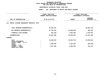### **OTPS UNITS OF APPROPRIATION DEPARTMENTAL**

|                                                     | FISCAL YEAR 2020        | FISCAL YEAR 2021       |                                 |
|-----------------------------------------------------|-------------------------|------------------------|---------------------------------|
|                                                     | CURRENT MODIFIED BUDGET | DEPARTMENTAL ESTIMATES |                                 |
| UNIT OF APPROPRIATION                               | AS OF 01/07/20          | <b>AMOUNT</b>          | <b>INCREASE</b><br>DECREASE (-) |
|                                                     |                         |                        |                                 |
| MENTAL HYGIENE MANAGEMENT SERVICES- OTPS<br>118     |                         |                        |                                 |
|                                                     |                         |                        |                                 |
| TOTAL REPORTED GEOGRAPHICALLY                       | 20,562,135              |                        | 20,562,135-                     |
| NOT REPORTED GEOGRAPHICALLY                         | 31,738,418              | 32,606,650             | 868,232                         |
| FINANCIAL PLAN SAVINGS                              | 293,165-                | 2,953,369              | 3,246,534                       |
| <b>APPROPRIATION</b>                                | 52,007,388              | 35,560,019             | 16,447,369-                     |
| FUNDING                                             |                         |                        |                                 |
| CITY<br>OTHER CATEGORICAL<br>CAPITAL FUNDS - I.F.A. | 45,189,630              | 29,492,718             | 15,696,912-                     |
| <b>STATE</b><br>FEDERAL - C.D.                      | 3,590,269               | 3,181,039              | $409,230 -$                     |
| FEDERAL - OTHER<br>INTRA-CITY SALES                 | 3,227,489               | 2,886,262              | 341,227-                        |
|                                                     |                         |                        |                                 |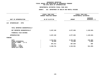### **OTPS UNITS OF APPROPRIATION DEPARTMENTAL**

| FISCAL YEAR 2020<br>CURRENT MODIFIED BUDGET |                                             | FISCAL YEAR 2021<br>DEPARTMENTAL ESTIMATES   |
|---------------------------------------------|---------------------------------------------|----------------------------------------------|
| AS OF 01/07/20                              | <b>AMOUNT</b>                               | <b>INCREASE</b><br>DECREASE (-)              |
|                                             |                                             |                                              |
|                                             |                                             |                                              |
| 5,207,182                                   | 4,077,656                                   | 1,129,526-                                   |
|                                             |                                             |                                              |
| 5,207,182                                   | 4,077,656                                   | 1,129,526-                                   |
|                                             |                                             |                                              |
| 2,314,911<br>46,069<br>387,411<br>2,458,791 | 2,104,445<br>41,000<br>387,620<br>1,544,591 | $210,466-$<br>$5,069-$<br>209<br>$914,200 -$ |
|                                             |                                             |                                              |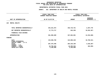### **OTPS UNITS OF APPROPRIATION DEPARTMENTAL**

|                                                            | FISCAL YEAR 2020<br>CURRENT MODIFIED BUDGET | FISCAL YEAR 2021<br>DEPARTMENTAL ESTIMATES |                                 |  |  |
|------------------------------------------------------------|---------------------------------------------|--------------------------------------------|---------------------------------|--|--|
| UNIT OF APPROPRIATION                                      | AS OF 01/07/20                              | <b>AMOUNT</b>                              | <b>INCREASE</b><br>DECREASE (-) |  |  |
| <b>MENTAL HEALTH</b><br>120                                |                                             |                                            |                                 |  |  |
| TOTAL REPORTED GEOGRAPHICALLY                              | 344,221,972                                 | 346,719,751                                | 2,497,779                       |  |  |
| NOT REPORTED GEOGRAPHICALLY                                | 17,774,717                                  | 942,250                                    | 16,832,467-                     |  |  |
| FINANCIAL PLAN SAVINGS                                     |                                             |                                            |                                 |  |  |
| <b>APPROPRIATION</b>                                       | 361,996,689                                 | 347,662,001                                | 14,334,688-                     |  |  |
| FUNDING                                                    |                                             |                                            |                                 |  |  |
| <b>CITY</b><br>OTHER CATEGORICAL<br>CAPITAL FUNDS - I.F.A. | 133,596,789                                 | 122,890,248                                | 10,706,541-                     |  |  |
| <b>STATE</b><br>FEDERAL - C.D.                             | 207,475,496                                 | 204,310,199                                | $3,165,297-$                    |  |  |
| FEDERAL - OTHER<br>INTRA-CITY SALES                        | 18,758,404<br>2,166,000                     | 18,295,554<br>2,166,000                    | 462,850-                        |  |  |
|                                                            |                                             |                                            |                                 |  |  |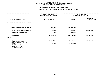### **OTPS UNITS OF APPROPRIATION DEPARTMENTAL**

| DEPARTMENTAL ESTIMATES FISCAL YEAR 2021                               |                                                     |                        |                                 |  |  |  |  |
|-----------------------------------------------------------------------|-----------------------------------------------------|------------------------|---------------------------------|--|--|--|--|
|                                                                       | AGENCY: 816 DEPARTMENT OF HEALTH AND MENTAL HYGIENE |                        |                                 |  |  |  |  |
|                                                                       | <b>FISCAL YEAR 2020</b><br>CURRENT MODIFIED BUDGET  | DEPARTMENTAL ESTIMATES | FISCAL YEAR 2021                |  |  |  |  |
| UNIT OF APPROPRIATION                                                 | AS OF 01/07/20                                      | <b>AMOUNT</b>          | <b>INCREASE</b><br>DECREASE (-) |  |  |  |  |
| 121 DEVELOPMENT DISABILITY - OTPS                                     |                                                     |                        |                                 |  |  |  |  |
| TOTAL REPORTED GEOGRAPHICALLY                                         | 12,675,413                                          | 12,675,413             |                                 |  |  |  |  |
| NOT REPORTED GEOGRAPHICALLY                                           | 4,094,034                                           | 151,847                | 3,942,187-                      |  |  |  |  |
| FINANCIAL PLAN SAVINGS                                                | 17,335                                              | 17,335                 |                                 |  |  |  |  |
| APPROPRIATION                                                         | 16,786,782                                          | 12,844,595             | 3,942,187-                      |  |  |  |  |
| FUNDING                                                               |                                                     |                        |                                 |  |  |  |  |
| <b>CITY</b><br>OTHER CATEGORICAL<br>CAPITAL FUNDS - I.F.A.            | 10,791,534                                          | 6,849,347              | 3,942,187-                      |  |  |  |  |
| <b>STATE</b><br>FEDERAL - C.D.<br>FEDERAL - OTHER<br>INTRA-CITY SALES | 5,995,248                                           | 5,995,248              |                                 |  |  |  |  |
|                                                                       |                                                     |                        |                                 |  |  |  |  |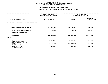### **OTPS UNITS OF APPROPRIATION DEPARTMENTAL**

|                                                     | FISCAL YEAR 2020 | <b>CURRENT MODIFIED BUDGET</b> | FISCAL YEAR 2021<br>DEPARTMENTAL ESTIMATES |                                 |
|-----------------------------------------------------|------------------|--------------------------------|--------------------------------------------|---------------------------------|
| UNIT OF APPROPRIATION                               |                  | AS OF 01/07/20                 | <b>AMOUNT</b>                              | <b>INCREASE</b><br>DECREASE (-) |
| CHEMICAL DEPENDENCY AND HEALTH PROMOTION<br>122     |                  |                                |                                            |                                 |
| TOTAL REPORTED GEOGRAPHICALLY                       |                  | 116,839,679                    | 116,440,094                                | $399,585-$                      |
| NOT REPORTED GEOGRAPHICALLY                         |                  | 684,823                        | 19,688                                     | 665,135-                        |
| FINANCIAL PLAN SAVINGS                              |                  |                                |                                            |                                 |
| APPROPRIATION                                       |                  | 117,524,502                    | 116,459,782                                | 1,064,720-                      |
| FUNDING                                             |                  |                                |                                            |                                 |
| CITY<br>OTHER CATEGORICAL<br>CAPITAL FUNDS - I.F.A. |                  | 61,530,847                     | 61,236,436                                 | 294,411-                        |
| <b>STATE</b><br>FEDERAL - C.D.                      |                  | 55,861,619                     | 55,203,658                                 | 657,961-                        |
| FEDERAL - OTHER<br>INTRA-CITY SALES                 |                  | 132,036                        | 19,688                                     | 112,348-                        |
|                                                     |                  |                                |                                            |                                 |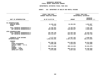### **GEOGRAPHICC REPORTING<br>ENCYWIDE SU<br>----------FISCAL**

# **REPORT AGENCYWIDE SUMMARY DEPARTMENTAL ESTIMATES FISCAL YEAR <sup>2021</sup>**

## **AGENCY: <sup>816</sup> DEPARTMENT OF HEALTH AND MENTAL HYGIENE**

|                                                              | FISCAL YEAR 2020<br>CURRENT MODIFIED BUDGET | FISCAL YEAR 2021<br>DEPARTMENTAL ESTIMATES |                                   |
|--------------------------------------------------------------|---------------------------------------------|--------------------------------------------|-----------------------------------|
| UNIT OF APPROPRIATION                                        | AS OF 01/07/20                              | <b>AMOUNT</b>                              | <b>INCREASE</b><br>DECREASE $(-)$ |
| PS APPROPRIATIONS                                            |                                             |                                            |                                   |
| REGULAR GROSS<br><b>OTHER</b>                                | 12,458,184<br>8,717                         | 16,493,091                                 | 4,034,907<br>$8,717-$             |
| TOTAL REPORTED GEOGRAPHICALLY<br>NOT REPORTED GEOGRAPHICALLY | 12,466,901<br>525,488,852                   | 16,493,091<br>518,585,847                  | 4,026,190<br>$6,903,005 -$        |
| OTPS APPROPRIATIONS                                          |                                             |                                            |                                   |
| TOTAL REPORTED GEOGRAPHICALLY<br>NOT REPORTED GEOGRAPHICALLY | 494,299,199<br>815, 113, 917                | 475,835,258<br>665,331,189                 | 18,463,941-<br>149,782,728-       |
| FINANCIAL PLAN SAVINGS<br><b>APPROPRIATIONS</b>              | 5,177,512<br>1,852,546,381                  | 11,027,163<br>1,687,272,548                | 5,849,651<br>165,273,833-         |
| FUNDING                                                      |                                             |                                            |                                   |
| CITY                                                         | 951,580,792                                 | 914,665,893                                | 36,914,899-                       |
| OTHER CATEGORICAL                                            | 8,959,308                                   | 1,524,619                                  | 7,434,689-                        |
| CAPITAL FUNDS - I.F.A.                                       |                                             |                                            |                                   |
| <b>STATE</b>                                                 | 591,573,898                                 | 498,112,023                                | 93,461,875-                       |
| $FEDERAL - C.D.$                                             |                                             |                                            |                                   |
| FEDERAL - OTHER                                              | 290,458,535                                 | 268,132,071                                | $22,326,464-$                     |
| INTRA-CITY SALES                                             | 9,973,848                                   | 4,837,942                                  | $5,135,906 -$                     |
|                                                              |                                             |                                            |                                   |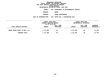**ESTIMATES FISCAL YEAR <sup>2021</sup> AGENCY <sup>826</sup> DEPARTMENT OF ENVIRONMENTAL PROTECT.**

**BOROUGH**

BRONX<br>SEWER MAINTENANCE **PROGRAM**

**SEWER MAINTENANCE UNIT OF APPROPRIATION <sup>003</sup> WATER SUP. & WASTEWATER COLL**

|                               | FISCAL YEAR 2020<br>CURRENT MODIFIED BUDGET<br>AS OF 01/07/20 |                        | <b>FISCAL YEAR 2021</b><br>DEPARTMENTAL ESTIMATES |                        |                                |
|-------------------------------|---------------------------------------------------------------|------------------------|---------------------------------------------------|------------------------|--------------------------------|
| LOCAL SERVICE DISTRICT        | <b>AMOUNT</b>                                                 | FULL TIME<br>POSITIONS | <b>AMOUNT</b>                                     | FULL TIME<br>POSITIONS | <b>INCREASE</b><br>DECREASE(-) |
| BRONX SEWER MAINT YD BDS 1-12 | 1,717,689                                                     | 20                     | 1,731,392                                         | 20                     | 13,703                         |
| PROGRAM TOTAL:                | 1,717,689                                                     | 20                     | 1,731,392                                         | 20                     | 13,703                         |
|                               |                                                               |                        |                                                   |                        |                                |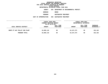**ESTIMATES FISCAL YEAR <sup>2021</sup> AGENCY <sup>826</sup> DEPARTMENT OF ENVIRONMENTAL PROTECT.**

**BOROUGH**

BRONX<br>WASTEWATER TREATMENT **PROGRAM**

**WASTEWATER TREATMENT UNIT OF APPROPRIATION <sup>008</sup> WASTEWATER TREATMENT**

|                               | FISCAL YEAR 2020<br>CURRENT MODIFIED BUDGET |                               | FISCAL YEAR 2021<br>DEPARTMENTAL ESTIMATES |                        |                                |
|-------------------------------|---------------------------------------------|-------------------------------|--------------------------------------------|------------------------|--------------------------------|
| LOCAL SERVICE DISTRICT        | AS OF 01/07/20<br><b>AMOUNT</b>             | FULL TIME<br><b>POSITIONS</b> | <b>AMOUNT</b>                              | FULL TIME<br>POSITIONS | INCREASE<br><b>DECREASE(-)</b> |
| HUNTS PT WAT POLLUT CON PLANT | 10,005,110                                  | 99                            | 10,157,273                                 | 99                     | 152,163                        |
| PROGRAM TOTAL:                | 10,005,110                                  | 99                            | 10,157,273                                 | 99                     | 152,163                        |
|                               |                                             |                               |                                            |                        |                                |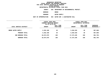**ESTIMATES FISCAL YEAR <sup>2021</sup> AGENCY <sup>826</sup> DEPARTMENT OF ENVIRONMENTAL PROTECT.**

**BOROUGH**

 **BRONX PROGRAM**

**WATER SUPPLY UNIT OF APPROPRIATION <sup>003</sup> WATER SUP. & WASTEWATER COLL**

| FISCAL YEAR 2020<br>CURRENT MODIFIED BUDGET |                        | FISCAL YEAR 2021<br>DEPARTMENTAL ESTIMATES |                        |                                |  |
|---------------------------------------------|------------------------|--------------------------------------------|------------------------|--------------------------------|--|
| <b>AMOUNT</b>                               | FULL TIME<br>POSITIONS | <b>AMOUNT</b>                              | FULL TIME<br>POSITIONS | <b>INCREASE</b><br>DECREASE(-) |  |
| 6,352,180                                   | 49                     | 5,384,520                                  | 49                     | $967,660 -$                    |  |
| 6,352,180                                   | 49                     | 5,384,520                                  | 49                     | $967,660 -$                    |  |
| 18,074,979                                  | 168                    | 17,273,185                                 | 168                    | 801,794-                       |  |
| 18,074,979                                  | 168                    | 17,273,185                                 | 168                    | 801,794-                       |  |
|                                             |                        | AS OF 01/07/20                             |                        |                                |  |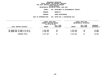#### **DEPARTMENTAL**

**ESTIMATES FISCAL YEAR <sup>2021</sup> AGENCY <sup>826</sup> DEPARTMENT OF ENVIRONMENTAL PROTECT.**

**BOROUGH**

 **BROOKLYN PROGRAM**

**SEWER MAINTENANCE UNIT OF APPROPRIATION <sup>003</sup> WATER SUP. & WASTEWATER COLL**

|                                  | FISCAL YEAR 2020        |                  |               | FISCAL YEAR 2021       |                 |  |  |
|----------------------------------|-------------------------|------------------|---------------|------------------------|-----------------|--|--|
|                                  | CURRENT MODIFIED BUDGET |                  |               | DEPARTMENTAL ESTIMATES |                 |  |  |
|                                  | AS OF 01/07/20          |                  |               |                        |                 |  |  |
|                                  |                         | <b>FULL TIME</b> |               | FULL TIME              | <b>INCREASE</b> |  |  |
| LOCAL SERVICE DISTRICT           | AMOUNT                  | POSITIONS        | <b>AMOUNT</b> | POSITIONS              | DECREASE(-)     |  |  |
| BK SEWER MNT YD BOS1-4,6-10,17   | 1,442,556               | 20               | 1,457,361     | 20                     | 14,805          |  |  |
| BK SEWER MNT YD BDS 5, 11-16, 18 | 2,135,311               | 31               | 2,157,201     | 31                     | 21,890          |  |  |
| PROGRAM TOTAL:                   | 3,577,867               | 51               | 3,614,562     | 51                     | 36,695          |  |  |
|                                  |                         |                  |               |                        |                 |  |  |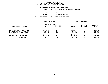#### **DEPARTMENTAL**

**ESTIMATES FISCAL YEAR <sup>2021</sup> AGENCY <sup>826</sup> DEPARTMENT OF ENVIRONMENTAL PROTECT.**

**BOROUGH**

BROOKLYN<br>WASTEWATER TREATMENT

**PROGRAM**

**WASTEWATER TREATMENT UNIT OF APPROPRIATION <sup>008</sup> WASTEWATER TREATMENT**

|                                                                  | FISCAL YEAR 2020<br>CURRENT MODIFIED BUDGET<br>AS OF 01/07/20 |                               |                         | FISCAL YEAR 2021<br>DEPARTMENTAL ESTIMATES |                         |  |
|------------------------------------------------------------------|---------------------------------------------------------------|-------------------------------|-------------------------|--------------------------------------------|-------------------------|--|
| LOCAL SERVICE DISTRICT                                           | <b>AMOUNT</b>                                                 | <b>FULL TIME</b><br>POSITIONS | <b>AMOUNT</b>           | FULL TIME<br>POSITIONS                     | INCREASE<br>DECREASE(-) |  |
| CON ISL WAT POLLUT CON PLANT                                     | 7,747,685                                                     | 71                            | 7,834,121               | 71                                         | 86,436                  |  |
| OWLS HEAD WAT POLLUT CON PLANT<br>NEWTOWN CREEK WA POLL CON PLAN | 7,270,346<br>12,337,711                                       | 68<br>117                     | 7,353,561<br>12,501,599 | 68<br>117                                  | 83,215<br>163,888       |  |
| 26 WARD WAT POLLUT CON PLANT                                     | 9,680,317                                                     | 93                            | 9,823,584               | 93                                         | 143,267                 |  |
| RED HOOK WAT POLL CON PLANT                                      | 6,714,863                                                     | 60                            | 6,789,755               | 60                                         | 74,892                  |  |
| PROGRAM TOTAL:                                                   | 43,750,922                                                    | 409                           | 44,302,620              | 409                                        | 551,698                 |  |
|                                                                  |                                                               |                               |                         |                                            |                         |  |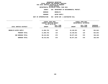**ESTIMATES FISCAL YEAR <sup>2021</sup> AGENCY <sup>826</sup> DEPARTMENT OF ENVIRONMENTAL PROTECT.**

**BOROUGH**

 **BROOKLYN PROGRAM**

**WATER SUPPLY UNIT OF APPROPRIATION <sup>003</sup> WATER SUP. & WASTEWATER COLL**

|                        | FISCAL YEAR 2020<br>CURRENT MODIFIED BUDGET |           | FISCAL YEAR 2021<br>DEPARTMENTAL ESTIMATES |           |             |
|------------------------|---------------------------------------------|-----------|--------------------------------------------|-----------|-------------|
|                        | AS OF 01/07/20                              | FULL TIME |                                            | FULL TIME | INCREASE    |
| LOCAL SERVICE DISTRICT | <b>AMOUNT</b>                               | POSITIONS | <b>AMOUNT</b>                              | POSITIONS | DECREASE(-) |
| BROOKLYN WATER SUPPLY  | 11,084,763                                  | 119       | 10,159,921                                 | 119       | 924,842-    |
| PROGRAM TOTAL:         | 11,084,763                                  | 119       | 10,159,921                                 | 119       | 924,842-    |
| SUB BOROUGH TOTAL:     | 58,413,552                                  | 579       | 58,077,103                                 | 579       | $336,449-$  |
| <b>BOROUGH TOTAL:</b>  | 58,413,552                                  | 579       | 58,077,103                                 | 579       | $336,449-$  |
|                        |                                             |           |                                            |           |             |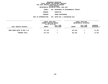#### **DEPARTMENTAL**

**ESTIMATES FISCAL YEAR <sup>2021</sup> AGENCY <sup>826</sup> DEPARTMENT OF ENVIRONMENTAL PROTECT.**

**BOROUGH**

 **MANHATTAN PROGRAM**

**SEWER MAINTENANCE UNIT OF APPROPRIATION <sup>003</sup> WATER SUP. & WASTEWATER COLL**

|                              | FISCAL YEAR 2020<br>CURRENT MODIFIED BUDGET |                        | FISCAL YEAR 2021<br>DEPARTMENTAL ESTIMATES |                        |                                       |
|------------------------------|---------------------------------------------|------------------------|--------------------------------------------|------------------------|---------------------------------------|
| LOCAL SERVICE DISTRICT       | AS OF 01/07/20<br><b>AMOUNT</b>             | FULL TIME<br>POSITIONS | <b>AMOUNT</b>                              | FULL TIME<br>POSITIONS | <b>INCREASE</b><br><b>DECREASE(-)</b> |
| MANH SEWER MAINT YD BDS 1-12 | 817,443                                     |                        | 831,228                                    |                        | 13,785                                |
| PROGRAM TOTAL:               | 817,443                                     |                        | 831,228                                    |                        | 13,785                                |
|                              |                                             |                        |                                            |                        |                                       |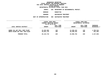**DEPARTMENTAL**

**ESTIMATES FISCAL YEAR <sup>2021</sup> AGENCY <sup>826</sup> DEPARTMENT OF ENVIRONMENTAL PROTECT.**

**BOROUGH**

MANHATTAN<br>WASTEWATER TREATMENT

**PROGRAM**

**WASTEWATER TREATMENT UNIT OF APPROPRIATION <sup>008</sup> WASTEWATER TREATMENT**

|                                                                 | FISCAL YEAR 2020         |            |                          | FISCAL YEAR 2021       |                           |
|-----------------------------------------------------------------|--------------------------|------------|--------------------------|------------------------|---------------------------|
|                                                                 | CURRENT MODIFIED BUDGET  |            |                          | DEPARTMENTAL ESTIMATES |                           |
|                                                                 | AS OF 01/07/20           |            |                          |                        |                           |
|                                                                 |                          | FULL TIME  |                          | FULL TIME              | INCREASE                  |
| LOCAL SERVICE DISTRICT                                          | <b>AMOUNT</b>            | POSITIONS  | <b>AMOUNT</b>            | POSITIONS              | DECREASE(-)               |
| WARDS ISL WAT POLL CONT PLANT<br>NORTH RIVER WAT POLL CON PLANT | 15,282,966<br>10,841,744 | 120<br>100 | 13,496,442<br>10,490,342 | 120<br>100             | 1,786,524-<br>$351,402 -$ |
| PROGRAM TOTAL:                                                  | 26,124,710               | 220        | 23,986,784               | 220                    | 2,137,926-                |
|                                                                 |                          |            |                          |                        |                           |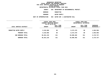**ESTIMATES FISCAL YEAR <sup>2021</sup> AGENCY <sup>826</sup> DEPARTMENT OF ENVIRONMENTAL PROTECT.**

**BOROUGH**

 **MANHATTAN PROGRAM**

**WATER SUPPLY UNIT OF APPROPRIATION <sup>003</sup> WATER SUP. & WASTEWATER COLL**

|                        | FISCAL YEAR 2020<br>CURRENT MODIFIED BUDGET<br>AS OF 01/07/20 |                        | FISCAL YEAR 2021<br>DEPARTMENTAL ESTIMATES |                        |                                |
|------------------------|---------------------------------------------------------------|------------------------|--------------------------------------------|------------------------|--------------------------------|
| LOCAL SERVICE DISTRICT | <b>AMOUNT</b>                                                 | FULL TIME<br>POSITIONS | <b>AMOUNT</b>                              | FULL TIME<br>POSITIONS | <b>INCREASE</b><br>DECREASE(-) |
| MANHATTAN WATER SUPPLY | 9,319,066                                                     | 90                     | 8,272,470                                  | 90                     | 1,046,596-                     |
| PROGRAM TOTAL:         | 9,319,066                                                     | 90                     | 8,272,470                                  | 90                     | 1,046,596-                     |
| SUB BOROUGH TOTAL:     | 36,261,219                                                    | 311                    | 33,090,482                                 | 311                    | 3,170,737-                     |
| <b>BOROUGH TOTAL:</b>  | 36,261,219                                                    | 311                    | 33,090,482                                 | 311                    | 3,170,737-                     |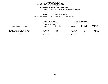#### **DEPARTMENTAL**

**ESTIMATES FISCAL YEAR <sup>2021</sup> AGENCY <sup>826</sup> DEPARTMENT OF ENVIRONMENTAL PROTECT.**

**BOROUGH**

QUEENS<br>SEWER MAINTENANCE **PROGRAM**

**SEWER MAINTENANCE UNIT OF APPROPRIATION <sup>003</sup> WATER SUP. & WASTEWATER COLL**

|                                                                 | FISCAL YEAR 2020        |           |                        | FISCAL YEAR 2021       |                  |
|-----------------------------------------------------------------|-------------------------|-----------|------------------------|------------------------|------------------|
|                                                                 | CURRENT MODIFIED BUDGET |           |                        | DEPARTMENTAL ESTIMATES |                  |
|                                                                 | AS OF 01/07/20          |           |                        |                        |                  |
|                                                                 |                         | FULL TIME |                        | FULL TIME              | <b>INCREASE</b>  |
| LOCAL SERVICE DISTRICT                                          | <b>AMOUNT</b>           | POSITIONS | <b>AMOUNT</b>          | POSITIONS              | DECREASE(-)      |
| QN SEWER MNT YD BDS 9,10,12-14<br>ONS SEWER MAINT YD BDS 1-8,11 | 2,216,292<br>2,513,782  | 23<br>26  | 2,241,124<br>2,529,681 | 23<br>26               | 24,832<br>15,899 |
| PROGRAM TOTAL:                                                  | 4,730,074               | 49        | 4,770,805              | 49                     | 40,731           |
|                                                                 |                         |           |                        |                        |                  |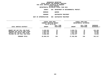#### **DEPARTMENTAL**

**ESTIMATES FISCAL YEAR <sup>2021</sup> AGENCY <sup>826</sup> DEPARTMENT OF ENVIRONMENTAL PROTECT.**

**BOROUGH**

QUEENS<br>WASTEWATER TREATMENT

**PROGRAM**

**WASTEWATER TREATMENT UNIT OF APPROPRIATION <sup>008</sup> WASTEWATER TREATMENT**

|                                                                 | FISCAL YEAR 2020<br>CURRENT MODIFIED BUDGET<br>AS OF 01/07/20 |                               | FISCAL YEAR 2021<br>DEPARTMENTAL ESTIMATES |                        |                           |
|-----------------------------------------------------------------|---------------------------------------------------------------|-------------------------------|--------------------------------------------|------------------------|---------------------------|
| LOCAL SERVICE DISTRICT                                          | <b>AMOUNT</b>                                                 | <b>FULL TIME</b><br>POSITIONS | <b>AMOUNT</b>                              | FULL TIME<br>POSITIONS | INCREASE<br>$DECREASE(-)$ |
| BOWERY BAY WAT POLL CON PLANT<br>ROCKAWAY WAT POLLUT CONT PLANT | 8,450,563<br>4,854,546                                        | 78<br>45                      | 8,583,751<br>4,913,348                     | 78<br>45               | 133,188<br>58,802         |
| JAMAICA WAT POLLUT CONT PLANT<br>TOLLMAN ISL WAT POLL CON PLANT | 6,967,112<br>6,688,454                                        | 64<br>62                      | 7,041,416<br>6,764,477                     | 64<br>62               | 74,304<br>76,023          |
| PROGRAM TOTAL:                                                  | 26,960,675                                                    | 249                           | 27,302,992                                 | 249                    | 342,317                   |
|                                                                 |                                                               |                               |                                            |                        |                           |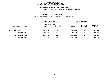**ESTIMATES FISCAL YEAR <sup>2021</sup> AGENCY <sup>826</sup> DEPARTMENT OF ENVIRONMENTAL PROTECT.**

**BOROUGH**

QUEENS<br>WATER SUPPLY **PROGRAM**

**WATER SUPPLY UNIT OF APPROPRIATION <sup>003</sup> WATER SUP. & WASTEWATER COLL**

|                            |               | FISCAL YEAR 2020<br>CURRENT MODIFIED BUDGET<br>AS OF 01/07/20 |               | FISCAL YEAR 2021<br>DEPARTMENTAL ESTIMATES |                         |
|----------------------------|---------------|---------------------------------------------------------------|---------------|--------------------------------------------|-------------------------|
| LOCAL SERVICE DISTRICT     | <b>AMOUNT</b> | FULL TIME<br>POSITIONS                                        | <b>AMOUNT</b> | FULL TIME<br><b>POSITIONS</b>              | INCREASE<br>DECREASE(-) |
| <b>QUEENS WATER SUPPLY</b> | 2,947,177     | 34                                                            | 2,969,452     | 34                                         | 22,275                  |
| PROGRAM TOTAL:             | 2,947,177     | 34                                                            | 2,969,452     | 34                                         | 22,275                  |
| SUB BOROUGH TOTAL:         | 34,637,926    | 332                                                           | 35,043,249    | 332                                        | 405,323                 |
| BOROUGH TOTAL:             | 34,637,926    | 332                                                           | 35,043,249    | 332                                        | 405,323                 |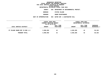#### **DEPARTMENTAL**

**ESTIMATES FISCAL YEAR <sup>2021</sup> AGENCY <sup>826</sup> DEPARTMENT OF ENVIRONMENTAL PROTECT.**

**BOROUGH**

 **STATEN ISLAND PROGRAM**

**SEWER MAINTENANCE UNIT OF APPROPRIATION <sup>003</sup> WATER SUP. & WASTEWATER COLL**

|                                | FISCAL YEAR 2020<br>CURRENT MODIFIED BUDGET |                        |               | FISCAL YEAR 2021<br>DEPARTMENTAL ESTIMATES |                                |
|--------------------------------|---------------------------------------------|------------------------|---------------|--------------------------------------------|--------------------------------|
|                                | AS OF 01/07/20                              |                        |               |                                            |                                |
| LOCAL SERVICE DISTRICT         | <b>AMOUNT</b>                               | FULL TIME<br>POSITIONS | <b>AMOUNT</b> | FULL TIME<br>POSITIONS                     | INCREASE<br><b>DECREASE(-)</b> |
|                                |                                             |                        |               |                                            |                                |
| ST ISLAND SEWER MNT YD BDS 1-3 | 3,998,059                                   | 42                     | 4,028,385     | 42                                         | 30,326                         |
| PROGRAM TOTAL:                 | 3,998,059                                   | 42                     | 4,028,385     | 42                                         | 30,326                         |
|                                |                                             |                        |               |                                            |                                |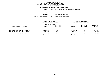#### **DEPARTMENTAL**

**ESTIMATES FISCAL YEAR <sup>2021</sup> AGENCY <sup>826</sup> DEPARTMENT OF ENVIRONMENTAL PROTECT.**

**BOROUGH**

 **STATEN ISLAND PROGRAM**

**WASTEWATER TREATMENT UNIT OF APPROPRIATION <sup>008</sup> WASTEWATER TREATMENT**

|                                | FISCAL YEAR 2020        |           |               | FISCAL YEAR 2021       |                 |
|--------------------------------|-------------------------|-----------|---------------|------------------------|-----------------|
|                                | CURRENT MODIFIED BUDGET |           |               | DEPARTMENTAL ESTIMATES |                 |
|                                | AS OF 01/07/20          |           |               |                        |                 |
|                                |                         | FULL TIME |               | FULL TIME              | <b>INCREASE</b> |
| LOCAL SERVICE DISTRICT         | <b>AMOUNT</b>           | POSITIONS | <b>AMOUNT</b> | POSITIONS              | DECREASE(-)     |
|                                |                         |           |               |                        |                 |
| OAKWOOD BEACH WAT POL CON PLAN | 6,623,739               | 60        | 6,715,750     | 60                     | 92,011          |
| PORT RICH WAT POLL CONT PLANT  | 5,349,029               | 52        | 5,420,242     | 52                     | 71,213          |
|                                |                         |           |               |                        |                 |
| PROGRAM TOTAL:                 | 11,972,768              | 112       | 12,135,992    | 112                    | 163,224         |
|                                |                         |           |               |                        |                 |
|                                |                         |           |               |                        |                 |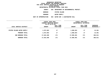**ESTIMATES FISCAL YEAR <sup>2021</sup> AGENCY <sup>826</sup> DEPARTMENT OF ENVIRONMENTAL PROTECT. BOROUGH STATEN ISLAND PROGRAMWATER SUPPLY UNIT OF APPROPRIATION <sup>003</sup> WATER SUP. & WASTEWATER COLL**

| FISCAL YEAR 2020<br>CURRENT MODIFIED BUDGET |               | AS OF 01/07/20         |               | FISCAL YEAR 2021<br>DEPARTMENTAL ESTIMATES |                           |
|---------------------------------------------|---------------|------------------------|---------------|--------------------------------------------|---------------------------|
| LOCAL SERVICE DISTRICT                      | <b>AMOUNT</b> | FULL TIME<br>POSITIONS | <b>AMOUNT</b> | FULL TIME<br>POSITIONS                     | INCREASE<br>$DECREASE(-)$ |
| STATEN ISLAND WATER SUPPLY                  | 1,672,663     | 17                     | 1,686,024     | 17                                         | 13,361                    |
| PROGRAM TOTAL:                              | 1,672,663     | 17                     | 1,686,024     | 17                                         | 13,361                    |
| SUB BOROUGH TOTAL:                          | 17,643,490    | 171                    | 17,850,401    | 171                                        | 206,911                   |
| <b>BOROUGH TOTAL:</b>                       | 17,643,490    | 171                    | 17,850,401    | 171                                        | 206,911                   |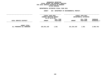#### **GEOGRAPHICC REPORTING<br>PERSONAL S<br>ICTS BY PRO FISCAL REPORT FOR PERSONAL SERVICES FOR LOCAL SERVICE DISTRICTS BY PROGRAM WITHIN**

### WITHIN BOROUGH<br>D<mark>EPARTMENTAL ESTIMATES FISC</mark>

|                                                   | FISCAL YEAR 2020<br>CURRENT MODIFIED BUDGET<br>AS OF 01/07/20 |                        | FISCAL YEAR 2021<br>DEPARTMENTAL ESTIMATES |                        |                         |
|---------------------------------------------------|---------------------------------------------------------------|------------------------|--------------------------------------------|------------------------|-------------------------|
| LOCAL SERVICE DISTRICT                            | <b>AMOUNT</b>                                                 | FULL TIME<br>POSITIONS | <b>AMOUNT</b>                              | FULL TIME<br>POSITIONS | INCREASE<br>DECREASE(-) |
| <b>AGENCY TOTAL:</b><br>ALL PROGRAMS ALL BOROUGHS | 165,031,166                                                   | 1,561                  | 161,334,420                                | 1,561                  | $3,696,746 -$           |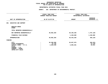### **PS UNITS OF APPROPRIATION DEPARTMENTAL**

|                                                                                                                                     | DEPARTMENTAL ESTIMATES FISCAL YEAR 2021                    |                         |                                            |  |  |
|-------------------------------------------------------------------------------------------------------------------------------------|------------------------------------------------------------|-------------------------|--------------------------------------------|--|--|
|                                                                                                                                     | <b>AGENCY:</b><br>826 DEPARTMENT OF ENVIRONMENTAL PROTECT. |                         |                                            |  |  |
|                                                                                                                                     | FISCAL YEAR 2020<br>CURRENT MODIFIED BUDGET                |                         | FISCAL YEAR 2021<br>DEPARTMENTAL ESTIMATES |  |  |
| UNIT OF APPROPRIATION                                                                                                               | AS OF 01/07/20                                             | <b>AMOUNT</b>           | <b>INCREASE</b><br>DECREASE $(-)$          |  |  |
| <b>EXECUTIVE AND SUPPORT</b><br>001                                                                                                 |                                                            |                         |                                            |  |  |
| REGULAR GROSS<br><b>OTHER</b>                                                                                                       |                                                            |                         |                                            |  |  |
| TOTAL REPORTED GEOGRAPHICALLY                                                                                                       |                                                            |                         |                                            |  |  |
| NOT REPORTED GEOGRAPHICALLY                                                                                                         | 40,902,384                                                 | 39,195,256              | 1,707,128-                                 |  |  |
| FINANCIAL PLAN SAVINGS                                                                                                              |                                                            | 1,248,000               | 1,248,000                                  |  |  |
| <b>APPROPRIATION</b>                                                                                                                | 40,902,384                                                 | 40,443,256              | 459,128-                                   |  |  |
| FUNDING                                                                                                                             |                                                            |                         |                                            |  |  |
| <b>CITY</b><br>OTHER CATEGORICAL<br>CAPITAL FUNDS - I.F.A.<br><b>STATE</b><br>FEDERAL - C.D.<br>FEDERAL - OTHER<br>INTRA-CITY SALES | 36,288,008<br>51,136<br>4,563,240                          | 35,837,975<br>4,605,281 | $450,033-$<br>$51,136-$<br>42,041          |  |  |
|                                                                                                                                     |                                                            |                         |                                            |  |  |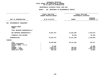### **PS UNITS OF APPROPRIATION DEPARTMENTAL**

| DEPARTMENTAL ESTIMATES FISCAL YEAR 2021                  |                                             |                                            |                                   |  |  |
|----------------------------------------------------------|---------------------------------------------|--------------------------------------------|-----------------------------------|--|--|
|                                                          | <b>AGENCY:</b>                              | 826 DEPARTMENT OF ENVIRONMENTAL PROTECT.   |                                   |  |  |
|                                                          | FISCAL YEAR 2020<br>CURRENT MODIFIED BUDGET | FISCAL YEAR 2021<br>DEPARTMENTAL ESTIMATES |                                   |  |  |
| UNIT OF APPROPRIATION                                    | AS OF 01/07/20                              | <b>AMOUNT</b>                              | <b>INCREASE</b><br>DECREASE $(-)$ |  |  |
| ENVIRONMENTAL MANAGEMENT<br>002                          |                                             |                                            |                                   |  |  |
| REGULAR GROSS<br><b>OTHER</b>                            |                                             |                                            |                                   |  |  |
| TOTAL REPORTED GEOGRAPHICALLY                            |                                             |                                            |                                   |  |  |
| NOT REPORTED GEOGRAPHICALLY                              | 24,057,372                                  | 21,654,298                                 | $2,403,074-$                      |  |  |
| FINANCIAL PLAN SAVINGS                                   |                                             | $36,918-$                                  | $36,918-$                         |  |  |
| <b>APPROPRIATION</b>                                     | 24,057,372                                  | 21,617,380                                 | 2,439,992-                        |  |  |
| FUNDING                                                  |                                             |                                            |                                   |  |  |
| <b>CITY</b><br>OTHER CATEGORICAL                         | 20,298,885                                  | 20,421,356                                 | 122,471                           |  |  |
| CAPITAL FUNDS - I.F.A.<br><b>STATE</b><br>FEDERAL - C.D. | 47,008<br>1,532,871                         | 706,515                                    | 47,008-<br>826,356-               |  |  |
| FEDERAL - OTHER<br>INTRA-CITY SALES                      | 1,829,479<br>349,129                        | 153,062<br>336,447                         | 1,676,417-<br>12,682-             |  |  |
|                                                          |                                             |                                            |                                   |  |  |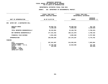### **PS UNITS OF APPROPRIATION DEPARTMENTAL**

| FISCAL YEAR 2020<br><b>CURRENT MODIFIED BUDGET</b> | FISCAL YEAR 2021<br>DEPARTMENTAL ESTIMATES |                                     |  |
|----------------------------------------------------|--------------------------------------------|-------------------------------------|--|
| AS OF 01/07/20                                     | <b>AMOUNT</b>                              | <b>INCREASE</b><br>DECREASE $(-)$   |  |
|                                                    |                                            |                                     |  |
| 40,026,741<br>6,190,240                            | 40,358,519<br>3,090,240                    | 331,778<br>$3,100,000 -$            |  |
| 46,216,981                                         | 43,448,759                                 | 2,768,222-                          |  |
| 177,341,452                                        | 180,121,870                                | 2,780,418                           |  |
| 2,961,848-                                         | 3,805,658                                  | 6,767,506                           |  |
| 220,596,585                                        | 227,376,287                                | 6,779,702                           |  |
|                                                    |                                            |                                     |  |
| 207,561,887<br>12,709,398<br>325,300               | 214,565,691<br>12,810,596                  | 7,003,804<br>101,198<br>$325,300 -$ |  |
|                                                    |                                            |                                     |  |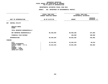### **PS UNITS OF APPROPRIATION DEPARTMENTAL**

|                                                                                                 | FISCAL YEAR 2020<br>CURRENT MODIFIED BUDGET |               | FISCAL YEAR 2021<br>DEPARTMENTAL ESTIMATES |  |
|-------------------------------------------------------------------------------------------------|---------------------------------------------|---------------|--------------------------------------------|--|
| UNIT OF APPROPRIATION                                                                           | AS OF 01/07/20                              | <b>AMOUNT</b> | <b>INCREASE</b><br>DECREASE (-)            |  |
| CENTRAL UTILITY<br>007                                                                          |                                             |               |                                            |  |
| REGULAR GROSS<br><b>OTHER</b>                                                                   |                                             |               |                                            |  |
| TOTAL REPORTED GEOGRAPHICALLY                                                                   |                                             |               |                                            |  |
| NOT REPORTED GEOGRAPHICALLY                                                                     | 86,428,384                                  | 86,666,266    | 237,882                                    |  |
| FINANCIAL PLAN SAVINGS                                                                          |                                             | 198,000       | 198,000                                    |  |
| <b>APPROPRIATION</b>                                                                            | 86,428,384                                  | 86,864,266    | 435,882                                    |  |
| FUNDING                                                                                         |                                             |               |                                            |  |
| <b>CITY</b><br>OTHER CATEGORICAL                                                                | 42,212,951                                  | 42,302,970    | 90,019                                     |  |
| CAPITAL FUNDS - I.F.A.<br><b>STATE</b><br>FEDERAL - C.D.<br>FEDERAL - OTHER<br>INTRA-CITY SALES | 44,215,433                                  | 44,561,296    | 345,863                                    |  |
|                                                                                                 |                                             |               |                                            |  |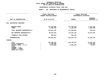### **PS UNITS OF APPROPRIATION DEPARTMENTAL**

|                                       | <b>AMOUNT</b>                                                        | <b>INCREASE</b><br>DECREASE $(-)$          |
|---------------------------------------|----------------------------------------------------------------------|--------------------------------------------|
|                                       |                                                                      |                                            |
| 112, 133, 945<br>6,680,240            | 113,705,421<br>4,180,240                                             | 1,571,476<br>$2,500,000 -$                 |
| 118,814,185                           | 117,885,661                                                          | $928,524-$                                 |
| 88,815,483                            | 112,242,746                                                          | 23,427,263                                 |
| $809,631 -$                           | $809,631 -$                                                          |                                            |
| 206,820,037                           | 229, 318, 776                                                        | 22,498,739                                 |
|                                       |                                                                      |                                            |
| 196,788,129<br>1,500,000<br>8,531,908 | 220,735,281<br>8,583,495                                             | 23,947,152<br>$1,500,000 -$<br>51,587      |
|                                       | FISCAL YEAR 2020<br><b>CURRENT MODIFIED BUDGET</b><br>AS OF 01/07/20 | FISCAL YEAR 2021<br>DEPARTMENTAL ESTIMATES |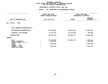### **OTPS UNITS OF APPROPRIATION DEPARTMENTAL**

|                                | FISCAL YEAR 2020               |               | FISCAL YEAR 2021       |
|--------------------------------|--------------------------------|---------------|------------------------|
|                                | <b>CURRENT MODIFIED BUDGET</b> |               | DEPARTMENTAL ESTIMATES |
|                                |                                |               | <b>INCREASE</b>        |
| UNIT OF APPROPRIATION          | AS OF 01/07/20                 | <b>AMOUNT</b> | DECREASE (-)           |
| 004<br>UTILITY - OTPS          |                                |               |                        |
| TOTAL REPORTED GEOGRAPHICALLY  |                                |               |                        |
| NOT REPORTED GEOGRAPHICALLY    | 746,289,436                    | 726,979,406   | 19,310,030-            |
| FINANCIAL PLAN SAVINGS         | 21, 129, 761-                  | 21,676,269-   | 546,508-               |
| <b>APPROPRIATION</b>           | 725,159,675                    | 705,303,137   | 19,856,538-            |
| <b>FUNDING</b>                 |                                |               |                        |
| <b>CITY</b>                    | 712,700,578                    | 705,303,137   | 7,397,441-             |
| OTHER CATEGORICAL              | 4,313,152                      |               | 4,313,152-             |
| CAPITAL FUNDS - I.F.A.         |                                |               |                        |
| <b>STATE</b><br>FEDERAL - C.D. | 4,835,629                      |               | 4,835,629-             |
| FEDERAL - OTHER                | 3,310,316                      |               | $3,310,316 -$          |
| INTRA-CITY SALES               |                                |               |                        |
|                                |                                |               |                        |
|                                |                                |               |                        |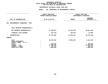### **OTPS UNITS OF APPROPRIATION DEPARTMENTAL**

|                                                                            | FISCAL YEAR 2020<br><b>CURRENT MODIFIED BUDGET</b><br>AS OF 01/07/20 |                                    | FISCAL YEAR 2021<br>DEPARTMENTAL ESTIMATES |                                           |  |
|----------------------------------------------------------------------------|----------------------------------------------------------------------|------------------------------------|--------------------------------------------|-------------------------------------------|--|
| UNIT OF APPROPRIATION                                                      |                                                                      |                                    | <b>AMOUNT</b>                              | <b>INCREASE</b><br>DECREASE (-)           |  |
| ENVIRONMENTAL MANAGEMENT -OTPS                                             |                                                                      |                                    |                                            |                                           |  |
| TOTAL REPORTED GEOGRAPHICALLY                                              |                                                                      |                                    |                                            |                                           |  |
| NOT REPORTED GEOGRAPHICALLY                                                |                                                                      | 67,696,870                         | 28, 165, 432                               | 39,531,438-                               |  |
| FINANCIAL PLAN SAVINGS                                                     |                                                                      | 261,975-                           | 209,975-                                   | 52,000                                    |  |
| <b>APPROPRIATION</b>                                                       |                                                                      | 67,434,895                         | 27,955,457                                 | 39, 479, 438-                             |  |
|                                                                            |                                                                      |                                    |                                            |                                           |  |
| <b>CITY</b><br>OTHER CATEGORICAL<br>CAPITAL FUNDS - I.F.A.<br><b>STATE</b> |                                                                      | 30,370,035                         | 27,955,457                                 | 2,414,578-<br>348,610-                    |  |
| FEDERAL - C.D.<br>FEDERAL - OTHER<br>INTRA-CITY SALES                      |                                                                      | 35,389,268<br>320,372<br>1,006,610 |                                            | 35, 389, 268-<br>320,372-<br>$1,006,610-$ |  |
|                                                                            |                                                                      |                                    | 348,610                                    |                                           |  |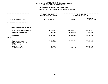### **OTPS UNITS OF APPROPRIATION DEPARTMENTAL**

| FISCAL YEAR 2020<br>CURRENT MODIFIED BUDGET   | FISCAL YEAR 2021<br>DEPARTMENTAL ESTIMATES |                                                      |  |
|-----------------------------------------------|--------------------------------------------|------------------------------------------------------|--|
| AS OF 01/07/20                                | <b>AMOUNT</b>                              | <b>INCREASE</b><br>DECREASE $(-)$                    |  |
|                                               |                                            |                                                      |  |
|                                               |                                            |                                                      |  |
| 68,201,871                                    | 61,451,651                                 | $6,750,220 -$                                        |  |
| $2,108,447-$                                  | 1,351,286-                                 | 757,161                                              |  |
| 66,093,424                                    | 60,100,365                                 | 5,993,059-                                           |  |
|                                               |                                            |                                                      |  |
| 62,265,546<br>944,118<br>2,600,000<br>283,760 | 59,826,605<br>273,760                      | 2,438,941-<br>944,118-<br>$2,600,000 -$<br>$10,000-$ |  |
|                                               |                                            |                                                      |  |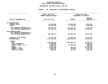### **GEOGRAPHICC REPORTING<br>ENCYWIDE SU<br>----------FISCAL**

# **REPORT AGENCYWIDE SUMMARY DEPARTMENTAL ESTIMATES FISCAL YEAR <sup>2021</sup>**

## **AGENCY: <sup>826</sup> DEPARTMENT OF ENVIRONMENTAL PROTECT.**

|                               | FISCAL YEAR 2020               |               | FISCAL YEAR 2021       |  |  |
|-------------------------------|--------------------------------|---------------|------------------------|--|--|
|                               | <b>CURRENT MODIFIED BUDGET</b> |               | DEPARTMENTAL ESTIMATES |  |  |
|                               |                                |               | <b>INCREASE</b>        |  |  |
| UNIT OF APPROPRIATION         | AS OF 01/07/20                 | <b>AMOUNT</b> | DECREASE $(-)$         |  |  |
|                               |                                |               |                        |  |  |
| PS APPROPRIATIONS             |                                |               |                        |  |  |
| REGULAR GROSS                 | 152,160,686                    | 154,063,940   | 1,903,254              |  |  |
| <b>OTHER</b>                  | 12,870,480                     | 7,270,480     | $5,600,000 -$          |  |  |
|                               |                                |               |                        |  |  |
| TOTAL REPORTED GEOGRAPHICALLY | 165,031,166                    | 161,334,420   | $3,696,746$ -          |  |  |
| NOT REPORTED GEOGRAPHICALLY   | 417,545,075                    | 439,880,436   | 22,335,361             |  |  |
|                               |                                |               |                        |  |  |
| OTPS APPROPRIATIONS           |                                |               |                        |  |  |
| TOTAL REPORTED GEOGRAPHICALLY |                                |               |                        |  |  |
| NOT REPORTED GEOGRAPHICALLY   | 882,188,177                    | 816,596,489   | 65,591,688-            |  |  |
|                               |                                |               |                        |  |  |
| FINANCIAL PLAN SAVINGS        | $27,271,662-$                  | 18,832,421-   | 8,439,241              |  |  |
| <b>APPROPRIATIONS</b>         | 1,437,492,756                  | 1,398,978,924 | 38,513,832-            |  |  |
| <b>FUNDING</b>                |                                |               |                        |  |  |
| <b>CITY</b>                   | 1,308,486,019                  | 1,326,948,472 | 18,462,453             |  |  |
| OTHER CATEGORICAL             | 6,808,406                      |               | $6,808,406 -$          |  |  |
| CAPITAL FUNDS - I.F.A.        | 70,019,979                     | 70,560,668    | 540,689                |  |  |
| <b>STATE</b>                  | 5,556,547                      |               | 5,556,547-             |  |  |
| FEDERAL - C.D.                | 36,922,139                     | 706,515       | 36, 215, 624-          |  |  |
| FEDERAL - OTHER               | 8,060,167                      | 153,062       | 7,907,105-             |  |  |
| INTRA-CITY SALES              | 1,639,499                      | 610,207       | 1,029,292-             |  |  |
|                               |                                |               |                        |  |  |
|                               |                                |               |                        |  |  |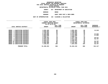| DEPARTMENTAL ESTIMATES FISCAL YEAR 2021 |                              |                          |  |  |  |
|-----------------------------------------|------------------------------|--------------------------|--|--|--|
| AGENCY                                  | 827 DEPARTMENT OF SANITATION |                          |  |  |  |
| BOROUGH                                 |                              | <b>BRONX</b>             |  |  |  |
| <b>PROGRAM</b>                          |                              | SANIT SERV DIST & MECH B |  |  |  |

**SANIT SERV DIST & MECH BRMS UNIT OF APPROPRIATION <sup>102</sup> CLEANING & COLLECTION**

|                                           |                | FISCAL YEAR 2020 |                         |               | FISCAL YEAR 2021       |                 |
|-------------------------------------------|----------------|------------------|-------------------------|---------------|------------------------|-----------------|
|                                           |                |                  | CURRENT MODIFIED BUDGET |               | DEPARTMENTAL ESTIMATES |                 |
|                                           |                |                  | AS OF 01/07/20          |               |                        |                 |
|                                           |                |                  | FULL TIME               |               | FULL TIME              | <b>INCREASE</b> |
| LOCAL SERVICE DISTRICT                    |                | <b>AMOUNT</b>    | POSITIONS               | <b>AMOUNT</b> | <b>POSITIONS</b>       | DECREASE(-)     |
|                                           |                |                  |                         |               |                        |                 |
| <b>BRONX</b><br>SANITATION DISTRICT       |                | 4,050,466        | 60                      | 4,062,484     | 60                     | 12,018          |
| SANITATION DISTRICT<br><b>BRONX</b>       |                | 4,046,954        | 56                      | 4,046,954     | 56                     |                 |
| SANITATION DISTRICT<br><b>BRONX</b><br>3. |                | 2,168,926        | 35                      | 2,168,926     | 35                     |                 |
| SANITATION DISTRICT<br><b>BRONX</b>       |                | 5,183,806        | 78                      | 5,221,628     | 78                     | 37,822          |
| SANITATION DISTRICT<br><b>BRONX</b><br>5. |                | 5,094,028        | 71                      | 5,131,850     | 71                     | 37,822          |
| SANITATION DISTRICT<br><b>BRONX</b>       |                | 4,959,177        | 71                      | 4,959,177     | 71                     |                 |
| SANITATION DISTRICT<br><b>BRONX</b>       |                | 5,268,292        | 78                      | 5,297,709     | 78                     | 29,417          |
| SANITATION DISTRICT<br><b>BRONX</b>       |                | 5,554,478        | 70                      | 5,611,245     | 70                     | 56,767          |
| SANITATION DISTRICT<br><b>BRONX</b>       |                | 5,422,975        | 75                      | 5,422,975     | 75                     |                 |
| SANITATION DISTRICT<br>BRONX 10           |                | 6,322,012        | 85                      | 6,378,779     | 85                     | 56,767          |
| SANITATION DISTRICT<br>BRONX 11           |                | 6,096,898        | 84                      | 6,153,665     | 84                     | 56,767          |
| BRONX 12<br>SANITATION DISTRICT           |                | 7,330,251        | 105                     | 7,387,018     | 105                    | 56,767          |
|                                           | PROGRAM TOTAL: | 61,498,263       | 868                     | 61,842,410    | 868                    | 344,147         |
|                                           |                |                  |                         |               |                        |                 |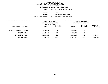**ESTIMATES FISCAL YEAR <sup>2021</sup> AGENCY <sup>827</sup> DEPARTMENT OF SANITATION BOROUGH**BRONX<br>SANITATION ENFORCEMENT

**PROGRAM**

**SANITATION ENFORCEMENT UNIT OF APPROPRIATION <sup>101</sup> EXECUTIVE ADMINISTRATIVE**

|                             | FISCAL YEAR 2020<br>CURRENT MODIFIED BUDGET<br>AS OF 01/07/20 |                        |               | FISCAL YEAR 2021<br>DEPARTMENTAL ESTIMATES |                                  |
|-----------------------------|---------------------------------------------------------------|------------------------|---------------|--------------------------------------------|----------------------------------|
| LOCAL SERVICE DISTRICT      | <b>AMOUNT</b>                                                 | FULL TIME<br>POSITIONS | <b>AMOUNT</b> | FULL TIME<br>POSITIONS                     | <b>INCREASE</b><br>$DECREASE(-)$ |
| BX SANIT ENFORCEMENT AGENTS | 1,150,857                                                     | 33                     | 1,150,857     | 33                                         |                                  |
| PROGRAM TOTAL:              | 1,150,857                                                     | 33                     | 1,150,857     | 33                                         |                                  |
| SUB BOROUGH TOTAL:          | 62,649,120                                                    | 901                    | 62,993,267    | 901                                        | 344,147                          |
| <b>BOROUGH TOTAL:</b>       | 62,649,120                                                    | 901                    | 62,993,267    | 901                                        | 344,147                          |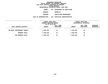**ESTIMATES FISCAL YEAR <sup>2021</sup> AGENCY <sup>827</sup> DEPARTMENT OF SANITATION**

**BOROUGH**

BROOKLYN<br>SANITATION ENFORCEMENT **PROGRAM**

**SANITATION ENFORCEMENT UNIT OF APPROPRIATION <sup>101</sup> EXECUTIVE ADMINISTRATIVE**

|                             | FISCAL YEAR 2020<br>CURRENT MODIFIED BUDGET<br>AS OF 01/07/20 |                        |               | FISCAL YEAR 2021<br>DEPARTMENTAL ESTIMATES |                           |
|-----------------------------|---------------------------------------------------------------|------------------------|---------------|--------------------------------------------|---------------------------|
| LOCAL SERVICE DISTRICT      | <b>AMOUNT</b>                                                 | FULL TIME<br>POSITIONS | <b>AMOUNT</b> | FULL TIME<br>POSITIONS                     | INCREASE<br>$DECREASE(-)$ |
| BK SANIT ENFORCEMENT AGENTS | 1,568,320                                                     | 45                     | 1,568,320     | 45                                         |                           |
| PROGRAM TOTAL:              | 1,568,320                                                     | 45                     | 1,568,320     | 45                                         |                           |
| SUB BOROUGH TOTAL:          | 1,568,320                                                     | 45                     | 1,568,320     | 45                                         |                           |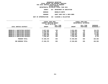|                       | DEPARTMENTAL ESTIMATES FISCAL YEAR 2021 |
|-----------------------|-----------------------------------------|
| AGENCY                | 827 DEPARTMENT OF SANITATION            |
| BOROUGH               | <b>BROOKLYN NORTH</b>                   |
| <b>PROGRAM</b>        | SANIT SERV DIST & MECH BRMS             |
| UNIT OF APPROPRIATION | 102 CLEANING & COLLECTION               |
|                       |                                         |

| FISCAL YEAR 2020<br>CURRENT MODIFIED BUDGET |                               | FISCAL YEAR 2021<br>DEPARTMENTAL ESTIMATES |                               |                           |
|---------------------------------------------|-------------------------------|--------------------------------------------|-------------------------------|---------------------------|
| <b>AMOUNT</b>                               | FULL TIME<br><b>POSITIONS</b> | <b>AMOUNT</b>                              | FULL TIME<br><b>POSITIONS</b> | INCREASE<br>$DECREASE(-)$ |
| 9,837,525                                   | 133                           | 9,921,903                                  | 133                           | 84,378                    |
| 6,346,396                                   | 87                            | 6,408,914                                  | 87                            | 62,518                    |
| 8,212,127                                   | 115                           | 8,224,131                                  | 115                           | 12,004                    |
| 7,586,568                                   | 104                           | 7,600,857                                  | 104                           | 14,289                    |
| 8,061,376                                   | 109                           | 8,064,975                                  | 109                           | 3,599                     |
| 7,336,387                                   | 102                           | 7,346,105                                  | 102                           | 9,718                     |
| 47,380,379                                  | 650                           | 47,566,885                                 | 650                           | 186,506                   |
| 47,380,379                                  | 650                           | 47,566,885                                 | 650                           | 186,506                   |
|                                             |                               | AS OF 01/07/20                             |                               |                           |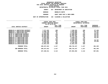|                       | DEPARTMENTAL ESTIMATES FISCAL YEAR 2021 |
|-----------------------|-----------------------------------------|
| AGENCY                | 827 DEPARTMENT OF SANITATION            |
| BOROUGH               | BROOKLYN SOUTH                          |
| <b>PROGRAM</b>        | SANIT SERV DIST & MECH BRMS             |
| UNIT OF APPROPRIATION | 102 CLEANING & COLLECTION               |
|                       |                                         |

| LOCAL SERVICE DISTRICT            | FISCAL YEAR 2020<br>CURRENT MODIFIED BUDGET<br>AS OF 01/07/20 |                        |               | FISCAL YEAR 2021<br>DEPARTMENTAL ESTIMATES |                                |  |
|-----------------------------------|---------------------------------------------------------------|------------------------|---------------|--------------------------------------------|--------------------------------|--|
|                                   | <b>AMOUNT</b>                                                 | FULL TIME<br>POSITIONS | <b>AMOUNT</b> | FULL TIME<br>POSITIONS                     | <b>INCREASE</b><br>DECREASE(-) |  |
| BROOKLYN 6 SANITATION DISTRICT    | 7,271,332                                                     | 100                    | 7,338,525     | 100                                        | 67,193                         |  |
| BROOKLYN 7 SANITATION DISTRICT    | 9,398,799                                                     | 107                    | 9,455,566     | 107                                        | 56,767                         |  |
| <b>BROOKLYN 9 SANITATION DIST</b> | 6,116,829                                                     | 87                     | 6,128,096     | 87                                         | 11,267                         |  |
| BKLYN 10 SANITATION DISTRICT      | 11,601,885                                                    | 123                    | 11,658,652    | 123                                        | 56,767                         |  |
| BKLYN 11 SANITATION DISTRICT      | 10,949,420                                                    | 143                    | 11,006,187    | 143                                        | 56,767                         |  |
| BKLYN 12 SANITATION DISTRICT      | 10,684,993                                                    | 141                    | 10,741,760    | 141                                        | 56,767                         |  |
| BROOKLYN 13 SANITATION DIST       | 6,401,809                                                     | 89                     | 6,458,576     | 89                                         | 56,767                         |  |
| BROOKLYN 14 SANITATION DIST       | 8,410,325                                                     | 113                    | 8,410,325     | 113                                        |                                |  |
| BROOKLYN 15 SANITATION DIST       | 10,783,711                                                    | 143                    | 10,840,478    | 143                                        | 56,767                         |  |
| BROOKLYN 16 SANITATION DIST       | 6,354,941                                                     | 91                     | 6,417,224     | 91                                         | 62,283                         |  |
| BROOKLYN 17 SANITATION DIST       | 8,702,449                                                     | 120                    | 8,702,449     | 120                                        |                                |  |
| BROOKLYN 18 SANITATION DIST       | 11,561,319                                                    | 160                    | 11,561,319    | 160                                        |                                |  |
| PROGRAM TOTAL:                    | 108,237,812                                                   | 1,417                  | 108,719,157   | 1,417                                      | 481,345                        |  |
| SUB BOROUGH TOTAL:                | 108,237,812                                                   | 1,417                  | 108,719,157   | 1,417                                      | 481,345                        |  |
| <b>BOROUGH TOTAL:</b>             | 157,186,511                                                   | 2,112                  | 157,854,362   | 2,112                                      | 667,851                        |  |
|                                   |                                                               |                        |               |                                            |                                |  |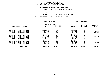| DEPARTMENTAL ESTIMATES FISCAL YEAR 2021 |                  |                              |
|-----------------------------------------|------------------|------------------------------|
| AGENCY                                  |                  | 827 DEPARTMENT OF SANITATION |
| BOROUGH                                 | <b>MANHATTAN</b> |                              |

MANHATTAN<br>SANIT SERV DIST & MECH BRMS **PROGRAM**

**SANIT SERV DIST & MECH BRMS UNIT OF APPROPRIATION <sup>102</sup> CLEANING & COLLECTION**

|                     |                          | FISCAL YEAR 2020        |                  | FISCAL YEAR 2021 |                        |                 |  |
|---------------------|--------------------------|-------------------------|------------------|------------------|------------------------|-----------------|--|
|                     |                          | CURRENT MODIFIED BUDGET |                  |                  | DEPARTMENTAL ESTIMATES |                 |  |
|                     |                          | AS OF 01/07/20          |                  |                  |                        |                 |  |
|                     |                          |                         | FULL TIME        |                  | FULL TIME              | <b>INCREASE</b> |  |
|                     | LOCAL SERVICE DISTRICT   | <b>AMOUNT</b>           | <b>POSITIONS</b> | <b>AMOUNT</b>    | <b>POSITIONS</b>       | DECREASE(-)     |  |
|                     |                          |                         |                  |                  |                        |                 |  |
| <b>MANHATTAN</b>    | 1 SANITATION DIST        | 4,628,075               | 60               | 4,628,075        | 60                     |                 |  |
| <b>MANHATTAN</b>    | 2 SANITATION DIST        | 5,983,044               | 84               | 5,985,090        | 84                     | 2,046           |  |
| <b>MANHATTAN</b>    | 3 SANITATION DIST        | 7,785,324               | 107              | 7,823,149        | 107                    | 37,825          |  |
| <b>MANHATTAN</b>    | 4 SANITATION DIST        | 6,384,053               | 92               | 6,382,955        | 92                     | 1,098-          |  |
| <b>MANHATTAN</b>    | 5 SANITATION DIST        | 4,716,498               | 67               | 4,716,498        | 67                     |                 |  |
| <b>MANHATTAN</b>    | 6 SANITATION DIST        | 8,171,454               | 119              | 8,229,988        | 119                    | 58,534          |  |
| <b>MANHATTAN</b>    | SANITATION DIST          | 10,166,119              | 147              | 10,166,119       | 147                    |                 |  |
| <b>MANHATTAN</b>    | 8 SANITATION DIST        | 10,977,784              | 141              | 10,977,784       | 141                    |                 |  |
| <b>MANHATTAN</b>    | <b>9 SANITATION DIST</b> | 4,550,697               | 57               | 4,550,697        | 57                     |                 |  |
| <b>MANHATTAN 10</b> | SANITATION DIST          | 5,585,065               | 73               | 5,585,065        | 73                     |                 |  |
| <b>MANHATTAN 11</b> | SANITATION DIST          | 4,957,550               | 69               | 4,969,049        | 69                     | 11,499          |  |
| <b>MANHATTAN 12</b> | SANITATION DIST          | 9,303,264               | 120              | 9,303,264        | 120                    |                 |  |
|                     | PROGRAM TOTAL:           | 83,208,927              | 1,136            | 83, 317, 733     | 1,136                  | 108,806         |  |
|                     |                          |                         |                  |                  |                        |                 |  |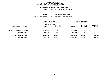**ESTIMATES FISCAL YEAR <sup>2021</sup> AGENCY <sup>827</sup> DEPARTMENT OF SANITATION BOROUGHMANHATTAN<br>SANITATION ENFORCEMENT** 

**PROGRAM**

**SANITATION ENFORCEMENT UNIT OF APPROPRIATION <sup>101</sup> EXECUTIVE ADMINISTRATIVE**

|                             | FISCAL YEAR 2020<br>CURRENT MODIFIED BUDGET<br>AS OF 01/07/20 |                        | FISCAL YEAR 2021<br>DEPARTMENTAL ESTIMATES |                        |                                  |
|-----------------------------|---------------------------------------------------------------|------------------------|--------------------------------------------|------------------------|----------------------------------|
| LOCAL SERVICE DISTRICT      | <b>AMOUNT</b>                                                 | FULL TIME<br>POSITIONS | <b>AMOUNT</b>                              | FULL TIME<br>POSITIONS | <b>INCREASE</b><br>$DECREASE(-)$ |
| MN SANIT ENFORCEMENT AGENTS | 1,282,338                                                     | 39                     | 1,282,338                                  | 39                     |                                  |
| PROGRAM TOTAL:              | 1,282,338                                                     | 39                     | 1,282,338                                  | 39                     |                                  |
| SUB BOROUGH TOTAL:          | 84,491,265                                                    | 1,175                  | 84,600,071                                 | 1,175                  | 108,806                          |
| BOROUGH TOTAL:              | 84,491,265                                                    | 1,175                  | 84,600,071                                 | 1,175                  | 108,806                          |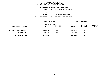**ESTIMATES FISCAL YEAR <sup>2021</sup> AGENCY <sup>827</sup> DEPARTMENT OF SANITATION**

**BOROUGH**

QUEENS<br>SANITATION ENFORCEMENT **PROGRAM**

**SANITATION ENFORCEMENT UNIT OF APPROPRIATION <sup>101</sup> EXECUTIVE ADMINISTRATIVE**

|                              | FISCAL YEAR 2020<br>CURRENT MODIFIED BUDGET<br>AS OF 01/07/20 |                        | FISCAL YEAR 2021<br>DEPARTMENTAL ESTIMATES |                        |                         |
|------------------------------|---------------------------------------------------------------|------------------------|--------------------------------------------|------------------------|-------------------------|
| LOCAL SERVICE DISTRICT       | <b>AMOUNT</b>                                                 | FULL TIME<br>POSITIONS | <b>AMOUNT</b>                              | FULL TIME<br>POSITIONS | INCREASE<br>DECREASE(-) |
| ONS SANIT ENFORCEMENT AGENTS | 1,509,237                                                     | 40                     | 1,509,237                                  | 40                     |                         |
| PROGRAM TOTAL:               | 1,509,237                                                     | 40                     | 1,509,237                                  | 40                     |                         |
| SUB BOROUGH TOTAL:           | 1,509,237                                                     | 40                     | 1,509,237                                  | 40                     |                         |
|                              |                                                               |                        |                                            |                        |                         |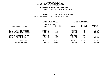|                       | DEPARTMENTAL ESTIMATES FISCAL YEAR 2021 |
|-----------------------|-----------------------------------------|
| AGENCY                | 827 DEPARTMENT OF SANITATION            |
| <b>BOROUGH</b>        | <b>QUEENS EAST</b>                      |
| <b>PROGRAM</b>        | SANIT SERV DIST & MECH BRMS             |
| UNIT OF APPROPRIATION | 102 CLEANING & COLLECTION               |
|                       |                                         |

|                                      |  | FISCAL YEAR 2020<br>CURRENT MODIFIED BUDGET<br>AS OF 01/07/20 |                        | FISCAL YEAR 2021<br>DEPARTMENTAL ESTIMATES |                        |                           |
|--------------------------------------|--|---------------------------------------------------------------|------------------------|--------------------------------------------|------------------------|---------------------------|
| LOCAL SERVICE DISTRICT               |  | <b>AMOUNT</b>                                                 | FULL TIME<br>POSITIONS | <b>AMOUNT</b>                              | FULL TIME<br>POSITIONS | INCREASE<br>$DECREASE(-)$ |
| SANITATION DISTRICT<br>QUEENS 7      |  | 13,816,765                                                    | 187                    | 13,890,464                                 | 187                    | 73,699                    |
| QUEENS 8 SANITATION DISTRICT         |  | 10,089,038                                                    | 145                    | 10,145,805                                 | 145                    | 56,767                    |
| QUEENS 10 SANITATION DISTRICT        |  | 9,025,273                                                     | 126                    | 9,082,040                                  | 126                    | 56,767                    |
| <b>OUEENS 11 SANITATION DISTRICT</b> |  | 10,338,368                                                    | 143                    | 10,395,135                                 | 143                    | 56,767                    |
| QUEENS 12 SANITATION DISTRICT        |  | 13,199,218                                                    | 179                    | 13,199,218                                 | 179                    |                           |
| <b>QUEENS 13 SANITATION DISTRICT</b> |  | 13,905,287                                                    | 193                    | 13,962,054                                 | 193                    | 56,767                    |
| QUEENS 14 SANITATION DISTRICT        |  | 7,624,915                                                     | 105                    | 7,681,678                                  | 105                    | 56,763                    |
| PROGRAM TOTAL:                       |  | 77,998,864                                                    | 1,078                  | 78,356,394                                 | 1,078                  | 357,530                   |
| SUB BOROUGH TOTAL:                   |  | 77,998,864                                                    | 1,078                  | 78,356,394                                 | 1,078                  | 357,530                   |
|                                      |  |                                                               |                        |                                            |                        |                           |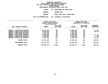|                       | DEPARTMENTAL ESTIMATES FISCAL YEAR 2021 |
|-----------------------|-----------------------------------------|
| AGENCY                | 827 DEPARTMENT OF SANITATION            |
| <b>BOROUGH</b>        | <b>QUEENS WEST</b>                      |
| <b>PROGRAM</b>        | SANIT SERV DIST & MECH BRMS             |
| UNIT OF APPROPRIATION | 102 CLEANING & COLLECTION               |
|                       |                                         |

|                                                                                                     | FISCAL YEAR 2020<br><b>CURRENT MODIFIED BUDGET</b><br>AS OF 01/07/20 |                        | FISCAL YEAR 2021<br>DEPARTMENTAL ESTIMATES |                        |                                |
|-----------------------------------------------------------------------------------------------------|----------------------------------------------------------------------|------------------------|--------------------------------------------|------------------------|--------------------------------|
| LOCAL SERVICE DISTRICT                                                                              | <b>AMOUNT</b>                                                        | FULL TIME<br>POSITIONS | <b>AMOUNT</b>                              | FULL TIME<br>POSITIONS | <b>INCREASE</b><br>DECREASE(-) |
| <b>QUEENS 1 SANITATION DISTRICT</b>                                                                 | 10,597,165                                                           | 139                    | 10,608,428                                 | 139                    | 11,263                         |
| <b>QUEENS 2 SANITATION DISTRICT</b><br><b>QUEENS 3 SANITATION DISTRICT</b>                          | 6,638,260<br>7,191,194                                               | 95<br>99               | 6,695,027<br>7,191,194                     | 95<br>99               | 56,767                         |
| OUEENS 4 SANITATION DISTRICT<br><b>QUEENS 5 SANITATION DISTRICT</b><br>OUEENS 6 SANITATION DISTRICT | 6,636,223<br>12,738,284                                              | 87<br>149              | 6,636,223<br>12,795,051<br>6,143,514       | 87<br>149<br>81        | 56,767<br>443                  |
| <b>QUEENS 9 SANITATION DISTRICT</b>                                                                 | 6,143,071<br>8,837,928                                               | 81<br>118              | 8,894,695                                  | 118                    | 56,767                         |
| PROGRAM TOTAL:                                                                                      | 58,782,125                                                           | 768                    | 58,964,132                                 | 768                    | 182,007                        |
| SUB BOROUGH TOTAL:                                                                                  | 58,782,125                                                           | 768                    | 58,964,132                                 | 768                    | 182,007                        |
| BOROUGH TOTAL:                                                                                      | 138,290,226                                                          | 1,886                  | 138,829,763                                | 1,886                  | 539,537                        |
|                                                                                                     |                                                                      |                        |                                            |                        |                                |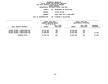|                       | DEPARTMENTAL ESTIMATES FISCAL YEAR 2021 |
|-----------------------|-----------------------------------------|
| AGENCY                | 827 DEPARTMENT OF SANITATION            |
| BOROUGH               | STATEN ISLAND                           |
| <b>PROGRAM</b>        | SANIT SERV DIST & MECH BRMS             |
| UNIT OF APPROPRIATION | 102 CLEANING & COLLECTION               |
|                       |                                         |

|                                | FISCAL YEAR 2020<br>CURRENT MODIFIED BUDGET<br>AS OF 01/07/20<br>FULL TIME |           | FISCAL YEAR 2021<br>DEPARTMENTAL ESTIMATES |           |                           |
|--------------------------------|----------------------------------------------------------------------------|-----------|--------------------------------------------|-----------|---------------------------|
|                                |                                                                            |           |                                            | FULL TIME |                           |
| LOCAL SERVICE DISTRICT         | <b>AMOUNT</b>                                                              | POSITIONS | <b>AMOUNT</b>                              | POSITIONS | INCREASE<br>$DECREASE(-)$ |
|                                |                                                                            |           |                                            |           |                           |
| STATEN ISLAND 1 SANITATION DIS | 16,110,554                                                                 | 186       | 16,110,554                                 | 186       |                           |
| STATEN ISLAND 2 SANITATION DIS | 13,233,402                                                                 | 166       | 13,233,402                                 | 166       |                           |
| STATEN ISLAND 3 SANITATION DIS | 14,990,839                                                                 | 191       | 15,012,699                                 | 191       | 21,860                    |
| PROGRAM TOTAL:                 | 44,334,795                                                                 | 543       | 44,356,655                                 | 543       | 21,860                    |
|                                |                                                                            |           |                                            |           |                           |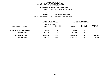| DEPARTMENTAL ESTIMATES FISCAL YEAR 2021 |     |                          |  |
|-----------------------------------------|-----|--------------------------|--|
| AGENCY                                  | 827 | DEPARTMENT OF SANITATION |  |
| <b>BOROUGH</b>                          |     | STATEN ISLAND            |  |
| <b>PROGRAM</b>                          |     | SANITATION ENFORCEMENT   |  |
| UNIT OF APPROPRIATION                   | 101 | EXECUTIVE ADMINISTRATIVE |  |
|                                         |     |                          |  |

|                               | <b>FISCAL YEAR 2020</b> |           | FISCAL YEAR 2021 |                        |               |
|-------------------------------|-------------------------|-----------|------------------|------------------------|---------------|
|                               | CURRENT MODIFIED BUDGET |           |                  | DEPARTMENTAL ESTIMATES |               |
|                               | AS OF 01/07/20          |           |                  |                        |               |
|                               |                         | FULL TIME |                  | FULL TIME              | INCREASE      |
| LOCAL SERVICE DISTRICT        | <b>AMOUNT</b>           | POSITIONS | <b>AMOUNT</b>    | POSITIONS              | $DECREASE(-)$ |
|                               |                         |           |                  |                        |               |
| S.I. SANIT ENFORCEMENT AGENTS | 234,826                 | 5         | 234,826          | 5                      |               |
| PROGRAM TOTAL:                | 234,826                 | 5         | 234,826          | 5                      |               |
|                               |                         |           |                  |                        |               |
| SUB BOROUGH TOTAL:            | 44,569,621              | 548       | 44,591,481       | 548                    | 21,860        |
| BOROUGH TOTAL:                | 44,569,621              | 548       | 44,591,481       | 548                    | 21,860        |
|                               |                         |           |                  |                        |               |
|                               |                         |           |                  |                        |               |
|                               |                         |           |                  |                        |               |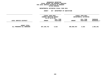### **GEOGRAPHICC REPORTING<br>PERSONAL S<br>ICTS BY PRO FISCAL REPORT FOR PERSONAL SERVICES FOR LOCAL SERVICE DISTRICTS BY PROGRAM WITHIN**

## WITHIN BOROUGH<br>D<mark>EPARTMENTAL ESTIMATES FISC</mark>

|                                                   | <b>FISCAL YEAR 2020</b><br>CURRENT MODIFIED BUDGET<br>AS OF 01/07/20 |                               |               | <b>FISCAL YEAR 2021</b><br>DEPARTMENTAL ESTIMATES |                                |
|---------------------------------------------------|----------------------------------------------------------------------|-------------------------------|---------------|---------------------------------------------------|--------------------------------|
| LOCAL SERVICE DISTRICT                            | <b>AMOUNT</b>                                                        | <b>FULL TIME</b><br>POSITIONS | <b>AMOUNT</b> | FULL TIME<br>POSITIONS                            | <b>INCREASE</b><br>DECREASE(-) |
| <b>AGENCY TOTAL:</b><br>ALL PROGRAMS ALL BOROUGHS | 487,186,743                                                          | 6,622                         | 488,868,944   | 6,622                                             | 1,682,201                      |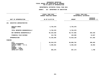## **PS UNITS OF APPROPRIATION DEPARTMENTAL**

|                                                                                                                                     | FISCAL YEAR 2020<br>CURRENT MODIFIED BUDGET | FISCAL YEAR 2021<br>DEPARTMENTAL ESTIMATES |                                 |
|-------------------------------------------------------------------------------------------------------------------------------------|---------------------------------------------|--------------------------------------------|---------------------------------|
| UNIT OF APPROPRIATION                                                                                                               | AS OF 01/07/20                              | <b>AMOUNT</b>                              | <b>INCREASE</b><br>DECREASE (-) |
| <b>EXECUTIVE ADMINISTRATIVE</b><br>101                                                                                              |                                             |                                            |                                 |
| REGULAR GROSS<br><b>OTHER</b>                                                                                                       | 5,745,578                                   | 5,745,578                                  |                                 |
| TOTAL REPORTED GEOGRAPHICALLY                                                                                                       | 5,745,578                                   | 5,745,578                                  |                                 |
| NOT REPORTED GEOGRAPHICALLY                                                                                                         | 66,334,530                                  | 66,737,965                                 | 403,435                         |
| FINANCIAL PLAN SAVINGS                                                                                                              | 112,738                                     | 126,585                                    | 13,847                          |
| <b>APPROPRIATION</b>                                                                                                                | 72,192,846                                  | 72,610,128                                 | 417,282                         |
| <b>FUNDING</b>                                                                                                                      |                                             |                                            |                                 |
| <b>CITY</b><br>OTHER CATEGORICAL<br>CAPITAL FUNDS - I.F.A.<br><b>STATE</b><br>FEDERAL - C.D.<br>FEDERAL - OTHER<br>INTRA-CITY SALES | 66,518,270<br>5,309,201<br>365,375          | 66,886,762<br>5,356,193<br>367,173         | 368,492<br>46,992<br>1,798      |
|                                                                                                                                     |                                             |                                            |                                 |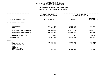## **PS UNITS OF APPROPRIATION DEPARTMENTAL**

|                                                                                                                                     | FISCAL YEAR 2020<br><b>CURRENT MODIFIED BUDGET</b> | FISCAL YEAR 2021<br>DEPARTMENTAL ESTIMATES |                                    |  |
|-------------------------------------------------------------------------------------------------------------------------------------|----------------------------------------------------|--------------------------------------------|------------------------------------|--|
| UNIT OF APPROPRIATION                                                                                                               | AS OF 01/07/20                                     | <b>AMOUNT</b>                              | <b>INCREASE</b><br>DECREASE $(-)$  |  |
| CLEANING & COLLECTION<br>102                                                                                                        |                                                    |                                            |                                    |  |
| REGULAR GROSS<br><b>OTHER</b>                                                                                                       | 469,211,329<br>12,229,836                          | 470,893,530<br>12,229,836                  | 1,682,201                          |  |
| TOTAL REPORTED GEOGRAPHICALLY                                                                                                       | 481, 441, 165                                      | 483,123,366                                | 1,682,201                          |  |
| NOT REPORTED GEOGRAPHICALLY                                                                                                         | 294,669,276                                        | 280,225,951                                | 14,443,325-                        |  |
| FINANCIAL PLAN SAVINGS                                                                                                              | 2,508                                              | 4,291                                      | 1,783                              |  |
| <b>APPROPRIATION</b>                                                                                                                | 776,112,949                                        | 763,353,608                                | 12,759,341-                        |  |
| <b>FUNDING</b>                                                                                                                      |                                                    |                                            |                                    |  |
| <b>CITY</b><br>OTHER CATEGORICAL<br>CAPITAL FUNDS - I.F.A.<br><b>STATE</b><br>FEDERAL - C.D.<br>FEDERAL - OTHER<br>INTRA-CITY SALES | 763,569,135<br>793,625<br>11,750,189               | 750,803,169<br>750,000<br>11,800,439       | 12,765,966-<br>$43,625-$<br>50,250 |  |
|                                                                                                                                     |                                                    |                                            |                                    |  |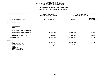|                                                                                                 | DEPARTMENTAL ESTIMATES FISCAL YEAR 2021     |               |                                            |  |  |
|-------------------------------------------------------------------------------------------------|---------------------------------------------|---------------|--------------------------------------------|--|--|
|                                                                                                 | AGENCY: 827 DEPARTMENT OF SANITATION        |               |                                            |  |  |
|                                                                                                 | FISCAL YEAR 2020<br>CURRENT MODIFIED BUDGET |               | FISCAL YEAR 2021<br>DEPARTMENTAL ESTIMATES |  |  |
| UNIT OF APPROPRIATION                                                                           | AS OF 01/07/20                              | <b>AMOUNT</b> | <b>INCREASE</b><br>DECREASE $(-)$          |  |  |
| <b>WASTE DISPOSAL</b><br>103                                                                    |                                             |               |                                            |  |  |
| REGULAR GROSS<br>OTHER                                                                          |                                             |               |                                            |  |  |
| TOTAL REPORTED GEOGRAPHICALLY                                                                   |                                             |               |                                            |  |  |
| NOT REPORTED GEOGRAPHICALLY                                                                     | 36,307,209                                  | 36,293,932    | $13,277-$                                  |  |  |
| FINANCIAL PLAN SAVINGS                                                                          | 116,347                                     | 137,734       | 21,387                                     |  |  |
| <b>APPROPRIATION</b>                                                                            | 36,423,556                                  | 36,431,666    | 8,110                                      |  |  |
| FUNDING                                                                                         |                                             |               |                                            |  |  |
| <b>CITY</b><br>OTHER CATEGORICAL                                                                | 36,332,192                                  | 36,340,302    | 8,110                                      |  |  |
| CAPITAL FUNDS - I.F.A.<br><b>STATE</b><br>FEDERAL - C.D.<br>FEDERAL - OTHER<br>INTRA-CITY SALES | 91,364                                      | 91,364        |                                            |  |  |
|                                                                                                 |                                             |               |                                            |  |  |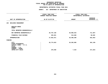|                                                                            | DEPARTMENTAL ESTIMATES FISCAL YEAR 2021     |                                            |                                   |
|----------------------------------------------------------------------------|---------------------------------------------|--------------------------------------------|-----------------------------------|
|                                                                            | AGENCY: 827 DEPARTMENT OF SANITATION        |                                            |                                   |
|                                                                            |                                             |                                            |                                   |
|                                                                            | FISCAL YEAR 2020<br>CURRENT MODIFIED BUDGET | FISCAL YEAR 2021<br>DEPARTMENTAL ESTIMATES |                                   |
|                                                                            |                                             |                                            |                                   |
| UNIT OF APPROPRIATION                                                      | AS OF 01/07/20                              | <b>AMOUNT</b>                              | <b>INCREASE</b><br>DECREASE $(-)$ |
| BUILDING MANAGEMENT<br>104                                                 |                                             |                                            |                                   |
| REGULAR GROSS<br>OTHER                                                     |                                             |                                            |                                   |
| TOTAL REPORTED GEOGRAPHICALLY                                              |                                             |                                            |                                   |
| NOT REPORTED GEOGRAPHICALLY                                                | 26,797,150                                  | 26,085,643                                 | $711,507-$                        |
| FINANCIAL PLAN SAVINGS                                                     | 255,821                                     | 314,666                                    | 58,845                            |
| <b>APPROPRIATION</b>                                                       | 27,052,971                                  | 26,400,309                                 | 652,662-                          |
| FUNDING                                                                    |                                             |                                            |                                   |
| <b>CITY</b><br>OTHER CATEGORICAL<br>CAPITAL FUNDS - I.F.A.<br><b>STATE</b> | 26,774,023                                  | 26,392,885                                 | 381,138-                          |
| FEDERAL - C.D.<br>FEDERAL - OTHER<br>INTRA-CITY SALES                      | 278,948                                     | 7,424                                      | 271,524-                          |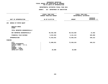|                                                                                       | DEPARTMENTAL ESTIMATES FISCAL YEAR 2021                             |                                      |                                            |  |  |  |
|---------------------------------------------------------------------------------------|---------------------------------------------------------------------|--------------------------------------|--------------------------------------------|--|--|--|
|                                                                                       |                                                                     | AGENCY: 827 DEPARTMENT OF SANITATION |                                            |  |  |  |
|                                                                                       | --------------------<br>FISCAL YEAR 2020<br>CURRENT MODIFIED BUDGET |                                      | FISCAL YEAR 2021<br>DEPARTMENTAL ESTIMATES |  |  |  |
| UNIT OF APPROPRIATION                                                                 | AS OF 01/07/20                                                      | <b>AMOUNT</b>                        | <b>INCREASE</b><br>DECREASE (-)            |  |  |  |
| BUREAU OF MOTOR EQUIP<br>105                                                          |                                                                     |                                      |                                            |  |  |  |
| REGULAR GROSS<br><b>OTHER</b>                                                         |                                                                     |                                      |                                            |  |  |  |
| TOTAL REPORTED GEOGRAPHICALLY                                                         |                                                                     |                                      |                                            |  |  |  |
| NOT REPORTED GEOGRAPHICALLY                                                           | 68,402,468                                                          | 68,416,830                           | 14,362                                     |  |  |  |
| FINANCIAL PLAN SAVINGS                                                                | 3,515,563                                                           | 4,141,413                            | 625,850                                    |  |  |  |
| <b>APPROPRIATION</b>                                                                  | 71,918,031                                                          | 72,558,243                           | 640,212                                    |  |  |  |
| FUNDING                                                                               |                                                                     |                                      |                                            |  |  |  |
| CITY<br>OTHER CATEGORICAL<br>CAPITAL FUNDS - I.F.A.<br><b>STATE</b><br>FEDERAL - C.D. | 71,898,031<br>$\ddot{\cdot}$                                        | 72,538,243                           | 640,212                                    |  |  |  |
| FEDERAL - OTHER<br>INTRA-CITY SALES                                                   | 20,000                                                              | 20,000                               |                                            |  |  |  |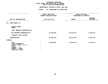## **PS UNITS OF APPROPRIATION DEPARTMENTAL**

|                                                                                                                                     | FISCAL YEAR 2020<br>CURRENT MODIFIED BUDGET | FISCAL YEAR 2021<br>DEPARTMENTAL ESTIMATES |                                 |
|-------------------------------------------------------------------------------------------------------------------------------------|---------------------------------------------|--------------------------------------------|---------------------------------|
| UNIT OF APPROPRIATION                                                                                                               | AS OF 01/07/20                              | <b>AMOUNT</b>                              | <b>INCREASE</b><br>DECREASE (-) |
| SNOW BUDGET-PS<br>107                                                                                                               |                                             |                                            |                                 |
| REGULAR GROSS<br><b>OTHER</b>                                                                                                       |                                             |                                            |                                 |
| TOTAL REPORTED GEOGRAPHICALLY                                                                                                       |                                             |                                            |                                 |
| NOT REPORTED GEOGRAPHICALLY                                                                                                         | 63,849,810                                  | 55,619,679                                 | 8,230,131-                      |
| FINANCIAL PLAN SAVINGS                                                                                                              |                                             |                                            |                                 |
| <b>APPROPRIATION</b>                                                                                                                | 63,849,810                                  | 55,619,679                                 | $8,230,131-$                    |
| FUNDING                                                                                                                             |                                             |                                            |                                 |
| <b>CITY</b><br>OTHER CATEGORICAL<br>CAPITAL FUNDS - I.F.A.<br><b>STATE</b><br>FEDERAL - C.D.<br>FEDERAL - OTHER<br>INTRA-CITY SALES | 63,849,810                                  | 55,619,679                                 | $8,230,131-$                    |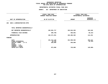## **OTPS UNITS OF APPROPRIATION DEPARTMENTAL**

|                                                                                                                                     | FISCAL YEAR 2020<br>CURRENT MODIFIED BUDGET | FISCAL YEAR 2021<br>DEPARTMENTAL ESTIMATES |                                   |
|-------------------------------------------------------------------------------------------------------------------------------------|---------------------------------------------|--------------------------------------------|-----------------------------------|
| UNIT OF APPROPRIATION                                                                                                               | AS OF 01/07/20                              | <b>AMOUNT</b>                              | <b>INCREASE</b><br>DECREASE $(-)$ |
| EXEC & ADMINISTRATIVE-OTPS<br>106                                                                                                   |                                             |                                            |                                   |
| TOTAL REPORTED GEOGRAPHICALLY                                                                                                       |                                             |                                            |                                   |
| NOT REPORTED GEOGRAPHICALLY                                                                                                         | 102,681,717                                 | 102,844,363                                | 162,646                           |
| FINANCIAL PLAN SAVINGS                                                                                                              | 309,786-                                    | $358,001 -$                                | 48,215-                           |
| <b>APPROPRIATION</b>                                                                                                                | 102,371,931                                 | 102,486,362                                | 114,431                           |
| FUNDING                                                                                                                             |                                             |                                            |                                   |
| <b>CITY</b><br>OTHER CATEGORICAL<br>CAPITAL FUNDS - I.F.A.<br><b>STATE</b><br>FEDERAL - C.D.<br>FEDERAL - OTHER<br>INTRA-CITY SALES | 101,214,148<br>34,783<br>250,000<br>873,000 | 101,508,362<br>250,000<br>728,000          | 294,214<br>34,783-<br>145,000-    |
|                                                                                                                                     |                                             |                                            |                                   |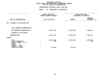## **OTPS UNITS OF APPROPRIATION DEPARTMENTAL**

|                                                                                                                              | FISCAL YEAR 2020<br>CURRENT MODIFIED BUDGET | FISCAL YEAR 2021<br>DEPARTMENTAL ESTIMATES |                                 |  |
|------------------------------------------------------------------------------------------------------------------------------|---------------------------------------------|--------------------------------------------|---------------------------------|--|
| UNIT OF APPROPRIATION                                                                                                        | AS OF 01/07/20                              | <b>AMOUNT</b>                              | <b>INCREASE</b><br>DECREASE (-) |  |
| CLEANING & COLLECTION-OTPS<br>109                                                                                            |                                             |                                            |                                 |  |
| TOTAL REPORTED GEOGRAPHICALLY                                                                                                |                                             |                                            |                                 |  |
| NOT REPORTED GEOGRAPHICALLY                                                                                                  | 30,128,756                                  | 27,307,885                                 | 2,820,871-                      |  |
| FINANCIAL PLAN SAVINGS                                                                                                       |                                             |                                            |                                 |  |
| <b>APPROPRIATION</b>                                                                                                         | 30,128,756                                  | 27,307,885                                 | 2,820,871-                      |  |
| FUNDING                                                                                                                      |                                             |                                            |                                 |  |
| CITY<br>OTHER CATEGORICAL<br>CAPITAL FUNDS - I.F.A.<br><b>STATE</b><br>FEDERAL - C.D.<br>FEDERAL - OTHER<br>INTRA-CITY SALES | 29,885,538<br>336<br>242,882                | 27,065,003<br>242,882                      | 2,820,535-<br>$336 -$           |  |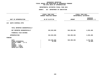## **OTPS UNITS OF APPROPRIATION DEPARTMENTAL**

|                                                                                                                                     | FISCAL YEAR 2020<br>CURRENT MODIFIED BUDGET |                       | FISCAL YEAR 2021<br>DEPARTMENTAL ESTIMATES |                                   |  |
|-------------------------------------------------------------------------------------------------------------------------------------|---------------------------------------------|-----------------------|--------------------------------------------|-----------------------------------|--|
| UNIT OF APPROPRIATION                                                                                                               |                                             | AS OF 01/07/20        | <b>AMOUNT</b>                              | <b>INCREASE</b><br>DECREASE $(-)$ |  |
| WASTE DISPOSAL-OTPS<br>110                                                                                                          |                                             |                       |                                            |                                   |  |
| TOTAL REPORTED GEOGRAPHICALLY                                                                                                       |                                             |                       |                                            |                                   |  |
| NOT REPORTED GEOGRAPHICALLY                                                                                                         |                                             | 522,053,985           | 526,309,394                                | 4,255,409                         |  |
| FINANCIAL PLAN SAVINGS                                                                                                              |                                             |                       |                                            |                                   |  |
| <b>APPROPRIATION</b>                                                                                                                |                                             | 522,053,985           | 526,309,394                                | 4,255,409                         |  |
| FUNDING                                                                                                                             |                                             |                       |                                            |                                   |  |
| <b>CITY</b><br>OTHER CATEGORICAL<br>CAPITAL FUNDS - I.F.A.<br><b>STATE</b><br>FEDERAL - C.D.<br>FEDERAL - OTHER<br>INTRA-CITY SALES |                                             | 522,035,685<br>18,300 | 526,309,394                                | 4,273,709<br>$18,300-$            |  |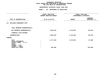## **OTPS UNITS OF APPROPRIATION DEPARTMENTAL**

|                                                                                                                              |                | FISCAL YEAR 2020<br>CURRENT MODIFIED BUDGET | FISCAL YEAR 2021<br>DEPARTMENTAL ESTIMATES |                        |               |                                 |
|------------------------------------------------------------------------------------------------------------------------------|----------------|---------------------------------------------|--------------------------------------------|------------------------|---------------|---------------------------------|
| UNIT OF APPROPRIATION                                                                                                        | AS OF 01/07/20 |                                             |                                            |                        | <b>AMOUNT</b> | <b>INCREASE</b><br>DECREASE (-) |
| <b>BUILDING MANAGEMENT-OTPS</b><br>111                                                                                       |                |                                             |                                            |                        |               |                                 |
| TOTAL REPORTED GEOGRAPHICALLY                                                                                                |                |                                             |                                            |                        |               |                                 |
| NOT REPORTED GEOGRAPHICALLY                                                                                                  |                | 4,902,915                                   | 4,179,939                                  | 722,976-               |               |                                 |
| FINANCIAL PLAN SAVINGS                                                                                                       |                |                                             |                                            |                        |               |                                 |
| <b>APPROPRIATION</b>                                                                                                         |                | 4,902,915                                   | 4,179,939                                  | 722,976-               |               |                                 |
| FUNDING                                                                                                                      |                |                                             |                                            |                        |               |                                 |
| CITY<br>OTHER CATEGORICAL<br>CAPITAL FUNDS - I.F.A.<br><b>STATE</b><br>FEDERAL - C.D.<br>FEDERAL - OTHER<br>INTRA-CITY SALES |                | 4,277,529<br>625,386                        | 4,179,939                                  | $97,590 -$<br>625,386- |               |                                 |
|                                                                                                                              |                |                                             |                                            |                        |               |                                 |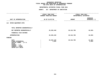## **OTPS UNITS OF APPROPRIATION DEPARTMENTAL**

|                                                                                                                              |                | FISCAL YEAR 2020<br>CURRENT MODIFIED BUDGET | FISCAL YEAR 2021<br>DEPARTMENTAL ESTIMATES |                                 |
|------------------------------------------------------------------------------------------------------------------------------|----------------|---------------------------------------------|--------------------------------------------|---------------------------------|
| UNIT OF APPROPRIATION                                                                                                        | AS OF 01/07/20 |                                             | <b>AMOUNT</b>                              | <b>INCREASE</b><br>DECREASE (-) |
| MOTOR EQUIPMENT-OTPS<br>112                                                                                                  |                |                                             |                                            |                                 |
| TOTAL REPORTED GEOGRAPHICALLY                                                                                                |                |                                             |                                            |                                 |
| NOT REPORTED GEOGRAPHICALLY                                                                                                  |                | 25,355,440                                  | 25,312,785                                 | 42,655-                         |
| FINANCIAL PLAN SAVINGS                                                                                                       |                |                                             |                                            |                                 |
| <b>APPROPRIATION</b>                                                                                                         |                | 25,355,440                                  | 25,312,785                                 | $42,655-$                       |
| FUNDING                                                                                                                      |                |                                             |                                            |                                 |
| CITY<br>OTHER CATEGORICAL<br>CAPITAL FUNDS - I.F.A.<br><b>STATE</b><br>FEDERAL - C.D.<br>FEDERAL - OTHER<br>INTRA-CITY SALES |                | 25,354,149<br>1,291                         | 25, 312, 785                               | 41,364-<br>1,291-               |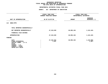## **OTPS UNITS OF APPROPRIATION DEPARTMENTAL**

|                                                                                                                                     | FISCAL YEAR 2020<br>CURRENT MODIFIED BUDGET | FISCAL YEAR 2021<br>DEPARTMENTAL ESTIMATES |                                 |  |
|-------------------------------------------------------------------------------------------------------------------------------------|---------------------------------------------|--------------------------------------------|---------------------------------|--|
| UNIT OF APPROPRIATION                                                                                                               | AS OF 01/07/20                              | <b>AMOUNT</b>                              | <b>INCREASE</b><br>DECREASE (-) |  |
| 113<br>SNOW-OTPS                                                                                                                    |                                             |                                            |                                 |  |
| TOTAL REPORTED GEOGRAPHICALLY                                                                                                       |                                             |                                            |                                 |  |
| NOT REPORTED GEOGRAPHICALLY                                                                                                         | 47,219,639                                  | 46,095,194                                 | 1,124,445-                      |  |
| FINANCIAL PLAN SAVINGS                                                                                                              |                                             |                                            |                                 |  |
| <b>APPROPRIATION</b>                                                                                                                | 47,219,639                                  | 46,095,194                                 | 1,124,445-                      |  |
| FUNDING                                                                                                                             |                                             |                                            |                                 |  |
| <b>CITY</b><br>OTHER CATEGORICAL<br>CAPITAL FUNDS - I.F.A.<br><b>STATE</b><br>FEDERAL - C.D.<br>FEDERAL - OTHER<br>INTRA-CITY SALES | 47,218,252<br>1,387                         | 46,095,194                                 | 1,123,058-<br>1,387-            |  |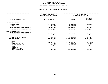### **GEOGRAPHICC REPORTING<br>ENCYWIDE SU<br>----------FISCAL**

# **REPORT AGENCYWIDE SUMMARY DEPARTMENTAL ESTIMATES FISCAL YEAR <sup>2021</sup>**

## **AGENCY: <sup>827</sup> DEPARTMENT OF SANITATION**

|                                                                                                                                                | FISCAL YEAR 2020<br>CURRENT MODIFIED BUDGET         |                                                     | FISCAL YEAR 2021<br>DEPARTMENTAL ESTIMATES   |
|------------------------------------------------------------------------------------------------------------------------------------------------|-----------------------------------------------------|-----------------------------------------------------|----------------------------------------------|
| UNIT OF APPROPRIATION                                                                                                                          | AS OF 01/07/20                                      | <b>AMOUNT</b>                                       | <b>INCREASE</b><br>DECREASE (-)              |
| PS APPROPRIATIONS<br>REGULAR GROSS<br><b>OTHER</b>                                                                                             | 474,956,907<br>12,229,836                           | 476,639,108<br>12,229,836                           | 1,682,201                                    |
| TOTAL REPORTED GEOGRAPHICALLY<br>NOT REPORTED GEOGRAPHICALLY                                                                                   | 487,186,743<br>556,360,443                          | 488,868,944<br>533,380,000                          | 1,682,201<br>22,980,443-                     |
| OTPS APPROPRIATIONS<br>TOTAL REPORTED GEOGRAPHICALLY<br>NOT REPORTED GEOGRAPHICALLY                                                            | 732,342,452                                         | 732,049,560                                         | 292,892-                                     |
| FINANCIAL PLAN SAVINGS<br><b>APPROPRIATIONS</b>                                                                                                | 3,693,191<br>1,779,582,829                          | 4,366,688<br>1,758,665,192                          | 673,497<br>20,917,637-                       |
| FUNDING<br><b>CITY</b><br>OTHER CATEGORICAL<br>CAPITAL FUNDS - I.F.A.<br><b>STATE</b><br>FEDERAL - C.D.<br>FEDERAL - OTHER<br>INTRA-CITY SALES | 1,758,926,762<br>849,722<br>5,650,565<br>14,155,780 | 1,739,051,717<br>750,000<br>5,697,557<br>13,165,918 | 19,875,045-<br>99,722-<br>46,992<br>989,862- |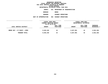**ESTIMATES FISCAL YEAR <sup>2021</sup> AGENCY <sup>841</sup> DEPARTMENT OF TRANSPORTATION BOROUGHBRONX**

**PROGRAM**

**HIGHWAY OPERATIONS UNIT OF APPROPRIATION <sup>002</sup> HIGHWAY OPERATIONS**

|                             | FISCAL YEAR 2020<br>CURRENT MODIFIED BUDGET<br>AS OF 01/07/20 |                        | FISCAL YEAR 2021<br>DEPARTMENTAL ESTIMATES |                        |                                       |
|-----------------------------|---------------------------------------------------------------|------------------------|--------------------------------------------|------------------------|---------------------------------------|
| LOCAL SERVICE DISTRICT      | <b>AMOUNT</b>                                                 | FULL TIME<br>POSITIONS | <b>AMOUNT</b>                              | FULL TIME<br>POSITIONS | <b>INCREASE</b><br><b>DECREASE(-)</b> |
| BRONX HWY + ST MAINT + OPER | 9,645,249                                                     | 44                     | 6,827,091                                  | 44                     | 2,818,158-                            |
| PROGRAM TOTAL:              | 9,645,249                                                     | 44                     | 6,827,091                                  | 44                     | 2,818,158-                            |
|                             |                                                               |                        |                                            |                        |                                       |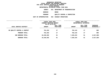**ESTIMATES FISCAL YEAR <sup>2021</sup> AGENCY <sup>841</sup> DEPARTMENT OF TRANSPORTATION**

**BOROUGH**

BRONX<br>QUALITY CONTROL & INSPECTION **PROGRAM**

**QUALITY CONTROL & INSPECTION UNIT OF APPROPRIATION <sup>002</sup> HIGHWAY OPERATIONS**

|                              | <b>FISCAL YEAR 2020</b><br>CURRENT MODIFIED BUDGET<br>AS OF 01/07/20 |                        | FISCAL YEAR 2021<br>DEPARTMENTAL ESTIMATES |                        |                         |
|------------------------------|----------------------------------------------------------------------|------------------------|--------------------------------------------|------------------------|-------------------------|
| LOCAL SERVICE DISTRICT       | <b>AMOUNT</b>                                                        | FULL TIME<br>POSITIONS | <b>AMOUNT</b>                              | FULL TIME<br>POSITIONS | INCREASE<br>DECREASE(-) |
| BX QUALITY CONTROL & INSPECT | 701,253                                                              | 17                     | 702,143                                    | 17                     | 890                     |
| PROGRAM TOTAL:               | 701,253                                                              | 17                     | 702,143                                    | 17                     | 890                     |
| SUB BOROUGH TOTAL:           | 10,346,502                                                           | 61                     | 7,529,234                                  | 61                     | 2,817,268-              |
| BOROUGH TOTAL:               | 10,346,502                                                           | 61                     | 7,529,234                                  | 61                     | 2,817,268-              |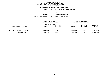**ESTIMATES FISCAL YEAR <sup>2021</sup> AGENCY <sup>841</sup> DEPARTMENT OF TRANSPORTATION BOROUGHBROOKLYN**

**PROGRAM**

**HIGHWAY OPERATIONS UNIT OF APPROPRIATION <sup>002</sup> HIGHWAY OPERATIONS**

|                             | FISCAL YEAR 2020<br>CURRENT MODIFIED BUDGET<br>AS OF 01/07/20 |                        | FISCAL YEAR 2021<br>DEPARTMENTAL ESTIMATES |                        |                                       |
|-----------------------------|---------------------------------------------------------------|------------------------|--------------------------------------------|------------------------|---------------------------------------|
| LOCAL SERVICE DISTRICT      | <b>AMOUNT</b>                                                 | FULL TIME<br>POSITIONS | <b>AMOUNT</b>                              | FULL TIME<br>POSITIONS | <b>INCREASE</b><br><b>DECREASE(-)</b> |
| BKLYN HWY + ST MAINT + OPER | 22,400,497                                                    | 155                    | 17,148,098                                 | 155                    | $5,252,399-$                          |
| PROGRAM TOTAL:              | 22,400,497                                                    | 155                    | 17,148,098                                 | 155                    | $5,252,399-$                          |
|                             |                                                               |                        |                                            |                        |                                       |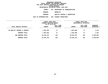**ESTIMATES FISCAL YEAR <sup>2021</sup> AGENCY <sup>841</sup> DEPARTMENT OF TRANSPORTATION**

**BOROUGH**

BROOKLYN<br>QUALITY CONTROL & INSPECTION **PROGRAM**

**QUALITY CONTROL & INSPECTION UNIT OF APPROPRIATION <sup>002</sup> HIGHWAY OPERATIONS**

|                              | FISCAL YEAR 2020<br>CURRENT MODIFIED BUDGET<br>AS OF 01/07/20 |                        | FISCAL YEAR 2021<br>DEPARTMENTAL ESTIMATES |                        |                           |
|------------------------------|---------------------------------------------------------------|------------------------|--------------------------------------------|------------------------|---------------------------|
| LOCAL SERVICE DISTRICT       | <b>AMOUNT</b>                                                 | FULL TIME<br>POSITIONS | <b>AMOUNT</b>                              | FULL TIME<br>POSITIONS | INCREASE<br>$DECREASE(-)$ |
| BK QUALITY CONTROL & INSPECT | 1,052,655                                                     | 27                     | 1,054,089                                  | 27                     | 1,434                     |
| PROGRAM TOTAL:               | 1,052,655                                                     | 27                     | 1,054,089                                  | 27                     | 1,434                     |
| SUB BOROUGH TOTAL:           | 23,453,152                                                    | 182                    | 18,202,187                                 | 182                    | $5,250,965 -$             |
| BOROUGH TOTAL:               | 23,453,152                                                    | 182                    | 18,202,187                                 | 182                    | $5,250,965 -$             |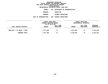**ESTIMATES FISCAL YEAR <sup>2021</sup> AGENCY <sup>841</sup> DEPARTMENT OF TRANSPORTATION BOROUGH**

 **MANHATTAN PROGRAM**

**HIGHWAY OPERATIONS UNIT OF APPROPRIATION <sup>002</sup> HIGHWAY OPERATIONS**

|                            | FISCAL YEAR 2020<br>CURRENT MODIFIED BUDGET<br>AS OF 01/07/20 |                        | FISCAL YEAR 2021<br>DEPARTMENTAL ESTIMATES |                        |                                       |
|----------------------------|---------------------------------------------------------------|------------------------|--------------------------------------------|------------------------|---------------------------------------|
| LOCAL SERVICE DISTRICT     | <b>AMOUNT</b>                                                 | FULL TIME<br>POSITIONS | <b>AMOUNT</b>                              | FULL TIME<br>POSITIONS | <b>INCREASE</b><br><b>DECREASE(-)</b> |
| MANH HWY + ST MAINT + OPER | 7,571,836                                                     | 73                     | 4,418,626                                  | 73                     | $3,153,210-$                          |
| PROGRAM TOTAL:             | 7,571,836                                                     | 73                     | 4,418,626                                  | 73                     | 3,153,210-                            |
|                            |                                                               |                        |                                            |                        |                                       |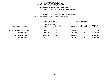**ESTIMATES FISCAL YEAR <sup>2021</sup> AGENCY <sup>841</sup> DEPARTMENT OF TRANSPORTATION**

**BOROUGH**

**MANHATTAN<br>QUALITY CONTROL & INSPECTION PROGRAM**

**QUALITY CONTROL & INSPECTION UNIT OF APPROPRIATION <sup>002</sup> HIGHWAY OPERATIONS**

|                              | <b>FISCAL YEAR 2020</b> |           | FISCAL YEAR 2021 |                        |               |
|------------------------------|-------------------------|-----------|------------------|------------------------|---------------|
|                              | CURRENT MODIFIED BUDGET |           |                  | DEPARTMENTAL ESTIMATES |               |
|                              | AS OF 01/07/20          | FULL TIME |                  | FULL TIME              | INCREASE      |
| LOCAL SERVICE DISTRICT       | <b>AMOUNT</b>           | POSITIONS | <b>AMOUNT</b>    | POSITIONS              | DECREASE(-)   |
|                              |                         |           |                  |                        |               |
| MN QUALITY CONTROL & INSPECT | 822,071                 | 21        | 824,331          | 21                     | 2,260         |
| PROGRAM TOTAL:               | 822,071                 | 21        | 824,331          | 21                     | 2,260         |
| SUB BOROUGH TOTAL:           | 8,393,907               | 94        | 5,242,957        | 94                     | $3,150,950 -$ |
| BOROUGH TOTAL:               | 8,393,907               | 94        | 5,242,957        | 94                     | $3,150,950 -$ |
|                              |                         |           |                  |                        |               |
|                              |                         |           |                  |                        |               |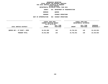**ESTIMATES FISCAL YEAR <sup>2021</sup> AGENCY <sup>841</sup> DEPARTMENT OF TRANSPORTATION BOROUGH**QUEENS<br>HIGHWAY OPERATIONS

**PROGRAM**

**HIGHWAY OPERATIONS UNIT OF APPROPRIATION <sup>002</sup> HIGHWAY OPERATIONS**

|                              | FISCAL YEAR 2020<br>CURRENT MODIFIED BUDGET<br>AS OF 01/07/20 |                               | FISCAL YEAR 2021<br>DEPARTMENTAL ESTIMATES |                        |                                       |
|------------------------------|---------------------------------------------------------------|-------------------------------|--------------------------------------------|------------------------|---------------------------------------|
| LOCAL SERVICE DISTRICT       | <b>AMOUNT</b>                                                 | FULL TIME<br><b>POSITIONS</b> | <b>AMOUNT</b>                              | FULL TIME<br>POSITIONS | <b>INCREASE</b><br><b>DECREASE(-)</b> |
| QUEENS HWY + ST MAINT + OPER | 34,912,880                                                    | 149                           | 24,762,941                                 | 149                    | 10,149,939-                           |
| PROGRAM TOTAL:               | 34,912,880                                                    | 149                           | 24,762,941                                 | 149                    | 10,149,939-                           |
|                              |                                                               |                               |                                            |                        |                                       |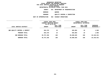**ESTIMATES FISCAL YEAR <sup>2021</sup> AGENCY <sup>841</sup> DEPARTMENT OF TRANSPORTATION**

**BOROUGH**

QUEENS<br>QUALITY CONTROL & INSPECTION **PROGRAMQUALITY CONTROL & INSPECTION UNIT OF APPROPRIATION <sup>002</sup> HIGHWAY OPERATIONS**

|                               | FISCAL YEAR 2020<br>CURRENT MODIFIED BUDGET<br>AS OF 01/07/20 |                        | FISCAL YEAR 2021<br>DEPARTMENTAL ESTIMATES |                        |                           |
|-------------------------------|---------------------------------------------------------------|------------------------|--------------------------------------------|------------------------|---------------------------|
| LOCAL SERVICE DISTRICT        | <b>AMOUNT</b>                                                 | FULL TIME<br>POSITIONS | <b>AMOUNT</b>                              | FULL TIME<br>POSITIONS | INCREASE<br>$DECREASE(-)$ |
| ONS QUALITY CONTROL & INSPECT | 844,376                                                       | 19                     | 845,884                                    | 19                     | 1,508                     |
| PROGRAM TOTAL:                | 844,376                                                       | 19                     | 845,884                                    | 19                     | 1,508                     |
| SUB BOROUGH TOTAL:            | 35,757,256                                                    | 168                    | 25,608,825                                 | 168                    | 10,148,431-               |
| BOROUGH TOTAL:                | 35,757,256                                                    | 168                    | 25,608,825                                 | 168                    | 10,148,431-               |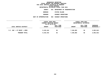#### **GEOGRAPHICC REPORTING<br>PERSONAL S<br>ICTS BY PRO FISCAL REPORT FOR PERSONAL SERVICES REPORT FOR PERSONAL SERVICES FOR LOCAL SERVICE DISTRICTS BY PROGRAM WITHINN BOROUGH<br>ATES FISC<br>4 DECEMB**

|                       |     | DEPARTMENTAL ESTIMATES FISCAL YEAR 2021 |
|-----------------------|-----|-----------------------------------------|
| <b>AGENCY</b>         |     | 841 DEPARTMENT OF TRANSPORTATION        |
| <b>BOROUGH</b>        |     | STATEN ISLAND                           |
| <b>PROGRAM</b>        |     | <b>HIGHWAY OPERATIONS</b>               |
| UNIT OF APPROPRIATION | 002 | <b>HIGHWAY OPERATIONS</b>               |
|                       |     |                                         |

|                            | FISCAL YEAR 2020<br>CURRENT MODIFIED BUDGET<br>AS OF 01/07/20 |                        | FISCAL YEAR 2021<br>DEPARTMENTAL ESTIMATES |                        |                         |
|----------------------------|---------------------------------------------------------------|------------------------|--------------------------------------------|------------------------|-------------------------|
| LOCAL SERVICE DISTRICT     | <b>AMOUNT</b>                                                 | FULL TIME<br>POSITIONS | <b>AMOUNT</b>                              | FULL TIME<br>POSITIONS | INCREASE<br>DECREASE(-) |
| S.I. HWY + ST MAINT + OPER | 9,410,444                                                     | 56                     | 7,346,802                                  | 56                     | 2,063,642-              |
| PROGRAM TOTAL:             | 9,410,444                                                     | 56                     | 7,346,802                                  | 56                     | 2,063,642-              |
|                            |                                                               |                        |                                            |                        |                         |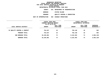|                       |     | DEPARTMENTAL ESTIMATES FISCAL YEAR 2021 |
|-----------------------|-----|-----------------------------------------|
| AGENCY                | 841 | DEPARTMENT OF TRANSPORTATION            |
| <b>BOROUGH</b>        |     | STATEN ISLAND                           |
| <b>PROGRAM</b>        |     | QUALITY CONTROL & INSPECTION            |
| UNIT OF APPROPRIATION | 002 | HIGHWAY OPERATIONS                      |
|                       |     |                                         |

|                              | <b>FISCAL YEAR 2020</b><br>CURRENT MODIFIED BUDGET |                        | FISCAL YEAR 2021<br>DEPARTMENTAL ESTIMATES |                        |                         |
|------------------------------|----------------------------------------------------|------------------------|--------------------------------------------|------------------------|-------------------------|
| LOCAL SERVICE DISTRICT       | AS OF 01/07/20<br><b>AMOUNT</b>                    | FULL TIME<br>POSITIONS | <b>AMOUNT</b>                              | FULL TIME<br>POSITIONS | INCREASE<br>DECREASE(-) |
| SI QUALITY CONTROL & INSPECT | 754,637                                            | 18                     | 755,140                                    | 18                     | 503                     |
| PROGRAM TOTAL:               | 754,637                                            | 18                     | 755,140                                    | 18                     | 503                     |
| SUB BOROUGH TOTAL:           | 10,165,081                                         | 74                     | 8,101,942                                  | 74                     | 2,063,139-              |
| BOROUGH TOTAL:               | 10,165,081                                         | 74                     | 8,101,942                                  | 74                     | 2,063,139-              |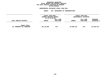### **GEOGRAPHICC REPORTING<br>PERSONAL S<br>ICTS BY PRO FISCAL REPORT FOR PERSONAL SERVICES FOR LOCAL SERVICE DISTRICTS BY PROGRAM WITHIN**

## WITHIN BOROUGH<br>D<mark>EPARTMENTAL ESTIMATES FISC</mark>

# **ESTIMATES FISCAL YEAR <sup>2021</sup> AGENCY <sup>841</sup> DEPARTMENT OF TRANSPORTATION**

|                                                   | <b>FISCAL YEAR 2020</b><br>CURRENT MODIFIED BUDGET<br>AS OF 01/07/20 |                               | <b>FISCAL YEAR 2021</b><br>DEPARTMENTAL ESTIMATES |                        |                                |
|---------------------------------------------------|----------------------------------------------------------------------|-------------------------------|---------------------------------------------------|------------------------|--------------------------------|
| LOCAL SERVICE DISTRICT                            | <b>AMOUNT</b>                                                        | <b>FULL TIME</b><br>POSITIONS | <b>AMOUNT</b>                                     | FULL TIME<br>POSITIONS | <b>INCREASE</b><br>DECREASE(-) |
| <b>AGENCY TOTAL:</b><br>ALL PROGRAMS ALL BOROUGHS | 88,115,898                                                           | 579                           | 64,685,145                                        | 579                    | 23,430,753-                    |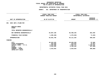|                                                                                                                                     | DEPARTMENTAL ESTIMATES FISCAL YEAR 2021                                        |                                                              |                                                           |  |  |
|-------------------------------------------------------------------------------------------------------------------------------------|--------------------------------------------------------------------------------|--------------------------------------------------------------|-----------------------------------------------------------|--|--|
|                                                                                                                                     | <b>AGENCY:</b>                                                                 | 841 DEPARTMENT OF TRANSPORTATION                             |                                                           |  |  |
|                                                                                                                                     | FISCAL YEAR 2020<br>CURRENT MODIFIED BUDGET                                    |                                                              | FISCAL YEAR 2021<br>DEPARTMENTAL ESTIMATES                |  |  |
| UNIT OF APPROPRIATION                                                                                                               | AS OF 01/07/20                                                                 | <b>AMOUNT</b>                                                | <b>INCREASE</b><br>DECREASE $(-)$                         |  |  |
| EXEC ADM & PLANN MGT.<br>001                                                                                                        |                                                                                |                                                              |                                                           |  |  |
| REGULAR GROSS<br><b>OTHER</b>                                                                                                       |                                                                                |                                                              |                                                           |  |  |
| TOTAL REPORTED GEOGRAPHICALLY                                                                                                       |                                                                                |                                                              |                                                           |  |  |
| NOT REPORTED GEOGRAPHICALLY                                                                                                         | 64,807,196                                                                     | 65,488,245                                                   | 681,049                                                   |  |  |
| FINANCIAL PLAN SAVINGS                                                                                                              | $1,305,400 -$                                                                  | 1,376,920-                                                   | $71,520 -$                                                |  |  |
| <b>APPROPRIATION</b>                                                                                                                | 63,501,796                                                                     | 64, 111, 325                                                 | 609,529                                                   |  |  |
| FUNDING                                                                                                                             |                                                                                |                                                              |                                                           |  |  |
| <b>CITY</b><br>OTHER CATEGORICAL<br>CAPITAL FUNDS - I.F.A.<br><b>STATE</b><br>FEDERAL - C.D.<br>FEDERAL - OTHER<br>INTRA-CITY SALES | 49,543,425<br>$\ddot{\cdot}$<br>252,559<br>5,645,588<br>5,544,382<br>2,515,842 | 49,630,494<br>210,632<br>7,063,771<br>5,196,394<br>2,010,034 | 87,069<br>41,927-<br>1,418,183<br>347,988-<br>$505,808 -$ |  |  |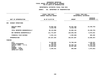## **PS UNITS OF APPROPRIATION DEPARTMENTAL**

# **ESTIMATES FISCAL YEAR 2021**<br> **AGENCY:** 841 DEPARTMENT OF TRANSPORTATION

|                                                                                                                                     | FISCAL YEAR 2020<br><b>CURRENT MODIFIED BUDGET</b>             | FISCAL YEAR 2021<br>DEPARTMENTAL ESTIMATES        |                                                                  |
|-------------------------------------------------------------------------------------------------------------------------------------|----------------------------------------------------------------|---------------------------------------------------|------------------------------------------------------------------|
| UNIT OF APPROPRIATION                                                                                                               | AS OF 01/07/20                                                 | <b>AMOUNT</b>                                     | <b>INCREASE</b><br>DECREASE $(-)$                                |
| HIGHWAY OPERATIONS<br>002                                                                                                           |                                                                |                                                   |                                                                  |
| REGULAR GROSS<br><b>OTHER</b>                                                                                                       | 79,692,192<br>8,423,706                                        | 56,261,439<br>8,423,706                           | 23,430,753-                                                      |
| TOTAL REPORTED GEOGRAPHICALLY                                                                                                       | 88,115,898                                                     | 64,685,145                                        | 23,430,753-                                                      |
| NOT REPORTED GEOGRAPHICALLY                                                                                                         | 111,772,607                                                    | 120,848,438                                       | 9,075,831                                                        |
| FINANCIAL PLAN SAVINGS                                                                                                              | 2,261,141-                                                     | 1,595,686-                                        | 665,455                                                          |
| <b>APPROPRIATION</b>                                                                                                                | 197,627,364                                                    | 183,937,897                                       | 13,689,467-                                                      |
| <b>FUNDING</b>                                                                                                                      |                                                                |                                                   |                                                                  |
| <b>CITY</b><br>OTHER CATEGORICAL<br>CAPITAL FUNDS - I.F.A.<br><b>STATE</b><br>FEDERAL - C.D.<br>FEDERAL - OTHER<br>INTRA-CITY SALES | 73,548,994<br>186,391<br>99,760,876<br>21,865,682<br>2,265,421 | 76,709,245<br>86,350,726<br>20,587,066<br>290,860 | 3,160,251<br>186,391-<br>13,410,150-<br>1,278,616-<br>1,974,561- |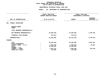|                                                       | DEPARTMENTAL ESTIMATES FISCAL YEAR 2021     |                                  |                                            |  |  |
|-------------------------------------------------------|---------------------------------------------|----------------------------------|--------------------------------------------|--|--|
|                                                       | <b>AGENCY:</b>                              | 841 DEPARTMENT OF TRANSPORTATION |                                            |  |  |
|                                                       | FISCAL YEAR 2020<br>CURRENT MODIFIED BUDGET |                                  | FISCAL YEAR 2021<br>DEPARTMENTAL ESTIMATES |  |  |
| UNIT OF APPROPRIATION                                 | AS OF 01/07/20                              | <b>AMOUNT</b>                    | <b>INCREASE</b><br>DECREASE $(-)$          |  |  |
| TRANSIT OPERATIONS<br>003                             |                                             |                                  |                                            |  |  |
| REGULAR GROSS<br><b>OTHER</b>                         |                                             |                                  |                                            |  |  |
| TOTAL REPORTED GEOGRAPHICALLY                         |                                             |                                  |                                            |  |  |
| NOT REPORTED GEOGRAPHICALLY                           | 64,290,440                                  | 67,050,205                       | 2,759,765                                  |  |  |
| FINANCIAL PLAN SAVINGS                                | 937,811-                                    | 937,811-                         |                                            |  |  |
| <b>APPROPRIATION</b>                                  | 63,352,629                                  | 66,112,394                       | 2,759,765                                  |  |  |
| <b>FUNDING</b>                                        |                                             |                                  |                                            |  |  |
| <b>CITY</b><br>OTHER CATEGORICAL                      | 20,652,632<br>$\ddot{\cdot}$                | 23,639,999                       | 2,987,367                                  |  |  |
| CAPITAL FUNDS - I.F.A.<br><b>STATE</b>                | 1,623,104<br>35,588,582                     | 1,640,025<br>35,588,582          | 16,921                                     |  |  |
| FEDERAL - C.D.<br>FEDERAL - OTHER<br>INTRA-CITY SALES | 4,813,311<br>675,000                        | 4,568,788<br>675,000             | 244,523-                                   |  |  |
|                                                       |                                             |                                  |                                            |  |  |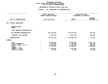|                                                                                                                                     |                | DEPARTMENTAL ESTIMATES FISCAL YEAR 2021                                      |                                                                          |                                                                       |  |
|-------------------------------------------------------------------------------------------------------------------------------------|----------------|------------------------------------------------------------------------------|--------------------------------------------------------------------------|-----------------------------------------------------------------------|--|
|                                                                                                                                     | <b>AGENCY:</b> | 841 DEPARTMENT OF TRANSPORTATION                                             |                                                                          |                                                                       |  |
|                                                                                                                                     |                | FISCAL YEAR 2020<br>CURRENT MODIFIED BUDGET                                  | FISCAL YEAR 2021<br>DEPARTMENTAL ESTIMATES                               |                                                                       |  |
| UNIT OF APPROPRIATION                                                                                                               |                | AS OF 01/07/20                                                               | <b>AMOUNT</b>                                                            | <b>INCREASE</b><br>DECREASE $(-)$                                     |  |
| TRAFFIC OPERATIONS<br>004                                                                                                           |                |                                                                              |                                                                          |                                                                       |  |
| REGULAR GROSS<br><b>OTHER</b>                                                                                                       |                |                                                                              |                                                                          |                                                                       |  |
| TOTAL REPORTED GEOGRAPHICALLY                                                                                                       |                |                                                                              |                                                                          |                                                                       |  |
| NOT REPORTED GEOGRAPHICALLY                                                                                                         |                | 126,139,940                                                                  | 126,547,045                                                              | 407,105                                                               |  |
| FINANCIAL PLAN SAVINGS                                                                                                              |                | 4,707,783-                                                                   | $5,017,703-$                                                             | 309,920-                                                              |  |
| <b>APPROPRIATION</b>                                                                                                                |                | 121, 432, 157                                                                | 121,529,342                                                              | 97,185                                                                |  |
| FUNDING                                                                                                                             |                |                                                                              |                                                                          |                                                                       |  |
| <b>CITY</b><br>OTHER CATEGORICAL<br>CAPITAL FUNDS - I.F.A.<br><b>STATE</b><br>FEDERAL - C.D.<br>FEDERAL - OTHER<br>INTRA-CITY SALES | $\ddot{\cdot}$ | 79,968,195<br>1,646,052<br>17, 116, 405<br>14,795,121<br>7,810,842<br>95,542 | 82,645,941<br>963,507<br>17,421,843<br>13,398,167<br>7,087,680<br>12,204 | 2,677,746<br>682,545-<br>305,438<br>1,396,954-<br>723,162-<br>83,338- |  |
|                                                                                                                                     |                |                                                                              |                                                                          |                                                                       |  |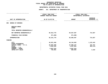### **PS UNITS OF APPROPRIATION DEPARTMENTAL**

| DEPARTMENTAL ESTIMATES FISCAL YEAR 2021               |                |                                             |                         |                                            |  |  |
|-------------------------------------------------------|----------------|---------------------------------------------|-------------------------|--------------------------------------------|--|--|
|                                                       | <b>AGENCY:</b> | 841 DEPARTMENT OF TRANSPORTATION            |                         |                                            |  |  |
|                                                       |                | FISCAL YEAR 2020<br>CURRENT MODIFIED BUDGET |                         | FISCAL YEAR 2021<br>DEPARTMENTAL ESTIMATES |  |  |
| UNIT OF APPROPRIATION                                 |                | AS OF 01/07/20                              | <b>AMOUNT</b>           | <b>INCREASE</b><br>DECREASE $(-)$          |  |  |
| <b>BUREAU OF BRIDGES</b><br>006                       |                |                                             |                         |                                            |  |  |
| REGULAR GROSS<br><b>OTHER</b>                         |                |                                             |                         |                                            |  |  |
| TOTAL REPORTED GEOGRAPHICALLY                         |                |                                             |                         |                                            |  |  |
| NOT REPORTED GEOGRAPHICALLY                           |                | 82,912,770                                  | 83,627,597              | 714,827                                    |  |  |
| FINANCIAL PLAN SAVINGS                                |                | 671,000-                                    | 671,000-                |                                            |  |  |
| <b>APPROPRIATION</b>                                  |                | 82, 241, 770                                | 82,956,597              | 714,827                                    |  |  |
| <b>FUNDING</b>                                        |                |                                             |                         |                                            |  |  |
| <b>CITY</b><br>OTHER CATEGORICAL                      | $\ddot{\cdot}$ | 45,021,460                                  | 46, 144, 903            | 1,123,443                                  |  |  |
| CAPITAL FUNDS - I.F.A.<br><b>STATE</b>                |                | 26,904,380<br>2,652,429                     | 27,096,137<br>2,047,953 | 191,757<br>604,476-                        |  |  |
| FEDERAL - C.D.<br>FEDERAL - OTHER<br>INTRA-CITY SALES |                | 6,867,510<br>795,991                        | 6,867,510<br>800,094    | 4,103                                      |  |  |
|                                                       |                |                                             |                         |                                            |  |  |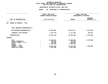### **OTPS UNITS OF APPROPRIATION DEPARTMENTAL**

|                                                                                                                                     |                | FISCAL YEAR 2020<br>CURRENT MODIFIED BUDGET                              | FISCAL YEAR 2021<br>DEPARTMENTAL ESTIMATES                               |                                 |  |  |
|-------------------------------------------------------------------------------------------------------------------------------------|----------------|--------------------------------------------------------------------------|--------------------------------------------------------------------------|---------------------------------|--|--|
| UNIT OF APPROPRIATION                                                                                                               | AS OF 01/07/20 |                                                                          | <b>AMOUNT</b>                                                            | <b>INCREASE</b><br>DECREASE (-) |  |  |
| BUREAU OF BRIDGES - OTPS<br>007                                                                                                     |                |                                                                          |                                                                          |                                 |  |  |
| TOTAL REPORTED GEOGRAPHICALLY                                                                                                       |                |                                                                          |                                                                          |                                 |  |  |
| NOT REPORTED GEOGRAPHICALLY                                                                                                         |                | 34,594,382                                                               | 30,676,577                                                               | 3,917,805-                      |  |  |
| FINANCIAL PLAN SAVINGS                                                                                                              |                | 1,297,278-                                                               | 1,111,481-                                                               | 185,797                         |  |  |
| <b>APPROPRIATION</b>                                                                                                                |                | 33,297,104                                                               | 29,565,096                                                               | $3,732,008-$                    |  |  |
| FUNDING                                                                                                                             |                |                                                                          |                                                                          |                                 |  |  |
| <b>CITY</b><br>OTHER CATEGORICAL<br>CAPITAL FUNDS - I.F.A.<br><b>STATE</b><br>FEDERAL - C.D.<br>FEDERAL - OTHER<br>INTRA-CITY SALES |                | 14,260,871<br>125,000<br>370,025<br>4,500,000<br>13,020,000<br>1,021,208 | 11,528,863<br>125,000<br>370,025<br>4,500,000<br>12,020,000<br>1,021,208 | 2,732,008-<br>$1,000,000 -$     |  |  |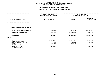### **OTPS UNITS OF APPROPRIATION DEPARTMENTAL**

|                                                                       |                | FISCAL YEAR 2020<br>CURRENT MODIFIED BUDGET | FISCAL YEAR 2021<br>DEPARTMENTAL ESTIMATES |                                 |
|-----------------------------------------------------------------------|----------------|---------------------------------------------|--------------------------------------------|---------------------------------|
| UNIT OF APPROPRIATION                                                 | AS OF 01/07/20 |                                             | <b>AMOUNT</b>                              | <b>INCREASE</b><br>DECREASE (-) |
| OTPS-EXEC AND ADMINISTRATION<br>011                                   |                |                                             |                                            |                                 |
| TOTAL REPORTED GEOGRAPHICALLY                                         |                |                                             |                                            |                                 |
| NOT REPORTED GEOGRAPHICALLY                                           |                | 78,244,828                                  | 73,107,665                                 | $5,137,163-$                    |
| FINANCIAL PLAN SAVINGS                                                |                | 7,587,592-                                  | 7,847,832-                                 | $260, 240 -$                    |
| <b>APPROPRIATION</b>                                                  |                | 70,657,236                                  | 65,259,833                                 | $5,397,403-$                    |
| FUNDING                                                               |                |                                             |                                            |                                 |
| <b>CITY</b><br>OTHER CATEGORICAL<br>CAPITAL FUNDS - I.F.A.            |                | 69,240,257<br>20,150                        | 64,387,404<br>75,600                       | 4,852,853-<br>55,450            |
| <b>STATE</b><br>FEDERAL - C.D.<br>FEDERAL - OTHER<br>INTRA-CITY SALES |                | 796,829<br>600,000                          | 796,829                                    | $600,000 -$                     |
|                                                                       |                |                                             |                                            |                                 |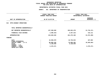### **OTPS UNITS OF APPROPRIATION DEPARTMENTAL**

|                                                                            | FISCAL YEAR 2020<br>CURRENT MODIFIED BUDGET | FISCAL YEAR 2021<br>DEPARTMENTAL ESTIMATES |                                 |
|----------------------------------------------------------------------------|---------------------------------------------|--------------------------------------------|---------------------------------|
| UNIT OF APPROPRIATION                                                      | AS OF 01/07/20                              | <b>AMOUNT</b>                              | <b>INCREASE</b><br>DECREASE (-) |
| 012<br>OTPS-HIGHWAY OPERATIONS                                             |                                             |                                            |                                 |
| TOTAL REPORTED GEOGRAPHICALLY                                              |                                             |                                            |                                 |
| NOT REPORTED GEOGRAPHICALLY                                                | 127,538,949                                 | 105,822,478                                | $21,716,471-$                   |
| FINANCIAL PLAN SAVINGS                                                     | 4,489,423-                                  | 4,347,312-                                 | 142,111                         |
| <b>APPROPRIATION</b>                                                       | 123,049,526                                 | 101,475,166                                | 21,574,360-                     |
| FUNDING                                                                    |                                             |                                            |                                 |
| <b>CITY</b><br>OTHER CATEGORICAL<br>CAPITAL FUNDS - I.F.A.<br><b>STATE</b> | 16,568,670<br>98,866,345<br>5,138,040       | 16,736,634<br>79,600,492<br>5,138,040      | 167,964<br>19,265,853-          |
| FEDERAL - C.D.<br>FEDERAL - OTHER<br>INTRA-CITY SALES                      | 2,476,471                                   |                                            | $2,476,471-$                    |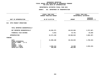### **OTPS UNITS OF APPROPRIATION DEPARTMENTAL**

|                                                                     | FISCAL YEAR 2020<br>CURRENT MODIFIED BUDGET |                     | FISCAL YEAR 2021<br>DEPARTMENTAL ESTIMATES |  |  |
|---------------------------------------------------------------------|---------------------------------------------|---------------------|--------------------------------------------|--|--|
| UNIT OF APPROPRIATION                                               | AS OF 01/07/20                              | <b>AMOUNT</b>       | <b>INCREASE</b><br>DECREASE (-)            |  |  |
| OTPS-TRANSIT OPERATIONS<br>013                                      |                                             |                     |                                            |  |  |
| TOTAL REPORTED GEOGRAPHICALLY                                       |                                             |                     |                                            |  |  |
| NOT REPORTED GEOGRAPHICALLY                                         | 44,381,271                                  | 40,613,604          | $3,767,667-$                               |  |  |
| FINANCIAL PLAN SAVINGS                                              |                                             | $9,931-$<br>44,761- | $34,830-$                                  |  |  |
| <b>APPROPRIATION</b>                                                | 44,371,340                                  | 40,568,843          | $3,802,497-$                               |  |  |
| FUNDING                                                             |                                             |                     |                                            |  |  |
| CITY<br>OTHER CATEGORICAL<br>CAPITAL FUNDS - I.F.A.<br><b>STATE</b> | 41,906,186                                  | 40,136,843          | 1,769,343-                                 |  |  |
| FEDERAL - C.D.<br>FEDERAL - OTHER<br>INTRA-CITY SALES               | 2,065,154<br>400,000                        | 32,000<br>400,000   | 2,033,154-                                 |  |  |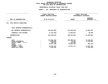### **OTPS UNITS OF APPROPRIATION DEPARTMENTAL**

|                                                                                                                                     |                | FISCAL YEAR 2020<br>CURRENT MODIFIED BUDGET                                  | FISCAL YEAR 2021<br>DEPARTMENTAL ESTIMATES                   |                                                                          |  |
|-------------------------------------------------------------------------------------------------------------------------------------|----------------|------------------------------------------------------------------------------|--------------------------------------------------------------|--------------------------------------------------------------------------|--|
| UNIT OF APPROPRIATION                                                                                                               | AS OF 01/07/20 |                                                                              | <b>AMOUNT</b>                                                | <b>INCREASE</b><br>DECREASE (-)                                          |  |
| OTPS-TRAFFIC OPERATIONS<br>014                                                                                                      |                |                                                                              |                                                              |                                                                          |  |
| TOTAL REPORTED GEOGRAPHICALLY                                                                                                       |                |                                                                              |                                                              |                                                                          |  |
| NOT REPORTED GEOGRAPHICALLY                                                                                                         |                | 363,639,969                                                                  | 376, 335, 039                                                | 12,695,070                                                               |  |
| FINANCIAL PLAN SAVINGS                                                                                                              |                | 11,703,936-                                                                  | 11,800,021-                                                  | $96,085 -$                                                               |  |
| <b>APPROPRIATION</b>                                                                                                                |                | 351,936,033                                                                  | 364,535,018                                                  | 12,598,985                                                               |  |
| FUNDING                                                                                                                             |                |                                                                              |                                                              |                                                                          |  |
| <b>CITY</b><br>OTHER CATEGORICAL<br>CAPITAL FUNDS - I.F.A.<br><b>STATE</b><br>FEDERAL - C.D.<br>FEDERAL - OTHER<br>INTRA-CITY SALES |                | 274,881,534<br>3,288,946<br>140,450<br>26,647,339<br>45,555,463<br>1,422,301 | 306,008,211<br>72,446<br>140,450<br>25,682,184<br>32,631,727 | 31,126,677<br>$3,216,500 -$<br>$965, 155 -$<br>12,923,736-<br>1,422,301- |  |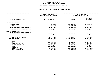### **GEOGRAPHICC REPORTING<br>ENCYWIDE SU<br>----------FISCAL**

# **REPORT AGENCYWIDE SUMMARY DEPARTMENTAL ESTIMATES FISCAL YEAR <sup>2021</sup>**

## **AGENCY: <sup>841</sup> DEPARTMENT OF TRANSPORTATION**

|                                                              | FISCAL YEAR 2020               |               | FISCAL YEAR 2021<br>DEPARTMENTAL ESTIMATES |  |  |
|--------------------------------------------------------------|--------------------------------|---------------|--------------------------------------------|--|--|
|                                                              | <b>CURRENT MODIFIED BUDGET</b> |               |                                            |  |  |
|                                                              |                                |               | <b>INCREASE</b>                            |  |  |
| UNIT OF APPROPRIATION                                        | AS OF 01/07/20                 | <b>AMOUNT</b> | DECREASE (-)                               |  |  |
|                                                              |                                |               |                                            |  |  |
| PS APPROPRIATIONS                                            |                                |               |                                            |  |  |
| REGULAR GROSS                                                | 79,692,192                     | 56,261,439    | $23,430,753-$                              |  |  |
| <b>OTHER</b>                                                 | 8,423,706                      | 8,423,706     |                                            |  |  |
|                                                              |                                |               |                                            |  |  |
| TOTAL REPORTED GEOGRAPHICALLY                                | 88, 115, 898                   | 64,685,145    | 23,430,753-                                |  |  |
| NOT REPORTED GEOGRAPHICALLY                                  | 449,922,953                    | 463,561,530   | 13,638,577                                 |  |  |
|                                                              |                                |               |                                            |  |  |
| OTPS APPROPRIATIONS                                          |                                |               |                                            |  |  |
| TOTAL REPORTED GEOGRAPHICALLY<br>NOT REPORTED GEOGRAPHICALLY | 648,399,399                    | 626,555,363   | $21,844,036-$                              |  |  |
|                                                              |                                |               |                                            |  |  |
|                                                              |                                |               |                                            |  |  |
| FINANCIAL PLAN SAVINGS                                       | 34,971,295-                    | 34,750,527-   | 220,768                                    |  |  |
| <b>APPROPRIATIONS</b>                                        | 1,151,466,955                  | 1,120,051,511 | 31, 415, 444-                              |  |  |
| <b>FUNDING</b>                                               |                                |               |                                            |  |  |
| CITY                                                         | 685,592,224                    | 717,568,537   | 31,976,313                                 |  |  |
| OTHER CATEGORICAL                                            | 5,498,948                      | 1,371,585     | 4,127,363-                                 |  |  |
| CAPITAL FUNDS - I.F.A.                                       | 250,447,323                    | 219,759,069   | 30,688,254-                                |  |  |
| <b>STATE</b>                                                 | 117,528,404                    | 112,935,215   | 4,593,189-                                 |  |  |
| FEDERAL - C.D.                                               |                                |               |                                            |  |  |
| FEDERAL - OTHER                                              | 87,990,014                     | 65,508,599    | 22,481,415-                                |  |  |
| INTRA-CITY SALES                                             | 4,410,042                      | 2,908,506     | 1,501,536-                                 |  |  |
|                                                              |                                |               |                                            |  |  |
|                                                              |                                |               |                                            |  |  |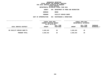**ESTIMATES FISCAL YEAR <sup>2021</sup> AGENCY <sup>846</sup> DEPARTMENT OF PARKS AND RECREATION**

**BOROUGH**

BRONX<br>FACILITY REPAIR SHOPS **PROGRAM**

**FACILITY REPAIR SHOPS UNIT OF APPROPRIATION <sup>002</sup> MAINTENANCE & OPERATIONS**

|                            | FISCAL YEAR 2020<br>CURRENT MODIFIED BUDGET<br>AS OF 01/07/20 |                        | FISCAL YEAR 2021<br>DEPARTMENTAL ESTIMATES |                        |                                |
|----------------------------|---------------------------------------------------------------|------------------------|--------------------------------------------|------------------------|--------------------------------|
| LOCAL SERVICE DISTRICT     | <b>AMOUNT</b>                                                 | FULL TIME<br>POSITIONS | <b>AMOUNT</b>                              | FULL TIME<br>POSITIONS | <b>INCREASE</b><br>DECREASE(-) |
| BX FACILITY REPAIR SHOP/TS | 2,626,543                                                     | 29                     | 2,626,543                                  | 29                     |                                |
| PROGRAM TOTAL:             | 2,626,543                                                     | 29                     | 2,626,543                                  | 29                     |                                |
|                            |                                                               |                        |                                            |                        |                                |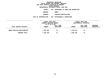**ESTIMATES FISCAL YEAR <sup>2021</sup> AGENCY <sup>846</sup> DEPARTMENT OF PARKS AND RECREATION**

**BOROUGH**

BRONX<br>FORESTRY/HORTICULTURE

**PROGRAM**

**FORESTRY/HORTICULTURE UNIT OF APPROPRIATION <sup>002</sup> MAINTENANCE & OPERATIONS**

|                             | FISCAL YEAR 2020<br>CURRENT MODIFIED BUDGET |                        | FISCAL YEAR 2021<br>DEPARTMENTAL ESTIMATES |                        |                                |  |
|-----------------------------|---------------------------------------------|------------------------|--------------------------------------------|------------------------|--------------------------------|--|
| LOCAL SERVICE DISTRICT      | AS OF 01/07/20<br><b>AMOUNT</b>             | FULL TIME<br>POSITIONS | <b>AMOUNT</b>                              | FULL TIME<br>POSITIONS | <b>INCREASE</b><br>DECREASE(-) |  |
| BRONX HORTICULTURE/FORESTRY | 1,385,168                                   | 16                     | 1,385,168                                  | 16                     |                                |  |
| PROGRAM TOTAL:              | 1,385,168                                   | 16                     | 1,385,168                                  | 16                     |                                |  |
|                             |                                             |                        |                                            |                        |                                |  |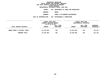**ESTIMATES FISCAL YEAR <sup>2021</sup> AGENCY <sup>846</sup> DEPARTMENT OF PARKS AND RECREATION**

**BOROUGH**

BRONX<br>PARKS & PLAYGROUND MAINTENANCE **PROGRAM**

**PARKS & PLAYGROUND MAINTENANCE UNIT OF APPROPRIATION <sup>002</sup> MAINTENANCE & OPERATIONS**

|                               | FISCAL YEAR 2020<br>CURRENT MODIFIED BUDGET<br>AS OF 01/07/20 |                        | FISCAL YEAR 2021<br>DEPARTMENTAL ESTIMATES |                               |                                |
|-------------------------------|---------------------------------------------------------------|------------------------|--------------------------------------------|-------------------------------|--------------------------------|
| LOCAL SERVICE DISTRICT        | <b>AMOUNT</b>                                                 | FULL TIME<br>POSITIONS | <b>AMOUNT</b>                              | FULL TIME<br><b>POSITIONS</b> | <b>INCREASE</b><br>DECREASE(-) |
| BRONX PARKS & PLAYGDS. MAINT. | 23,378,302                                                    | 301                    | 23,529,489                                 | 301                           | 151,187                        |
| PROGRAM TOTAL:                | 23,378,302                                                    | 301                    | 23,529,489                                 | 301                           | 151,187                        |
|                               |                                                               |                        |                                            |                               |                                |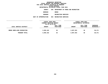**ESTIMATES FISCAL YEAR <sup>2021</sup> AGENCY <sup>846</sup> DEPARTMENT OF PARKS AND RECREATION**

**BOROUGH**

BRONX<br>RECREATION SERVICES **PROGRAM**

**RECREATION SERVICES UNIT OF APPROPRIATION <sup>004</sup> RECREATION SERVICES**

|                            | FISCAL YEAR 2020        |                        | FISCAL YEAR 2021       |                        |                         |  |
|----------------------------|-------------------------|------------------------|------------------------|------------------------|-------------------------|--|
|                            | CURRENT MODIFIED BUDGET |                        | DEPARTMENTAL ESTIMATES |                        |                         |  |
|                            | AS OF 01/07/20          |                        |                        |                        |                         |  |
| LOCAL SERVICE DISTRICT     | <b>AMOUNT</b>           | FULL TIME<br>POSITIONS | <b>AMOUNT</b>          | FULL TIME<br>POSITIONS | INCREASE<br>DECREASE(-) |  |
|                            |                         |                        |                        |                        |                         |  |
| BRONX BORO-WIDE RECREATION | 3,059,182               | 36                     | 3,097,553              | 36                     | 38,371                  |  |
| PROGRAM TOTAL:             | 3,059,182               | 36                     | 3,097,553              | 36                     | 38,371                  |  |
|                            |                         |                        |                        |                        |                         |  |
|                            |                         |                        |                        |                        |                         |  |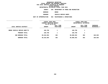**ESTIMATES FISCAL YEAR <sup>2021</sup> AGENCY <sup>846</sup> DEPARTMENT OF PARKS AND RECREATION**

**BOROUGH**

BRONX<br>VEHICLE REPAIR SHOPS **PROGRAM**

**VEHICLE REPAIR SHOPS UNIT OF APPROPRIATION <sup>002</sup> MAINTENANCE & OPERATIONS**

|                              | FISCAL YEAR 2020                          |                        | FISCAL YEAR 2021       |                        |                           |
|------------------------------|-------------------------------------------|------------------------|------------------------|------------------------|---------------------------|
|                              | CURRENT MODIFIED BUDGET<br>AS OF 01/07/20 |                        | DEPARTMENTAL ESTIMATES |                        |                           |
| LOCAL SERVICE DISTRICT       | <b>AMOUNT</b>                             | FULL TIME<br>POSITIONS | <b>AMOUNT</b>          | FULL TIME<br>POSITIONS | INCREASE<br>$DECREASE(-)$ |
| BRONX VEHICLE REPAIR SHOP/TS | 169,799                                   |                        | 169,799                |                        |                           |
| PROGRAM TOTAL:               | 169,799                                   | 1                      | 169,799                | 1                      |                           |
| SUB BOROUGH TOTAL:           | 30,618,994                                | 383                    | 30,808,552             | 383                    | 189,558                   |
| BOROUGH TOTAL:               | 30,618,994                                | 383                    | 30,808,552             | 383                    | 189,558                   |
|                              |                                           |                        |                        |                        |                           |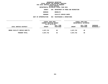**ESTIMATES FISCAL YEAR <sup>2021</sup> AGENCY <sup>846</sup> DEPARTMENT OF PARKS AND RECREATION**

**BOROUGH**

BROOKLYN<br>FACILITY REPAIR SHOPS **PROGRAM**

**FACILITY REPAIR SHOPS UNIT OF APPROPRIATION <sup>002</sup> MAINTENANCE & OPERATIONS**

|                               | FISCAL YEAR 2020<br>CURRENT MODIFIED BUDGET<br>AS OF 01/07/20 |                        |               | FISCAL YEAR 2021<br>DEPARTMENTAL ESTIMATES |                                |  |
|-------------------------------|---------------------------------------------------------------|------------------------|---------------|--------------------------------------------|--------------------------------|--|
| LOCAL SERVICE DISTRICT        | <b>AMOUNT</b>                                                 | FULL TIME<br>POSITIONS | <b>AMOUNT</b> | FULL TIME<br>POSITIONS                     | <b>INCREASE</b><br>DECREASE(-) |  |
| BROOK FACILITY REPAIR SHOP/TS | 4,037,742                                                     | 48                     | 4,037,742     | 48                                         |                                |  |
| PROGRAM TOTAL:                | 4,037,742                                                     | 48                     | 4,037,742     | 48                                         |                                |  |
|                               |                                                               |                        |               |                                            |                                |  |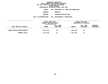**ESTIMATES FISCAL YEAR <sup>2021</sup> AGENCY <sup>846</sup> DEPARTMENT OF PARKS AND RECREATION**

**BOROUGH**

BROOKLYN<br>FORESTRY/HORTICULTURE **PROGRAM**

**FORESTRY/HORTICULTURE UNIT OF APPROPRIATION <sup>002</sup> MAINTENANCE & OPERATIONS**

|                             | FISCAL YEAR 2020<br>CURRENT MODIFIED BUDGET<br>AS OF 01/07/20 |                        |               | FISCAL YEAR 2021<br>DEPARTMENTAL ESTIMATES |                                |  |
|-----------------------------|---------------------------------------------------------------|------------------------|---------------|--------------------------------------------|--------------------------------|--|
| LOCAL SERVICE DISTRICT      | <b>AMOUNT</b>                                                 | FULL TIME<br>POSITIONS | <b>AMOUNT</b> | FULL TIME<br>POSITIONS                     | <b>INCREASE</b><br>DECREASE(-) |  |
| BROOK HORTICULTURE/FORESTRY | 1,647,329                                                     | 23                     | 1,647,329     | 23                                         |                                |  |
| PROGRAM TOTAL:              | 1,647,329                                                     | 23                     | 1,647,329     | 23                                         |                                |  |
|                             |                                                               |                        |               |                                            |                                |  |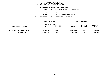**ESTIMATES FISCAL YEAR <sup>2021</sup> AGENCY <sup>846</sup> DEPARTMENT OF PARKS AND RECREATION**

**BOROUGH**

BROOKLYN<br>PARKS & PLAYGROUND MAINTENANCE **PROGRAM**

**PARKS & PLAYGROUND MAINTENANCE UNIT OF APPROPRIATION <sup>002</sup> MAINTENANCE & OPERATIONS**

|                                | FISCAL YEAR 2020<br>CURRENT MODIFIED BUDGET<br>AS OF 01/07/20 |                        | FISCAL YEAR 2021<br>DEPARTMENTAL ESTIMATES |                        |                                |
|--------------------------------|---------------------------------------------------------------|------------------------|--------------------------------------------|------------------------|--------------------------------|
| LOCAL SERVICE DISTRICT         | <b>AMOUNT</b>                                                 | FULL TIME<br>POSITIONS | <b>AMOUNT</b>                              | FULL TIME<br>POSITIONS | <b>INCREASE</b><br>DECREASE(-) |
| BKLYN. PARKS & PLAYGDS. MAINT. | 31,208,247                                                    | 345                    | 31,487,662                                 | 345                    | 279,415                        |
| PROGRAM TOTAL:                 | 31,208,247                                                    | 345                    | 31,487,662                                 | 345                    | 279,415                        |
|                                |                                                               |                        |                                            |                        |                                |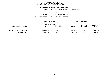**ESTIMATES FISCAL YEAR <sup>2021</sup> AGENCY <sup>846</sup> DEPARTMENT OF PARKS AND RECREATION**

**BOROUGH**

BROOKLYN<br>RECREATION SERVICES

**PROGRAM**

**RECREATION SERVICES UNIT OF APPROPRIATION <sup>004</sup> RECREATION SERVICES**

|                               | FISCAL YEAR 2020<br>CURRENT MODIFIED BUDGET |           |               | FISCAL YEAR 2021<br>DEPARTMENTAL ESTIMATES |                 |  |
|-------------------------------|---------------------------------------------|-----------|---------------|--------------------------------------------|-----------------|--|
|                               | AS OF 01/07/20                              |           |               |                                            |                 |  |
|                               |                                             | FULL TIME |               | FULL TIME                                  | <b>INCREASE</b> |  |
| LOCAL SERVICE DISTRICT        | <b>AMOUNT</b>                               | POSITIONS | <b>AMOUNT</b> | POSITIONS                                  | DECREASE(-)     |  |
|                               |                                             |           |               |                                            |                 |  |
| BROOKLYN BORO-WIDE RECREATION | 4,332,013                                   | 64        | 4,386,177     | 64                                         | 54,164          |  |
| PROGRAM TOTAL:                | 4,332,013                                   | 64        | 4,386,177     | 64                                         | 54,164          |  |
|                               |                                             |           |               |                                            |                 |  |
|                               |                                             |           |               |                                            |                 |  |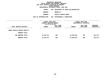**ESTIMATES FISCAL YEAR <sup>2021</sup> AGENCY <sup>846</sup> DEPARTMENT OF PARKS AND RECREATION**

**BOROUGH**

BROOKLYN<br>VEHICLE REPAIR SHOPS **PROGRAM**

**VEHICLE REPAIR SHOPS UNIT OF APPROPRIATION <sup>002</sup> MAINTENANCE & OPERATIONS**

|                              |                                  | FISCAL YEAR 2020<br><b>CURRENT MODIFIED BUDGET</b><br>AS OF 01/07/20 |               | FISCAL YEAR 2021<br>DEPARTMENTAL ESTIMATES |                         |  |
|------------------------------|----------------------------------|----------------------------------------------------------------------|---------------|--------------------------------------------|-------------------------|--|
| LOCAL SERVICE DISTRICT       | <b>AMOUNT</b><br>--------------- | FULL TIME<br>POSITIONS                                               | <b>AMOUNT</b> | FULL TIME<br>POSITIONS                     | INCREASE<br>DECREASE(-) |  |
| BROOK VEHICLE REPAIR SHOP/TS |                                  |                                                                      |               |                                            |                         |  |
| PROGRAM TOTAL:               |                                  |                                                                      |               |                                            |                         |  |
| SUB BOROUGH TOTAL:           | 41,225,331                       | 480                                                                  | 41,558,910    | 480                                        | 333,579                 |  |
| BOROUGH TOTAL:               | 41,225,331                       | 480                                                                  | 41,558,910    | 480                                        | 333,579                 |  |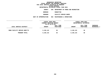**DEPARTMENTAL**

**ESTIMATES FISCAL YEAR <sup>2021</sup> AGENCY <sup>846</sup> DEPARTMENT OF PARKS AND RECREATION**

**BOROUGH**

 **MANHATTAN PROGRAM**

**FACILITY REPAIR SHOPS UNIT OF APPROPRIATION <sup>002</sup> MAINTENANCE & OPERATIONS**

|                              | FISCAL YEAR 2020<br>CURRENT MODIFIED BUDGET<br>AS OF 01/07/20 |           |               | FISCAL YEAR 2021<br>DEPARTMENTAL ESTIMATES |                 |  |
|------------------------------|---------------------------------------------------------------|-----------|---------------|--------------------------------------------|-----------------|--|
|                              |                                                               |           |               |                                            |                 |  |
|                              |                                                               | FULL TIME |               | FULL TIME                                  | <b>INCREASE</b> |  |
| LOCAL SERVICE DISTRICT       | <b>AMOUNT</b>                                                 | POSITIONS | <b>AMOUNT</b> | POSITIONS                                  | DECREASE(-)     |  |
|                              |                                                               |           |               |                                            |                 |  |
| MANH FACILITY REPAIR SHOP/TS | 3,136,115                                                     | 36        | 3,136,115     | 36                                         |                 |  |
|                              |                                                               |           |               |                                            |                 |  |
| PROGRAM TOTAL:               | 3,136,115                                                     | 36        | 3,136,115     | 36                                         |                 |  |
|                              |                                                               |           |               |                                            |                 |  |
|                              |                                                               |           |               |                                            |                 |  |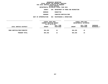**DEPARTMENTAL**

**ESTIMATES FISCAL YEAR <sup>2021</sup> AGENCY <sup>846</sup> DEPARTMENT OF PARKS AND RECREATION**

**BOROUGH**

MANHATTAN<br>FORESTRY/HORTICULTURE **PROGRAM**

**FORESTRY/HORTICULTURE UNIT OF APPROPRIATION <sup>002</sup> MAINTENANCE & OPERATIONS**

|                            | FISCAL YEAR 2020<br>CURRENT MODIFIED BUDGET<br>AS OF 01/07/20 |                        | FISCAL YEAR 2021<br>DEPARTMENTAL ESTIMATES |                        |                                |
|----------------------------|---------------------------------------------------------------|------------------------|--------------------------------------------|------------------------|--------------------------------|
| LOCAL SERVICE DISTRICT     | <b>AMOUNT</b>                                                 | FULL TIME<br>POSITIONS | <b>AMOUNT</b>                              | FULL TIME<br>POSITIONS | <b>INCREASE</b><br>DECREASE(-) |
| MANH HORTICULTURE/FORESTRY | 984,295                                                       | 15                     | 984,295                                    | 15                     |                                |
| PROGRAM TOTAL:             | 984,295                                                       | 15                     | 984,295                                    | 15                     |                                |
|                            |                                                               |                        |                                            |                        |                                |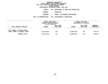**ESTIMATES FISCAL YEAR <sup>2021</sup> AGENCY <sup>846</sup> DEPARTMENT OF PARKS AND RECREATION**

**BOROUGH**

**MANHATTAN<br>PARKS & PLAYGROUND MAINTENANCE PROGRAM**

**PARKS & PLAYGROUND MAINTENANCE UNIT OF APPROPRIATION <sup>002</sup> MAINTENANCE & OPERATIONS**

|                                                             | FISCAL YEAR 2020<br>CURRENT MODIFIED BUDGET |           |               | FISCAL YEAR 2021<br>DEPARTMENTAL ESTIMATES |             |  |
|-------------------------------------------------------------|---------------------------------------------|-----------|---------------|--------------------------------------------|-------------|--|
|                                                             | AS OF 01/07/20                              |           |               |                                            |             |  |
|                                                             |                                             | FULL TIME |               | FULL TIME                                  | INCREASE    |  |
| LOCAL SERVICE DISTRICT<br>----------------                  | <b>AMOUNT</b>                               | POSITIONS | <b>AMOUNT</b> | POSITIONS                                  | DECREASE(-) |  |
| MN 8 PARKS & PLAYGDS MAINT<br>MANH. PARKS & PLAYGDS. MAINT. | 30,332,955                                  | 347       | 30,908,932    | 347                                        | 575,977     |  |
| PROGRAM TOTAL:                                              | 30,332,955                                  | 347       | 30,908,932    | 347                                        | 575,977     |  |
|                                                             |                                             |           |               |                                            |             |  |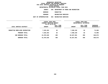**ESTIMATES FISCAL YEAR <sup>2021</sup> AGENCY <sup>846</sup> DEPARTMENT OF PARKS AND RECREATION**

**BOROUGH**

 **MANHATTAN PROGRAM**

**RECREATION SERVICES UNIT OF APPROPRIATION <sup>004</sup> RECREATION SERVICES**

|                                | FISCAL YEAR 2020<br>CURRENT MODIFIED BUDGET<br>AS OF 01/07/20 |                        | FISCAL YEAR 2021<br>DEPARTMENTAL ESTIMATES |                        |                                |
|--------------------------------|---------------------------------------------------------------|------------------------|--------------------------------------------|------------------------|--------------------------------|
| LOCAL SERVICE DISTRICT         | <b>AMOUNT</b>                                                 | FULL TIME<br>POSITIONS | <b>AMOUNT</b>                              | FULL TIME<br>POSITIONS | <b>INCREASE</b><br>DECREASE(-) |
| MANHATTAN BORO-WIDE RECREATION | 7,525,263                                                     | 92                     | 7,598,159                                  | 92                     | 72,896                         |
| PROGRAM TOTAL:                 | 7,525,263                                                     | 92                     | 7,598,159                                  | 92                     | 72,896                         |
| SUB BOROUGH TOTAL:             | 41,978,628                                                    | 490                    | 42,627,501                                 | 490                    | 648,873                        |
| <b>BOROUGH TOTAL:</b>          | 41,978,628                                                    | 490                    | 42,627,501                                 | 490                    | 648,873                        |
|                                |                                                               |                        |                                            |                        |                                |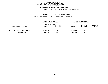**ESTIMATES FISCAL YEAR <sup>2021</sup> AGENCY <sup>846</sup> DEPARTMENT OF PARKS AND RECREATION**

**BOROUGH**

QUEENS<br>FACILITY REPAIR SHOPS **PROGRAM**

**FACILITY REPAIR SHOPS UNIT OF APPROPRIATION <sup>002</sup> MAINTENANCE & OPERATIONS**

|                                | FISCAL YEAR 2020        |           |               | FISCAL YEAR 2021       |             |  |
|--------------------------------|-------------------------|-----------|---------------|------------------------|-------------|--|
|                                | CURRENT MODIFIED BUDGET |           |               | DEPARTMENTAL ESTIMATES |             |  |
|                                | AS OF 01/07/20          |           |               |                        |             |  |
|                                |                         | FULL TIME |               | FULL TIME              | INCREASE    |  |
| LOCAL SERVICE DISTRICT         | <b>AMOUNT</b>           | POSITIONS | <b>AMOUNT</b> | POSITIONS              | DECREASE(-) |  |
|                                |                         |           |               |                        |             |  |
| QUEENS FACILITY REPAIR SHOP/TS | 3,222,692               | 36        | 3,222,692     | 36                     |             |  |
|                                |                         |           |               |                        |             |  |
| PROGRAM TOTAL:                 | 3,222,692               | 36        | 3,222,692     | 36                     |             |  |
|                                |                         |           |               |                        |             |  |
|                                |                         |           |               |                        |             |  |
|                                |                         |           |               |                        |             |  |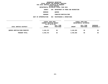**ESTIMATES FISCAL YEAR <sup>2021</sup> AGENCY <sup>846</sup> DEPARTMENT OF PARKS AND RECREATION**

**BOROUGH**

QUEENS<br>FORESTRY/HORTICULTURE **PROGRAM**

**FORESTRY/HORTICULTURE UNIT OF APPROPRIATION <sup>002</sup> MAINTENANCE & OPERATIONS**

|                                     | FISCAL YEAR 2020<br>CURRENT MODIFIED BUDGET<br>AS OF 01/07/20 |           |               | FISCAL YEAR 2021       |             |  |
|-------------------------------------|---------------------------------------------------------------|-----------|---------------|------------------------|-------------|--|
|                                     |                                                               |           |               | DEPARTMENTAL ESTIMATES |             |  |
|                                     |                                                               | FULL TIME |               | FULL TIME              | INCREASE    |  |
| LOCAL SERVICE DISTRICT              | <b>AMOUNT</b>                                                 | POSITIONS | <b>AMOUNT</b> | POSITIONS              | DECREASE(-) |  |
|                                     |                                                               |           |               |                        |             |  |
| <b>QUEENS HORTICULTURE/FORESTRY</b> | 3,446,475                                                     | 50        | 3,446,565     | 50                     | 90          |  |
| PROGRAM TOTAL:                      | 3,446,475                                                     | 50        | 3,446,565     | 50                     | 90          |  |
|                                     |                                                               |           |               |                        |             |  |
|                                     |                                                               |           |               |                        |             |  |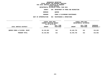**ESTIMATES FISCAL YEAR <sup>2021</sup> AGENCY <sup>846</sup> DEPARTMENT OF PARKS AND RECREATION**

**BOROUGH**

QUEENS<br>PARKS & PLAYGROUND MAINTENANCE **PROGRAM**

**PARKS & PLAYGROUND MAINTENANCE UNIT OF APPROPRIATION <sup>002</sup> MAINTENANCE & OPERATIONS**

|                                | FISCAL YEAR 2020<br>CURRENT MODIFIED BUDGET |                        |               | FISCAL YEAR 2021<br>DEPARTMENTAL ESTIMATES |                                       |  |
|--------------------------------|---------------------------------------------|------------------------|---------------|--------------------------------------------|---------------------------------------|--|
| LOCAL SERVICE DISTRICT         | AS OF 01/07/20<br><b>AMOUNT</b>             | FULL TIME<br>POSITIONS | <b>AMOUNT</b> | FULL TIME<br>POSITIONS                     | <b>INCREASE</b><br><b>DECREASE(-)</b> |  |
| QUEENS PARKS & PLAYGDS. MAINT. | 32,132,683                                  | 312                    | 32,445,735    | 312                                        | 313,052                               |  |
| PROGRAM TOTAL:                 | 32,132,683                                  | 312                    | 32,445,735    | 312                                        | 313,052                               |  |
|                                |                                             |                        |               |                                            |                                       |  |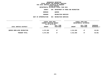**ESTIMATES FISCAL YEAR <sup>2021</sup> AGENCY <sup>846</sup> DEPARTMENT OF PARKS AND RECREATION**

**BOROUGH**

QUEENS<br>RECREATION SERVICES **PROGRAM**

**RECREATION SERVICES UNIT OF APPROPRIATION <sup>004</sup> RECREATION SERVICES**

|                                    | FISCAL YEAR 2020<br>CURRENT MODIFIED BUDGET<br>AS OF 01/07/20 |                        | FISCAL YEAR 2021<br>DEPARTMENTAL ESTIMATES |                        |                         |
|------------------------------------|---------------------------------------------------------------|------------------------|--------------------------------------------|------------------------|-------------------------|
| LOCAL SERVICE DISTRICT             | <b>AMOUNT</b>                                                 | FULL TIME<br>POSITIONS | <b>AMOUNT</b>                              | FULL TIME<br>POSITIONS | INCREASE<br>DECREASE(-) |
| <b>QUEENS BORO-WIDE RECREATION</b> | 4,272,585                                                     | 47                     | 4,312,666                                  | 47                     | 40,081                  |
| PROGRAM TOTAL:                     | 4,272,585                                                     | 47                     | 4,312,666                                  | 47                     | 40,081                  |
|                                    |                                                               |                        |                                            |                        |                         |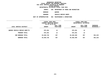**ESTIMATES FISCAL YEAR <sup>2021</sup> AGENCY <sup>846</sup> DEPARTMENT OF PARKS AND RECREATION**

**BOROUGH**

QUEENS<br>VEHICLE REPAIR SHOPS **PROGRAM**

**VEHICLE REPAIR SHOPS UNIT OF APPROPRIATION <sup>002</sup> MAINTENANCE & OPERATIONS**

|                               | FISCAL YEAR 2020<br>CURRENT MODIFIED BUDGET |                        | FISCAL YEAR 2021<br>DEPARTMENTAL ESTIMATES |                        |                           |
|-------------------------------|---------------------------------------------|------------------------|--------------------------------------------|------------------------|---------------------------|
| LOCAL SERVICE DISTRICT        | AS OF 01/07/20<br><b>AMOUNT</b>             | FULL TIME<br>POSITIONS | <b>AMOUNT</b>                              | FULL TIME<br>POSITIONS | INCREASE<br>$DECREASE(-)$ |
| QUEENS VEHICLE REPAIR SHOP/TS | 975,291                                     | 12                     | 975,291                                    | 12                     |                           |
| PROGRAM TOTAL:                | 975,291                                     | 12                     | 975,291                                    | 12                     |                           |
| SUB BOROUGH TOTAL:            | 44,049,726                                  | 457                    | 44,402,949                                 | 457                    | 353,223                   |
| BOROUGH TOTAL:                | 44,049,726                                  | 457                    | 44,402,949                                 | 457                    | 353,223                   |
|                               |                                             |                        |                                            |                        |                           |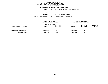**ESTIMATES FISCAL YEAR <sup>2021</sup> AGENCY <sup>846</sup> DEPARTMENT OF PARKS AND RECREATION**

**BOROUGH**

 **STATEN ISLAND PROGRAM**

**FACILITY REPAIR SHOPS UNIT OF APPROPRIATION <sup>002</sup> MAINTENANCE & OPERATIONS**

|                            | FISCAL YEAR 2020<br>CURRENT MODIFIED BUDGET<br>AS OF 01/07/20 |                        | FISCAL YEAR 2021<br>DEPARTMENTAL ESTIMATES |                        |                                |
|----------------------------|---------------------------------------------------------------|------------------------|--------------------------------------------|------------------------|--------------------------------|
| LOCAL SERVICE DISTRICT     | <b>AMOUNT</b>                                                 | FULL TIME<br>POSITIONS | <b>AMOUNT</b>                              | FULL TIME<br>POSITIONS | <b>INCREASE</b><br>DECREASE(-) |
| ST ISLD FAC REPAIR SHOP/TS | 2,039,885                                                     | 22                     | 2,039,885                                  | 22                     |                                |
| PROGRAM TOTAL:             | 2,039,885                                                     | 22                     | 2,039,885                                  | 22                     |                                |
|                            |                                                               |                        |                                            |                        |                                |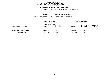**ESTIMATES FISCAL YEAR <sup>2021</sup> AGENCY <sup>846</sup> DEPARTMENT OF PARKS AND RECREATION**

**BOROUGH**

 **STATEN ISLAND PROGRAM**

**FORESTRY/HORTICULTURE UNIT OF APPROPRIATION <sup>002</sup> MAINTENANCE & OPERATIONS**

|                              | FISCAL YEAR 2020<br>CURRENT MODIFIED BUDGET<br>AS OF 01/07/20 |                        | <b>FISCAL YEAR 2021</b><br>DEPARTMENTAL ESTIMATES |                        |                                |
|------------------------------|---------------------------------------------------------------|------------------------|---------------------------------------------------|------------------------|--------------------------------|
| LOCAL SERVICE DISTRICT       | <b>AMOUNT</b>                                                 | FULL TIME<br>POSITIONS | <b>AMOUNT</b>                                     | FULL TIME<br>POSITIONS | <b>INCREASE</b><br>DECREASE(-) |
| ST ISL HORTICULTURE/FORESTRY | 1,534,631                                                     | 22                     | 1,534,631                                         | 22                     |                                |
| PROGRAM TOTAL:               | 1,534,631                                                     | 22                     | 1,534,631                                         | 22                     |                                |
|                              |                                                               |                        |                                                   |                        |                                |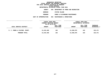**DEPARTMENTAL**

**ESTIMATES FISCAL YEAR <sup>2021</sup> AGENCY <sup>846</sup> DEPARTMENT OF PARKS AND RECREATION**

**BOROUGH**

 **STATEN ISLAND PROGRAM**

**PARKS & PLAYGROUND MAINTENANCE UNIT OF APPROPRIATION <sup>002</sup> MAINTENANCE & OPERATIONS**

|                               | FISCAL YEAR 2020<br>CURRENT MODIFIED BUDGET<br>AS OF 01/07/20 |                        | FISCAL YEAR 2021<br>DEPARTMENTAL ESTIMATES |                               |                                |
|-------------------------------|---------------------------------------------------------------|------------------------|--------------------------------------------|-------------------------------|--------------------------------|
| LOCAL SERVICE DISTRICT        | <b>AMOUNT</b>                                                 | FULL TIME<br>POSITIONS | <b>AMOUNT</b>                              | FULL TIME<br><b>POSITIONS</b> | <b>INCREASE</b><br>DECREASE(-) |
| S. I. PARKS & PLAYGDS. MAINT. | 13,243,405                                                    | 163                    | 13,368,876                                 | 163                           | 125,471                        |
| PROGRAM TOTAL:                | 13,243,405                                                    | 163                    | 13,368,876                                 | 163                           | 125,471                        |
|                               |                                                               |                        |                                            |                               |                                |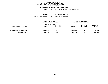**ESTIMATES FISCAL YEAR <sup>2021</sup> AGENCY <sup>846</sup> DEPARTMENT OF PARKS AND RECREATION BOROUGHSTATEN ISLAND**

**PROGRAM**

**RECREATION SERVICES UNIT OF APPROPRIATION <sup>004</sup> RECREATION SERVICES**

|                           | FISCAL YEAR 2020<br>CURRENT MODIFIED BUDGET<br>AS OF 01/07/20 |                        | <b>FISCAL YEAR 2021</b><br>DEPARTMENTAL ESTIMATES |                        |                                |
|---------------------------|---------------------------------------------------------------|------------------------|---------------------------------------------------|------------------------|--------------------------------|
| LOCAL SERVICE DISTRICT    | <b>AMOUNT</b>                                                 | FULL TIME<br>POSITIONS | <b>AMOUNT</b>                                     | FULL TIME<br>POSITIONS | <b>INCREASE</b><br>DECREASE(-) |
| S.I. BORO-WIDE RECREATION | 2,058,809                                                     | 27                     | 2,078,425                                         | 27                     | 19,616                         |
| PROGRAM TOTAL:            | 2,058,809                                                     | 27                     | 2,078,425                                         | 27                     | 19,616                         |
|                           |                                                               |                        |                                                   |                        |                                |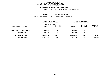**ESTIMATES FISCAL YEAR <sup>2021</sup> AGENCY <sup>846</sup> DEPARTMENT OF PARKS AND RECREATION**

**BOROUGH**

 **STATEN ISLAND PROGRAM**

**VEHICLE REPAIR SHOPS UNIT OF APPROPRIATION <sup>002</sup> MAINTENANCE & OPERATIONS**

|                                | FISCAL YEAR 2020<br><b>CURRENT MODIFIED BUDGET</b><br>AS OF 01/07/20 |                        | FISCAL YEAR 2021<br>DEPARTMENTAL ESTIMATES |                        |                         |
|--------------------------------|----------------------------------------------------------------------|------------------------|--------------------------------------------|------------------------|-------------------------|
| LOCAL SERVICE DISTRICT         | <b>AMOUNT</b>                                                        | FULL TIME<br>POSITIONS | <b>AMOUNT</b>                              | FULL TIME<br>POSITIONS | INCREASE<br>DECREASE(-) |
| ST ISLD VEHICLE REPAIR SHOP/TS | 490,879                                                              | 5                      | 490,879                                    | 5                      |                         |
| PROGRAM TOTAL:                 | 490,879                                                              | 5                      | 490,879                                    | 5                      |                         |
| SUB BOROUGH TOTAL:             | 19,367,609                                                           | 239                    | 19,512,696                                 | 239                    | 145,087                 |
| BOROUGH TOTAL:                 | 19,367,609                                                           | 239                    | 19,512,696                                 | 239                    | 145,087                 |
|                                |                                                                      |                        |                                            |                        |                         |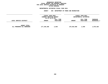#### **GEOGRAPHICC REPORTING<br>PERSONAL S<br>ICTS BY PRO FISCAL REPORT FOR PERSONAL SERVICES FOR LOCAL SERVICE DISTRICTS BY PROGRAM WITHIN**

### WITHIN BOROUGH<br>D<mark>EPARTMENTAL ESTIMATES FISC</mark>

|                                                   |               | <b>FISCAL YEAR 2020</b><br>CURRENT MODIFIED BUDGET<br>AS OF 01/07/20 |               | FISCAL YEAR 2021<br>DEPARTMENTAL ESTIMATES |                                |
|---------------------------------------------------|---------------|----------------------------------------------------------------------|---------------|--------------------------------------------|--------------------------------|
| LOCAL SERVICE DISTRICT                            | <b>AMOUNT</b> | <b>FULL TIME</b><br>POSITIONS                                        | <b>AMOUNT</b> | FULL TIME<br>POSITIONS                     | <b>INCREASE</b><br>DECREASE(-) |
| <b>AGENCY TOTAL:</b><br>ALL PROGRAMS ALL BOROUGHS | 177,240,288   | 2,049                                                                | 178,910,608   | 2,049                                      | 1,670,320                      |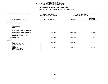### **PS UNITS OF APPROPRIATION DEPARTMENTAL**

|                                        | FISCAL YEAR 2020               | FISCAL YEAR 2021       |                 |
|----------------------------------------|--------------------------------|------------------------|-----------------|
|                                        | <b>CURRENT MODIFIED BUDGET</b> | DEPARTMENTAL ESTIMATES |                 |
|                                        |                                |                        | <b>INCREASE</b> |
| UNIT OF APPROPRIATION                  | AS OF 01/07/20                 | <b>AMOUNT</b>          | DECREASE (-)    |
|                                        |                                |                        |                 |
| EXEC MGMT & ADMIN<br>001               |                                |                        |                 |
| REGULAR GROSS<br><b>OTHER</b>          |                                |                        |                 |
| TOTAL REPORTED GEOGRAPHICALLY          |                                |                        |                 |
| NOT REPORTED GEOGRAPHICALLY            | 8,867,370                      | 8,914,731              | 47,361          |
| FINANCIAL PLAN SAVINGS                 |                                |                        |                 |
| <b>APPROPRIATION</b>                   | 8,867,370                      | 8,914,731              | 47,361          |
| FUNDING                                |                                |                        |                 |
| <b>CITY</b>                            | 7,967,565                      | 8,008,717              | 41,152          |
| OTHER CATEGORICAL                      |                                |                        |                 |
| CAPITAL FUNDS - I.F.A.<br><b>STATE</b> |                                |                        |                 |
| FEDERAL - C.D.                         | 899,805                        | 906,014                | 6,209           |
| FEDERAL - OTHER                        |                                |                        |                 |
| INTRA-CITY SALES                       |                                |                        |                 |
|                                        |                                |                        |                 |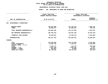### **PS UNITS OF APPROPRIATION DEPARTMENTAL**

|                                                                              |                                                                          | FISCAL YEAR 2021<br>DEPARTMENTAL ESTIMATES                                  |  |
|------------------------------------------------------------------------------|--------------------------------------------------------------------------|-----------------------------------------------------------------------------|--|
|                                                                              | <b>AMOUNT</b>                                                            | <b>INCREASE</b><br>DECREASE $(-)$                                           |  |
|                                                                              |                                                                          |                                                                             |  |
| 136,037,059<br>19,955,377                                                    | 137, 132, 781<br>20,304,847                                              | 1,095,722<br>349,470                                                        |  |
| 155,992,436                                                                  | 157,437,628                                                              | 1,445,192                                                                   |  |
| 180,786,759                                                                  | 163,907,249                                                              | 16,879,510-                                                                 |  |
| 16,448,557                                                                   | 12,194,474                                                               | 4,254,083-                                                                  |  |
| 353, 227, 752                                                                | 333,539,351                                                              | 19,688,401-                                                                 |  |
|                                                                              |                                                                          |                                                                             |  |
| 279,255,939<br>12,054,732<br>1,107,777<br>1,507,349<br>565,663<br>58,736,292 | 270,741,855<br>2,725,877<br>412,747<br>1,516,146<br>30,850<br>58,111,876 | 8,514,084-<br>9,328,855-<br>695,030-<br>8,797<br>$534,813-$<br>$624, 416 -$ |  |
|                                                                              | FISCAL YEAR 2020<br>CURRENT MODIFIED BUDGET<br>AS OF 01/07/20            |                                                                             |  |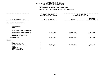### **PS UNITS OF APPROPRIATION DEPARTMENTAL**

|                                                                                                                                     | FISCAL YEAR 2020               | FISCAL YEAR 2021       |                 |
|-------------------------------------------------------------------------------------------------------------------------------------|--------------------------------|------------------------|-----------------|
|                                                                                                                                     | <b>CURRENT MODIFIED BUDGET</b> | DEPARTMENTAL ESTIMATES |                 |
|                                                                                                                                     |                                |                        | <b>INCREASE</b> |
| UNIT OF APPROPRIATION                                                                                                               | AS OF 01/07/20                 | <b>AMOUNT</b>          | DECREASE (-)    |
| DESIGN & ENGINEERING<br>003                                                                                                         |                                |                        |                 |
| REGULAR GROSS<br><b>OTHER</b>                                                                                                       |                                |                        |                 |
| TOTAL REPORTED GEOGRAPHICALLY                                                                                                       |                                |                        |                 |
| NOT REPORTED GEOGRAPHICALLY                                                                                                         | 50,740,993                     | 52,075,328             | 1,334,335       |
| FINANCIAL PLAN SAVINGS                                                                                                              |                                |                        |                 |
| <b>APPROPRIATION</b>                                                                                                                | 50,740,993                     | 52,075,328             | 1,334,335       |
| FUNDING                                                                                                                             |                                |                        |                 |
| <b>CITY</b><br>OTHER CATEGORICAL<br>CAPITAL FUNDS - I.F.A.<br><b>STATE</b><br>FEDERAL - C.D.<br>FEDERAL - OTHER<br>INTRA-CITY SALES | 50,740,993                     | 52,075,328             | 1,334,335       |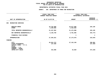### **PS UNITS OF APPROPRIATION DEPARTMENTAL**

|                                                                                                                                     | FISCAL YEAR 2020<br>CURRENT MODIFIED BUDGET |                         | FISCAL YEAR 2021<br>DEPARTMENTAL ESTIMATES |
|-------------------------------------------------------------------------------------------------------------------------------------|---------------------------------------------|-------------------------|--------------------------------------------|
| UNIT OF APPROPRIATION                                                                                                               | AS OF 01/07/20                              | <b>AMOUNT</b>           | <b>INCREASE</b><br>DECREASE (-)            |
| RECREATION SERVICES<br>004                                                                                                          |                                             |                         |                                            |
| REGULAR GROSS<br><b>OTHER</b>                                                                                                       | 19,752,868<br>1,494,984                     | 19,977,996<br>1,494,984 | 225,128                                    |
| TOTAL REPORTED GEOGRAPHICALLY                                                                                                       | 21, 247, 852                                | 21,472,980              | 225,128                                    |
| NOT REPORTED GEOGRAPHICALLY                                                                                                         | 6,146,769                                   | 5,701,995               | 444,774-                                   |
| FINANCIAL PLAN SAVINGS                                                                                                              |                                             | 1                       | 1                                          |
| <b>APPROPRIATION</b>                                                                                                                | 27,394,621                                  | 27, 174, 976            | $219,645-$                                 |
| FUNDING                                                                                                                             |                                             |                         |                                            |
| <b>CITY</b><br>OTHER CATEGORICAL<br>CAPITAL FUNDS - I.F.A.<br><b>STATE</b><br>FEDERAL - C.D.<br>FEDERAL - OTHER<br>INTRA-CITY SALES | 26,841,272<br>137,369                       | 27, 132, 156            | 290,884<br>137,369-                        |
|                                                                                                                                     | 415,980                                     | 42,820                  | $373,160 -$                                |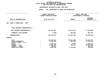## **OTPS UNITS OF APPROPRIATION DEPARTMENTAL**

|                                                                                                                              |                | FISCAL YEAR 2020<br><b>CURRENT MODIFIED BUDGET</b>                          | FISCAL YEAR 2021<br>DEPARTMENTAL ESTIMATES             |                                                                                |
|------------------------------------------------------------------------------------------------------------------------------|----------------|-----------------------------------------------------------------------------|--------------------------------------------------------|--------------------------------------------------------------------------------|
| UNIT OF APPROPRIATION                                                                                                        | AS OF 01/07/20 |                                                                             | <b>AMOUNT</b>                                          | <b>INCREASE</b><br>DECREASE (-)                                                |
| MAINT & OPERATIONS - OTPS<br>006                                                                                             |                |                                                                             |                                                        |                                                                                |
| TOTAL REPORTED GEOGRAPHICALLY                                                                                                |                |                                                                             |                                                        |                                                                                |
| NOT REPORTED GEOGRAPHICALLY                                                                                                  |                | 141,627,697                                                                 | 94,178,729                                             | 47,448,968-                                                                    |
| FINANCIAL PLAN SAVINGS                                                                                                       |                | $8,500 -$                                                                   | 846,200                                                | 854,700                                                                        |
| <b>APPROPRIATION</b>                                                                                                         |                | 141,619,197                                                                 | 95,024,929                                             | 46,594,268-                                                                    |
| FUNDING                                                                                                                      |                |                                                                             |                                                        |                                                                                |
| CITY<br>OTHER CATEGORICAL<br>CAPITAL FUNDS - I.F.A.<br><b>STATE</b><br>FEDERAL - C.D.<br>FEDERAL - OTHER<br>INTRA-CITY SALES |                | 115,521,757<br>9,408,550<br>1,622,611<br>10,263,336<br>284,511<br>4,518,432 | 90,414,380<br>650,708<br>3,000<br>206,841<br>3,750,000 | 25,107,377-<br>8,757,842-<br>1,619,611-<br>10,056,495-<br>284,511-<br>768,432- |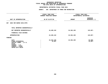## **OTPS UNITS OF APPROPRIATION DEPARTMENTAL**

|                                                                                                                              | FISCAL YEAR 2020<br>CURRENT MODIFIED BUDGET | FISCAL YEAR 2021<br>DEPARTMENTAL ESTIMATES |                                 |  |
|------------------------------------------------------------------------------------------------------------------------------|---------------------------------------------|--------------------------------------------|---------------------------------|--|
| UNIT OF APPROPRIATION                                                                                                        | AS OF 01/07/20                              | <b>AMOUNT</b>                              | <b>INCREASE</b><br>DECREASE (-) |  |
| EXEC MGT/ADMIN SVCS-OTPS<br>007                                                                                              |                                             |                                            |                                 |  |
| TOTAL REPORTED GEOGRAPHICALLY                                                                                                |                                             |                                            |                                 |  |
| NOT REPORTED GEOGRAPHICALLY                                                                                                  | 24,485,162                                  | 24,362,105                                 | $123,057-$                      |  |
| FINANCIAL PLAN SAVINGS                                                                                                       |                                             |                                            |                                 |  |
| <b>APPROPRIATION</b>                                                                                                         | 24,485,162                                  | 24,362,105                                 | $123,057-$                      |  |
| FUNDING                                                                                                                      |                                             |                                            |                                 |  |
| CITY<br>OTHER CATEGORICAL<br>CAPITAL FUNDS - I.F.A.<br><b>STATE</b><br>FEDERAL - C.D.<br>FEDERAL - OTHER<br>INTRA-CITY SALES | 24,454,105<br>31,057                        | 24,362,105                                 | $92,000 -$<br>$31,057-$         |  |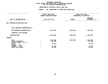## **OTPS UNITS OF APPROPRIATION DEPARTMENTAL**

|                |                                                    | FISCAL YEAR 2021<br>DEPARTMENTAL ESTIMATES  |                                                                   |
|----------------|----------------------------------------------------|---------------------------------------------|-------------------------------------------------------------------|
| AS OF 01/07/20 |                                                    | <b>AMOUNT</b>                               | <b>INCREASE</b><br>DECREASE (-)                                   |
|                |                                                    |                                             |                                                                   |
|                |                                                    |                                             |                                                                   |
|                | 2,844,096                                          | 1,585,906                                   | 1,258,190-                                                        |
|                |                                                    |                                             |                                                                   |
|                | 2,844,096                                          | 1,585,906                                   | 1,258,190-                                                        |
|                |                                                    |                                             |                                                                   |
|                | 2,597,906<br>104,380<br>73,831<br>31,030<br>36,949 | 1,585,906                                   | $1,012,000-$<br>$104,380-$<br>$73,831-$<br>$31,030-$<br>$36,949-$ |
|                |                                                    | FISCAL YEAR 2020<br>CURRENT MODIFIED BUDGET |                                                                   |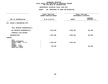## **OTPS UNITS OF APPROPRIATION DEPARTMENTAL**

|                                                                                                                              | FISCAL YEAR 2020<br>CURRENT MODIFIED BUDGET | FISCAL YEAR 2021<br>DEPARTMENTAL ESTIMATES |                                 |
|------------------------------------------------------------------------------------------------------------------------------|---------------------------------------------|--------------------------------------------|---------------------------------|
| UNIT OF APPROPRIATION                                                                                                        | AS OF 01/07/20                              | <b>AMOUNT</b>                              | <b>INCREASE</b><br>DECREASE (-) |
| DESIGN & ENGINEERING-OTPS<br>010                                                                                             |                                             |                                            |                                 |
| TOTAL REPORTED GEOGRAPHICALLY                                                                                                |                                             |                                            |                                 |
| NOT REPORTED GEOGRAPHICALLY                                                                                                  | 2,691,688                                   | 2,588,198                                  | $103,490-$                      |
| FINANCIAL PLAN SAVINGS                                                                                                       |                                             |                                            |                                 |
| <b>APPROPRIATION</b>                                                                                                         | 2,691,688                                   | 2,588,198                                  | $103,490-$                      |
| FUNDING                                                                                                                      |                                             |                                            |                                 |
| CITY<br>OTHER CATEGORICAL<br>CAPITAL FUNDS - I.F.A.<br><b>STATE</b><br>FEDERAL - C.D.<br>FEDERAL - OTHER<br>INTRA-CITY SALES | 2,588,198<br>103,490                        | 2,588,198                                  | $103,490-$                      |